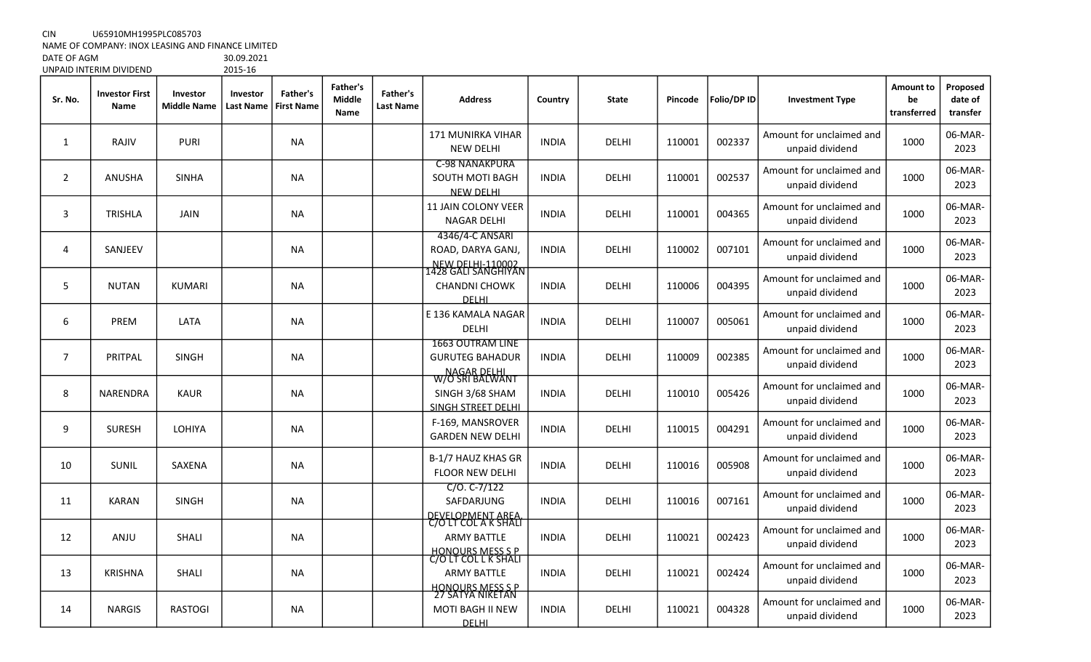CIN U65910MH1995PLC085703

NAME OF COMPANY: INOX LEASING AND FINANCE LIMITED

DATE OF AGM 30.09.2021 UNPAID INTERIM DIVIDEND

| Sr. No.        | <b>Investor First</b><br><b>Name</b> | Investor<br><b>Middle Name</b> | Investor<br><b>Last Name</b> | Father's<br><b>First Name</b> | <b>Father's</b><br><b>Middle</b><br>Name | Father's<br>Last Name | <b>Address</b>                                                                         | Country      | <b>State</b> | Pincode | Folio/DP ID | <b>Investment Type</b>                      | Amount to<br>be<br>transferred | Proposed<br>date of<br>transfer |
|----------------|--------------------------------------|--------------------------------|------------------------------|-------------------------------|------------------------------------------|-----------------------|----------------------------------------------------------------------------------------|--------------|--------------|---------|-------------|---------------------------------------------|--------------------------------|---------------------------------|
| 1              | RAJIV                                | <b>PURI</b>                    |                              | <b>NA</b>                     |                                          |                       | 171 MUNIRKA VIHAR<br><b>NEW DELHI</b>                                                  | <b>INDIA</b> | DELHI        | 110001  | 002337      | Amount for unclaimed and<br>unpaid dividend | 1000                           | 06-MAR-<br>2023                 |
| $\overline{2}$ | <b>ANUSHA</b>                        | <b>SINHA</b>                   |                              | NA                            |                                          |                       | <b>C-98 NANAKPURA</b><br>SOUTH MOTI BAGH<br><b>NEW DELHI</b>                           | <b>INDIA</b> | <b>DELHI</b> | 110001  | 002537      | Amount for unclaimed and<br>unpaid dividend | 1000                           | 06-MAR-<br>2023                 |
| 3              | <b>TRISHLA</b>                       | <b>JAIN</b>                    |                              | <b>NA</b>                     |                                          |                       | <b>11 JAIN COLONY VEER</b><br><b>NAGAR DELHI</b>                                       | <b>INDIA</b> | <b>DELHI</b> | 110001  | 004365      | Amount for unclaimed and<br>unpaid dividend | 1000                           | 06-MAR-<br>2023                 |
| 4              | SANJEEV                              |                                |                              | <b>NA</b>                     |                                          |                       | 4346/4-C ANSARI<br>ROAD, DARYA GANJ,<br><u>NEW DELHI-110002</u><br>L428 GALI SANGHIYAN | <b>INDIA</b> | DELHI        | 110002  | 007101      | Amount for unclaimed and<br>unpaid dividend | 1000                           | 06-MAR-<br>2023                 |
| 5              | <b>NUTAN</b>                         | <b>KUMARI</b>                  |                              | <b>NA</b>                     |                                          |                       | <b>CHANDNI CHOWK</b><br><b>DELHI</b>                                                   | <b>INDIA</b> | <b>DELHI</b> | 110006  | 004395      | Amount for unclaimed and<br>unpaid dividend | 1000                           | 06-MAR-<br>2023                 |
| 6              | <b>PREM</b>                          | LATA                           |                              | <b>NA</b>                     |                                          |                       | E 136 KAMALA NAGAR<br><b>DELHI</b>                                                     | <b>INDIA</b> | <b>DELHI</b> | 110007  | 005061      | Amount for unclaimed and<br>unpaid dividend | 1000                           | 06-MAR-<br>2023                 |
| $\overline{7}$ | PRITPAL                              | <b>SINGH</b>                   |                              | NA                            |                                          |                       | <b>1663 OUTRAM LINE</b><br><b>GURUTEG BAHADUR</b>                                      | <b>INDIA</b> | DELHI        | 110009  | 002385      | Amount for unclaimed and<br>unpaid dividend | 1000                           | 06-MAR-<br>2023                 |
| 8              | NARENDRA                             | <b>KAUR</b>                    |                              | <b>NA</b>                     |                                          |                       | NAGAR DELHI<br>W/O SRI BALWANT<br>SINGH 3/68 SHAM<br><b>SINGH STREET DELHI</b>         | <b>INDIA</b> | DELHI        | 110010  | 005426      | Amount for unclaimed and<br>unpaid dividend | 1000                           | 06-MAR-<br>2023                 |
| 9              | <b>SURESH</b>                        | <b>LOHIYA</b>                  |                              | <b>NA</b>                     |                                          |                       | F-169, MANSROVER<br><b>GARDEN NEW DELHI</b>                                            | <b>INDIA</b> | DELHI        | 110015  | 004291      | Amount for unclaimed and<br>unpaid dividend | 1000                           | 06-MAR-<br>2023                 |
| 10             | <b>SUNIL</b>                         | <b>SAXENA</b>                  |                              | <b>NA</b>                     |                                          |                       | B-1/7 HAUZ KHAS GR<br>FLOOR NEW DELHI                                                  | <b>INDIA</b> | <b>DELHI</b> | 110016  | 005908      | Amount for unclaimed and<br>unpaid dividend | 1000                           | 06-MAR-<br>2023                 |
| 11             | <b>KARAN</b>                         | <b>SINGH</b>                   |                              | NA                            |                                          |                       | $C/O. C-7/122$<br>SAFDARJUNG                                                           | <b>INDIA</b> | DELHI        | 110016  | 007161      | Amount for unclaimed and<br>unpaid dividend | 1000                           | 06-MAR-<br>2023                 |
| 12             | <b>ANJU</b>                          | <b>SHALI</b>                   |                              | <b>NA</b>                     |                                          |                       | DEVELOPMENT AREA.<br>C/O LT COL A K SHALI<br><b>ARMY BATTLE</b>                        | <b>INDIA</b> | DELHI        | 110021  | 002423      | Amount for unclaimed and<br>unpaid dividend | 1000                           | 06-MAR-<br>2023                 |
| 13             | <b>KRISHNA</b>                       | <b>SHALI</b>                   |                              | <b>NA</b>                     |                                          |                       | HONOURS MESS S P<br>C/O LT COL L K SHALI<br><b>ARMY BATTLE</b>                         | <b>INDIA</b> | <b>DELHI</b> | 110021  | 002424      | Amount for unclaimed and<br>unpaid dividend | 1000                           | 06-MAR-<br>2023                 |
| 14             | <b>NARGIS</b>                        | <b>RASTOGI</b>                 |                              | <b>NA</b>                     |                                          |                       | <u>HONOURS MESS S P</u><br>27 SATYA NIKETAN<br>MOTI BAGH II NEW<br><b>DELHI</b>        | <b>INDIA</b> | DELHI        | 110021  | 004328      | Amount for unclaimed and<br>unpaid dividend | 1000                           | 06-MAR-<br>2023                 |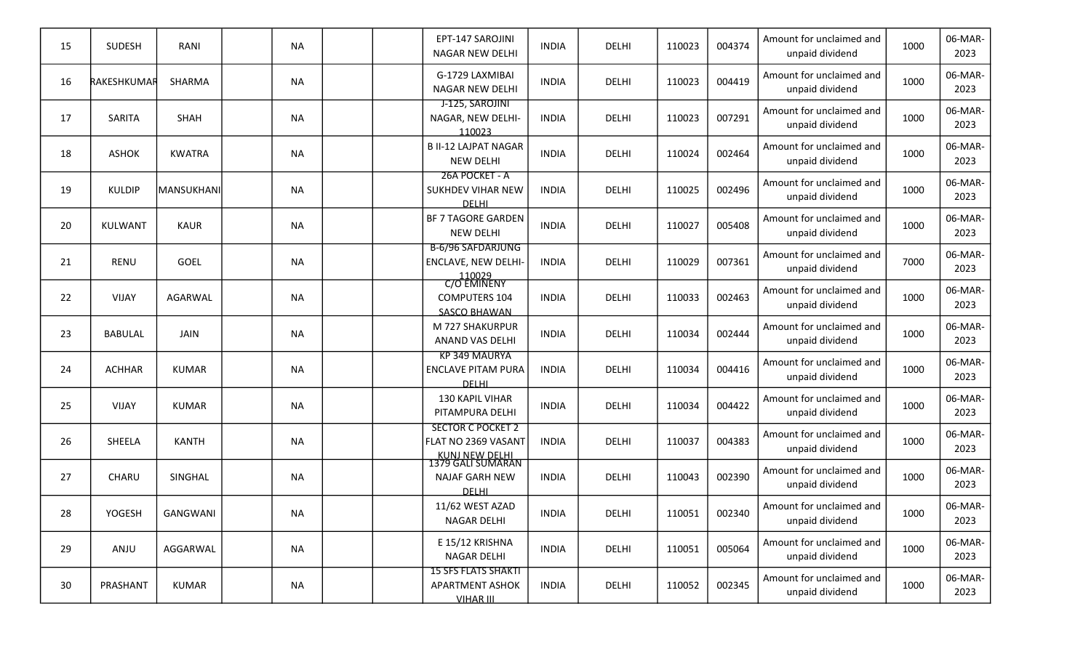| 15              | SUDESH         | RANI            | <b>NA</b> |  | EPT-147 SAROJINI<br>NAGAR NEW DELHI                                                    | <b>INDIA</b> | DELHI        | 110023 | 004374 | Amount for unclaimed and<br>unpaid dividend | 1000 | 06-MAR-<br>2023 |
|-----------------|----------------|-----------------|-----------|--|----------------------------------------------------------------------------------------|--------------|--------------|--------|--------|---------------------------------------------|------|-----------------|
| 16              | RAKESHKUMAR    | <b>SHARMA</b>   | <b>NA</b> |  | G-1729 LAXMIBAI<br>NAGAR NEW DELHI                                                     | <b>INDIA</b> | DELHI        | 110023 | 004419 | Amount for unclaimed and<br>unpaid dividend | 1000 | 06-MAR-<br>2023 |
| 17              | SARITA         | SHAH            | <b>NA</b> |  | J-125, SAROJINI<br>NAGAR, NEW DELHI-<br>110023                                         | <b>INDIA</b> | DELHI        | 110023 | 007291 | Amount for unclaimed and<br>unpaid dividend | 1000 | 06-MAR-<br>2023 |
| 18              | <b>ASHOK</b>   | <b>KWATRA</b>   | <b>NA</b> |  | <b>B II-12 LAJPAT NAGAR</b><br><b>NEW DELHI</b>                                        | <b>INDIA</b> | DELHI        | 110024 | 002464 | Amount for unclaimed and<br>unpaid dividend | 1000 | 06-MAR-<br>2023 |
| 19              | <b>KULDIP</b>  | MANSUKHANI      | <b>NA</b> |  | 26A POCKET - A<br><b>SUKHDEV VIHAR NEW</b><br><b>DELHL</b>                             | <b>INDIA</b> | DELHI        | 110025 | 002496 | Amount for unclaimed and<br>unpaid dividend | 1000 | 06-MAR-<br>2023 |
| 20              | <b>KULWANT</b> | <b>KAUR</b>     | <b>NA</b> |  | <b>BF 7 TAGORE GARDEN</b><br><b>NEW DELHI</b>                                          | <b>INDIA</b> | <b>DELHI</b> | 110027 | 005408 | Amount for unclaimed and<br>unpaid dividend | 1000 | 06-MAR-<br>2023 |
| 21              | <b>RENU</b>    | <b>GOEL</b>     | <b>NA</b> |  | <b>B-6/96 SAFDARJUNG</b><br>ENCLAVE, NEW DELHI-<br>110029<br>C/O EMINENY               | <b>INDIA</b> | DELHI        | 110029 | 007361 | Amount for unclaimed and<br>unpaid dividend | 7000 | 06-MAR-<br>2023 |
| 22              | <b>VIJAY</b>   | AGARWAL         | <b>NA</b> |  | <b>COMPUTERS 104</b><br><b>SASCO BHAWAN</b>                                            | <b>INDIA</b> | DELHI        | 110033 | 002463 | Amount for unclaimed and<br>unpaid dividend | 1000 | 06-MAR-<br>2023 |
| 23              | <b>BABULAL</b> | <b>JAIN</b>     | <b>NA</b> |  | M 727 SHAKURPUR<br>ANAND VAS DELHI                                                     | <b>INDIA</b> | DELHI        | 110034 | 002444 | Amount for unclaimed and<br>unpaid dividend | 1000 | 06-MAR-<br>2023 |
| 24              | <b>ACHHAR</b>  | <b>KUMAR</b>    | <b>NA</b> |  | KP 349 MAURYA<br><b>ENCLAVE PITAM PURA</b><br><b>DELHI</b>                             | <b>INDIA</b> | DELHI        | 110034 | 004416 | Amount for unclaimed and<br>unpaid dividend | 1000 | 06-MAR-<br>2023 |
| 25              | <b>VIJAY</b>   | <b>KUMAR</b>    | <b>NA</b> |  | 130 KAPIL VIHAR<br>PITAMPURA DELHI                                                     | <b>INDIA</b> | DELHI        | 110034 | 004422 | Amount for unclaimed and<br>unpaid dividend | 1000 | 06-MAR-<br>2023 |
| 26              | SHEELA         | <b>KANTH</b>    | <b>NA</b> |  | <b>SECTOR C POCKET 2</b><br>FLAT NO 2369 VASANT<br>KUNJ NEW DELHI<br>1379 GALI SUMARAN | <b>INDIA</b> | <b>DELHI</b> | 110037 | 004383 | Amount for unclaimed and<br>unpaid dividend | 1000 | 06-MAR-<br>2023 |
| 27              | CHARU          | SINGHAL         | <b>NA</b> |  | <b>NAJAF GARH NEW</b><br><b>DELHI</b>                                                  | <b>INDIA</b> | DELHI        | 110043 | 002390 | Amount for unclaimed and<br>unpaid dividend | 1000 | 06-MAR-<br>2023 |
| 28              | YOGESH         | <b>GANGWANI</b> | <b>NA</b> |  | 11/62 WEST AZAD<br>NAGAR DELHI                                                         | <b>INDIA</b> | DELHI        | 110051 | 002340 | Amount for unclaimed and<br>unpaid dividend | 1000 | 06-MAR-<br>2023 |
| 29              | ANJU           | AGGARWAL        | <b>NA</b> |  | E 15/12 KRISHNA<br><b>NAGAR DELHI</b>                                                  | <b>INDIA</b> | DELHI        | 110051 | 005064 | Amount for unclaimed and<br>unpaid dividend | 1000 | 06-MAR-<br>2023 |
| 30 <sup>°</sup> | PRASHANT       | <b>KUMAR</b>    | <b>NA</b> |  | <b>15 SFS FLATS SHAKTI</b><br><b>APARTMENT ASHOK</b><br>VIHAR III                      | <b>INDIA</b> | DELHI        | 110052 | 002345 | Amount for unclaimed and<br>unpaid dividend | 1000 | 06-MAR-<br>2023 |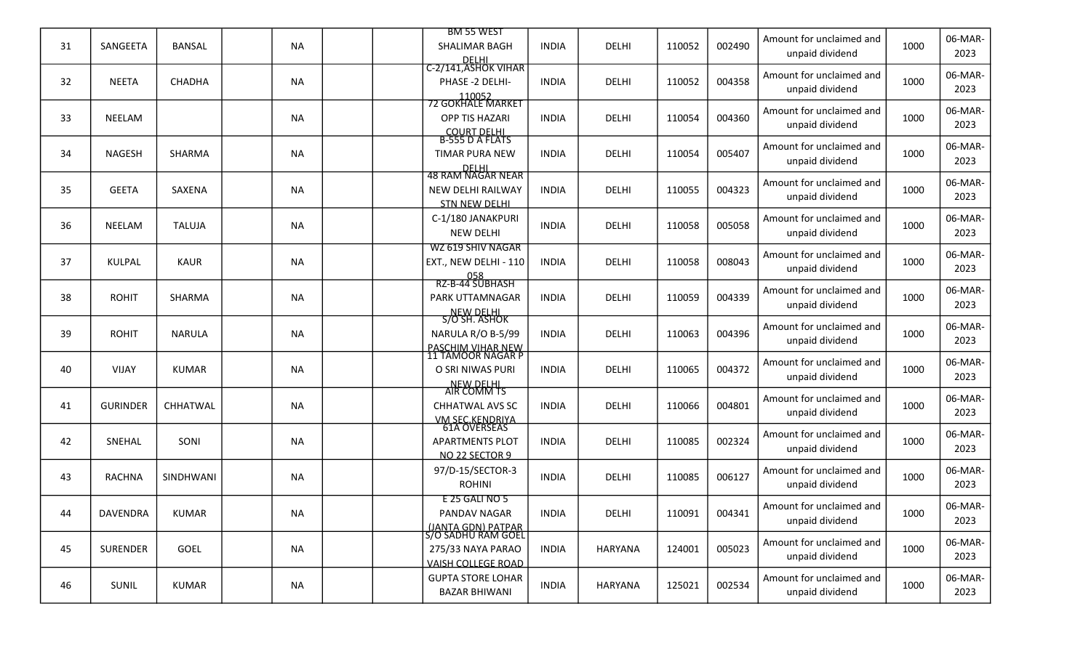| 31 | SANGEETA        | <b>BANSAL</b> | <b>NA</b> |  | <b>BM 55 WEST</b><br>SHALIMAR BAGH                      | <b>INDIA</b> | DELHI          | 110052 | 002490 | Amount for unclaimed and                    | 1000 | 06-MAR-         |
|----|-----------------|---------------|-----------|--|---------------------------------------------------------|--------------|----------------|--------|--------|---------------------------------------------|------|-----------------|
|    |                 |               |           |  | DELHI<br>C-2/141,ASHOK VIHAR                            |              |                |        |        | unpaid dividend                             |      | 2023            |
| 32 | <b>NEETA</b>    | CHADHA        | <b>NA</b> |  | PHASE -2 DELHI-                                         | <b>INDIA</b> | DELHI          | 110052 | 004358 | Amount for unclaimed and                    | 1000 | 06-MAR-         |
|    |                 |               |           |  | 110052<br>72 GOKHALE MARKET                             |              |                |        |        | unpaid dividend                             |      | 2023            |
| 33 | NEELAM          |               | <b>NA</b> |  | OPP TIS HAZARI                                          |              |                | 110054 | 004360 | Amount for unclaimed and                    | 1000 | 06-MAR-         |
|    |                 |               |           |  |                                                         | <b>INDIA</b> | DELHI          |        |        | unpaid dividend                             |      | 2023            |
|    |                 |               |           |  | COURT DELHI<br>B-555 D A FLATS<br><b>TIMAR PURA NEW</b> |              |                |        |        | Amount for unclaimed and                    |      | 06-MAR-         |
| 34 | <b>NAGESH</b>   | SHARMA        | NA        |  |                                                         | <b>INDIA</b> | DELHI          | 110054 | 005407 | unpaid dividend                             | 1000 | 2023            |
|    |                 |               |           |  | DELHI<br>48 RAM NAGAR NEAR                              |              |                |        |        | Amount for unclaimed and                    |      | 06-MAR-         |
| 35 | <b>GEETA</b>    | SAXENA        | <b>NA</b> |  | NEW DELHI RAILWAY<br><b>STN NEW DELHI</b>               | <b>INDIA</b> | <b>DELHI</b>   | 110055 | 004323 | unpaid dividend                             | 1000 | 2023            |
|    |                 |               |           |  | C-1/180 JANAKPURI                                       |              |                |        |        | Amount for unclaimed and                    |      | 06-MAR-         |
| 36 | <b>NEELAM</b>   | <b>TALUJA</b> | <b>NA</b> |  | <b>NEW DELHI</b>                                        | <b>INDIA</b> | <b>DELHI</b>   | 110058 | 005058 | unpaid dividend                             | 1000 | 2023            |
|    |                 |               |           |  | WZ 619 SHIV NAGAR                                       |              |                |        |        | Amount for unclaimed and                    |      | 06-MAR-         |
| 37 | <b>KULPAL</b>   | <b>KAUR</b>   | <b>NA</b> |  | EXT., NEW DELHI - 110                                   | <b>INDIA</b> | <b>DELHI</b>   | 110058 | 008043 | unpaid dividend                             | 1000 | 2023            |
|    |                 |               |           |  | 058<br>RZ-B-44 SUBHASH                                  |              |                |        |        | Amount for unclaimed and                    |      | 06-MAR-         |
| 38 | <b>ROHIT</b>    | SHARMA        | NA        |  | PARK UTTAMNAGAR                                         | <b>INDIA</b> | DELHI          | 110059 | 004339 | unpaid dividend                             | 1000 | 2023            |
|    |                 |               |           |  | NEW DELHI<br>S/O SH. ASHOK                              |              |                |        |        | Amount for unclaimed and                    |      | 06-MAR-         |
| 39 | <b>ROHIT</b>    | <b>NARULA</b> | NA        |  | NARULA R/O B-5/99                                       | <b>INDIA</b> | DELHI          | 110063 | 004396 | unpaid dividend                             | 1000 | 2023            |
|    |                 |               |           |  | <u>PASCHIM VIHAR NEW</u><br>11 TAMOOR NAGAR P           |              |                |        |        | Amount for unclaimed and                    |      | 06-MAR-         |
| 40 | <b>VIJAY</b>    | <b>KUMAR</b>  | NA        |  | O SRI NIWAS PURI                                        | <b>INDIA</b> | <b>DELHI</b>   | 110065 | 004372 | unpaid dividend                             | 1000 | 2023            |
|    |                 |               |           |  | NEW DELHI<br>AIR COMM TS                                |              |                |        |        |                                             |      |                 |
| 41 | <b>GURINDER</b> | CHHATWAL      | <b>NA</b> |  | <b>CHHATWAL AVS SC</b>                                  | <b>INDIA</b> | <b>DELHI</b>   | 110066 | 004801 | Amount for unclaimed and<br>unpaid dividend | 1000 | 06-MAR-<br>2023 |
|    |                 |               |           |  | <u>VM SEC.KENDRIYA</u><br>61A OVERSEAS                  |              |                |        |        |                                             |      |                 |
| 42 | SNEHAL          | SONI          | <b>NA</b> |  | <b>APARTMENTS PLOT</b>                                  | <b>INDIA</b> | <b>DELHI</b>   | 110085 | 002324 | Amount for unclaimed and<br>unpaid dividend | 1000 | 06-MAR-<br>2023 |
|    |                 |               |           |  | NO 22 SECTOR 9                                          |              |                |        |        |                                             |      |                 |
| 43 | <b>RACHNA</b>   | SINDHWANI     | NA        |  | 97/D-15/SECTOR-3<br><b>ROHINI</b>                       | INDIA        | DELHI          | 110085 | 006127 | Amount for unclaimed and<br>unpaid dividend | 1000 | 06-MAR-<br>2023 |
|    |                 |               |           |  | E 25 GALI NO 5                                          |              |                |        |        |                                             |      |                 |
| 44 | <b>DAVENDRA</b> | <b>KUMAR</b>  | <b>NA</b> |  | PANDAV NAGAR                                            | <b>INDIA</b> | DELHI          | 110091 | 004341 | Amount for unclaimed and                    | 1000 | 06-MAR-         |
|    |                 |               |           |  | <u>  (JANTA GDN) PATPAR  </u><br>  S/O SADHU RAM GOEL   |              |                |        |        | unpaid dividend                             |      | 2023            |
| 45 | SURENDER        | GOEL          | NA        |  | 275/33 NAYA PARAO                                       | <b>INDIA</b> | <b>HARYANA</b> | 124001 | 005023 | Amount for unclaimed and                    | 1000 | 06-MAR-         |
|    |                 |               |           |  | <b>VAISH COLLEGE ROAD</b>                               |              |                |        |        | unpaid dividend                             |      | 2023            |
| 46 | SUNIL           | <b>KUMAR</b>  | NA        |  | <b>GUPTA STORE LOHAR</b>                                | <b>INDIA</b> | <b>HARYANA</b> | 125021 | 002534 | Amount for unclaimed and                    | 1000 | 06-MAR-         |
|    |                 |               |           |  | <b>BAZAR BHIWANI</b>                                    |              |                |        |        | unpaid dividend                             |      | 2023            |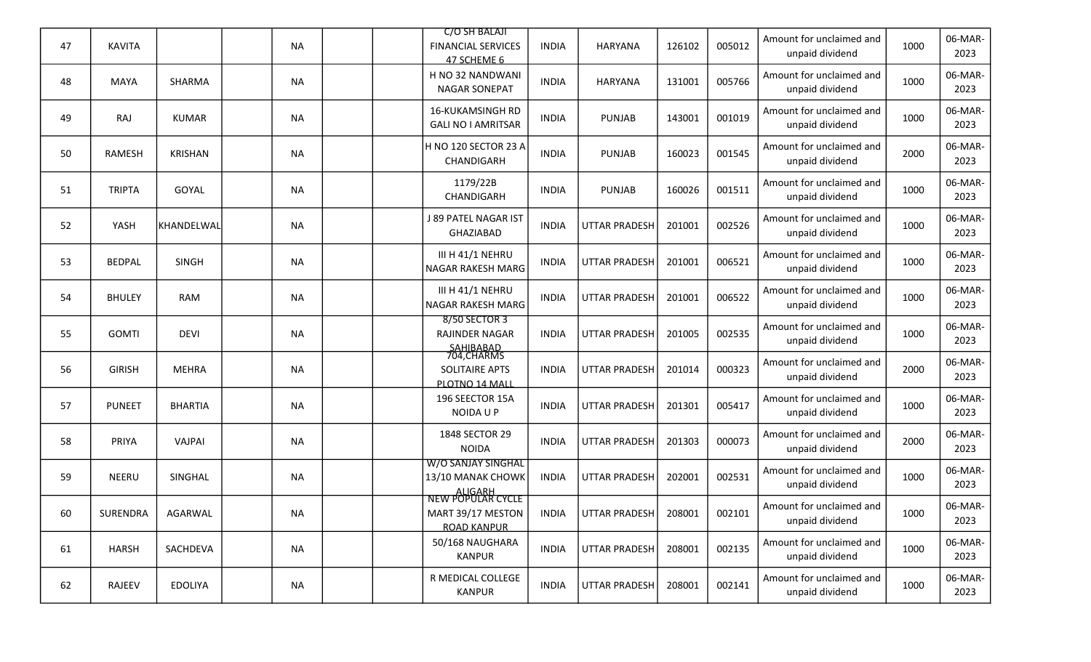| 47 | <b>KAVITA</b> |                | <b>NA</b> |  | C/O SH BALAJI<br><b>FINANCIAL SERVICES</b><br>47 SCHEME 6               | <b>INDIA</b> | <b>HARYANA</b>       | 126102 | 005012 | Amount for unclaimed and<br>unpaid dividend | 1000 | 06-MAR-<br>2023 |
|----|---------------|----------------|-----------|--|-------------------------------------------------------------------------|--------------|----------------------|--------|--------|---------------------------------------------|------|-----------------|
| 48 | <b>MAYA</b>   | SHARMA         | <b>NA</b> |  | H NO 32 NANDWANI<br><b>NAGAR SONEPAT</b>                                | <b>INDIA</b> | <b>HARYANA</b>       | 131001 | 005766 | Amount for unclaimed and<br>unpaid dividend | 1000 | 06-MAR-<br>2023 |
| 49 | RAJ           | <b>KUMAR</b>   | <b>NA</b> |  | 16-KUKAMSINGH RD<br><b>GALI NO I AMRITSAR</b>                           | <b>INDIA</b> | <b>PUNJAB</b>        | 143001 | 001019 | Amount for unclaimed and<br>unpaid dividend | 1000 | 06-MAR-<br>2023 |
| 50 | <b>RAMESH</b> | <b>KRISHAN</b> | <b>NA</b> |  | H NO 120 SECTOR 23 A<br>CHANDIGARH                                      | <b>INDIA</b> | <b>PUNJAB</b>        | 160023 | 001545 | Amount for unclaimed and<br>unpaid dividend | 2000 | 06-MAR-<br>2023 |
| 51 | <b>TRIPTA</b> | <b>GOYAL</b>   | <b>NA</b> |  | 1179/22B<br>CHANDIGARH                                                  | <b>INDIA</b> | <b>PUNJAB</b>        | 160026 | 001511 | Amount for unclaimed and<br>unpaid dividend | 1000 | 06-MAR-<br>2023 |
| 52 | YASH          | KHANDELWAL     | <b>NA</b> |  | J 89 PATEL NAGAR IST<br>GHAZIABAD                                       | <b>INDIA</b> | <b>UTTAR PRADESH</b> | 201001 | 002526 | Amount for unclaimed and<br>unpaid dividend | 1000 | 06-MAR-<br>2023 |
| 53 | <b>BEDPAL</b> | <b>SINGH</b>   | <b>NA</b> |  | III H 41/1 NEHRU<br><b>NAGAR RAKESH MARG</b>                            | <b>INDIA</b> | <b>UTTAR PRADESH</b> | 201001 | 006521 | Amount for unclaimed and<br>unpaid dividend | 1000 | 06-MAR-<br>2023 |
| 54 | <b>BHULEY</b> | <b>RAM</b>     | <b>NA</b> |  | III H 41/1 NEHRU<br>NAGAR RAKESH MARG                                   | <b>INDIA</b> | <b>UTTAR PRADESH</b> | 201001 | 006522 | Amount for unclaimed and<br>unpaid dividend | 1000 | 06-MAR-<br>2023 |
| 55 | <b>GOMTI</b>  | <b>DEVI</b>    | <b>NA</b> |  | 8/50 SECTOR 3<br><b>RAJINDER NAGAR</b>                                  | <b>INDIA</b> | <b>UTTAR PRADESH</b> | 201005 | 002535 | Amount for unclaimed and<br>unpaid dividend | 1000 | 06-MAR-<br>2023 |
| 56 | <b>GIRISH</b> | <b>MEHRA</b>   | <b>NA</b> |  | SAHIBABAD<br>704,CHARMS<br>SOLITAIRE APTS<br>PLOTNO 14 MALL             | <b>INDIA</b> | <b>UTTAR PRADESH</b> | 201014 | 000323 | Amount for unclaimed and<br>unpaid dividend | 2000 | 06-MAR-<br>2023 |
| 57 | <b>PUNEET</b> | <b>BHARTIA</b> | <b>NA</b> |  | 196 SEECTOR 15A<br>NOIDA U P                                            | <b>INDIA</b> | <b>UTTAR PRADESH</b> | 201301 | 005417 | Amount for unclaimed and<br>unpaid dividend | 1000 | 06-MAR-<br>2023 |
| 58 | PRIYA         | VAJPAI         | <b>NA</b> |  | 1848 SECTOR 29<br><b>NOIDA</b>                                          | <b>INDIA</b> | <b>UTTAR PRADESH</b> | 201303 | 000073 | Amount for unclaimed and<br>unpaid dividend | 2000 | 06-MAR-<br>2023 |
| 59 | NEERU         | SINGHAL        | <b>NA</b> |  | W/O SANJAY SINGHAL<br>13/10 MANAK CHOWK                                 | <b>INDIA</b> | <b>UTTAR PRADESH</b> | 202001 | 002531 | Amount for unclaimed and<br>unpaid dividend | 1000 | 06-MAR-<br>2023 |
| 60 | SURENDRA      | AGARWAL        | <b>NA</b> |  | ALIGARH<br>NEW POPULAR CYCLE<br>MART 39/17 MESTON<br><b>ROAD KANPUR</b> | <b>INDIA</b> | <b>UTTAR PRADESH</b> | 208001 | 002101 | Amount for unclaimed and<br>unpaid dividend | 1000 | 06-MAR-<br>2023 |
| 61 | HARSH         | SACHDEVA       | <b>NA</b> |  | 50/168 NAUGHARA<br><b>KANPUR</b>                                        | <b>INDIA</b> | <b>UTTAR PRADESH</b> | 208001 | 002135 | Amount for unclaimed and<br>unpaid dividend | 1000 | 06-MAR-<br>2023 |
| 62 | RAJEEV        | <b>EDOLIYA</b> | <b>NA</b> |  | R MEDICAL COLLEGE<br>KANPUR                                             | <b>INDIA</b> | <b>UTTAR PRADESH</b> | 208001 | 002141 | Amount for unclaimed and<br>unpaid dividend | 1000 | 06-MAR-<br>2023 |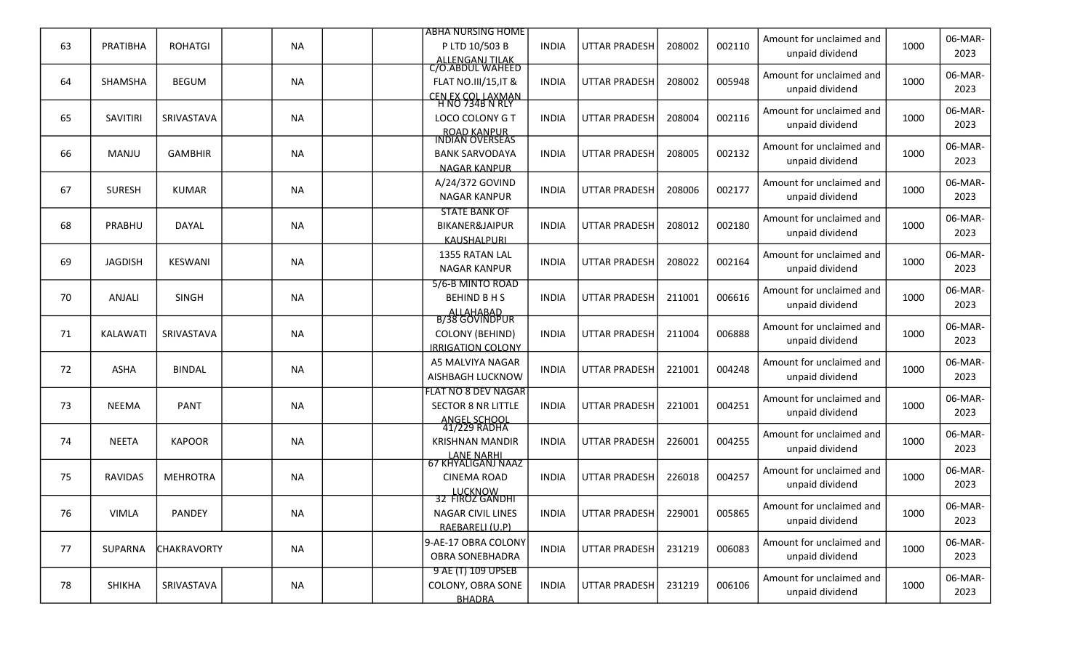|    |                |                    |           |  | <b>ABHA NURSING HOME</b>                              |              |                      |        |        | Amount for unclaimed and                    |      | 06-MAR-         |
|----|----------------|--------------------|-----------|--|-------------------------------------------------------|--------------|----------------------|--------|--------|---------------------------------------------|------|-----------------|
| 63 | PRATIBHA       | <b>ROHATGI</b>     | <b>NA</b> |  | P LTD 10/503 B<br>ALLENGANJ TILAK<br>C/O.ABDUL WAHEED | <b>INDIA</b> | <b>UTTAR PRADESH</b> | 208002 | 002110 | unpaid dividend                             | 1000 | 2023            |
|    |                |                    |           |  |                                                       |              |                      |        |        | Amount for unclaimed and                    |      | 06-MAR-         |
| 64 | <b>SHAMSHA</b> | <b>BEGUM</b>       | <b>NA</b> |  | <b>FLAT NO.III/15, IT &amp;</b>                       | <b>INDIA</b> | <b>UTTAR PRADESH</b> | 208002 | 005948 | unpaid dividend                             | 1000 | 2023            |
|    |                |                    |           |  | CEN EX COL LAXMAN<br>H NO 734B N RLY                  |              |                      |        |        | Amount for unclaimed and                    |      | 06-MAR-         |
| 65 | SAVITIRI       | SRIVASTAVA         | <b>NA</b> |  | LOCO COLONY G T                                       | <b>INDIA</b> | <b>UTTAR PRADESH</b> | 208004 | 002116 | unpaid dividend                             | 1000 | 2023            |
|    |                |                    |           |  | ROAD KANPUR<br>INDIAN OVERSEAS                        |              |                      |        |        |                                             |      |                 |
| 66 | MANJU          | <b>GAMBHIR</b>     | <b>NA</b> |  | <b>BANK SARVODAYA</b>                                 | <b>INDIA</b> | <b>UTTAR PRADESH</b> | 208005 | 002132 | Amount for unclaimed and                    | 1000 | 06-MAR-         |
|    |                |                    |           |  | <b>NAGAR KANPUR</b>                                   |              |                      |        |        | unpaid dividend                             |      | 2023            |
| 67 | <b>SURESH</b>  | <b>KUMAR</b>       | <b>NA</b> |  | A/24/372 GOVIND                                       | <b>INDIA</b> | <b>UTTAR PRADESH</b> | 208006 | 002177 | Amount for unclaimed and                    | 1000 | 06-MAR-         |
|    |                |                    |           |  | <b>NAGAR KANPUR</b>                                   |              |                      |        |        | unpaid dividend                             |      | 2023            |
|    |                |                    |           |  | <b>STATE BANK OF</b>                                  |              |                      |        |        | Amount for unclaimed and                    |      | 06-MAR-         |
| 68 | PRABHU         | DAYAL              | <b>NA</b> |  | <b>BIKANER&amp;JAIPUR</b><br><b>KAUSHALPURI</b>       | <b>INDIA</b> | <b>UTTAR PRADESH</b> | 208012 | 002180 | unpaid dividend                             | 1000 | 2023            |
|    |                |                    |           |  | 1355 RATAN LAL                                        |              |                      |        |        | Amount for unclaimed and                    |      | 06-MAR-         |
| 69 | <b>JAGDISH</b> | <b>KESWANI</b>     | <b>NA</b> |  | <b>NAGAR KANPUR</b>                                   | <b>INDIA</b> | <b>UTTAR PRADESH</b> | 208022 | 002164 | unpaid dividend                             | 1000 | 2023            |
|    |                |                    |           |  | 5/6-B MINTO ROAD                                      |              |                      |        |        |                                             |      |                 |
| 70 | ANJALI         | <b>SINGH</b>       | <b>NA</b> |  | BEHIND B H S                                          | <b>INDIA</b> | <b>UTTAR PRADESH</b> | 211001 | 006616 | Amount for unclaimed and<br>unpaid dividend | 1000 | 06-MAR-<br>2023 |
|    |                |                    |           |  | ALLAHABAD<br>B/38 GOVINDPUR                           |              |                      |        |        |                                             |      |                 |
| 71 | KALAWATI       | SRIVASTAVA         | <b>NA</b> |  | <b>COLONY (BEHIND)</b>                                | <b>INDIA</b> | <b>UTTAR PRADESH</b> | 211004 | 006888 | Amount for unclaimed and                    | 1000 | 06-MAR-         |
|    |                |                    |           |  | <b>IRRIGATION COLONY</b>                              |              |                      |        |        | unpaid dividend                             |      | 2023            |
| 72 | ASHA           | <b>BINDAL</b>      | <b>NA</b> |  | A5 MALVIYA NAGAR                                      | <b>INDIA</b> | <b>UTTAR PRADESH</b> | 221001 | 004248 | Amount for unclaimed and                    | 1000 | 06-MAR-         |
|    |                |                    |           |  | AISHBAGH LUCKNOW                                      |              |                      |        |        | unpaid dividend                             |      | 2023            |
|    |                |                    |           |  | <b>FLAT NO 8 DEV NAGAR</b>                            |              |                      |        |        | Amount for unclaimed and                    |      | 06-MAR-         |
| 73 | <b>NEEMA</b>   | <b>PANT</b>        | <b>NA</b> |  | <b>SECTOR 8 NR LITTLE</b>                             | <b>INDIA</b> | <b>UTTAR PRADESH</b> | 221001 | 004251 | unpaid dividend                             | 1000 | 2023            |
|    |                |                    |           |  | ANGEL SCHOOL<br>41/229 RADHA                          |              |                      |        |        |                                             |      |                 |
| 74 | <b>NEETA</b>   | <b>KAPOOR</b>      | <b>NA</b> |  | <b>KRISHNAN MANDIR</b>                                | <b>INDIA</b> | <b>UTTAR PRADESH</b> | 226001 | 004255 | Amount for unclaimed and<br>unpaid dividend | 1000 | 06-MAR-<br>2023 |
|    |                |                    |           |  | LANE NARHI<br>67 KHYALIGANJ NAAZ                      |              |                      |        |        |                                             |      |                 |
| 75 | <b>RAVIDAS</b> | <b>MEHROTRA</b>    | <b>NA</b> |  | <b>CINEMA ROAD</b>                                    | <b>INDIA</b> | <b>UTTAR PRADESH</b> | 226018 | 004257 | Amount for unclaimed and                    | 1000 | 06-MAR-         |
|    |                |                    |           |  | LUCKNOW<br>32 FIROZ GANDHI                            |              |                      |        |        | unpaid dividend                             |      | 2023            |
| 76 | <b>VIMLA</b>   | PANDEY             | <b>NA</b> |  | NAGAR CIVIL LINES                                     | <b>INDIA</b> | UTTAR PRADESH        | 229001 | 005865 | Amount for unclaimed and                    | 1000 | 06-MAR-         |
|    |                |                    |           |  | RAEBARELI (U.P)                                       |              |                      |        |        | unpaid dividend                             |      | 2023            |
|    |                |                    |           |  | 9-AE-17 OBRA COLONY                                   |              |                      |        |        | Amount for unclaimed and                    |      | 06-MAR-         |
| 77 | SUPARNA        | <b>CHAKRAVORTY</b> | <b>NA</b> |  | <b>OBRA SONEBHADRA</b>                                | <b>INDIA</b> | <b>UTTAR PRADESH</b> | 231219 | 006083 | unpaid dividend                             | 1000 | 2023            |
|    |                |                    |           |  | 9 AE (T) 109 UPSEB                                    |              |                      |        |        | Amount for unclaimed and                    |      | 06-MAR-         |
| 78 | SHIKHA         | SRIVASTAVA         | <b>NA</b> |  | COLONY, OBRA SONE                                     | <b>INDIA</b> | UTTAR PRADESH        | 231219 | 006106 | unpaid dividend                             | 1000 | 2023            |
|    |                |                    |           |  | <b>BHADRA</b>                                         |              |                      |        |        |                                             |      |                 |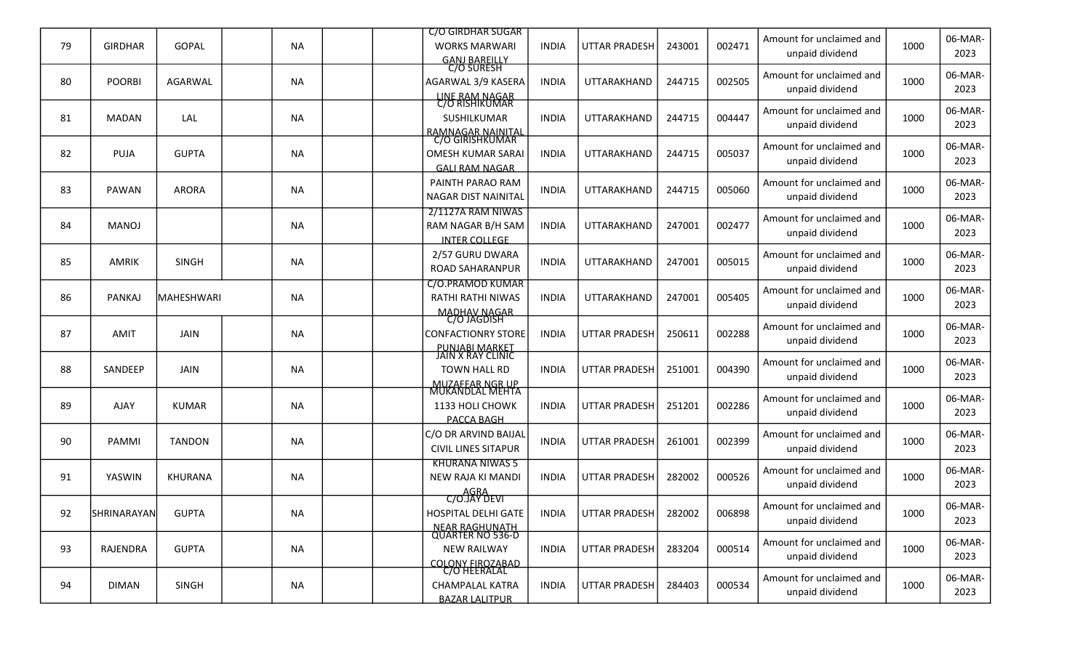|    |                |                |           | <b>C/O GIRDHAR SUGAR</b>                                                                  |              |                      |        |        | Amount for unclaimed and                    |      | 06-MAR-         |
|----|----------------|----------------|-----------|-------------------------------------------------------------------------------------------|--------------|----------------------|--------|--------|---------------------------------------------|------|-----------------|
| 79 | <b>GIRDHAR</b> | <b>GOPAL</b>   | <b>NA</b> | <b>WORKS MARWARI</b><br>GANJ BAREILLY<br>C/O SURESH                                       | <b>INDIA</b> | <b>UTTAR PRADESH</b> | 243001 | 002471 | unpaid dividend                             | 1000 | 2023            |
| 80 | <b>POORBI</b>  | <b>AGARWAL</b> | <b>NA</b> | AGARWAL 3/9 KASERA                                                                        | <b>INDIA</b> | UTTARAKHAND          | 244715 | 002505 | Amount for unclaimed and<br>unpaid dividend | 1000 | 06-MAR-<br>2023 |
| 81 | <b>MADAN</b>   | LAL            | <b>NA</b> | LINE RAM NAGAR<br>C/O RISHIKUMAR<br>SUSHILKUMAR                                           | <b>INDIA</b> | UTTARAKHAND          | 244715 | 004447 | Amount for unclaimed and<br>unpaid dividend | 1000 | 06-MAR-<br>2023 |
| 82 | PUJA           | <b>GUPTA</b>   | <b>NA</b> | RAMNAGAR NAINITAL<br>C/O GIRISHKUMAR<br><b>OMESH KUMAR SARAI</b><br><b>GALI RAM NAGAR</b> | <b>INDIA</b> | UTTARAKHAND          | 244715 | 005037 | Amount for unclaimed and<br>unpaid dividend | 1000 | 06-MAR-<br>2023 |
| 83 | PAWAN          | <b>ARORA</b>   | <b>NA</b> | PAINTH PARAO RAM<br>NAGAR DIST NAINITAL                                                   | <b>INDIA</b> | UTTARAKHAND          | 244715 | 005060 | Amount for unclaimed and<br>unpaid dividend | 1000 | 06-MAR-<br>2023 |
| 84 | <b>MANOJ</b>   |                | <b>NA</b> | 2/1127A RAM NIWAS<br>RAM NAGAR B/H SAM<br><b>INTER COLLEGE</b>                            | <b>INDIA</b> | UTTARAKHAND          | 247001 | 002477 | Amount for unclaimed and<br>unpaid dividend | 1000 | 06-MAR-<br>2023 |
| 85 | <b>AMRIK</b>   | <b>SINGH</b>   | <b>NA</b> | 2/57 GURU DWARA<br><b>ROAD SAHARANPUR</b>                                                 | <b>INDIA</b> | UTTARAKHAND          | 247001 | 005015 | Amount for unclaimed and<br>unpaid dividend | 1000 | 06-MAR-<br>2023 |
| 86 | PANKAJ         | MAHESHWARI     | <b>NA</b> | C/O.PRAMOD KUMAR<br><b>RATHI RATHI NIWAS</b><br><u>MADHAV NAGAR</u><br>C/O JAGDISH        | <b>INDIA</b> | UTTARAKHAND          | 247001 | 005405 | Amount for unclaimed and<br>unpaid dividend | 1000 | 06-MAR-<br>2023 |
| 87 | AMIT           | <b>JAIN</b>    | <b>NA</b> | <b>CONFACTIONRY STORE</b>                                                                 | <b>INDIA</b> | <b>UTTAR PRADESH</b> | 250611 | 002288 | Amount for unclaimed and<br>unpaid dividend | 1000 | 06-MAR-<br>2023 |
| 88 | SANDEEP        | <b>JAIN</b>    | <b>NA</b> | <u>PUNJABI MARKET</u><br>JAIN X RAY CLINIC<br><b>TOWN HALL RD</b>                         | <b>INDIA</b> | <b>UTTAR PRADESH</b> | 251001 | 004390 | Amount for unclaimed and<br>unpaid dividend | 1000 | 06-MAR-<br>2023 |
| 89 | <b>AJAY</b>    | <b>KUMAR</b>   | <b>NA</b> | MUZAFFAR NGR UP<br>MUKANDLAL MEHTA<br>1133 HOLI CHOWK<br>PACCA BAGH                       | <b>INDIA</b> | <b>UTTAR PRADESH</b> | 251201 | 002286 | Amount for unclaimed and<br>unpaid dividend | 1000 | 06-MAR-<br>2023 |
| 90 | PAMMI          | <b>TANDON</b>  | <b>NA</b> | C/O DR ARVIND BAIJAL<br><b>CIVIL LINES SITAPUR</b>                                        | <b>INDIA</b> | <b>UTTAR PRADESH</b> | 261001 | 002399 | Amount for unclaimed and<br>unpaid dividend | 1000 | 06-MAR-<br>2023 |
| 91 | YASWIN         | <b>KHURANA</b> | <b>NA</b> | <b>KHURANA NIWAS 5</b><br>NEW RAJA KI MANDI<br><b>AGRA</b>                                | <b>INDIA</b> | <b>UTTAR PRADESH</b> | 282002 | 000526 | Amount for unclaimed and<br>unpaid dividend | 1000 | 06-MAR-<br>2023 |
| 92 | SHRINARAYAN    | <b>GUPTA</b>   | <b>NA</b> | C/O.JĂY DEVI<br>HOSPITAL DELHI GATE                                                       | <b>INDIA</b> | UTTAR PRADESH        | 282002 | 006898 | Amount for unclaimed and<br>unpaid dividend | 1000 | 06-MAR-<br>2023 |
| 93 | RAJENDRA       | <b>GUPTA</b>   | <b>NA</b> | NEAR RAGHUNATH<br>QUARTER NO 536-D<br><b>NEW RAILWAY</b><br><b>COLONY FIROZABAD</b>       | <b>INDIA</b> | <b>UTTAR PRADESH</b> | 283204 | 000514 | Amount for unclaimed and<br>unpaid dividend | 1000 | 06-MAR-<br>2023 |
| 94 | <b>DIMAN</b>   | <b>SINGH</b>   | <b>NA</b> | C/O HEERALAL<br><b>CHAMPALAL KATRA</b><br><b>BAZAR LALITPUR</b>                           | <b>INDIA</b> | UTTAR PRADESH        | 284403 | 000534 | Amount for unclaimed and<br>unpaid dividend | 1000 | 06-MAR-<br>2023 |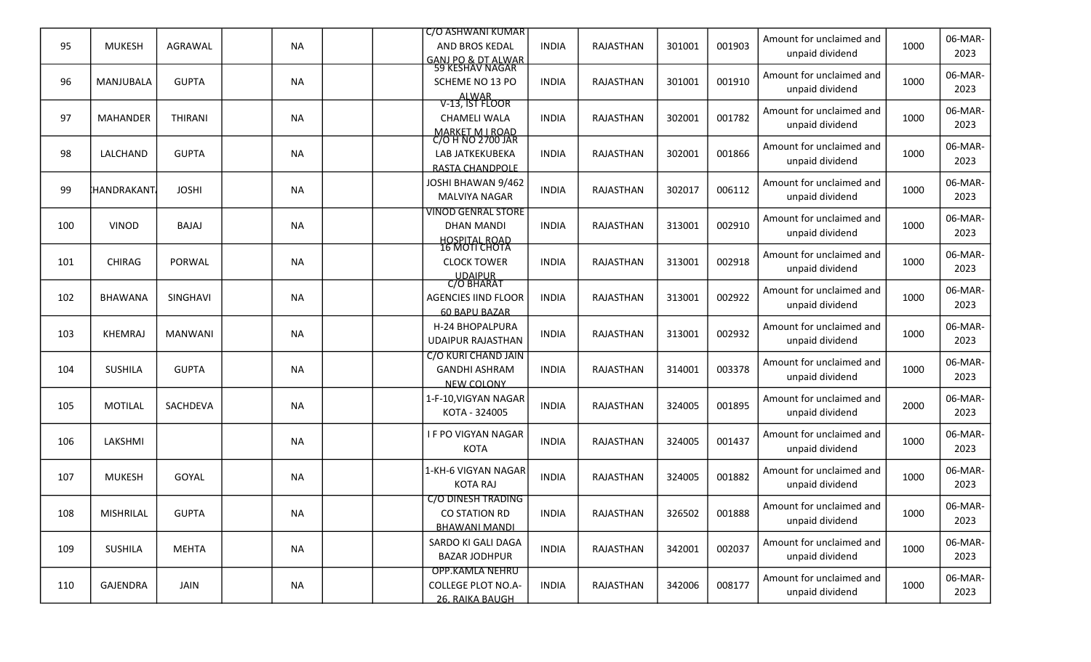|                   |                |           | I C/O ASHWANI KUMAR                         |                                                                                                                                                                                                                                                                                                                                                                                                  |                  |        |        |                                             |                          | 06-MAR-         |
|-------------------|----------------|-----------|---------------------------------------------|--------------------------------------------------------------------------------------------------------------------------------------------------------------------------------------------------------------------------------------------------------------------------------------------------------------------------------------------------------------------------------------------------|------------------|--------|--------|---------------------------------------------|--------------------------|-----------------|
| <b>MUKESH</b>     | AGRAWAL        | NA        | AND BROS KEDAL                              | <b>INDIA</b>                                                                                                                                                                                                                                                                                                                                                                                     | RAJASTHAN        | 301001 | 001903 | unpaid dividend                             | 1000                     | 2023            |
| MANJUBALA         | <b>GUPTA</b>   | <b>NA</b> | SCHEME NO 13 PO                             | <b>INDIA</b>                                                                                                                                                                                                                                                                                                                                                                                     | RAJASTHAN        | 301001 | 001910 | Amount for unclaimed and<br>unpaid dividend | 1000                     | 06-MAR-<br>2023 |
| <b>MAHANDER</b>   | <b>THIRANI</b> | <b>NA</b> | <b>CHAMELI WALA</b>                         | <b>INDIA</b>                                                                                                                                                                                                                                                                                                                                                                                     | RAJASTHAN        | 302001 | 001782 | Amount for unclaimed and<br>unpaid dividend | 1000                     | 06-MAR-<br>2023 |
| LALCHAND          | <b>GUPTA</b>   | NA        | LAB JATKEKUBEKA                             | <b>INDIA</b>                                                                                                                                                                                                                                                                                                                                                                                     | RAJASTHAN        | 302001 | 001866 | Amount for unclaimed and<br>unpaid dividend | 1000                     | 06-MAR-<br>2023 |
| <b>HANDRAKANT</b> | <b>JOSHI</b>   | <b>NA</b> | JOSHI BHAWAN 9/462<br><b>MALVIYA NAGAR</b>  | <b>INDIA</b>                                                                                                                                                                                                                                                                                                                                                                                     | RAJASTHAN        | 302017 | 006112 | Amount for unclaimed and<br>unpaid dividend | 1000                     | 06-MAR-<br>2023 |
| <b>VINOD</b>      | BAJAJ          | NA.       | <b>DHAN MANDI</b>                           | <b>INDIA</b>                                                                                                                                                                                                                                                                                                                                                                                     | <b>RAJASTHAN</b> | 313001 | 002910 | Amount for unclaimed and<br>unpaid dividend | 1000                     | 06-MAR-<br>2023 |
| <b>CHIRAG</b>     | PORWAL         | <b>NA</b> | <b>CLOCK TOWER</b>                          | <b>INDIA</b>                                                                                                                                                                                                                                                                                                                                                                                     | RAJASTHAN        | 313001 | 002918 | Amount for unclaimed and<br>unpaid dividend | 1000                     | 06-MAR-<br>2023 |
| <b>BHAWANA</b>    | SINGHAVI       | NA        | <b>AGENCIES IIND FLOOR</b>                  | <b>INDIA</b>                                                                                                                                                                                                                                                                                                                                                                                     | RAJASTHAN        | 313001 | 002922 | Amount for unclaimed and<br>unpaid dividend | 1000                     | 06-MAR-<br>2023 |
| KHEMRAJ           | <b>MANWANI</b> | NA        | H-24 BHOPALPURA<br><b>UDAIPUR RAJASTHAN</b> | <b>INDIA</b>                                                                                                                                                                                                                                                                                                                                                                                     | RAJASTHAN        | 313001 | 002932 | Amount for unclaimed and<br>unpaid dividend | 1000                     | 06-MAR-<br>2023 |
| <b>SUSHILA</b>    | <b>GUPTA</b>   | NA        | <b>GANDHI ASHRAM</b>                        | <b>INDIA</b>                                                                                                                                                                                                                                                                                                                                                                                     | RAJASTHAN        | 314001 | 003378 | Amount for unclaimed and<br>unpaid dividend | 1000                     | 06-MAR-<br>2023 |
| <b>MOTILAL</b>    | SACHDEVA       | <b>NA</b> | 1-F-10, VIGYAN NAGAR<br>KOTA - 324005       | <b>INDIA</b>                                                                                                                                                                                                                                                                                                                                                                                     | RAJASTHAN        | 324005 | 001895 | Amount for unclaimed and<br>unpaid dividend | 2000                     | 06-MAR-<br>2023 |
| LAKSHMI           |                | <b>NA</b> | <b>IF PO VIGYAN NAGAR</b><br>KOTA           | <b>INDIA</b>                                                                                                                                                                                                                                                                                                                                                                                     | <b>RAJASTHAN</b> | 324005 | 001437 | Amount for unclaimed and<br>unpaid dividend | 1000                     | 06-MAR-<br>2023 |
| <b>MUKESH</b>     | GOYAL          | NA        | 1-KH-6 VIGYAN NAGAR<br><b>KOTA RAJ</b>      | <b>INDIA</b>                                                                                                                                                                                                                                                                                                                                                                                     | RAJASTHAN        | 324005 | 001882 | Amount for unclaimed and<br>unpaid dividend | 1000                     | 06-MAR-<br>2023 |
| MISHRILAL         | <b>GUPTA</b>   | <b>NA</b> | <b>CO STATION RD</b>                        | <b>INDIA</b>                                                                                                                                                                                                                                                                                                                                                                                     | <b>RAJASTHAN</b> | 326502 | 001888 | Amount for unclaimed and<br>unpaid dividend | 1000                     | 06-MAR-<br>2023 |
| <b>SUSHILA</b>    | MEHTA          | NA        | SARDO KI GALI DAGA<br><b>BAZAR JODHPUR</b>  | <b>INDIA</b>                                                                                                                                                                                                                                                                                                                                                                                     | RAJASTHAN        | 342001 | 002037 | Amount for unclaimed and<br>unpaid dividend | 1000                     | 06-MAR-<br>2023 |
| GAJENDRA          | JAIN           | NA        | <b>COLLEGE PLOT NO.A-</b>                   | INDIA                                                                                                                                                                                                                                                                                                                                                                                            | RAJASTHAN        | 342006 | 008177 | Amount for unclaimed and<br>unpaid dividend | 1000                     | 06-MAR-<br>2023 |
|                   |                |           |                                             | <u>GANJ PO &amp; DT ALWAR</u><br>59 KESHAV NAGAR<br>ALWAR<br>V-13, IST FLOOR<br>MARKET M I ROAD<br>C/O H NO 2700 JAR<br>RASTA CHANDPOLE<br><b>VINOD GENRAL STORE</b><br><b>HOSPITAL ROAD</b><br><b>16 MOTI CHOTA</b><br>UDAIPUR<br>C/O BHARAT<br>60 BAPU BAZAR<br><b>C/O KURI CHAND JAIN</b><br><b>NEW COLONY</b><br><b>C/O DINESH TRADING</b><br><b>BHAWANI MANDI</b><br><b>OPP.KAMLA NEHRU</b> | 26. RAIKA BAUGH  |        |        |                                             | Amount for unclaimed and |                 |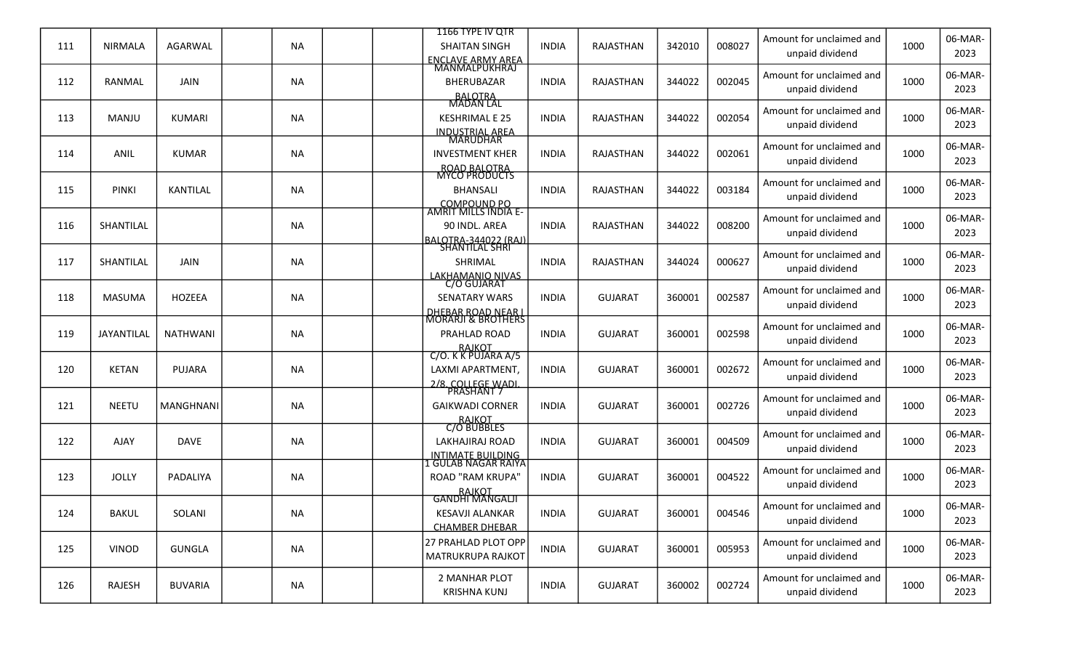|     |                |                  |           |  | 1166 TYPE IV OTR                                |              |                  |        |        | Amount for unclaimed and                    |      | 06-MAR-         |
|-----|----------------|------------------|-----------|--|-------------------------------------------------|--------------|------------------|--------|--------|---------------------------------------------|------|-----------------|
| 111 | <b>NIRMALA</b> | AGARWAL          | <b>NA</b> |  | <b>SHAITAN SINGH</b><br>ENCLAVE ARMY AREA       | <b>INDIA</b> | RAJASTHAN        | 342010 | 008027 | unpaid dividend                             | 1000 | 2023            |
| 112 | RANMAL         | <b>JAIN</b>      | <b>NA</b> |  | BHERUBAZAR                                      | <b>INDIA</b> | RAJASTHAN        | 344022 | 002045 | Amount for unclaimed and                    | 1000 | 06-MAR-         |
|     |                |                  |           |  |                                                 |              |                  |        |        | unpaid dividend                             |      | 2023            |
|     |                |                  |           |  | BALOTRA<br>MADAN LAL                            |              |                  |        |        | Amount for unclaimed and                    |      | 06-MAR-         |
| 113 | MANJU          | KUMARI           | <b>NA</b> |  | <b>KESHRIMAL E 25</b>                           | <b>INDIA</b> | RAJASTHAN        | 344022 | 002054 | unpaid dividend                             | 1000 | 2023            |
|     |                |                  |           |  | INDUSTRIAL AREA                                 |              |                  |        |        | Amount for unclaimed and                    |      | 06-MAR-         |
| 114 | ANIL           | <b>KUMAR</b>     | <b>NA</b> |  | <b>INVESTMENT KHER</b><br><b>ROAD BALOTRA</b>   | <b>INDIA</b> | RAJASTHAN        | 344022 | 002061 | unpaid dividend                             | 1000 | 2023            |
|     |                |                  |           |  | <b>MYCO PRODUCTS</b>                            |              |                  |        |        | Amount for unclaimed and                    |      | 06-MAR-         |
| 115 | <b>PINKI</b>   | KANTILAL         | <b>NA</b> |  | <b>BHANSALI</b>                                 | <b>INDIA</b> | RAJASTHAN        | 344022 | 003184 | unpaid dividend                             | 1000 | 2023            |
|     |                |                  |           |  | COMPOUND PO<br>AMRIT MILLS INDIA E-             |              |                  |        |        | Amount for unclaimed and                    |      | 06-MAR-         |
| 116 | SHANTILAL      |                  | NA.       |  | 90 INDL. AREA<br><u> IBALOTRA-344022 (RAJ)</u>  | <b>INDIA</b> | <b>RAJASTHAN</b> | 344022 | 008200 | unpaid dividend                             | 1000 | 2023            |
|     |                |                  |           |  | <b>SHANTILAL SHRI</b>                           |              |                  |        |        | Amount for unclaimed and                    |      | 06-MAR-         |
| 117 | SHANTILAL      | <b>JAIN</b>      | <b>NA</b> |  | SHRIMAL                                         | <b>INDIA</b> | RAJASTHAN        | 344024 | 000627 | unpaid dividend                             | 1000 | 2023            |
|     |                |                  |           |  | LAKHAMANIO NIVAS<br>C/O GUJARAT                 |              |                  |        |        | Amount for unclaimed and                    |      | 06-MAR-         |
| 118 | <b>MASUMA</b>  | <b>HOZEEA</b>    | <b>NA</b> |  | <b>SENATARY WARS</b>                            | <b>INDIA</b> | <b>GUJARAT</b>   | 360001 | 002587 | unpaid dividend                             | 1000 | 2023            |
|     |                |                  |           |  | <u>DHEBAR ROAD NEAR I</u><br>MORARJI & BROTHERS |              |                  |        |        | Amount for unclaimed and                    |      | 06-MAR-         |
| 119 | JAYANTILAL     | <b>NATHWANI</b>  | <b>NA</b> |  | PRAHLAD ROAD                                    | <b>INDIA</b> | <b>GUJARAT</b>   | 360001 | 002598 | unpaid dividend                             | 1000 | 2023            |
|     |                |                  |           |  | RAJKOT<br>C/O. K K PUJARA A/5                   |              |                  |        |        | Amount for unclaimed and                    |      | 06-MAR-         |
| 120 | <b>KETAN</b>   | <b>PUJARA</b>    | <b>NA</b> |  | LAXMI APARTMENT,                                | <b>INDIA</b> | <b>GUJARAT</b>   | 360001 | 002672 | unpaid dividend                             | 1000 | 2023            |
|     |                |                  |           |  | 2/8. COLLEGE WADI.<br>PRASHANT 7                |              |                  |        |        | Amount for unclaimed and                    |      | 06-MAR-         |
| 121 | <b>NEETU</b>   | <b>MANGHNANI</b> | <b>NA</b> |  | <b>GAIKWADI CORNER</b>                          | <b>INDIA</b> | <b>GUJARAT</b>   | 360001 | 002726 | unpaid dividend                             | 1000 | 2023            |
|     |                |                  |           |  | RAJKOT<br>C/O BUBBLES                           |              |                  |        |        | Amount for unclaimed and                    |      | 06-MAR-         |
| 122 | AJAY           | DAVE             | <b>NA</b> |  | LAKHAJIRAJ ROAD                                 | <b>INDIA</b> | <b>GUJARAT</b>   | 360001 | 004509 | unpaid dividend                             | 1000 | 2023            |
|     |                |                  |           |  | <u>INTIMATE BUILDING</u><br>LGULAB NAGAR RAIYA  |              |                  |        |        | Amount for unclaimed and                    |      | 06-MAR-         |
| 123 | <b>JOLLY</b>   | PADALIYA         | <b>NA</b> |  | <b>ROAD "RAM KRUPA"</b>                         | <b>INDIA</b> | <b>GUJARAT</b>   | 360001 | 004522 | unpaid dividend                             | 1000 | 2023            |
|     |                |                  |           |  | RAJKOT<br>GANDHI MANGALJI                       |              |                  |        |        | Amount for unclaimed and                    |      | 06-MAR-         |
| 124 | <b>BAKUL</b>   | SOLANI           | <b>NA</b> |  | <b>KESAVJI ALANKAR</b>                          | <b>INDIA</b> | <b>GUJARAT</b>   | 360001 | 004546 | unpaid dividend                             | 1000 | 2023            |
|     |                |                  |           |  | <b>CHAMBER DHEBAR</b>                           |              |                  |        |        | Amount for unclaimed and                    |      |                 |
| 125 | <b>VINOD</b>   | <b>GUNGLA</b>    | <b>NA</b> |  | 27 PRAHLAD PLOT OPP<br>MATRUKRUPA RAJKOT        | <b>INDIA</b> | <b>GUJARAT</b>   | 360001 | 005953 | unpaid dividend                             | 1000 | 06-MAR-<br>2023 |
|     |                |                  |           |  |                                                 |              |                  |        |        |                                             |      |                 |
| 126 | RAJESH         | <b>BUVARIA</b>   | <b>NA</b> |  | 2 MANHAR PLOT<br><b>KRISHNA KUNJ</b>            | <b>INDIA</b> | <b>GUJARAT</b>   | 360002 | 002724 | Amount for unclaimed and<br>unpaid dividend | 1000 | 06-MAR-<br>2023 |
|     |                |                  |           |  |                                                 |              |                  |        |        |                                             |      |                 |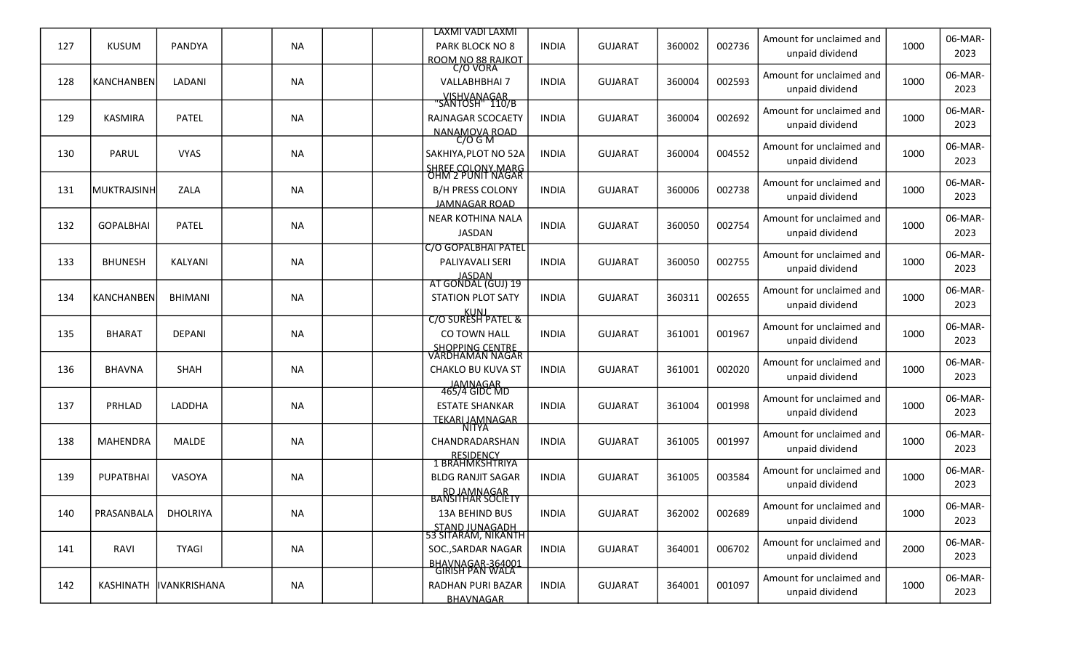|     |                  |                     |           | LAXMI VADI LAXMI                             |              |                |        |        |                                             |      | 06-MAR-         |
|-----|------------------|---------------------|-----------|----------------------------------------------|--------------|----------------|--------|--------|---------------------------------------------|------|-----------------|
| 127 | <b>KUSUM</b>     | PANDYA              | <b>NA</b> | PARK BLOCK NO 8<br>ROOM NO 88 RAJKOT         | <b>INDIA</b> | <b>GUJARAT</b> | 360002 | 002736 | Amount for unclaimed and<br>unpaid dividend | 1000 | 2023            |
| 128 | KANCHANBEN       | LADANI              | <b>NA</b> | C/O VORA<br><b>VALLABHBHAI 7</b>             | <b>INDIA</b> | <b>GUJARAT</b> | 360004 | 002593 | Amount for unclaimed and                    | 1000 | 06-MAR-         |
|     |                  |                     |           | __VISHVANAGAR___<br>'SANTOSH'' 110/B         |              |                |        |        | unpaid dividend                             |      | 2023            |
| 129 | <b>KASMIRA</b>   | <b>PATEL</b>        | <b>NA</b> | RAJNAGAR SCOCAETY                            | <b>INDIA</b> | <b>GUJARAT</b> | 360004 | 002692 | Amount for unclaimed and                    | 1000 | 06-MAR-         |
|     |                  |                     |           | NANAMOVA ROAD                                |              |                |        |        | unpaid dividend                             |      | 2023            |
| 130 | PARUL            | <b>VYAS</b>         | <b>NA</b> | $C/O$ G M<br>SAKHIYA, PLOT NO 52A            | <b>INDIA</b> | <b>GUJARAT</b> | 360004 | 004552 | Amount for unclaimed and                    | 1000 | 06-MAR-         |
|     |                  |                     |           | SHREE COLONY.MARG                            |              |                |        |        | unpaid dividend                             |      | 2023            |
| 131 | MUKTRAJSINH      | ZALA                | <b>NA</b> | OHM 2 PUNIT NAGAR<br><b>B/H PRESS COLONY</b> | <b>INDIA</b> | <b>GUJARAT</b> | 360006 | 002738 | Amount for unclaimed and                    | 1000 | 06-MAR-         |
|     |                  |                     |           | JAMNAGAR ROAD                                |              |                |        |        | unpaid dividend                             |      | 2023            |
|     |                  |                     |           | <b>NEAR KOTHINA NALA</b>                     |              |                |        |        | Amount for unclaimed and                    |      | 06-MAR-         |
| 132 | <b>GOPALBHAI</b> | <b>PATEL</b>        | <b>NA</b> | <b>JASDAN</b>                                | <b>INDIA</b> | <b>GUJARAT</b> | 360050 | 002754 | unpaid dividend                             | 1000 | 2023            |
|     |                  |                     |           | C/O GOPALBHAI PATEL                          |              |                |        |        | Amount for unclaimed and                    |      | 06-MAR-         |
| 133 | <b>BHUNESH</b>   | KALYANI             | <b>NA</b> | PALIYAVALI SERI                              | <b>INDIA</b> | <b>GUJARAT</b> | 360050 | 002755 | unpaid dividend                             | 1000 | 2023            |
|     |                  |                     |           | JASDAN<br>AT GONDAL (GUJ) 19                 |              |                |        |        | Amount for unclaimed and                    |      | 06-MAR-         |
| 134 | KANCHANBEN       | <b>BHIMANI</b>      | <b>NA</b> | <b>STATION PLOT SATY</b>                     | <b>INDIA</b> | <b>GUJARAT</b> | 360311 | 002655 | unpaid dividend                             | 1000 | 2023            |
|     |                  |                     |           | KUNJ<br>C/O SURESH PATEL &                   |              |                |        |        | Amount for unclaimed and                    |      | 06-MAR-         |
| 135 | <b>BHARAT</b>    | <b>DEPANI</b>       | <b>NA</b> | CO TOWN HALL                                 | <b>INDIA</b> | <b>GUJARAT</b> | 361001 | 001967 | unpaid dividend                             | 1000 | 2023            |
|     |                  |                     |           | <u>SHOPPING CENTRE</u><br>VARDHAMAN NAGAR    |              |                |        |        | Amount for unclaimed and                    |      | 06-MAR-         |
| 136 | <b>BHAVNA</b>    | SHAH                | <b>NA</b> | <b>CHAKLO BU KUVA ST</b>                     | <b>INDIA</b> | <b>GUJARAT</b> | 361001 | 002020 | unpaid dividend                             | 1000 | 2023            |
|     |                  |                     |           | JAMNAGAR<br>465/4 GIDC MD                    |              |                |        |        | Amount for unclaimed and                    |      | 06-MAR-         |
| 137 | PRHLAD           | <b>LADDHA</b>       | <b>NA</b> | <b>ESTATE SHANKAR</b>                        | <b>INDIA</b> | <b>GUJARAT</b> | 361004 | 001998 | unpaid dividend                             | 1000 | 2023            |
|     |                  |                     |           | <b>TEKARI JAMNAGAR</b><br>NITYA              |              |                |        |        | Amount for unclaimed and                    |      | 06-MAR-         |
| 138 | <b>MAHENDRA</b>  | <b>MALDE</b>        | <b>NA</b> | CHANDRADARSHAN                               | <b>INDIA</b> | <b>GUJARAT</b> | 361005 | 001997 | unpaid dividend                             | 1000 | 2023            |
|     |                  |                     |           | RESIDENCY<br>1 BRAHMKSHTRIYA                 |              |                |        |        | Amount for unclaimed and                    |      | 06-MAR-         |
| 139 | <b>PUPATBHAI</b> | VASOYA              | <b>NA</b> | <b>BLDG RANJIT SAGAR</b>                     | <b>INDIA</b> | <b>GUJARAT</b> | 361005 | 003584 | unpaid dividend                             | 1000 | 2023            |
|     |                  |                     |           | RD JAMNAGAR<br><b>BANSITHAR SOCIÉTY</b>      |              |                |        |        | Amount for unclaimed and                    |      | 06-MAR-         |
| 140 | PRASANBALA       | <b>DHOLRIYA</b>     | <b>NA</b> | 13A BEHIND BUS                               | <b>INDIA</b> | <b>GUJARAT</b> | 362002 | 002689 | unpaid dividend                             | 1000 | 2023            |
|     |                  |                     |           | STAND JUNAGADH<br>53 SITARAM, NIKANTH        |              |                |        |        |                                             |      |                 |
| 141 | RAVI             | <b>TYAGI</b>        | <b>NA</b> | SOC., SARDAR NAGAR                           | <b>INDIA</b> | <b>GUJARAT</b> | 364001 | 006702 | Amount for unclaimed and<br>unpaid dividend | 2000 | 06-MAR-<br>2023 |
|     |                  |                     |           | BHAVNAGAR-364001<br>GIRISH PAN WALA          |              |                |        |        |                                             |      |                 |
| 142 | <b>KASHINATH</b> | <b>IVANKRISHANA</b> | <b>NA</b> | RADHAN PURI BAZAR                            | <b>INDIA</b> | <b>GUJARAT</b> | 364001 | 001097 | Amount for unclaimed and<br>unpaid dividend | 1000 | 06-MAR-<br>2023 |
|     |                  |                     |           | BHAVNAGAR                                    |              |                |        |        |                                             |      |                 |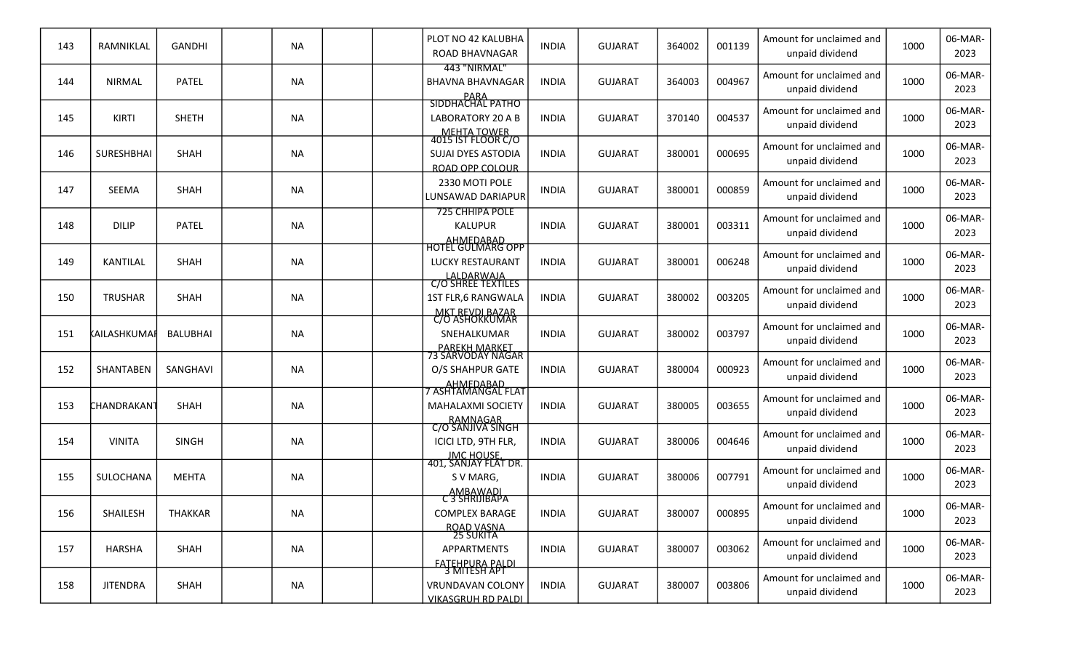| 143 | RAMNIKLAL               | GANDHI          | <b>NA</b> |  | PLOT NO 42 KALUBHA<br><b>ROAD BHAVNAGAR</b>                                              | <b>INDIA</b> | <b>GUJARAT</b> | 364002 | 001139 | Amount for unclaimed and<br>unpaid dividend | 1000 | 06-MAR-<br>2023 |
|-----|-------------------------|-----------------|-----------|--|------------------------------------------------------------------------------------------|--------------|----------------|--------|--------|---------------------------------------------|------|-----------------|
| 144 | <b>NIRMAL</b>           | <b>PATEL</b>    | <b>NA</b> |  | 443 "NIRMAL"<br><b>BHAVNA BHAVNAGAR</b>                                                  | <b>INDIA</b> | <b>GUJARAT</b> | 364003 | 004967 | Amount for unclaimed and<br>unpaid dividend | 1000 | 06-MAR-<br>2023 |
| 145 | KIRTI                   | <b>SHETH</b>    | <b>NA</b> |  | PARA<br>SIDDHACHAL PATHO<br>LABORATORY 20 A B                                            | <b>INDIA</b> | <b>GUJARAT</b> | 370140 | 004537 | Amount for unclaimed and<br>unpaid dividend | 1000 | 06-MAR-<br>2023 |
| 146 | SURESHBHAI              | <b>SHAH</b>     | <b>NA</b> |  | MEHTA TOWER<br>4015 IST FLOOR C/O<br><b>SUJAI DYES ASTODIA</b><br><b>ROAD OPP COLOUR</b> | <b>INDIA</b> | <b>GUJARAT</b> | 380001 | 000695 | Amount for unclaimed and<br>unpaid dividend | 1000 | 06-MAR-<br>2023 |
| 147 | <b>SEEMA</b>            | <b>SHAH</b>     | <b>NA</b> |  | 2330 MOTI POLE<br>LUNSAWAD DARIAPUR                                                      | <b>INDIA</b> | <b>GUJARAT</b> | 380001 | 000859 | Amount for unclaimed and<br>unpaid dividend | 1000 | 06-MAR-<br>2023 |
| 148 | <b>DILIP</b>            | <b>PATEL</b>    | <b>NA</b> |  | <b>725 CHHIPA POLE</b><br><b>KALUPUR</b><br>AHMEDABAD                                    | <b>INDIA</b> | <b>GUJARAT</b> | 380001 | 003311 | Amount for unclaimed and<br>unpaid dividend | 1000 | 06-MAR-<br>2023 |
| 149 | KANTILAL                | <b>SHAH</b>     | <b>NA</b> |  | <b>HOTEL GULMARG OPP</b><br>LUCKY RESTAURANT                                             | <b>INDIA</b> | <b>GUJARAT</b> | 380001 | 006248 | Amount for unclaimed and<br>unpaid dividend | 1000 | 06-MAR-<br>2023 |
| 150 | <b>TRUSHAR</b>          | <b>SHAH</b>     | <b>NA</b> |  | LALDARWAJA<br>C/O SHREE TEXTILES<br>1ST FLR,6 RANGWALA<br><b>MKT REVDI BAZAR</b>         | <b>INDIA</b> | <b>GUJARAT</b> | 380002 | 003205 | Amount for unclaimed and<br>unpaid dividend | 1000 | 06-MAR-<br>2023 |
| 151 | KAILASHKUMAF            | <b>BALUBHAI</b> | <b>NA</b> |  | C/O ASHOKKUMAR<br>SNEHALKUMAR                                                            | <b>INDIA</b> | <b>GUJARAT</b> | 380002 | 003797 | Amount for unclaimed and<br>unpaid dividend | 1000 | 06-MAR-<br>2023 |
| 152 | SHANTABEN               | SANGHAVI        | <b>NA</b> |  | <u>PAREKH MARKET</u><br>73 SARVODAY NAGAR<br>O/S SHAHPUR GATE                            | <b>INDIA</b> | <b>GUJARAT</b> | 380004 | 000923 | Amount for unclaimed and<br>unpaid dividend | 1000 | 06-MAR-<br>2023 |
| 153 | CHANDRAKAN <sup>-</sup> | SHAH            | <b>NA</b> |  | <b>MAHALAXMI SOCIETY</b>                                                                 | <b>INDIA</b> | <b>GUJARAT</b> | 380005 | 003655 | Amount for unclaimed and<br>unpaid dividend | 1000 | 06-MAR-<br>2023 |
| 154 | <b>VINITA</b>           | <b>SINGH</b>    | <b>NA</b> |  | RAMNAGAR<br>C/O SANJIVA SINGH<br>ICICI LTD, 9TH FLR,<br><b>JMC HOUSE.</b>                | <b>INDIA</b> | <b>GUJARAT</b> | 380006 | 004646 | Amount for unclaimed and<br>unpaid dividend | 1000 | 06-MAR-<br>2023 |
| 155 | SULOCHANA               | <b>MEHTA</b>    | <b>NA</b> |  | 401, SANJAY FLAT DR.<br>S V MARG,                                                        | <b>INDIA</b> | <b>GUJARAT</b> | 380006 | 007791 | Amount for unclaimed and<br>unpaid dividend | 1000 | 06-MAR-<br>2023 |
| 156 | SHAILESH                | <b>THAKKAR</b>  | <b>NA</b> |  | AMBAWADI<br>C 3 SHRIJIBAPA<br><b>COMPLEX BARAGE</b>                                      | <b>INDIA</b> | <b>GUJARAT</b> | 380007 | 000895 | Amount for unclaimed and<br>unpaid dividend | 1000 | 06-MAR-<br>2023 |
| 157 | <b>HARSHA</b>           | SHAH            | <b>NA</b> |  | ROAD VASNA<br>25 SUKITA<br>APPARTMENTS                                                   | <b>INDIA</b> | <b>GUJARAT</b> | 380007 | 003062 | Amount for unclaimed and<br>unpaid dividend | 1000 | 06-MAR-<br>2023 |
| 158 | <b>JITENDRA</b>         | SHAH            | <b>NA</b> |  | FATEHPURA PALDI<br>3 MITESH APT<br>VRUNDAVAN COLONY<br><b>VIKASGRUH RD PALDI</b>         | <b>INDIA</b> | <b>GUJARAT</b> | 380007 | 003806 | Amount for unclaimed and<br>unpaid dividend | 1000 | 06-MAR-<br>2023 |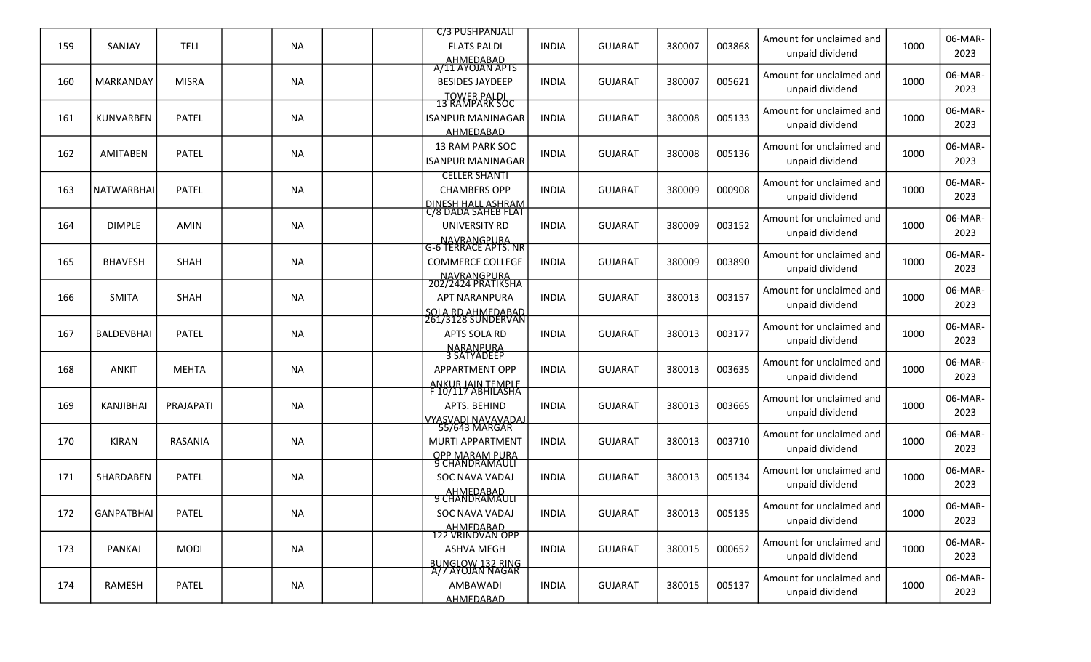|     |                   |                |           | C/3 PUSHPANJALI                                     |              |                |        |        |                                             |      | 06-MAR-         |
|-----|-------------------|----------------|-----------|-----------------------------------------------------|--------------|----------------|--------|--------|---------------------------------------------|------|-----------------|
| 159 | SANJAY            | <b>TELI</b>    | <b>NA</b> | <b>FLATS PALDI</b><br>AHMEDABAD<br>A/11 AYOJAN APTS | <b>INDIA</b> | <b>GUJARAT</b> | 380007 | 003868 | Amount for unclaimed and<br>unpaid dividend | 1000 | 2023            |
| 160 | MARKANDAY         | <b>MISRA</b>   | <b>NA</b> | <b>BESIDES JAYDEEP</b>                              | <b>INDIA</b> | <b>GUJARAT</b> | 380007 | 005621 | Amount for unclaimed and<br>unpaid dividend | 1000 | 06-MAR-<br>2023 |
|     |                   |                |           | TOWER PALDI<br>13 RAMPARK SOC                       |              |                |        |        |                                             |      |                 |
| 161 | KUNVARBEN         | <b>PATEL</b>   | <b>NA</b> | <b>ISANPUR MANINAGAR</b>                            | <b>INDIA</b> | <b>GUJARAT</b> | 380008 | 005133 | Amount for unclaimed and<br>unpaid dividend | 1000 | 06-MAR-<br>2023 |
|     |                   |                |           | AHMEDABAD                                           |              |                |        |        |                                             |      |                 |
| 162 | <b>AMITABEN</b>   | <b>PATEL</b>   | <b>NA</b> | 13 RAM PARK SOC<br><b>ISANPUR MANINAGAR</b>         | <b>INDIA</b> | <b>GUJARAT</b> | 380008 | 005136 | Amount for unclaimed and<br>unpaid dividend | 1000 | 06-MAR-<br>2023 |
|     |                   |                |           | <b>CELLER SHANTI</b>                                |              |                |        |        | Amount for unclaimed and                    |      | 06-MAR-         |
| 163 | <b>NATWARBHAI</b> | <b>PATEL</b>   | <b>NA</b> | <b>CHAMBERS OPP</b>                                 | <b>INDIA</b> | <b>GUJARAT</b> | 380009 | 000908 | unpaid dividend                             | 1000 | 2023            |
|     |                   |                |           | <u>DINESH HALL ASHRAM</u><br>C/8 DADA SAHEB FLAT    |              |                |        |        |                                             |      |                 |
| 164 | <b>DIMPLE</b>     | <b>AMIN</b>    | <b>NA</b> | UNIVERSITY RD                                       | <b>INDIA</b> | <b>GUJARAT</b> | 380009 | 003152 | Amount for unclaimed and                    | 1000 | 06-MAR-         |
|     |                   |                |           | NAVRANGPURA<br>G-6 TERRACE APTS. NR                 |              |                |        |        | unpaid dividend                             |      | 2023            |
| 165 | <b>BHAVESH</b>    | <b>SHAH</b>    | <b>NA</b> | <b>COMMERCE COLLEGE</b>                             | <b>INDIA</b> | <b>GUJARAT</b> | 380009 | 003890 | Amount for unclaimed and                    | 1000 | 06-MAR-         |
|     |                   |                |           |                                                     |              |                |        |        | unpaid dividend                             |      | 2023            |
|     |                   |                |           | NAVRANGPURA<br>202/2424 PRATIKSHA                   |              |                |        |        | Amount for unclaimed and                    |      | 06-MAR-         |
| 166 | <b>SMITA</b>      | <b>SHAH</b>    | <b>NA</b> | <b>APT NARANPURA</b>                                | <b>INDIA</b> | <b>GUJARAT</b> | 380013 | 003157 | unpaid dividend                             | 1000 | 2023            |
|     |                   |                |           | <u>SOLA RD AHMEDABAD</u><br>261/3128 SUNDERVAN      |              |                |        |        | Amount for unclaimed and                    |      | 06-MAR-         |
| 167 | <b>BALDEVBHAI</b> | <b>PATEL</b>   | <b>NA</b> | APTS SOLA RD                                        | <b>INDIA</b> | <b>GUJARAT</b> | 380013 | 003177 | unpaid dividend                             | 1000 | 2023            |
|     |                   |                |           | NARANPURA<br>3 SATYADEEP                            |              |                |        |        |                                             |      |                 |
| 168 | <b>ANKIT</b>      | <b>MEHTA</b>   | <b>NA</b> | <b>APPARTMENT OPP</b>                               | <b>INDIA</b> | <b>GUJARAT</b> | 380013 | 003635 | Amount for unclaimed and                    | 1000 | 06-MAR-<br>2023 |
|     |                   |                |           | <u>ANKUR JAIN TEMPLE</u><br>F 10/117 ABHILASHA      |              |                |        |        | unpaid dividend                             |      |                 |
| 169 | <b>KANJIBHAI</b>  | PRAJAPATI      | <b>NA</b> | APTS. BEHIND                                        | <b>INDIA</b> | <b>GUJARAT</b> | 380013 | 003665 | Amount for unclaimed and                    | 1000 | 06-MAR-         |
|     |                   |                |           | <u>VYASVADI NAVAVADAJ</u>                           |              |                |        |        | unpaid dividend                             |      | 2023            |
|     |                   |                |           | 55/643 MARGAR                                       |              |                |        |        | Amount for unclaimed and                    |      | 06-MAR-         |
| 170 | <b>KIRAN</b>      | <b>RASANIA</b> | <b>NA</b> | <b>MURTI APPARTMENT</b>                             | <b>INDIA</b> | <b>GUJARAT</b> | 380013 | 003710 | unpaid dividend                             | 1000 | 2023            |
|     |                   |                |           | OPP MARAM PURA<br>9 CHANDRAMAULI                    |              |                |        |        | Amount for unclaimed and                    |      | 06-MAR-         |
| 171 | SHARDABEN         | <b>PATEL</b>   | <b>NA</b> | <b>SOC NAVA VADAJ</b>                               | <b>INDIA</b> | <b>GUJARAT</b> | 380013 | 005134 | unpaid dividend                             | 1000 | 2023            |
|     |                   |                |           | AHMEDABAD<br>9 CHANDRAMAULI                         |              |                |        |        |                                             |      |                 |
| 172 | <b>GANPATBHAI</b> | <b>PATEL</b>   | <b>NA</b> | SOC NAVA VADAJ                                      | <b>INDIA</b> | <b>GUJARAT</b> | 380013 | 005135 | Amount for unclaimed and<br>unpaid dividend | 1000 | 06-MAR-<br>2023 |
|     |                   |                |           | AHMEDABAD<br>122 VRINDVAN OPP                       |              |                |        |        |                                             |      |                 |
| 173 | PANKAJ            | <b>MODI</b>    | <b>NA</b> | <b>ASHVA MEGH</b>                                   | <b>INDIA</b> | <b>GUJARAT</b> | 380015 | 000652 | Amount for unclaimed and                    | 1000 | 06-MAR-         |
|     |                   |                |           | BUNGLOW 132 RING<br>A/7 AYOJAN NAGAR                |              |                |        |        | unpaid dividend                             |      | 2023            |
| 174 | RAMESH            | <b>PATEL</b>   | <b>NA</b> | AMBAWADI                                            | <b>INDIA</b> | <b>GUJARAT</b> | 380015 | 005137 | Amount for unclaimed and                    | 1000 | 06-MAR-         |
|     |                   |                |           | <b>AHMEDABAD</b>                                    |              |                |        |        | unpaid dividend                             |      | 2023            |
|     |                   |                |           |                                                     |              |                |        |        |                                             |      |                 |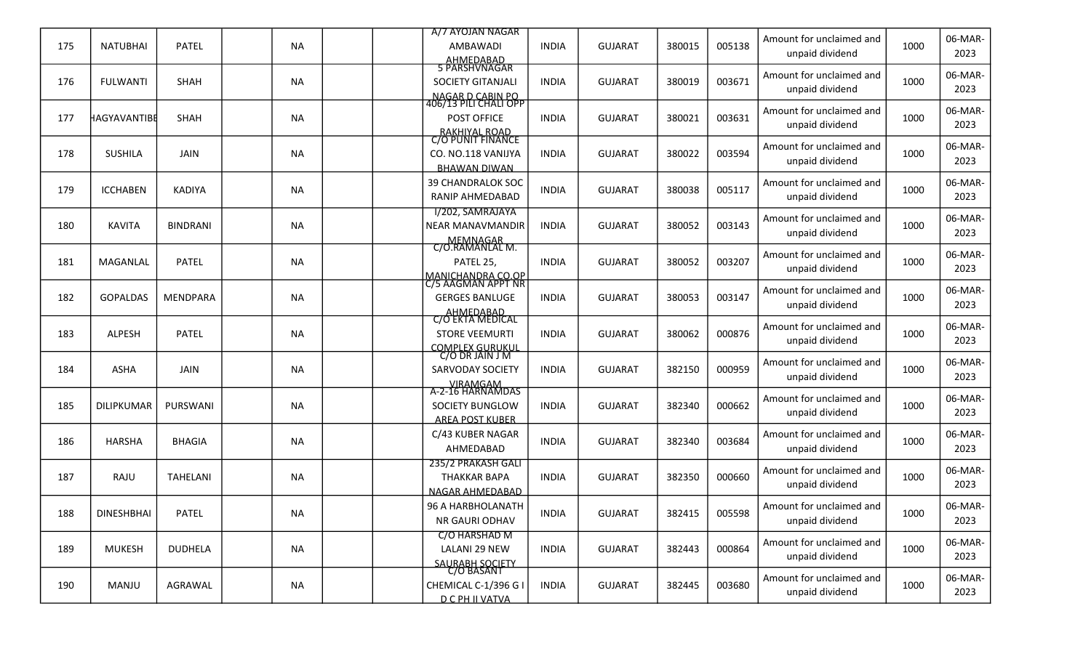|     |                   |                 |           | A/7 AYOJAN NAGAR                                                                |              |                |        |        | Amount for unclaimed and                    |      | 06-MAR-         |
|-----|-------------------|-----------------|-----------|---------------------------------------------------------------------------------|--------------|----------------|--------|--------|---------------------------------------------|------|-----------------|
| 175 | <b>NATUBHAI</b>   | <b>PATEL</b>    | <b>NA</b> | AMBAWADI<br>AHMEDABAD<br>5 PARSHVNAGAR                                          | <b>INDIA</b> | <b>GUJARAT</b> | 380015 | 005138 | unpaid dividend                             | 1000 | 2023            |
| 176 | <b>FULWANTI</b>   | SHAH            | <b>NA</b> | SOCIETY GITANJALI                                                               | <b>INDIA</b> | <b>GUJARAT</b> | 380019 | 003671 | Amount for unclaimed and<br>unpaid dividend | 1000 | 06-MAR-<br>2023 |
| 177 | HAGYAVANTIBE      | <b>SHAH</b>     | <b>NA</b> | NAGAR D CABIN PO<br>406/13 PILI CHALI OPP<br>POST OFFICE                        | <b>INDIA</b> | <b>GUJARAT</b> | 380021 | 003631 | Amount for unclaimed and<br>unpaid dividend | 1000 | 06-MAR-<br>2023 |
| 178 | <b>SUSHILA</b>    | JAIN            | <b>NA</b> | RAKHIYAL ROAD<br>C/O PUNIT FINANCE<br>CO. NO.118 VANIJYA<br><b>BHAWAN DIWAN</b> | <b>INDIA</b> | <b>GUJARAT</b> | 380022 | 003594 | Amount for unclaimed and<br>unpaid dividend | 1000 | 06-MAR-<br>2023 |
| 179 | <b>ICCHABEN</b>   | <b>KADIYA</b>   | <b>NA</b> | <b>39 CHANDRALOK SOC</b><br>RANIP AHMEDABAD                                     | <b>INDIA</b> | <b>GUJARAT</b> | 380038 | 005117 | Amount for unclaimed and<br>unpaid dividend | 1000 | 06-MAR-<br>2023 |
| 180 | <b>KAVITA</b>     | <b>BINDRANI</b> | <b>NA</b> | I/202, SAMRAJAYA<br><b>NEAR MANAVMANDIR</b>                                     | <b>INDIA</b> | <b>GUJARAT</b> | 380052 | 003143 | Amount for unclaimed and<br>unpaid dividend | 1000 | 06-MAR-<br>2023 |
| 181 | MAGANLAL          | <b>PATEL</b>    | <b>NA</b> | MEMNAGAR<br>C/O.RAMANLAL M.<br>PATEL 25,                                        | <b>INDIA</b> | <b>GUJARAT</b> | 380052 | 003207 | Amount for unclaimed and<br>unpaid dividend | 1000 | 06-MAR-<br>2023 |
| 182 | <b>GOPALDAS</b>   | <b>MENDPARA</b> | <b>NA</b> | MANICHANDRA CO.OP<br>C/5 AAGMAN APPT NR<br><b>GERGES BANLUGE</b>                | <b>INDIA</b> | <b>GUJARAT</b> | 380053 | 003147 | Amount for unclaimed and<br>unpaid dividend | 1000 | 06-MAR-<br>2023 |
| 183 | <b>ALPESH</b>     | <b>PATEL</b>    | <b>NA</b> | AHMEDABAD<br>C/O EKTA MEDICAL<br><b>STORE VEEMURTI</b>                          | <b>INDIA</b> | <b>GUJARAT</b> | 380062 | 000876 | Amount for unclaimed and<br>unpaid dividend | 1000 | 06-MAR-<br>2023 |
| 184 | ASHA              | <b>JAIN</b>     | <b>NA</b> | COMPLEX GURUKUL<br>C/O DR JAIN J M<br><b>SARVODAY SOCIETY</b>                   | <b>INDIA</b> | <b>GUJARAT</b> | 382150 | 000959 | Amount for unclaimed and<br>unpaid dividend | 1000 | 06-MAR-<br>2023 |
| 185 | <b>DILIPKUMAR</b> | PURSWANI        | <b>NA</b> | VIRAMGAM<br>A-2-16 HARNAMDAS<br>SOCIETY BUNGLOW<br><b>AREA POST KUBER</b>       | <b>INDIA</b> | <b>GUJARAT</b> | 382340 | 000662 | Amount for unclaimed and<br>unpaid dividend | 1000 | 06-MAR-<br>2023 |
| 186 | <b>HARSHA</b>     | <b>BHAGIA</b>   | <b>NA</b> | C/43 KUBER NAGAR<br>AHMEDABAD                                                   | <b>INDIA</b> | <b>GUJARAT</b> | 382340 | 003684 | Amount for unclaimed and<br>unpaid dividend | 1000 | 06-MAR-<br>2023 |
| 187 | RAJU              | TAHELANI        | <b>NA</b> | 235/2 PRAKASH GALI<br><b>THAKKAR BAPA</b><br>NAGAR AHMEDABAD                    | <b>INDIA</b> | <b>GUJARAT</b> | 382350 | 000660 | Amount for unclaimed and<br>unpaid dividend | 1000 | 06-MAR-<br>2023 |
| 188 | <b>DINESHBHAI</b> | PATEL           | <b>NA</b> | 96 A HARBHOLANATH<br>NR GAURI ODHAV                                             | <b>INDIA</b> | <b>GUJARAT</b> | 382415 | 005598 | Amount for unclaimed and<br>unpaid dividend | 1000 | 06-MAR-<br>2023 |
| 189 | <b>MUKESH</b>     | <b>DUDHELA</b>  | <b>NA</b> | C/O HARSHAD M<br>LALANI 29 NEW                                                  | <b>INDIA</b> | <b>GUJARAT</b> | 382443 | 000864 | Amount for unclaimed and<br>unpaid dividend | 1000 | 06-MAR-<br>2023 |
| 190 | MANJU             | AGRAWAL         | <b>NA</b> | SAURABH SOCIETY<br>C/O BASANT<br>CHEMICAL C-1/396 G I<br><b>D C PH II VATVA</b> | <b>INDIA</b> | <b>GUJARAT</b> | 382445 | 003680 | Amount for unclaimed and<br>unpaid dividend | 1000 | 06-MAR-<br>2023 |
|     |                   |                 |           |                                                                                 |              |                |        |        |                                             |      |                 |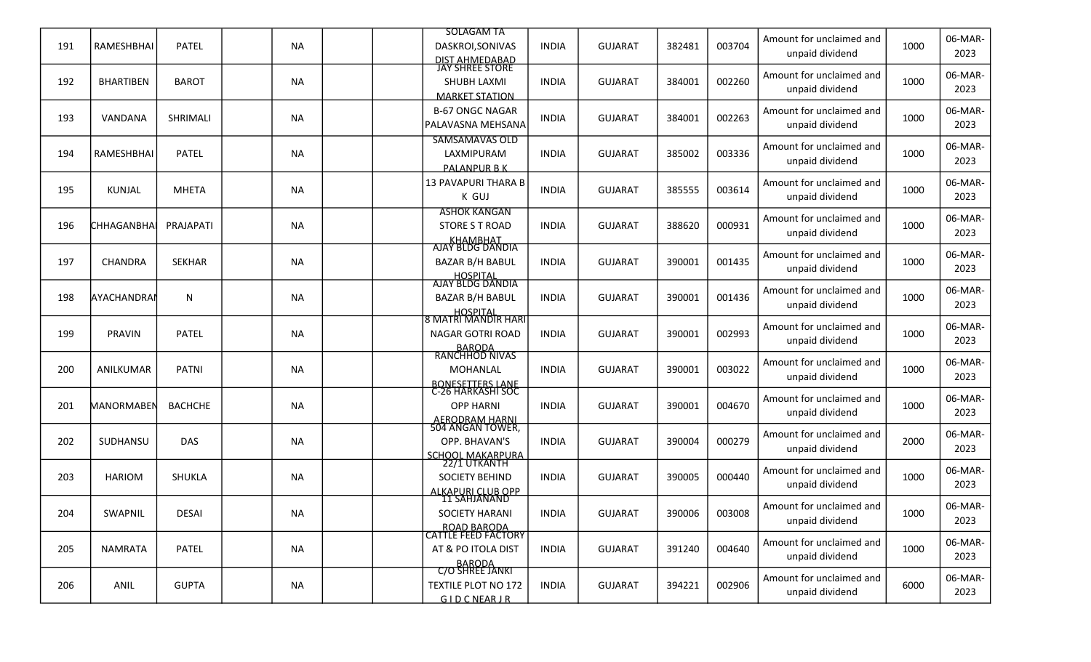|     |                     |                |           |  | <b>SOLAGAM TA</b>                                  |              |                |        |        | Amount for unclaimed and                    |      | 06-MAR-         |
|-----|---------------------|----------------|-----------|--|----------------------------------------------------|--------------|----------------|--------|--------|---------------------------------------------|------|-----------------|
| 191 | RAMESHBHAI          | <b>PATEL</b>   | <b>NA</b> |  | DASKROI, SONIVAS                                   | <b>INDIA</b> | <b>GUJARAT</b> | 382481 | 003704 | unpaid dividend                             | 1000 | 2023            |
|     |                     |                |           |  | DIST AHMEDABAD<br>JAY SHREE STORE                  |              |                |        |        | Amount for unclaimed and                    |      | 06-MAR-         |
| 192 | <b>BHARTIBEN</b>    | <b>BAROT</b>   | <b>NA</b> |  | SHUBH LAXMI                                        | <b>INDIA</b> | <b>GUJARAT</b> | 384001 | 002260 | unpaid dividend                             | 1000 | 2023            |
|     |                     |                |           |  | <b>MARKET STATION</b>                              |              |                |        |        |                                             |      | 06-MAR-         |
| 193 | VANDANA             | SHRIMALI       | <b>NA</b> |  | <b>B-67 ONGC NAGAR</b><br><b>PALAVASNA MEHSANA</b> | <b>INDIA</b> | <b>GUJARAT</b> | 384001 | 002263 | Amount for unclaimed and<br>unpaid dividend | 1000 | 2023            |
|     |                     |                |           |  | <b>SAMSAMAVAS OLD</b>                              |              |                |        |        |                                             |      |                 |
| 194 | RAMESHBHAI          | <b>PATEL</b>   | <b>NA</b> |  | LAXMIPURAM                                         | <b>INDIA</b> | <b>GUJARAT</b> | 385002 | 003336 | Amount for unclaimed and                    | 1000 | 06-MAR-         |
|     |                     |                |           |  | <b>PALANPUR B K</b>                                |              |                |        |        | unpaid dividend                             |      | 2023            |
| 195 | <b>KUNJAL</b>       | <b>MHETA</b>   | <b>NA</b> |  | 13 PAVAPURI THARA B                                | <b>INDIA</b> | <b>GUJARAT</b> | 385555 | 003614 | Amount for unclaimed and                    | 1000 | 06-MAR-         |
|     |                     |                |           |  | K GUJ                                              |              |                |        |        | unpaid dividend                             |      | 2023            |
|     |                     |                |           |  | <b>ASHOK KANGAN</b>                                |              |                |        |        | Amount for unclaimed and                    |      | 06-MAR-         |
| 196 | <b>I</b> CHHAGANBHA | PRAJAPATI      | <b>NA</b> |  | STORE S T ROAD                                     | <b>INDIA</b> | <b>GUJARAT</b> | 388620 | 000931 | unpaid dividend                             | 1000 | 2023            |
|     |                     |                |           |  | <b>KHAMBHAT</b><br>AJAY BLDG DANDIA                |              |                |        |        | Amount for unclaimed and                    |      | 06-MAR-         |
| 197 | CHANDRA             | <b>SEKHAR</b>  | <b>NA</b> |  | <b>BAZAR B/H BABUL</b>                             | <b>INDIA</b> | <b>GUJARAT</b> | 390001 | 001435 | unpaid dividend                             | 1000 | 2023            |
|     |                     |                |           |  | HOSPITAL<br>AJAY BLDG DANDIA                       |              |                |        |        |                                             |      |                 |
| 198 | layachandrai        | N              | <b>NA</b> |  | <b>BAZAR B/H BABUL</b>                             | <b>INDIA</b> | <b>GUJARAT</b> | 390001 | 001436 | Amount for unclaimed and                    | 1000 | 06-MAR-         |
|     |                     |                |           |  | HOSPITAL<br> 8 MATRI MANDIR HARI                   |              |                |        |        | unpaid dividend                             |      | 2023            |
| 199 | PRAVIN              | <b>PATEL</b>   | <b>NA</b> |  | <b>NAGAR GOTRI ROAD</b>                            | <b>INDIA</b> | <b>GUJARAT</b> | 390001 | 002993 | Amount for unclaimed and                    | 1000 | 06-MAR-         |
|     |                     |                |           |  | BARODA<br>RANCHHOD NIVAS                           |              |                |        |        | unpaid dividend                             |      | 2023            |
|     |                     |                |           |  |                                                    |              |                |        |        | Amount for unclaimed and                    |      | 06-MAR-         |
| 200 | ANILKUMAR           | <b>PATNI</b>   | <b>NA</b> |  | <b>MOHANLAL</b>                                    | <b>INDIA</b> | <b>GUJARAT</b> | 390001 | 003022 | unpaid dividend                             | 1000 | 2023            |
|     |                     |                |           |  | BONESETTERS LANE<br>C-26 HARKASHI SOC              |              |                |        |        | Amount for unclaimed and                    |      | 06-MAR-         |
| 201 | <b>MANORMABEN</b>   | <b>BACHCHE</b> | <b>NA</b> |  | <b>OPP HARNI</b>                                   | <b>INDIA</b> | <b>GUJARAT</b> | 390001 | 004670 | unpaid dividend                             | 1000 | 2023            |
|     |                     |                |           |  | <b>AERODRAM HARNI</b><br>504 ANGAN TOWER,          |              |                |        |        |                                             |      |                 |
| 202 | SUDHANSU            | <b>DAS</b>     | <b>NA</b> |  | OPP. BHAVAN'S                                      | <b>INDIA</b> | <b>GUJARAT</b> | 390004 | 000279 | Amount for unclaimed and<br>unpaid dividend | 2000 | 06-MAR-<br>2023 |
|     |                     |                |           |  | SCHOOL MAKARPURA<br>2271 UTKANTH                   |              |                |        |        |                                             |      |                 |
| 203 | <b>HARIOM</b>       | <b>SHUKLA</b>  | <b>NA</b> |  | <b>SOCIETY BEHIND</b>                              | <b>INDIA</b> | <b>GUJARAT</b> | 390005 | 000440 | Amount for unclaimed and                    | 1000 | 06-MAR-         |
|     |                     |                |           |  | <b>ALKAPURI CLUB OPP</b>                           |              |                |        |        | unpaid dividend                             |      | 2023            |
| 204 | SWAPNIL             | DESAI          | <b>NA</b> |  | <b>11 SAHJANAND</b><br><b>SOCIETY HARANI</b>       | <b>INDIA</b> | <b>GUJARAT</b> | 390006 | 003008 | Amount for unclaimed and                    | 1000 | 06-MAR-         |
|     |                     |                |           |  |                                                    |              |                |        |        | unpaid dividend                             |      | 2023            |
|     |                     |                |           |  | ROAD BARODA<br>CATTLE FEED FACTORY                 |              |                |        |        | Amount for unclaimed and                    |      | 06-MAR-         |
| 205 | <b>NAMRATA</b>      | <b>PATEL</b>   | <b>NA</b> |  | AT & PO ITOLA DIST                                 | <b>INDIA</b> | <b>GUJARAT</b> | 391240 | 004640 | unpaid dividend                             | 1000 | 2023            |
|     |                     |                |           |  | BARODA<br>C/O SHREE JANKI                          |              |                |        |        | Amount for unclaimed and                    |      |                 |
| 206 | ANIL                | <b>GUPTA</b>   | <b>NA</b> |  | <b>TEXTILE PLOT NO 172</b>                         | <b>INDIA</b> | <b>GUJARAT</b> | 394221 | 002906 | unpaid dividend                             | 6000 | 06-MAR-<br>2023 |
|     |                     |                |           |  | GIDCNEARIR                                         |              |                |        |        |                                             |      |                 |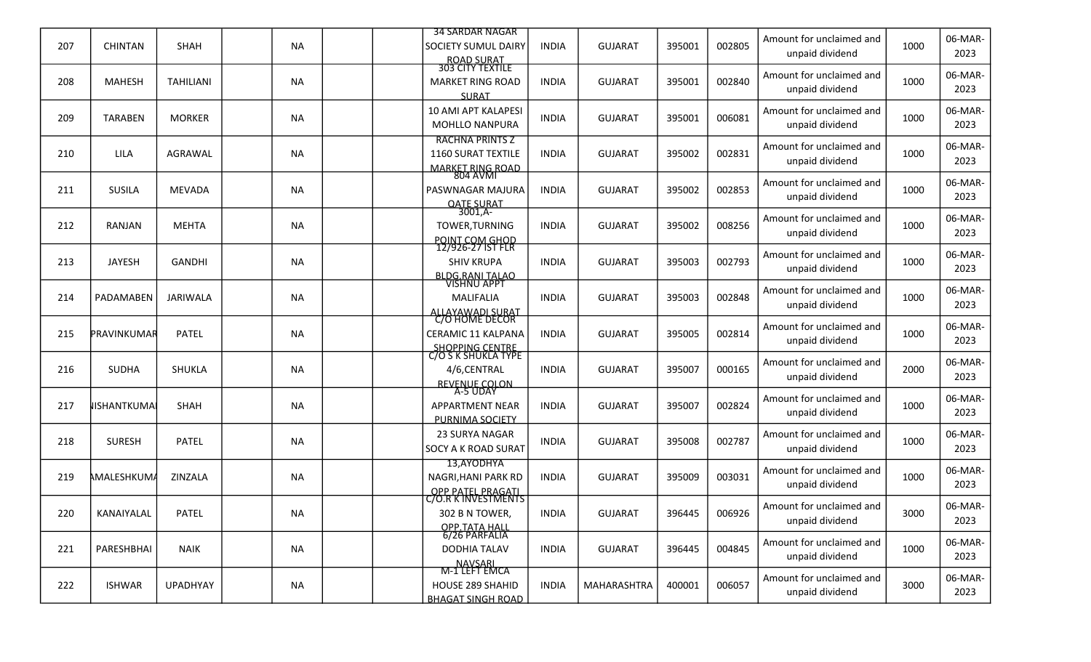|     |                |                  |           | <b>34 SARDAR NAGAR</b>                                                          |              |                |        |        | Amount for unclaimed and                    |      | 06-MAR-         |
|-----|----------------|------------------|-----------|---------------------------------------------------------------------------------|--------------|----------------|--------|--------|---------------------------------------------|------|-----------------|
| 207 | <b>CHINTAN</b> | <b>SHAH</b>      | <b>NA</b> | SOCIETY SUMUL DAIRY<br>ROAD SURAT<br>303 CITY TEXTILE                           | <b>INDIA</b> | <b>GUJARAT</b> | 395001 | 002805 | unpaid dividend                             | 1000 | 2023            |
| 208 | <b>MAHESH</b>  | <b>TAHILIANI</b> | <b>NA</b> | <b>MARKET RING ROAD</b><br><b>SURAT</b>                                         | <b>INDIA</b> | <b>GUJARAT</b> | 395001 | 002840 | Amount for unclaimed and<br>unpaid dividend | 1000 | 06-MAR-<br>2023 |
| 209 | <b>TARABEN</b> | <b>MORKER</b>    | <b>NA</b> | <b>10 AMI APT KALAPESI</b><br><b>MOHLLO NANPURA</b>                             | <b>INDIA</b> | <b>GUJARAT</b> | 395001 | 006081 | Amount for unclaimed and<br>unpaid dividend | 1000 | 06-MAR-<br>2023 |
| 210 | LILA           | <b>AGRAWAL</b>   | <b>NA</b> | <b>RACHNA PRINTS Z</b><br><b>1160 SURAT TEXTILE</b><br>MARKET RING ROAD         | <b>INDIA</b> | <b>GUJARAT</b> | 395002 | 002831 | Amount for unclaimed and<br>unpaid dividend | 1000 | 06-MAR-<br>2023 |
| 211 | <b>SUSILA</b>  | <b>MEVADA</b>    | <b>NA</b> | PASWNAGAR MAJURA                                                                | <b>INDIA</b> | <b>GUJARAT</b> | 395002 | 002853 | Amount for unclaimed and<br>unpaid dividend | 1000 | 06-MAR-<br>2023 |
| 212 | <b>RANJAN</b>  | <b>MEHTA</b>     | <b>NA</b> | OATE SURAT<br>TOWER, TURNING<br>POINT COM GHOD                                  | <b>INDIA</b> | <b>GUJARAT</b> | 395002 | 008256 | Amount for unclaimed and<br>unpaid dividend | 1000 | 06-MAR-<br>2023 |
| 213 | <b>JAYESH</b>  | <b>GANDHI</b>    | <b>NA</b> | 12/926-27 IST FLR<br><b>SHIV KRUPA</b>                                          | <b>INDIA</b> | <b>GUJARAT</b> | 395003 | 002793 | Amount for unclaimed and<br>unpaid dividend | 1000 | 06-MAR-<br>2023 |
| 214 | PADAMABEN      | JARIWALA         | <b>NA</b> | BLDG, RANI TALAO<br>VISHNU APPT<br>MALIFALIA<br>ALLAYAWADI SURAT                | <b>INDIA</b> | <b>GUJARAT</b> | 395003 | 002848 | Amount for unclaimed and<br>unpaid dividend | 1000 | 06-MAR-<br>2023 |
| 215 | PRAVINKUMAR    | <b>PATEL</b>     | <b>NA</b> | C/O HOME DECOR<br>CERAMIC 11 KALPANA                                            | <b>INDIA</b> | <b>GUJARAT</b> | 395005 | 002814 | Amount for unclaimed and<br>unpaid dividend | 1000 | 06-MAR-<br>2023 |
| 216 | <b>SUDHA</b>   | <b>SHUKLA</b>    | <b>NA</b> | SHOPPING CENTRE<br>C/O S K SHUKLA TYPE<br>4/6,CENTRAL                           | <b>INDIA</b> | <b>GUJARAT</b> | 395007 | 000165 | Amount for unclaimed and<br>unpaid dividend | 2000 | 06-MAR-<br>2023 |
| 217 | lishantkumai   | SHAH             | <b>NA</b> | REVENUE COLON<br><b>APPARTMENT NEAR</b><br>PURNIMA SOCIETY                      | <b>INDIA</b> | <b>GUJARAT</b> | 395007 | 002824 | Amount for unclaimed and<br>unpaid dividend | 1000 | 06-MAR-<br>2023 |
| 218 | <b>SURESH</b>  | <b>PATEL</b>     | <b>NA</b> | 23 SURYA NAGAR<br>SOCY A K ROAD SURAT                                           | <b>INDIA</b> | <b>GUJARAT</b> | 395008 | 002787 | Amount for unclaimed and<br>unpaid dividend | 1000 | 06-MAR-<br>2023 |
| 219 | AMALESHKUM.    | ZINZALA          | <b>NA</b> | 13,AYODHYA<br>NAGRI, HANI PARK RD<br><b>OPP PATEL PRAGATI</b>                   | <b>INDIA</b> | <b>GUJARAT</b> | 395009 | 003031 | Amount for unclaimed and<br>unpaid dividend | 1000 | 06-MAR-<br>2023 |
| 220 | KANAIYALAL     | PATEL            | <b>NA</b> | <u>C/O.R K INVESTMENTS</u><br>302 B N TOWER,                                    | <b>INDIA</b> | <b>GUJARAT</b> | 396445 | 006926 | Amount for unclaimed and<br>unpaid dividend | 3000 | 06-MAR-<br>2023 |
| 221 | PARESHBHAI     | <b>NAIK</b>      | <b>NA</b> | OPP TATA HALL<br>6/26 PARFALIA<br><b>DODHIA TALAV</b>                           | <b>INDIA</b> | <b>GUJARAT</b> | 396445 | 004845 | Amount for unclaimed and<br>unpaid dividend | 1000 | 06-MAR-<br>2023 |
| 222 | <b>ISHWAR</b>  | <b>UPADHYAY</b>  | <b>NA</b> | NAVSARI<br>M-1 LEFT EMCA<br><b>HOUSE 289 SHAHID</b><br><b>BHAGAT SINGH ROAD</b> | <b>INDIA</b> | MAHARASHTRA    | 400001 | 006057 | Amount for unclaimed and<br>unpaid dividend | 3000 | 06-MAR-<br>2023 |
|     |                |                  |           |                                                                                 |              |                |        |        |                                             |      |                 |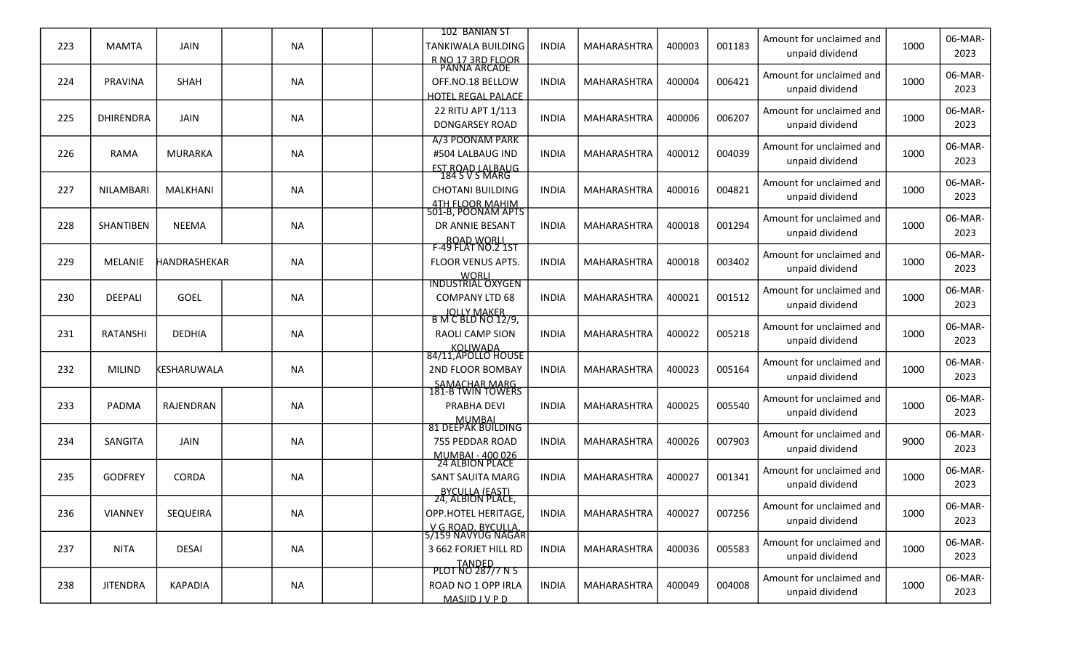|     |                  |                     |           | 102 BANIAN ST                             |              |             |        |        | Amount for unclaimed and |      | 06-MAR- |
|-----|------------------|---------------------|-----------|-------------------------------------------|--------------|-------------|--------|--------|--------------------------|------|---------|
| 223 | <b>MAMTA</b>     | JAIN                | <b>NA</b> | TANKIWALA BUILDING                        | <b>INDIA</b> | MAHARASHTRA | 400003 | 001183 | unpaid dividend          | 1000 | 2023    |
|     |                  |                     |           | R NO 17 3RD FLOOR<br>PANNA ARCADE         |              |             |        |        | Amount for unclaimed and |      | 06-MAR- |
| 224 | <b>PRAVINA</b>   | <b>SHAH</b>         | <b>NA</b> | OFF.NO.18 BELLOW                          | <b>INDIA</b> | MAHARASHTRA | 400004 | 006421 | unpaid dividend          | 1000 | 2023    |
|     |                  |                     |           | <b>HOTEL REGAL PALACE</b>                 |              |             |        |        |                          |      |         |
| 225 | <b>DHIRENDRA</b> | JAIN                | <b>NA</b> | 22 RITU APT 1/113                         | <b>INDIA</b> | MAHARASHTRA | 400006 | 006207 | Amount for unclaimed and | 1000 | 06-MAR- |
|     |                  |                     |           | <b>DONGARSEY ROAD</b>                     |              |             |        |        | unpaid dividend          |      | 2023    |
|     |                  |                     |           | A/3 POONAM PARK                           |              |             |        |        | Amount for unclaimed and |      | 06-MAR- |
| 226 | <b>RAMA</b>      | <b>MURARKA</b>      | <b>NA</b> | #504 LALBAUG IND                          | <b>INDIA</b> | MAHARASHTRA | 400012 | 004039 | unpaid dividend          | 1000 | 2023    |
|     |                  |                     |           | <b>EST ROAD LALBAUG</b><br>184 S V S MARG |              |             |        |        |                          |      |         |
| 227 | <b>NILAMBARI</b> | MALKHANI            | <b>NA</b> | <b>CHOTANI BUILDING</b>                   | <b>INDIA</b> | MAHARASHTRA | 400016 | 004821 | Amount for unclaimed and | 1000 | 06-MAR- |
|     |                  |                     |           |                                           |              |             |        |        | unpaid dividend          |      | 2023    |
|     |                  |                     |           | 4TH FLOOR MAHIM<br>501-B, POONAM APTS     |              |             |        |        | Amount for unclaimed and |      | 06-MAR- |
| 228 | <b>SHANTIBEN</b> | <b>NEEMA</b>        | NA        | DR ANNIE BESANT                           | <b>INDIA</b> | MAHARASHTRA | 400018 | 001294 | unpaid dividend          | 1000 | 2023    |
|     |                  |                     |           | ROAD WORLL<br>F-49 FLAT NO.2 1ST          |              |             |        |        |                          |      |         |
| 229 | <b>MELANIE</b>   | <b>HANDRASHEKAR</b> | <b>NA</b> | FLOOR VENUS APTS.                         | <b>INDIA</b> | MAHARASHTRA | 400018 | 003402 | Amount for unclaimed and | 1000 | 06-MAR- |
|     |                  |                     |           |                                           |              |             |        |        | unpaid dividend          |      | 2023    |
|     |                  |                     |           | WORLI<br>INDUSTRIAL OXYGEN                |              |             |        |        | Amount for unclaimed and |      | 06-MAR- |
| 230 | DEEPALI          | <b>GOEL</b>         | NA        | <b>COMPANY LTD 68</b>                     | <b>INDIA</b> | MAHARASHTRA | 400021 | 001512 | unpaid dividend          | 1000 | 2023    |
|     |                  |                     |           | JOLLY MAKER<br>B M C BLD NO 12/9,         |              |             |        |        |                          |      |         |
| 231 | <b>RATANSHI</b>  | <b>DEDHIA</b>       | <b>NA</b> | <b>RAOLI CAMP SION</b>                    | <b>INDIA</b> | MAHARASHTRA | 400022 | 005218 | Amount for unclaimed and | 1000 | 06-MAR- |
|     |                  |                     |           |                                           |              |             |        |        | unpaid dividend          |      | 2023    |
|     |                  |                     |           | KOLIWADA<br>84/11,APOLLO HOUSE            |              |             |        |        | Amount for unclaimed and |      | 06-MAR- |
| 232 | <b>MILIND</b>    | KESHARUWALA         | <b>NA</b> | 2ND FLOOR BOMBAY                          | <b>INDIA</b> | MAHARASHTRA | 400023 | 005164 | unpaid dividend          | 1000 | 2023    |
|     |                  |                     |           | SAMACHAR MARG<br>181-B TWIN TOWERS        |              |             |        |        |                          |      |         |
| 233 | <b>PADMA</b>     | RAJENDRAN           | <b>NA</b> | PRABHA DEVI                               | <b>INDIA</b> | MAHARASHTRA | 400025 | 005540 | Amount for unclaimed and | 1000 | 06-MAR- |
|     |                  |                     |           |                                           |              |             |        |        | unpaid dividend          |      | 2023    |
|     |                  |                     |           | MUMBAL<br>81 DEEPAK BUILDING              |              |             |        |        | Amount for unclaimed and |      | 06-MAR- |
| 234 | SANGITA          | <b>JAIN</b>         | NA        | 755 PEDDAR ROAD                           | <b>INDIA</b> | MAHARASHTRA | 400026 | 007903 | unpaid dividend          | 9000 | 2023    |
|     |                  |                     |           | MUMBAI - 400 026<br>24 ALBION PLACE       |              |             |        |        |                          |      |         |
| 235 | <b>GODFREY</b>   | <b>CORDA</b>        | <b>NA</b> | <b>SANT SAUITA MARG</b>                   | <b>INDIA</b> | MAHARASHTRA | 400027 | 001341 | Amount for unclaimed and | 1000 | 06-MAR- |
|     |                  |                     |           | <b>BYCULLA (EAST)</b>                     |              |             |        |        | unpaid dividend          |      | 2023    |
|     |                  |                     |           | 24, ALBION PLACE,                         |              |             |        |        | Amount for unclaimed and |      | 06-MAR- |
| 236 | VIANNEY          | SEQUEIRA            | <b>NA</b> | OPP.HOTEL HERITAGE,                       | <b>INDIA</b> | MAHARASHTRA | 400027 | 007256 | unpaid dividend          | 1000 | 2023    |
|     |                  |                     |           | V G ROAD. BYCULLA.<br>5/159 NAVYUG NAGAR  |              |             |        |        |                          |      |         |
| 237 | <b>NITA</b>      | <b>DESAI</b>        | NA        | 3 662 FORJET HILL RD                      | <b>INDIA</b> | MAHARASHTRA | 400036 | 005583 | Amount for unclaimed and | 1000 | 06-MAR- |
|     |                  |                     |           | <b>TANDED</b>                             |              |             |        |        | unpaid dividend          |      | 2023    |
|     |                  |                     |           | PLOT NO 287/7 N S                         |              |             |        |        | Amount for unclaimed and |      | 06-MAR- |
| 238 | <b>JITENDRA</b>  | KAPADIA             | NA        | ROAD NO 1 OPP IRLA                        | <b>INDIA</b> | MAHARASHTRA | 400049 | 004008 | unpaid dividend          | 1000 | 2023    |
|     |                  |                     |           | MASJIDJVPD                                |              |             |        |        |                          |      |         |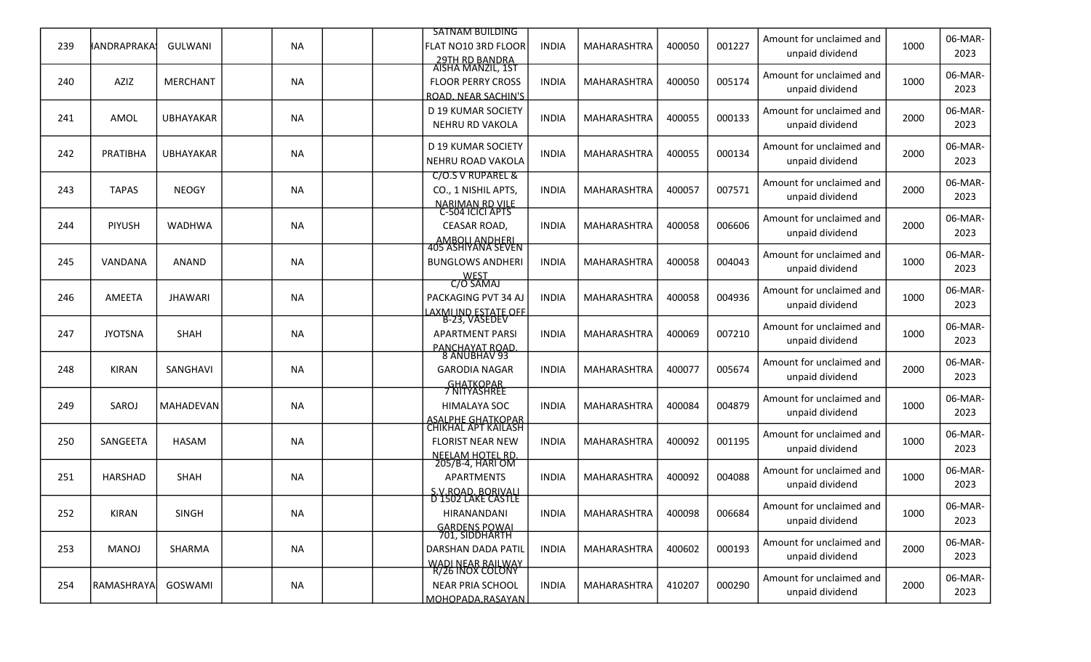|     |                   |                  |           | <b>SATNAM BUILDING</b>                                 |              |                    |        |        | Amount for unclaimed and                    |      | 06-MAR-         |
|-----|-------------------|------------------|-----------|--------------------------------------------------------|--------------|--------------------|--------|--------|---------------------------------------------|------|-----------------|
| 239 | ∦ANDRAPRAKA:      | <b>GULWANI</b>   | <b>NA</b> | FLAT NO10 3RD FLOOR                                    | <b>INDIA</b> | MAHARASHTRA        | 400050 | 001227 | unpaid dividend                             | 1000 | 2023            |
|     |                   |                  |           | <u>-29TH RD BANDRA</u><br>AISHA MANZIL, 1ST            |              |                    |        |        | Amount for unclaimed and                    |      | 06-MAR-         |
| 240 | AZIZ              | <b>MERCHANT</b>  | <b>NA</b> | <b>FLOOR PERRY CROSS</b>                               | <b>INDIA</b> | MAHARASHTRA        | 400050 | 005174 | unpaid dividend                             | 1000 | 2023            |
|     |                   |                  |           | ROAD. NEAR SACHIN'S<br>D 19 KUMAR SOCIETY              |              |                    |        |        | Amount for unclaimed and                    |      | 06-MAR-         |
| 241 | AMOL              | <b>UBHAYAKAR</b> | <b>NA</b> | NEHRU RD VAKOLA                                        | <b>INDIA</b> | MAHARASHTRA        | 400055 | 000133 | unpaid dividend                             | 2000 | 2023            |
|     |                   |                  |           |                                                        |              |                    |        |        |                                             |      |                 |
| 242 | PRATIBHA          | <b>UBHAYAKAR</b> | <b>NA</b> | D 19 KUMAR SOCIETY<br>NEHRU ROAD VAKOLA                | <b>INDIA</b> | MAHARASHTRA        | 400055 | 000134 | Amount for unclaimed and<br>unpaid dividend | 2000 | 06-MAR-<br>2023 |
|     |                   |                  |           | C/O.S V RUPAREL &                                      |              |                    |        |        |                                             |      |                 |
| 243 | <b>TAPAS</b>      | <b>NEOGY</b>     | <b>NA</b> | CO., 1 NISHIL APTS,                                    | <b>INDIA</b> | MAHARASHTRA        | 400057 | 007571 | Amount for unclaimed and                    | 2000 | 06-MAR-         |
|     |                   |                  |           | <u>NARIMAN RD VILE</u><br>C-504 ICICI APTS             |              |                    |        |        | unpaid dividend                             |      | 2023            |
| 244 | PIYUSH            | <b>WADHWA</b>    | NA        | CEASAR ROAD,                                           | <b>INDIA</b> | MAHARASHTRA        | 400058 | 006606 | Amount for unclaimed and                    | 2000 | 06-MAR-         |
|     |                   |                  |           | AMBOLLANDHERL<br>405 ASHIYANA SEVEN                    |              |                    |        |        | unpaid dividend                             |      | 2023            |
| 245 | VANDANA           | ANAND            | <b>NA</b> | <b>BUNGLOWS ANDHERI</b>                                | <b>INDIA</b> | MAHARASHTRA        | 400058 | 004043 | Amount for unclaimed and                    | 1000 | 06-MAR-         |
|     |                   |                  |           |                                                        |              |                    |        |        | unpaid dividend                             |      | 2023            |
|     |                   |                  |           | WEST<br>C/O SAMAJ                                      |              |                    |        |        | Amount for unclaimed and                    |      | 06-MAR-         |
| 246 | AMEETA            | <b>JHAWARI</b>   | NA        | PACKAGING PVT 34 AJ<br><u>LAXMLIND ESTATE OFF</u>      | <b>INDIA</b> | MAHARASHTRA        | 400058 | 004936 | unpaid dividend                             | 1000 | 2023            |
|     |                   |                  |           | B-23. VASEDEV                                          |              |                    |        |        | Amount for unclaimed and                    |      | 06-MAR-         |
| 247 | <b>JYOTSNA</b>    | <b>SHAH</b>      | <b>NA</b> | <b>APARTMENT PARSI</b>                                 | <b>INDIA</b> | MAHARASHTRA        | 400069 | 007210 | unpaid dividend                             | 1000 | 2023            |
|     |                   |                  |           | PANCHAYAT ROAD.<br>8 ANUBHAV 93                        |              |                    |        |        |                                             |      | 06-MAR-         |
| 248 | <b>KIRAN</b>      | SANGHAVI         | <b>NA</b> | <b>GARODIA NAGAR</b>                                   | <b>INDIA</b> | MAHARASHTRA        | 400077 | 005674 | Amount for unclaimed and<br>unpaid dividend | 2000 | 2023            |
|     |                   |                  |           | GHATKOPAR<br>7 NITYASHREE                              |              |                    |        |        |                                             |      |                 |
| 249 | SAROJ             | <b>MAHADEVAN</b> | <b>NA</b> | <b>HIMALAYA SOC</b>                                    | <b>INDIA</b> | MAHARASHTRA        | 400084 | 004879 | Amount for unclaimed and                    | 1000 | 06-MAR-<br>2023 |
|     |                   |                  |           | <b>ASALPHE GHATKOPAR</b><br><b>CHIKHAL APT KAILASH</b> |              |                    |        |        | unpaid dividend                             |      |                 |
| 250 | SANGEETA          | <b>HASAM</b>     | NA        | <b>FLORIST NEAR NEW</b>                                | <b>INDIA</b> | MAHARASHTRA        | 400092 | 001195 | Amount for unclaimed and                    | 1000 | 06-MAR-         |
|     |                   |                  |           | <u>NEELAM HOTEL RD.</u><br>205/B-4, HARI OM            |              |                    |        |        | unpaid dividend                             |      | 2023            |
| 251 | HARSHAD           | <b>SHAH</b>      | NA        | <b>APARTMENTS</b>                                      | <b>INDIA</b> | MAHARASHTRA        | 400092 | 004088 | Amount for unclaimed and                    | 1000 | 06-MAR-         |
|     |                   |                  |           | S.V.ROAD. BORIVALI                                     |              |                    |        |        | unpaid dividend                             |      | 2023            |
|     |                   |                  |           | <b>D'1502 LAKE CASTLE</b>                              |              |                    |        |        | Amount for unclaimed and                    |      | 06-MAR-         |
| 252 | <b>KIRAN</b>      | SINGH            | <b>NA</b> | HIRANANDANI                                            | <b>INDIA</b> | <b>MAHARASHTRA</b> | 400098 | 006684 | unpaid dividend                             | 1000 | 2023            |
|     |                   |                  |           | GARDENS POWAL<br>701, SIDDHARTH                        |              |                    |        |        | Amount for unclaimed and                    |      | 06-MAR-         |
| 253 | <b>MANOJ</b>      | SHARMA           | <b>NA</b> | DARSHAN DADA PATIL                                     | <b>INDIA</b> | MAHARASHTRA        | 400602 | 000193 | unpaid dividend                             | 2000 | 2023            |
|     |                   |                  |           | <b>WADI NEAR RAILWAY</b><br>R/26 INOX COLONY           |              |                    |        |        | Amount for unclaimed and                    |      | 06-MAR-         |
| 254 | <b>RAMASHRAYA</b> | GOSWAMI          | NA        | <b>NEAR PRIA SCHOOL</b>                                | <b>INDIA</b> | MAHARASHTRA        | 410207 | 000290 | unpaid dividend                             | 2000 | 2023            |
|     |                   |                  |           | MOHOPADA.RASAYAN                                       |              |                    |        |        |                                             |      |                 |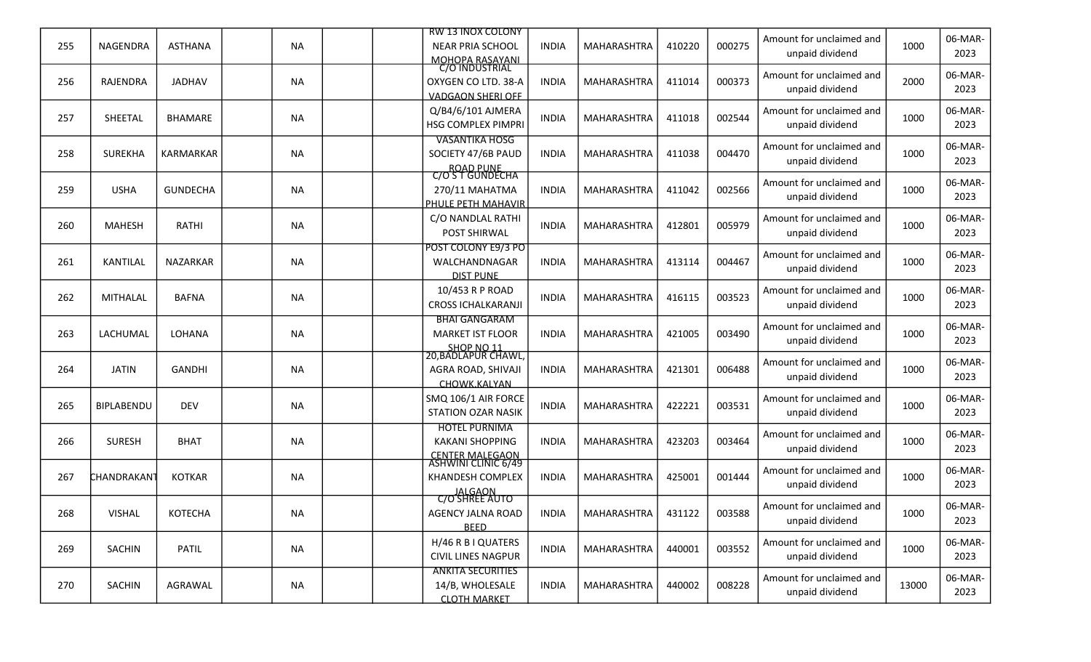|     |                         |                  |           | <b>RW 13 INOX COLONY</b>                        |              |             |        |        | Amount for unclaimed and                    |       | 06-MAR-         |
|-----|-------------------------|------------------|-----------|-------------------------------------------------|--------------|-------------|--------|--------|---------------------------------------------|-------|-----------------|
| 255 | NAGENDRA                | <b>ASTHANA</b>   | NA        | <b>NEAR PRIA SCHOOL</b>                         | <b>INDIA</b> | MAHARASHTRA | 410220 | 000275 | unpaid dividend                             | 1000  | 2023            |
|     |                         |                  |           | MOHOPA RASAYANI                                 |              |             |        |        | Amount for unclaimed and                    |       | 06-MAR-         |
| 256 | RAJENDRA                | <b>JADHAV</b>    | NA        | OXYGEN CO LTD. 38-A<br><b>VADGAON SHERI OFF</b> | <b>INDIA</b> | MAHARASHTRA | 411014 | 000373 | unpaid dividend                             | 2000  | 2023            |
|     |                         |                  |           | Q/B4/6/101 AJMERA                               |              |             |        |        | Amount for unclaimed and                    |       | 06-MAR-         |
| 257 | SHEETAL                 | <b>BHAMARE</b>   | NA        | HSG COMPLEX PIMPRI                              | INDIA        | MAHARASHTRA | 411018 | 002544 | unpaid dividend                             | 1000  | 2023            |
|     |                         |                  |           | <b>VASANTIKA HOSG</b>                           |              |             |        |        |                                             |       |                 |
| 258 | <b>SUREKHA</b>          | <b>KARMARKAR</b> | NA        | SOCIETY 47/6B PAUD                              | <b>INDIA</b> | MAHARASHTRA | 411038 | 004470 | Amount for unclaimed and                    | 1000  | 06-MAR-<br>2023 |
|     |                         |                  |           | <b>ROAD PUNE</b><br>C/OST GUNDECHA              |              |             |        |        | unpaid dividend                             |       |                 |
| 259 | <b>USHA</b>             | <b>GUNDECHA</b>  | NA        | 270/11 MAHATMA                                  | <b>INDIA</b> | MAHARASHTRA | 411042 | 002566 | Amount for unclaimed and                    | 1000  | 06-MAR-         |
|     |                         |                  |           | PHULE PETH MAHAVIR                              |              |             |        |        | unpaid dividend                             |       | 2023            |
|     |                         |                  |           | C/O NANDLAL RATHI                               |              |             |        | 005979 | Amount for unclaimed and                    |       | 06-MAR-         |
| 260 | <b>MAHESH</b>           | RATHI            | NA.       | POST SHIRWAL                                    | <b>INDIA</b> | MAHARASHTRA | 412801 |        | unpaid dividend                             | 1000  | 2023            |
|     |                         |                  |           | POST COLONY E9/3 PO                             |              |             |        |        | Amount for unclaimed and                    |       | 06-MAR-         |
| 261 | KANTILAL                | <b>NAZARKAR</b>  | <b>NA</b> | WALCHANDNAGAR                                   | <b>INDIA</b> | MAHARASHTRA | 413114 | 004467 | unpaid dividend                             | 1000  | 2023            |
|     |                         |                  |           | <b>DIST PUNE</b>                                |              |             |        |        |                                             |       |                 |
| 262 | MITHALAL                | <b>BAFNA</b>     | NA        | 10/453 R P ROAD<br><b>CROSS ICHALKARANJI</b>    | <b>INDIA</b> | MAHARASHTRA | 416115 | 003523 | Amount for unclaimed and<br>unpaid dividend | 1000  | 06-MAR-<br>2023 |
|     |                         |                  |           | <b>BHAI GANGARAM</b>                            |              |             |        |        |                                             |       |                 |
| 263 | LACHUMAL                | LOHANA           | NA        | <b>MARKET IST FLOOR</b>                         | <b>INDIA</b> | MAHARASHTRA | 421005 | 003490 | Amount for unclaimed and                    | 1000  | 06-MAR-         |
|     |                         |                  |           | SHOP NO 11<br>20,BADLAPUR CHAWL,                |              |             |        |        | unpaid dividend                             |       | 2023            |
| 264 | <b>JATIN</b>            | <b>GANDHI</b>    | NA        | AGRA ROAD, SHIVAJI                              | <b>INDIA</b> | MAHARASHTRA | 421301 | 006488 | Amount for unclaimed and                    | 1000  | 06-MAR-         |
|     |                         |                  |           | CHOWK.KALYAN                                    |              |             |        |        | unpaid dividend                             |       | 2023            |
|     |                         |                  |           | SMQ 106/1 AIR FORCE                             |              |             |        |        | Amount for unclaimed and                    |       | 06-MAR-         |
| 265 | BIPLABENDU              | <b>DEV</b>       | <b>NA</b> | <b>STATION OZAR NASIK</b>                       | <b>INDIA</b> | MAHARASHTRA | 422221 | 003531 | unpaid dividend                             | 1000  | 2023            |
|     |                         |                  |           | <b>HOTEL PURNIMA</b>                            |              |             |        |        | Amount for unclaimed and                    |       | 06-MAR-         |
| 266 | <b>SURESH</b>           | <b>BHAT</b>      | <b>NA</b> | <b>KAKANI SHOPPING</b>                          | <b>INDIA</b> | MAHARASHTRA | 423203 | 003464 | unpaid dividend                             | 1000  | 2023            |
|     |                         |                  |           | CENTER MALEGAON<br>ASHWINI CLINIC 6/49          |              |             |        |        |                                             |       |                 |
| 267 | CHANDRAKAN <sup>.</sup> | <b>KOTKAR</b>    | NA        | KHANDESH COMPLEX                                | <b>INDIA</b> | MAHARASHTRA | 425001 | 001444 | Amount for unclaimed and<br>unpaid dividend | 1000  | 06-MAR-<br>2023 |
|     |                         |                  |           | JALGAON<br>C/O SHREE AUTO                       |              |             |        |        |                                             |       |                 |
| 268 | <b>VISHAL</b>           | KOTECHA          | <b>NA</b> | <b>AGENCY JALNA ROAD</b>                        | <b>INDIA</b> | MAHARASHTRA | 431122 | 003588 | Amount for unclaimed and                    | 1000  | 06-MAR-         |
|     |                         |                  |           | <b>BEED</b>                                     |              |             |        |        | unpaid dividend                             |       | 2023            |
|     | SACHIN                  |                  |           | H/46 R B I QUATERS                              |              |             | 440001 | 003552 | Amount for unclaimed and                    | 1000  | 06-MAR-         |
| 269 |                         | <b>PATIL</b>     | NA        | <b>CIVIL LINES NAGPUR</b>                       | <b>INDIA</b> | MAHARASHTRA |        |        | unpaid dividend                             |       | 2023            |
|     |                         |                  |           | <b>ANKITA SECURITIES</b>                        |              |             |        |        | Amount for unclaimed and                    |       | 06-MAR-         |
| 270 | SACHIN                  | AGRAWAL          | NA        | 14/B, WHOLESALE                                 | INDIA        | MAHARASHTRA | 440002 | 008228 | unpaid dividend                             | 13000 | 2023            |
|     |                         |                  |           | <b>CLOTH MARKET</b>                             |              |             |        |        |                                             |       |                 |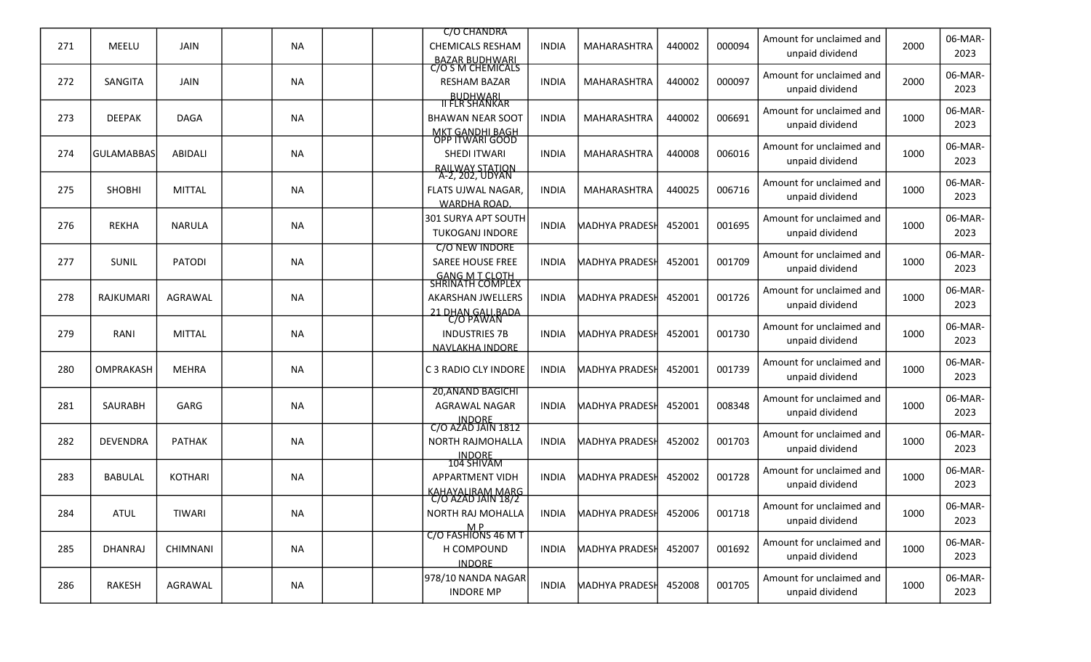|     |                  |                 |           |  | <b>C/O CHANDRA</b>                         |              |                       |        |        | Amount for unclaimed and                    |      | 06-MAR-         |
|-----|------------------|-----------------|-----------|--|--------------------------------------------|--------------|-----------------------|--------|--------|---------------------------------------------|------|-----------------|
| 271 | MEELU            | <b>JAIN</b>     | <b>NA</b> |  | <b>CHEMICALS RESHAM</b>                    | <b>INDIA</b> | MAHARASHTRA           | 440002 | 000094 | unpaid dividend                             | 2000 | 2023            |
|     |                  |                 |           |  | BAZAR BUDHWARI<br>C/O S M CHEMICALS        |              |                       |        |        | Amount for unclaimed and                    |      | 06-MAR-         |
| 272 | <b>SANGITA</b>   | <b>JAIN</b>     | <b>NA</b> |  | <b>RESHAM BAZAR</b>                        | <b>INDIA</b> | MAHARASHTRA           | 440002 | 000097 | unpaid dividend                             | 2000 | 2023            |
|     |                  |                 |           |  | <b>BUDHWARI</b><br><u>II FLR SHANKAR</u>   |              |                       |        |        |                                             |      |                 |
| 273 | <b>DEEPAK</b>    | <b>DAGA</b>     | <b>NA</b> |  | <b>BHAWAN NEAR SOOT</b>                    | <b>INDIA</b> | MAHARASHTRA           | 440002 | 006691 | Amount for unclaimed and<br>unpaid dividend | 1000 | 06-MAR-<br>2023 |
|     |                  |                 |           |  | <u>MKT GANDHI BAGH</u><br>OPP ITWARI GOOD  |              |                       |        |        |                                             |      |                 |
| 274 | lGULAMABBAS      | <b>ABIDALI</b>  | <b>NA</b> |  | SHEDI ITWARI                               | <b>INDIA</b> | MAHARASHTRA           | 440008 | 006016 | Amount for unclaimed and                    | 1000 | 06-MAR-         |
|     |                  |                 |           |  | RAILWAY STATION<br>A-2, 202, UDYAN         |              |                       |        |        | unpaid dividend                             |      | 2023            |
| 275 | SHOBHI           | <b>MITTAL</b>   | <b>NA</b> |  | <b>FLATS UJWAL NAGAR,</b>                  | <b>INDIA</b> | MAHARASHTRA           | 440025 | 006716 | Amount for unclaimed and                    | 1000 | 06-MAR-         |
|     |                  |                 |           |  | <b>WARDHA ROAD.</b>                        |              |                       |        |        | unpaid dividend                             |      | 2023            |
|     |                  |                 |           |  | 301 SURYA APT SOUTH                        |              |                       |        |        | Amount for unclaimed and                    |      | 06-MAR-         |
| 276 | <b>REKHA</b>     | <b>NARULA</b>   | <b>NA</b> |  | <b>TUKOGANJ INDORE</b>                     | <b>INDIA</b> | <b>MADHYA PRADESH</b> | 452001 | 001695 | unpaid dividend                             | 1000 | 2023            |
|     |                  |                 |           |  | <b>C/O NEW INDORE</b>                      |              |                       |        |        | Amount for unclaimed and                    |      | 06-MAR-         |
| 277 | SUNIL            | <b>PATODI</b>   | <b>NA</b> |  | SAREE HOUSE FREE                           | <b>INDIA</b> | <b>MADHYA PRADESH</b> | 452001 | 001709 | unpaid dividend                             | 1000 | 2023            |
|     |                  |                 |           |  | <b>GANG M T CLOTH<br/>SHRINATH COMPLEX</b> |              |                       |        |        |                                             |      |                 |
| 278 | <b>RAJKUMARI</b> | <b>AGRAWAL</b>  | <b>NA</b> |  | <b>AKARSHAN JWELLERS</b>                   | <b>INDIA</b> | <b>MADHYA PRADESH</b> | 452001 | 001726 | Amount for unclaimed and                    | 1000 | 06-MAR-         |
|     |                  |                 |           |  | 21 DHAN GALLBADA<br>C/O PAWAN              |              |                       |        |        | unpaid dividend                             |      | 2023            |
| 279 | RANI             | <b>MITTAL</b>   | <b>NA</b> |  | <b>INDUSTRIES 7B</b>                       | <b>INDIA</b> | <b>MADHYA PRADESH</b> | 452001 | 001730 | Amount for unclaimed and                    | 1000 | 06-MAR-         |
|     |                  |                 |           |  | NAVLAKHA INDORE                            |              |                       |        |        | unpaid dividend                             |      | 2023            |
|     |                  |                 |           |  |                                            |              |                       |        |        | Amount for unclaimed and                    |      | 06-MAR-         |
| 280 | OMPRAKASH        | <b>MEHRA</b>    | <b>NA</b> |  | C 3 RADIO CLY INDORE                       | <b>INDIA</b> | <b>MADHYA PRADESH</b> | 452001 | 001739 | unpaid dividend                             | 1000 | 2023            |
|     |                  |                 |           |  | <b>20, ANAND BAGICHI</b>                   |              |                       |        |        | Amount for unclaimed and                    |      | 06-MAR-         |
| 281 | <b>SAURABH</b>   | GARG            | <b>NA</b> |  | AGRAWAL NAGAR                              | <b>INDIA</b> | <b>MADHYA PRADESH</b> | 452001 | 008348 | unpaid dividend                             | 1000 | 2023            |
|     |                  |                 |           |  | INDORE<br>C/O AZAD JAIN 1812               |              |                       |        |        |                                             |      |                 |
| 282 | <b>DEVENDRA</b>  | <b>PATHAK</b>   | <b>NA</b> |  | NORTH RAJMOHALLA                           | <b>INDIA</b> | <b>MADHYA PRADESH</b> | 452002 | 001703 | Amount for unclaimed and<br>unpaid dividend | 1000 | 06-MAR-<br>2023 |
|     |                  |                 |           |  | INDORE<br>104 SHIVAM                       |              |                       |        |        |                                             |      |                 |
| 283 | <b>BABULAL</b>   | <b>KOTHARI</b>  | <b>NA</b> |  | <b>APPARTMENT VIDH</b>                     | <b>INDIA</b> | <b>MADHYA PRADESH</b> | 452002 | 001728 | Amount for unclaimed and                    | 1000 | 06-MAR-         |
|     |                  |                 |           |  | <b>KAHAYALIRAM MARG</b>                    |              |                       |        |        | unpaid dividend                             |      | 2023            |
|     | <b>ATUL</b>      | TIWARI          | <b>NA</b> |  | $C/O$ AZAD JAIN 18/2<br>NORTH RAJ MOHALLA  | <b>INDIA</b> | MADHYA PRADESH        | 452006 | 001718 | Amount for unclaimed and                    | 1000 | 06-MAR-         |
| 284 |                  |                 |           |  |                                            |              |                       |        |        | unpaid dividend                             |      | 2023            |
|     |                  |                 |           |  | M P<br>C/O FASHIONS 46 M T                 |              |                       |        |        | Amount for unclaimed and                    |      | 06-MAR-         |
| 285 | <b>DHANRAJ</b>   | <b>CHIMNANI</b> | <b>NA</b> |  | H COMPOUND                                 | <b>INDIA</b> | <b>MADHYA PRADESH</b> | 452007 | 001692 | unpaid dividend                             | 1000 | 2023            |
|     |                  |                 |           |  | <b>INDORE</b>                              |              |                       |        |        | Amount for unclaimed and                    |      | 06-MAR-         |
| 286 | RAKESH           | AGRAWAL         | <b>NA</b> |  | 978/10 NANDA NAGAR<br><b>INDORE MP</b>     | <b>INDIA</b> | <b>MADHYA PRADESH</b> | 452008 | 001705 | unpaid dividend                             | 1000 | 2023            |
|     |                  |                 |           |  |                                            |              |                       |        |        |                                             |      |                 |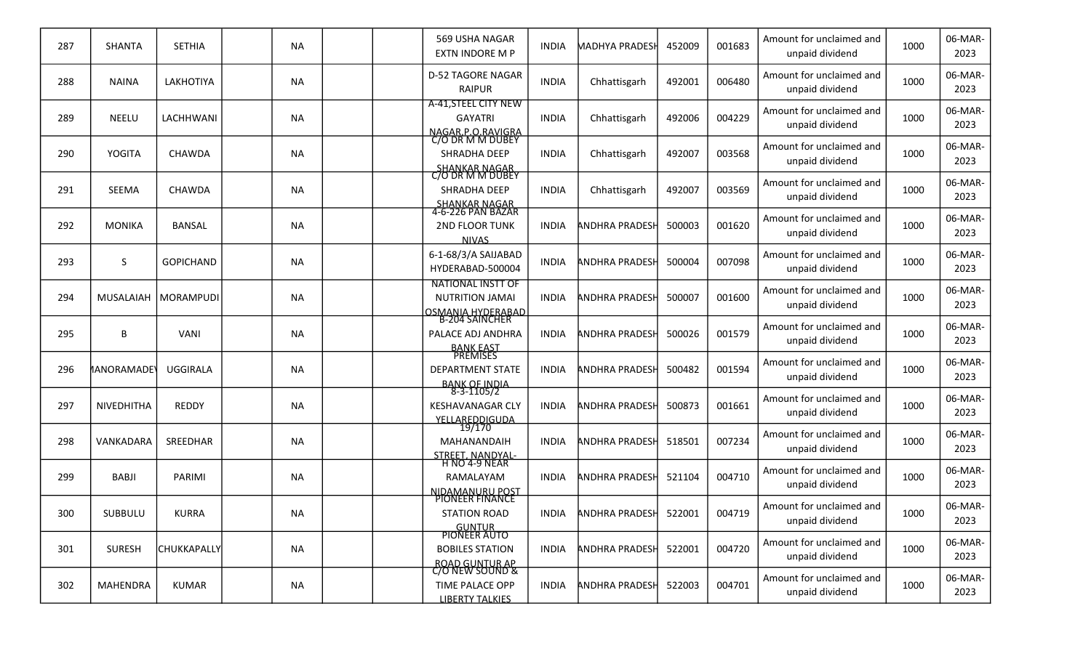| 287 | <b>SHANTA</b>   | <b>SETHIA</b>         | <b>NA</b> |  | 569 USHA NAGAR<br>EXTN INDORE M P                                               | <b>INDIA</b> | <b>MADHYA PRADESH</b> | 452009 | 001683 | Amount for unclaimed and<br>unpaid dividend | 1000 | 06-MAR-<br>2023 |
|-----|-----------------|-----------------------|-----------|--|---------------------------------------------------------------------------------|--------------|-----------------------|--------|--------|---------------------------------------------|------|-----------------|
| 288 | <b>NAINA</b>    | <b>LAKHOTIYA</b>      | <b>NA</b> |  | <b>D-52 TAGORE NAGAR</b><br><b>RAIPUR</b>                                       | <b>INDIA</b> | Chhattisgarh          | 492001 | 006480 | Amount for unclaimed and<br>unpaid dividend | 1000 | 06-MAR-<br>2023 |
| 289 | <b>NEELU</b>    | LACHHWANI             | <b>NA</b> |  | A-41, STEEL CITY NEW<br><b>GAYATRI</b><br>NAGAR P.O.RAVIGRA<br>C/O DR M M DUBEY | <b>INDIA</b> | Chhattisgarh          | 492006 | 004229 | Amount for unclaimed and<br>unpaid dividend | 1000 | 06-MAR-<br>2023 |
| 290 | <b>YOGITA</b>   | <b>CHAWDA</b>         | <b>NA</b> |  | <b>SHRADHA DEEP</b><br><b>SHANKAR NAGAR</b>                                     | <b>INDIA</b> | Chhattisgarh          | 492007 | 003568 | Amount for unclaimed and<br>unpaid dividend | 1000 | 06-MAR-<br>2023 |
| 291 | SEEMA           | <b>CHAWDA</b>         | <b>NA</b> |  | C/O DR M M DUBEY<br>SHRADHA DEEP                                                | <b>INDIA</b> | Chhattisgarh          | 492007 | 003569 | Amount for unclaimed and<br>unpaid dividend | 1000 | 06-MAR-<br>2023 |
| 292 | <b>MONIKA</b>   | <b>BANSAL</b>         | <b>NA</b> |  | SHANKAR NAGAR<br>4-6-226 PAN BAZAR<br>2ND FLOOR TUNK<br><b>NIVAS</b>            | <b>INDIA</b> | <b>ANDHRA PRADESI</b> | 500003 | 001620 | Amount for unclaimed and<br>unpaid dividend | 1000 | 06-MAR-<br>2023 |
| 293 | S               | <b>GOPICHAND</b>      | <b>NA</b> |  | 6-1-68/3/A SAIJABAD<br>HYDERABAD-500004                                         | <b>INDIA</b> | <b>ANDHRA PRADESH</b> | 500004 | 007098 | Amount for unclaimed and<br>unpaid dividend | 1000 | 06-MAR-<br>2023 |
| 294 |                 | MUSALAIAH   MORAMPUDI | <b>NA</b> |  | <b>NATIONAL INSTT OF</b><br><b>NUTRITION JAMAI</b>                              | <b>INDIA</b> | <b>ANDHRA PRADESI</b> | 500007 | 001600 | Amount for unclaimed and<br>unpaid dividend | 1000 | 06-MAR-<br>2023 |
| 295 | B               | <b>VANI</b>           | <b>NA</b> |  | <u>OSMANIA HYDERABAD</u><br>B-204 SAINCHER<br>PALACE ADJ ANDHRA                 | <b>INDIA</b> | <b>ANDHRA PRADESH</b> | 500026 | 001579 | Amount for unclaimed and<br>unpaid dividend | 1000 | 06-MAR-<br>2023 |
| 296 | MANORAMADE'     | <b>UGGIRALA</b>       | <b>NA</b> |  | <b>BANK EAST</b><br>PREMISES<br><b>DEPARTMENT STATE</b>                         | <b>INDIA</b> | <b>ANDHRA PRADESH</b> | 500482 | 001594 | Amount for unclaimed and<br>unpaid dividend | 1000 | 06-MAR-<br>2023 |
| 297 | NIVEDHITHA      | <b>REDDY</b>          | <b>NA</b> |  | BANK OF INDIA<br>8-3-1105/2<br><b>KESHAVANAGAR CLY</b><br>YELLAREDDIGUDA        | <b>INDIA</b> | <b>ANDHRA PRADESH</b> | 500873 | 001661 | Amount for unclaimed and<br>unpaid dividend | 1000 | 06-MAR-<br>2023 |
| 298 | VANKADARA       | SREEDHAR              | <b>NA</b> |  | 19/170<br>MAHANANDAIH                                                           | <b>INDIA</b> | <b>ANDHRA PRADESH</b> | 518501 | 007234 | Amount for unclaimed and<br>unpaid dividend | 1000 | 06-MAR-<br>2023 |
| 299 | <b>BABJI</b>    | PARIMI                | <b>NA</b> |  | STREET, NANDYAL-<br>H NO 4-9 NEAR<br>RAMALAYAM<br>NIDAMANURU POST               | <b>INDIA</b> | <b>ANDHRA PRADESH</b> | 521104 | 004710 | Amount for unclaimed and<br>unpaid dividend | 1000 | 06-MAR-<br>2023 |
| 300 | SUBBULU         | <b>KURRA</b>          | <b>NA</b> |  | PIONEER FINANCE<br><b>STATION ROAD</b>                                          | <b>INDIA</b> | <b>ANDHRA PRADESH</b> | 522001 | 004719 | Amount for unclaimed and<br>unpaid dividend | 1000 | 06-MAR-<br>2023 |
| 301 | <b>SURESH</b>   | <b>CHUKKAPALLY</b>    | <b>NA</b> |  | GUNTUR<br>PIONEER AUTO<br><b>BOBILES STATION</b>                                | <b>INDIA</b> | <b>ANDHRA PRADESH</b> | 522001 | 004720 | Amount for unclaimed and<br>unpaid dividend | 1000 | 06-MAR-<br>2023 |
| 302 | <b>MAHENDRA</b> | <b>KUMAR</b>          | <b>NA</b> |  | ROAD GUNTUR AP<br>C/O NEW SOUND &<br>TIME PALACE OPP<br><b>LIBERTY TALKIES</b>  | <b>INDIA</b> | <b>ANDHRA PRADESH</b> | 522003 | 004701 | Amount for unclaimed and<br>unpaid dividend | 1000 | 06-MAR-<br>2023 |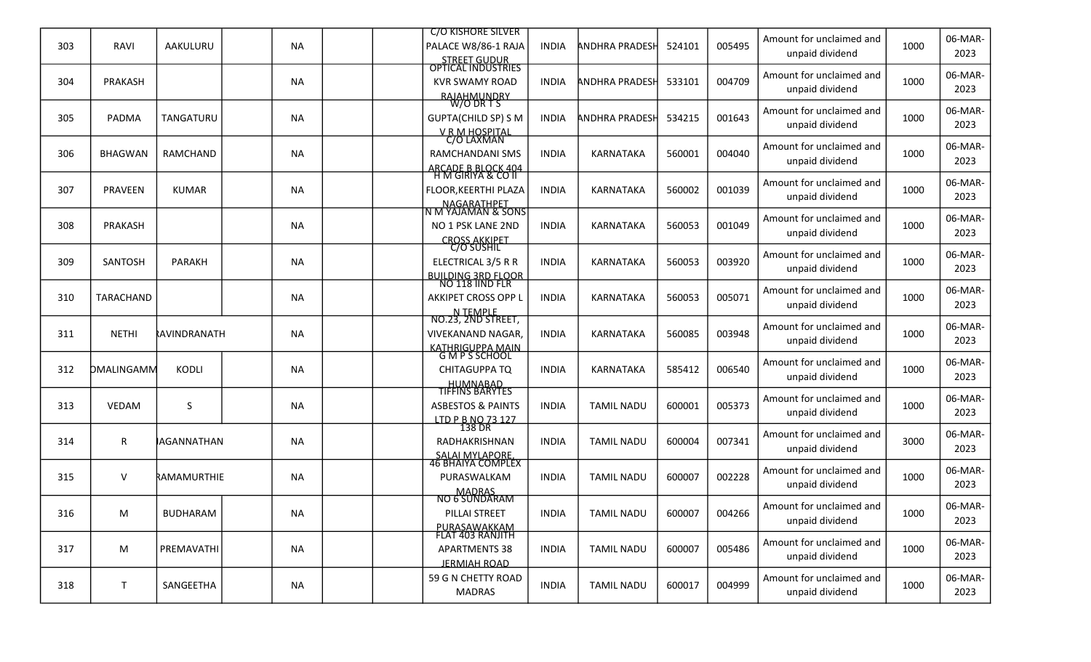|     |                |                    |           | <b>C/O KISHORE SILVER</b>                             |              |                       |        |        |                                             |      | 06-MAR-         |
|-----|----------------|--------------------|-----------|-------------------------------------------------------|--------------|-----------------------|--------|--------|---------------------------------------------|------|-----------------|
| 303 | RAVI           | AAKULURU           | <b>NA</b> | PALACE W8/86-1 RAJA                                   | <b>INDIA</b> | <b>ANDHRA PRADESH</b> | 524101 | 005495 | Amount for unclaimed and<br>unpaid dividend | 1000 | 2023            |
|     |                |                    |           | STREET GUDUR<br>OPTICAL INDUSTRIES                    |              |                       |        |        | Amount for unclaimed and                    |      | 06-MAR-         |
| 304 | PRAKASH        |                    | <b>NA</b> | <b>KVR SWAMY ROAD</b>                                 | <b>INDIA</b> | ANDHRA PRADESH        | 533101 | 004709 | unpaid dividend                             | 1000 | 2023            |
|     |                |                    |           | <b>RAJAHMUNDRY</b><br>W/O DR T S                      |              |                       |        |        |                                             |      |                 |
| 305 | PADMA          | TANGATURU          | <b>NA</b> | <b>GUPTA(CHILD SP) S M</b>                            | <b>INDIA</b> | ANDHRA PRADESH        | 534215 | 001643 | Amount for unclaimed and<br>unpaid dividend | 1000 | 06-MAR-<br>2023 |
|     |                |                    |           | V R M HOSPITAL<br>C/O LAXMAN                          |              |                       |        |        |                                             |      |                 |
| 306 | <b>BHAGWAN</b> | RAMCHAND           | <b>NA</b> | <b>RAMCHANDANI SMS</b>                                | <b>INDIA</b> | <b>KARNATAKA</b>      | 560001 | 004040 | Amount for unclaimed and                    | 1000 | 06-MAR-         |
|     |                |                    |           | <b>ARCADE B BLOCK 404</b>                             |              |                       |        |        | unpaid dividend                             |      | 2023            |
| 307 | <b>PRAVEEN</b> | <b>KUMAR</b>       | <b>NA</b> | <u>H M GIRIYA &amp; CO II</u><br>FLOOR, KEERTHI PLAZA | <b>INDIA</b> | KARNATAKA             | 560002 | 001039 | Amount for unclaimed and                    | 1000 | 06-MAR-         |
|     |                |                    |           |                                                       |              |                       |        |        | unpaid dividend                             |      | 2023            |
|     |                |                    |           | NAGARATHPET<br> N M YAJAMAN & SONS                    |              |                       |        |        | Amount for unclaimed and                    |      | 06-MAR-         |
| 308 | PRAKASH        |                    | <b>NA</b> | NO 1 PSK LANE 2ND<br><b>CROSS AKKIPET</b>             | <b>INDIA</b> | <b>KARNATAKA</b>      | 560053 | 001049 | unpaid dividend                             | 1000 | 2023            |
|     |                |                    |           | <u>C/O SUSHIL</u>                                     |              |                       |        |        | Amount for unclaimed and                    |      | 06-MAR-         |
| 309 | SANTOSH        | <b>PARAKH</b>      | <b>NA</b> | ELECTRICAL 3/5 R R                                    | <b>INDIA</b> | <b>KARNATAKA</b>      | 560053 | 003920 | unpaid dividend                             | 1000 | 2023            |
|     |                |                    |           | BUILDING 3RD FLOOR<br>NO 118 IIND FLR                 |              |                       |        |        |                                             |      |                 |
| 310 | TARACHAND      |                    | <b>NA</b> | AKKIPET CROSS OPP L                                   | <b>INDIA</b> | KARNATAKA             | 560053 | 005071 | Amount for unclaimed and                    | 1000 | 06-MAR-<br>2023 |
|     |                |                    |           | N TEMPLE<br>NO.23, 2ND STREET,                        |              |                       |        |        | unpaid dividend                             |      |                 |
| 311 | <b>NETHI</b>   | RAVINDRANATH       | <b>NA</b> | <b>VIVEKANAND NAGAR,</b>                              | <b>INDIA</b> | KARNATAKA             | 560085 | 003948 | Amount for unclaimed and                    | 1000 | 06-MAR-         |
|     |                |                    |           | <u>KATHRIGUPPA MAIN</u><br>G M P S SCHOOL             |              |                       |        |        | unpaid dividend                             |      | 2023            |
| 312 | DMALINGAMM     | KODLI              | <b>NA</b> | CHITAGUPPA TQ                                         | <b>INDIA</b> | <b>KARNATAKA</b>      | 585412 | 006540 | Amount for unclaimed and                    | 1000 | 06-MAR-         |
|     |                |                    |           |                                                       |              |                       |        |        | unpaid dividend                             |      | 2023            |
|     |                |                    |           | HUMNABAD<br>TIFFINS BARYTES                           |              |                       |        |        | Amount for unclaimed and                    |      | 06-MAR-         |
| 313 | <b>VEDAM</b>   | S                  | <b>NA</b> | <b>ASBESTOS &amp; PAINTS</b>                          | <b>INDIA</b> | <b>TAMIL NADU</b>     | 600001 | 005373 | unpaid dividend                             | 1000 | 2023            |
|     |                |                    |           | <u>LTD P B NO 73 127</u><br>138 DR                    |              |                       |        |        | Amount for unclaimed and                    |      | 06-MAR-         |
| 314 | R              | <b>IAGANNATHAN</b> | <b>NA</b> | RADHAKRISHNAN                                         | <b>INDIA</b> | <b>TAMIL NADU</b>     | 600004 | 007341 | unpaid dividend                             | 3000 | 2023            |
|     |                |                    |           | SALAI MYLAPORE.<br>46 BHAIYA COMPLEX                  |              |                       |        |        |                                             |      |                 |
| 315 | V              | RAMAMURTHIE        | <b>NA</b> | PURASWALKAM                                           | <b>INDIA</b> | <b>TAMIL NADU</b>     | 600007 | 002228 | Amount for unclaimed and                    | 1000 | 06-MAR-         |
|     |                |                    |           | MADRAS<br>NO 6 SUNDARAM                               |              |                       |        |        | unpaid dividend                             |      | 2023            |
| 316 | M              | <b>BUDHARAM</b>    | <b>NA</b> | PILLAI STREET                                         | <b>INDIA</b> | <b>TAMIL NADU</b>     | 600007 | 004266 | Amount for unclaimed and                    | 1000 | 06-MAR-         |
|     |                |                    |           | <u>PURASAWAKKAM</u><br>FLAT 403 RANJITH               |              |                       |        |        | unpaid dividend                             |      | 2023            |
|     |                |                    |           |                                                       |              |                       |        |        |                                             |      |                 |
|     |                |                    |           |                                                       |              |                       |        |        | Amount for unclaimed and                    |      | 06-MAR-         |
| 317 | M              | PREMAVATHI         | NA        | <b>APARTMENTS 38</b>                                  | <b>INDIA</b> | <b>TAMIL NADU</b>     | 600007 | 005486 | unpaid dividend                             | 1000 | 2023            |
|     |                |                    |           | <b>JERMIAH ROAD</b>                                   |              |                       |        |        |                                             |      |                 |
| 318 | $\mathsf{T}$   | SANGEETHA          | <b>NA</b> | 59 G N CHETTY ROAD<br><b>MADRAS</b>                   | <b>INDIA</b> | <b>TAMIL NADU</b>     | 600017 | 004999 | Amount for unclaimed and<br>unpaid dividend | 1000 | 06-MAR-<br>2023 |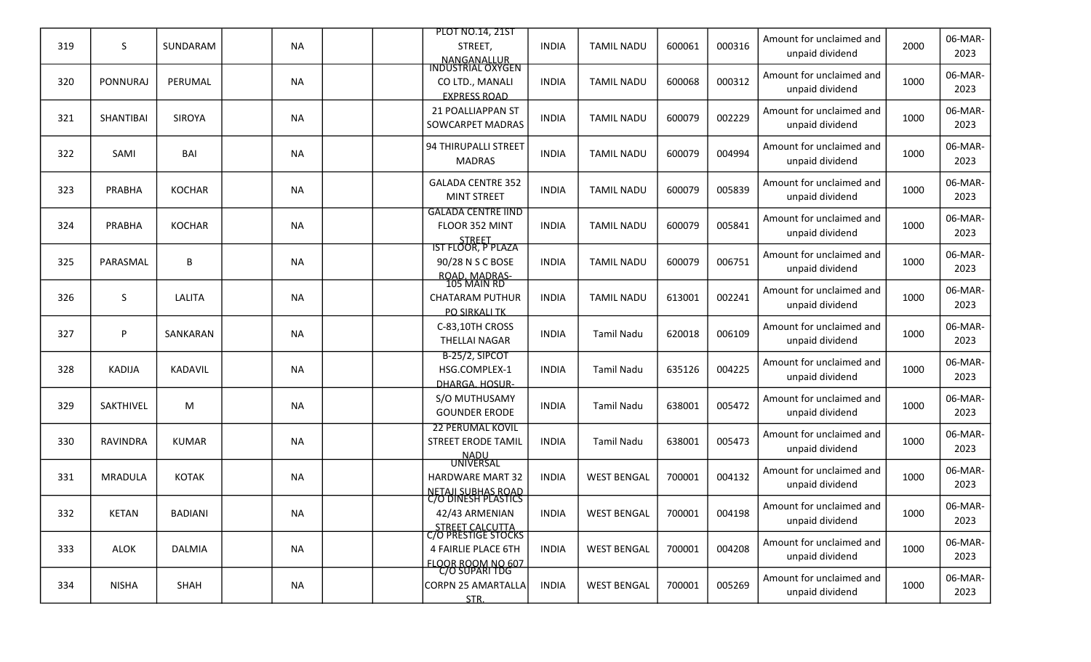|     |                 |                |           |  | <b>PLOT NO.14, 21ST</b>                                                            |              |                    |        |        | Amount for unclaimed and                    |      | 06-MAR-         |
|-----|-----------------|----------------|-----------|--|------------------------------------------------------------------------------------|--------------|--------------------|--------|--------|---------------------------------------------|------|-----------------|
| 319 | S               | SUNDARAM       | <b>NA</b> |  | STREET,<br>NANGANALLUR<br>INDUSTRIAL OXYGEN                                        | <b>INDIA</b> | <b>TAMIL NADU</b>  | 600061 | 000316 | unpaid dividend                             | 2000 | 2023            |
| 320 | <b>PONNURAJ</b> | PERUMAL        | <b>NA</b> |  | CO LTD., MANALI<br><b>EXPRESS ROAD</b>                                             | <b>INDIA</b> | <b>TAMIL NADU</b>  | 600068 | 000312 | Amount for unclaimed and<br>unpaid dividend | 1000 | 06-MAR-<br>2023 |
| 321 | SHANTIBAI       | <b>SIROYA</b>  | <b>NA</b> |  | 21 POALLIAPPAN ST<br>SOWCARPET MADRAS                                              | <b>INDIA</b> | <b>TAMIL NADU</b>  | 600079 | 002229 | Amount for unclaimed and<br>unpaid dividend | 1000 | 06-MAR-<br>2023 |
| 322 | SAMI            | BAI            | <b>NA</b> |  | 94 THIRUPALLI STREET<br><b>MADRAS</b>                                              | <b>INDIA</b> | <b>TAMIL NADU</b>  | 600079 | 004994 | Amount for unclaimed and<br>unpaid dividend | 1000 | 06-MAR-<br>2023 |
| 323 | PRABHA          | <b>KOCHAR</b>  | <b>NA</b> |  | <b>GALADA CENTRE 352</b><br><b>MINT STREET</b>                                     | <b>INDIA</b> | <b>TAMIL NADU</b>  | 600079 | 005839 | Amount for unclaimed and<br>unpaid dividend | 1000 | 06-MAR-<br>2023 |
| 324 | PRABHA          | <b>KOCHAR</b>  | <b>NA</b> |  | <b>GALADA CENTRE IIND</b><br>FLOOR 352 MINT                                        | <b>INDIA</b> | <b>TAMIL NADU</b>  | 600079 | 005841 | Amount for unclaimed and<br>unpaid dividend | 1000 | 06-MAR-<br>2023 |
| 325 | PARASMAL        | В              | <b>NA</b> |  | STREET<br>IST FLOOR, P PLAZA<br>90/28 N S C BOSE<br>ROAD, MADRAS-<br>105 MAIN RD   | <b>INDIA</b> | <b>TAMIL NADU</b>  | 600079 | 006751 | Amount for unclaimed and<br>unpaid dividend | 1000 | 06-MAR-<br>2023 |
| 326 | S.              | LALITA         | <b>NA</b> |  | <b>CHATARAM PUTHUR</b><br><b>PO SIRKALI TK</b>                                     | <b>INDIA</b> | <b>TAMIL NADU</b>  | 613001 | 002241 | Amount for unclaimed and<br>unpaid dividend | 1000 | 06-MAR-<br>2023 |
| 327 | P               | SANKARAN       | <b>NA</b> |  | C-83,10TH CROSS<br>THELLAI NAGAR                                                   | <b>INDIA</b> | <b>Tamil Nadu</b>  | 620018 | 006109 | Amount for unclaimed and<br>unpaid dividend | 1000 | 06-MAR-<br>2023 |
| 328 | KADIJA          | KADAVIL        | <b>NA</b> |  | B-25/2, SIPCOT<br>HSG.COMPLEX-1<br>DHARGA, HOSUR-                                  | <b>INDIA</b> | <b>Tamil Nadu</b>  | 635126 | 004225 | Amount for unclaimed and<br>unpaid dividend | 1000 | 06-MAR-<br>2023 |
| 329 | SAKTHIVEL       | M              | <b>NA</b> |  | S/O MUTHUSAMY<br><b>GOUNDER ERODE</b>                                              | <b>INDIA</b> | <b>Tamil Nadu</b>  | 638001 | 005472 | Amount for unclaimed and<br>unpaid dividend | 1000 | 06-MAR-<br>2023 |
| 330 | <b>RAVINDRA</b> | <b>KUMAR</b>   | <b>NA</b> |  | <b>22 PERUMAL KOVIL</b><br>STREET ERODE TAMIL                                      | <b>INDIA</b> | <b>Tamil Nadu</b>  | 638001 | 005473 | Amount for unclaimed and<br>unpaid dividend | 1000 | 06-MAR-<br>2023 |
| 331 | <b>MRADULA</b>  | <b>KOTAK</b>   | <b>NA</b> |  | <u>NADU</u><br>UNIVERSAL<br><b>HARDWARE MART 32</b>                                | <b>INDIA</b> | <b>WEST BENGAL</b> | 700001 | 004132 | Amount for unclaimed and<br>unpaid dividend | 1000 | 06-MAR-<br>2023 |
| 332 | <b>KETAN</b>    | <b>BADIANI</b> | <b>NA</b> |  | NETAJI SUBHAS ROAD<br>C/O DINESH PLASTICS<br>42/43 ARMENIAN                        | <b>INDIA</b> | <b>WEST BENGAL</b> | 700001 | 004198 | Amount for unclaimed and<br>unpaid dividend | 1000 | 06-MAR-<br>2023 |
| 333 | ALOK            | <b>DALMIA</b>  | <b>NA</b> |  | STREET CALCUTTA<br>C/O PRESTIGE STOCKS<br>4 FAIRLIE PLACE 6TH<br>FLOOR ROOM NO 607 | <b>INDIA</b> | <b>WEST BENGAL</b> | 700001 | 004208 | Amount for unclaimed and<br>unpaid dividend | 1000 | 06-MAR-<br>2023 |
| 334 | <b>NISHA</b>    | SHAH           | <b>NA</b> |  | C/O SUPARI TDG<br><b>CORPN 25 AMARTALLA</b><br>STR.                                | <b>INDIA</b> | <b>WEST BENGAL</b> | 700001 | 005269 | Amount for unclaimed and<br>unpaid dividend | 1000 | 06-MAR-<br>2023 |
|     |                 |                |           |  |                                                                                    |              |                    |        |        |                                             |      |                 |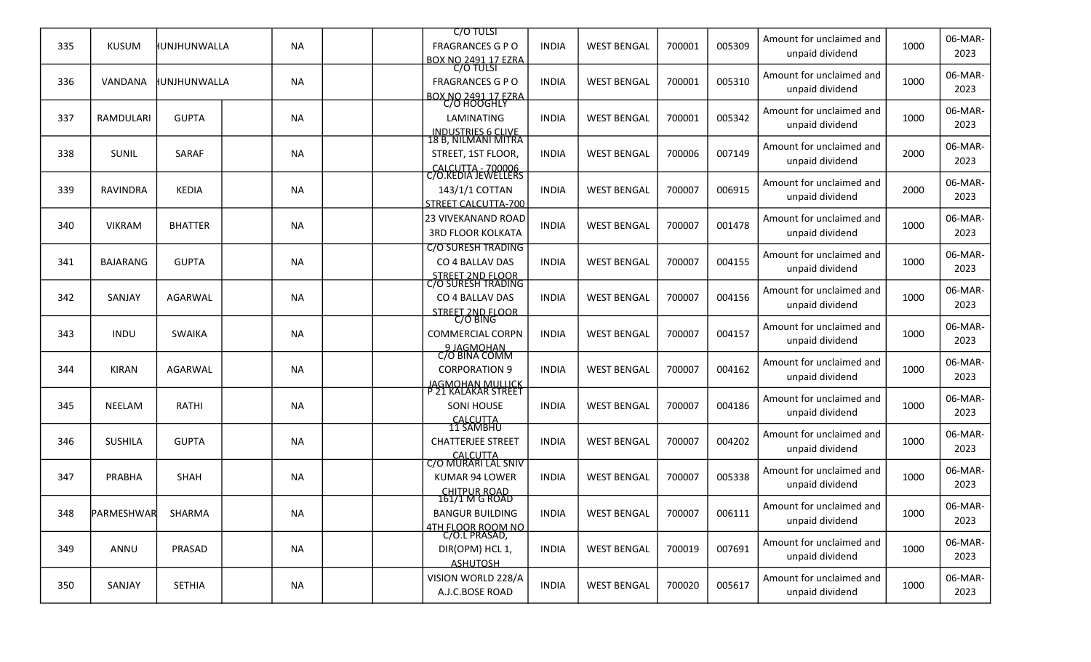|     |                 |                     |           |  | <b>C/O TULSI</b>                                      |              |                    |        |        |                                             |      |                 |
|-----|-----------------|---------------------|-----------|--|-------------------------------------------------------|--------------|--------------------|--------|--------|---------------------------------------------|------|-----------------|
| 335 | <b>KUSUM</b>    | <b>IUNJHUNWALLA</b> | NA        |  | <b>FRAGRANCES G P O</b><br><b>BOX NO 2491 17 EZRA</b> | <b>INDIA</b> | <b>WEST BENGAL</b> | 700001 | 005309 | Amount for unclaimed and<br>unpaid dividend | 1000 | 06-MAR-<br>2023 |
|     |                 |                     |           |  | C/O TULSI                                             |              |                    |        |        | Amount for unclaimed and                    |      | 06-MAR-         |
| 336 | VANDANA         | HUNJHUNWALLA        | NA        |  | <b>FRAGRANCES G P O</b>                               | <b>INDIA</b> | <b>WEST BENGAL</b> | 700001 | 005310 | unpaid dividend                             | 1000 | 2023            |
|     |                 |                     |           |  | <b>BOX NO 2491 17 EZRA</b><br>C/O HOOGHLY             |              |                    |        |        |                                             |      | 06-MAR-         |
| 337 | RAMDULARI       | <b>GUPTA</b>        | <b>NA</b> |  | LAMINATING                                            | <b>INDIA</b> | <b>WEST BENGAL</b> | 700001 | 005342 | Amount for unclaimed and<br>unpaid dividend | 1000 | 2023            |
|     |                 |                     |           |  | INDUSTRIES 6 CLIVE<br>18 B, NILMANI MITRA             |              |                    |        |        |                                             |      |                 |
| 338 | <b>SUNIL</b>    | <b>SARAF</b>        | <b>NA</b> |  | STREET, 1ST FLOOR,                                    | <b>INDIA</b> | <b>WEST BENGAL</b> | 700006 | 007149 | Amount for unclaimed and                    | 2000 | 06-MAR-         |
|     |                 |                     |           |  | CALCUTTA - 700006                                     |              |                    |        |        | unpaid dividend                             |      | 2023            |
| 339 | RAVINDRA        | <b>KEDIA</b>        | <b>NA</b> |  | C/O.KEDIA JEWELLERS<br>143/1/1 COTTAN                 | <b>INDIA</b> | <b>WEST BENGAL</b> | 700007 | 006915 | Amount for unclaimed and                    | 2000 | 06-MAR-         |
|     |                 |                     |           |  | STREET CALCUTTA-700                                   |              |                    |        |        | unpaid dividend                             |      | 2023            |
|     |                 |                     |           |  | <b>23 VIVEKANAND ROAD</b>                             |              |                    |        |        | Amount for unclaimed and                    |      | 06-MAR-         |
| 340 | <b>VIKRAM</b>   | <b>BHATTER</b>      | NA        |  | <b>3RD FLOOR KOLKATA</b>                              | <b>INDIA</b> | <b>WEST BENGAL</b> | 700007 | 001478 | unpaid dividend                             | 1000 | 2023            |
|     |                 |                     |           |  | <b>C/O SURESH TRADING</b>                             |              |                    |        |        | Amount for unclaimed and                    |      | 06-MAR-         |
| 341 | <b>BAJARANG</b> | <b>GUPTA</b>        | <b>NA</b> |  | CO 4 BALLAV DAS                                       | <b>INDIA</b> | <b>WEST BENGAL</b> | 700007 | 004155 | unpaid dividend                             | 1000 | 2023            |
|     |                 |                     |           |  | STREET 2ND FLOOR<br>C/O SURESH TRADING                |              |                    |        |        |                                             |      |                 |
| 342 | SANJAY          | AGARWAL             | NA        |  | CO 4 BALLAV DAS                                       | <b>INDIA</b> | <b>WEST BENGAL</b> | 700007 | 004156 | Amount for unclaimed and                    | 1000 | 06-MAR-         |
|     |                 |                     |           |  | STREET 2ND FLOOR<br>C/O BING                          |              |                    |        |        | unpaid dividend                             |      | 2023            |
| 343 | <b>INDU</b>     | <b>SWAIKA</b>       | <b>NA</b> |  | <b>COMMERCIAL CORPN</b>                               | <b>INDIA</b> | <b>WEST BENGAL</b> | 700007 | 004157 | Amount for unclaimed and                    | 1000 | 06-MAR-         |
|     |                 |                     |           |  | 9 JAGMOHAN<br>C/O BINA COMM                           |              |                    |        |        | unpaid dividend                             |      | 2023            |
|     |                 |                     |           |  |                                                       |              |                    |        |        | Amount for unclaimed and                    |      | 06-MAR-         |
| 344 | <b>KIRAN</b>    | AGARWAL             | <b>NA</b> |  | <b>CORPORATION 9</b>                                  | <b>INDIA</b> | <b>WEST BENGAL</b> | 700007 | 004162 | unpaid dividend                             | 1000 | 2023            |
|     |                 |                     |           |  | <u>JAGMOHAN MULLICK</u><br>P 21 KALAKAR STREET        |              |                    |        |        | Amount for unclaimed and                    |      | 06-MAR-         |
| 345 | <b>NEELAM</b>   | RATHI               | <b>NA</b> |  | <b>SONI HOUSE</b>                                     | <b>INDIA</b> | <b>WEST BENGAL</b> | 700007 | 004186 | unpaid dividend                             | 1000 | 2023            |
|     |                 |                     |           |  | CALCUTTA<br>11 SAMBHU                                 |              |                    |        |        |                                             |      |                 |
| 346 | <b>SUSHILA</b>  | <b>GUPTA</b>        | <b>NA</b> |  | <b>CHATTERJEE STREET</b>                              | <b>INDIA</b> | <b>WEST BENGAL</b> | 700007 | 004202 | Amount for unclaimed and<br>unpaid dividend | 1000 | 06-MAR-<br>2023 |
|     |                 |                     |           |  | CALCUTTA<br>C/O MURARI LAL SNIV                       |              |                    |        |        |                                             |      |                 |
| 347 | PRABHA          | <b>SHAH</b>         | NA        |  | KUMAR 94 LOWER                                        | <b>INDIA</b> | <b>WEST BENGAL</b> | 700007 | 005338 | Amount for unclaimed and                    | 1000 | 06-MAR-         |
|     |                 |                     |           |  | <b>CHITPUR ROAD</b>                                   |              |                    |        |        | unpaid dividend                             |      | 2023            |
| 348 | PARMESHWAR      | SHARMA              | <b>NA</b> |  | 161/1 M G ROAD<br><b>BANGUR BUILDING</b>              | <b>INDIA</b> | <b>WEST BENGAL</b> | 700007 | 006111 | Amount for unclaimed and                    | 1000 | 06-MAR-         |
|     |                 |                     |           |  |                                                       |              |                    |        |        | unpaid dividend                             |      | 2023            |
|     |                 |                     |           |  | 4TH FLOOR ROOM NO<br>C/O.L PRASAD,                    |              |                    |        |        | Amount for unclaimed and                    |      | 06-MAR-         |
| 349 | ANNU            | PRASAD              | NA        |  | DIR(OPM) HCL 1,                                       | <b>INDIA</b> | <b>WEST BENGAL</b> | 700019 | 007691 | unpaid dividend                             | 1000 | 2023            |
|     |                 |                     |           |  | <b>ASHUTOSH</b>                                       |              |                    |        |        |                                             |      | 06-MAR-         |
| 350 | SANJAY          | <b>SETHIA</b>       | NA        |  | VISION WORLD 228/A<br>A.J.C.BOSE ROAD                 | <b>INDIA</b> | <b>WEST BENGAL</b> | 700020 | 005617 | Amount for unclaimed and<br>unpaid dividend | 1000 | 2023            |
|     |                 |                     |           |  |                                                       |              |                    |        |        |                                             |      |                 |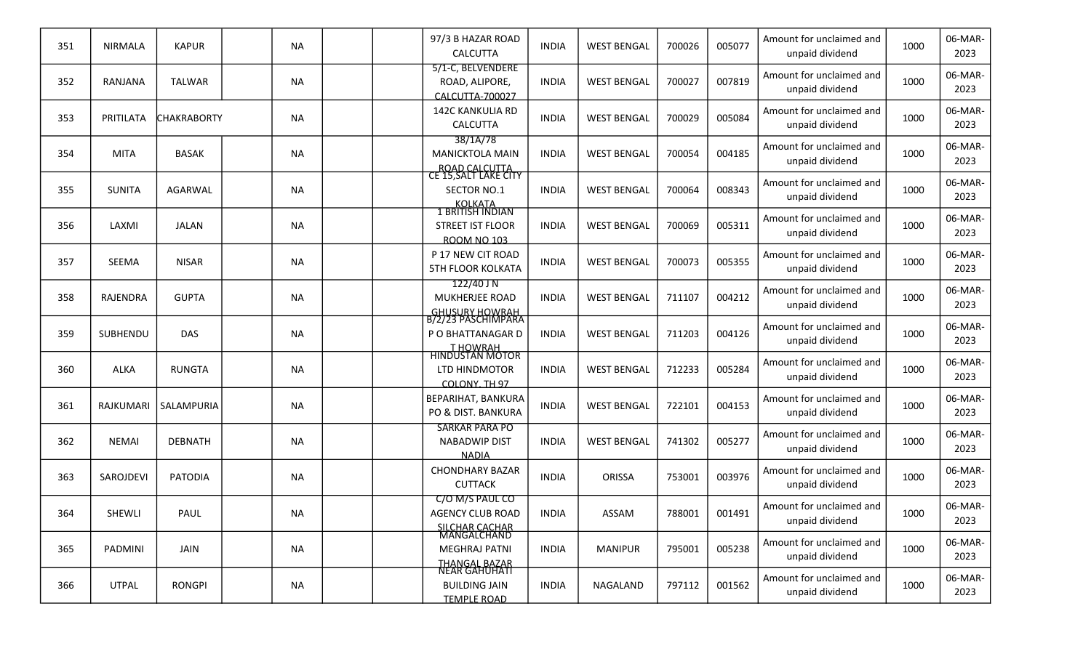| 351 | <b>NIRMALA</b>  | <b>KAPUR</b>       | <b>NA</b> |  | 97/3 B HAZAR ROAD<br>CALCUTTA                                                | <b>INDIA</b> | <b>WEST BENGAL</b> | 700026 | 005077 | Amount for unclaimed and<br>unpaid dividend | 1000 | 06-MAR-<br>2023 |
|-----|-----------------|--------------------|-----------|--|------------------------------------------------------------------------------|--------------|--------------------|--------|--------|---------------------------------------------|------|-----------------|
| 352 | RANJANA         | <b>TALWAR</b>      | <b>NA</b> |  | 5/1-C, BELVENDERE<br>ROAD, ALIPORE,<br>CALCUTTA-700027                       | <b>INDIA</b> | <b>WEST BENGAL</b> | 700027 | 007819 | Amount for unclaimed and<br>unpaid dividend | 1000 | 06-MAR-<br>2023 |
| 353 | PRITILATA       | <b>CHAKRABORTY</b> | NA        |  | <b>142C KANKULIA RD</b><br>CALCUTTA                                          | <b>INDIA</b> | <b>WEST BENGAL</b> | 700029 | 005084 | Amount for unclaimed and<br>unpaid dividend | 1000 | 06-MAR-<br>2023 |
| 354 | <b>MITA</b>     | <b>BASAK</b>       | <b>NA</b> |  | 38/1A/78<br><b>MANICKTOLA MAIN</b>                                           | <b>INDIA</b> | <b>WEST BENGAL</b> | 700054 | 004185 | Amount for unclaimed and<br>unpaid dividend | 1000 | 06-MAR-<br>2023 |
| 355 | <b>SUNITA</b>   | AGARWAL            | <b>NA</b> |  | ROAD CALCUTTA<br>CE 15,SALT LAKE CITY<br>SECTOR NO.1<br><b>KOLKATA</b>       | <b>INDIA</b> | <b>WEST BENGAL</b> | 700064 | 008343 | Amount for unclaimed and<br>unpaid dividend | 1000 | 06-MAR-<br>2023 |
| 356 | LAXMI           | JALAN              | <b>NA</b> |  | <u>I BRITISH INDIAN</u><br>STREET IST FLOOR<br><b>ROOM NO 103</b>            | <b>INDIA</b> | <b>WEST BENGAL</b> | 700069 | 005311 | Amount for unclaimed and<br>unpaid dividend | 1000 | 06-MAR-<br>2023 |
| 357 | <b>SEEMA</b>    | <b>NISAR</b>       | <b>NA</b> |  | P 17 NEW CIT ROAD<br><b>5TH FLOOR KOLKATA</b>                                | <b>INDIA</b> | <b>WEST BENGAL</b> | 700073 | 005355 | Amount for unclaimed and<br>unpaid dividend | 1000 | 06-MAR-<br>2023 |
| 358 | <b>RAJENDRA</b> | <b>GUPTA</b>       | <b>NA</b> |  | 122/40 J N<br><b>MUKHERJEE ROAD</b><br><b>GHUSURY HOWRAH</b>                 | <b>INDIA</b> | <b>WEST BENGAL</b> | 711107 | 004212 | Amount for unclaimed and<br>unpaid dividend | 1000 | 06-MAR-<br>2023 |
| 359 | SUBHENDU        | <b>DAS</b>         | <b>NA</b> |  | B/2723 PASCHIMPARA<br>P O BHATTANAGAR D                                      | <b>INDIA</b> | <b>WEST BENGAL</b> | 711203 | 004126 | Amount for unclaimed and<br>unpaid dividend | 1000 | 06-MAR-<br>2023 |
| 360 | ALKA            | <b>RUNGTA</b>      | NA        |  | T HOWRAH<br>HINDUSTAN MOTOR<br>LTD HINDMOTOR<br>COLONY, TH 97                | <b>INDIA</b> | <b>WEST BENGAL</b> | 712233 | 005284 | Amount for unclaimed and<br>unpaid dividend | 1000 | 06-MAR-<br>2023 |
| 361 | RAJKUMARI       | SALAMPURIA         | <b>NA</b> |  | <b>BEPARIHAT, BANKURA</b><br>PO & DIST. BANKURA                              | <b>INDIA</b> | <b>WEST BENGAL</b> | 722101 | 004153 | Amount for unclaimed and<br>unpaid dividend | 1000 | 06-MAR-<br>2023 |
| 362 | <b>NEMAI</b>    | <b>DEBNATH</b>     | <b>NA</b> |  | <b>SARKAR PARA PO</b><br><b>NABADWIP DIST</b><br><b>NADIA</b>                | <b>INDIA</b> | <b>WEST BENGAL</b> | 741302 | 005277 | Amount for unclaimed and<br>unpaid dividend | 1000 | 06-MAR-<br>2023 |
| 363 | SAROJDEVI       | <b>PATODIA</b>     | NA        |  | <b>CHONDHARY BAZAR</b><br><b>CUTTACK</b>                                     | <b>INDIA</b> | ORISSA             | 753001 | 003976 | Amount for unclaimed and<br>unpaid dividend | 1000 | 06-MAR-<br>2023 |
| 364 | SHEWLI          | PAUL               | NA        |  | C/O M/S PAUL CO<br><b>AGENCY CLUB ROAD</b>                                   | <b>INDIA</b> | ASSAM              | 788001 | 001491 | Amount for unclaimed and<br>unpaid dividend | 1000 | 06-MAR-<br>2023 |
| 365 | PADMINI         | JAIN               | NA        |  | SILCHAR CACHAR<br>MANGALCHAND<br><b>MEGHRAJ PATNI</b>                        | <b>INDIA</b> | <b>MANIPUR</b>     | 795001 | 005238 | Amount for unclaimed and<br>unpaid dividend | 1000 | 06-MAR-<br>2023 |
| 366 | <b>UTPAL</b>    | <b>RONGPI</b>      | <b>NA</b> |  | THANGAL BAZAR<br>NEAR GAHUHATI<br><b>BUILDING JAIN</b><br><b>TEMPLE ROAD</b> | INDIA        | NAGALAND           | 797112 | 001562 | Amount for unclaimed and<br>unpaid dividend | 1000 | 06-MAR-<br>2023 |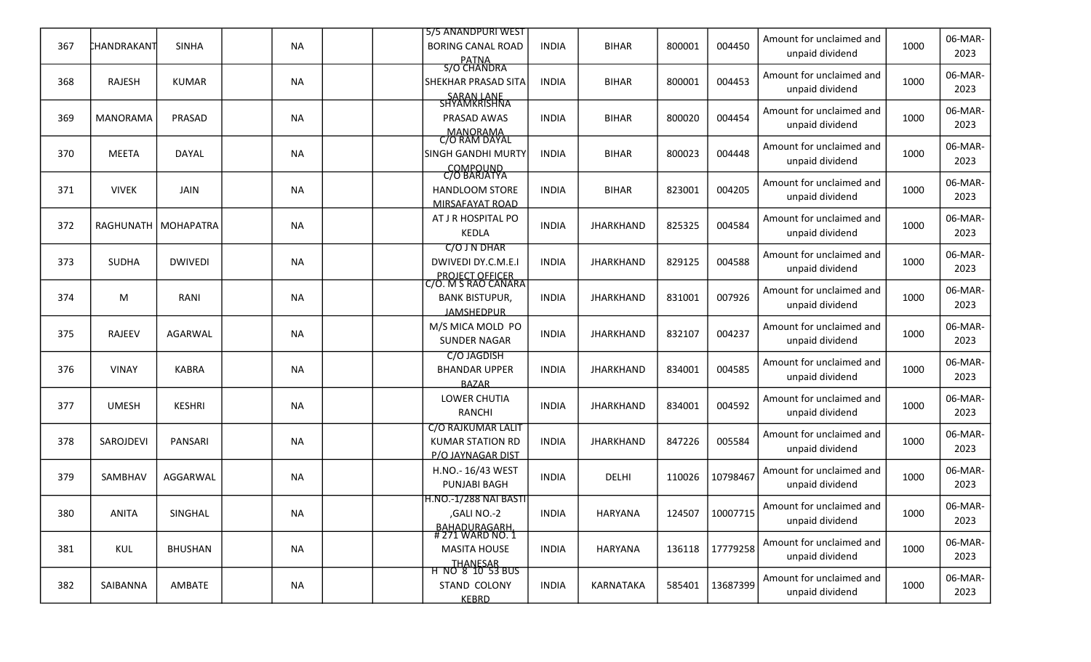|     |                 |                       |           |  | 5/5 ANANDPURI WEST                                                                   |              |                  |        |                 | Amount for unclaimed and                    |      | 06-MAR-         |
|-----|-----------------|-----------------------|-----------|--|--------------------------------------------------------------------------------------|--------------|------------------|--------|-----------------|---------------------------------------------|------|-----------------|
| 367 | CHANDRAKANT     | <b>SINHA</b>          | <b>NA</b> |  | <b>BORING CANAL ROAD</b><br>PATNA<br>S/O CHANDRA                                     | <b>INDIA</b> | <b>BIHAR</b>     | 800001 | 004450          | unpaid dividend                             | 1000 | 2023            |
| 368 | <b>RAJESH</b>   | <b>KUMAR</b>          | <b>NA</b> |  | <b>SHEKHAR PRASAD SITA</b>                                                           | <b>INDIA</b> | <b>BIHAR</b>     | 800001 | 004453          | Amount for unclaimed and<br>unpaid dividend | 1000 | 06-MAR-<br>2023 |
| 369 | <b>MANORAMA</b> | PRASAD                | <b>NA</b> |  | SARAN LANE<br>SHYAMKRISHNA<br>PRASAD AWAS                                            | <b>INDIA</b> | <b>BIHAR</b>     | 800020 | 004454          | Amount for unclaimed and<br>unpaid dividend | 1000 | 06-MAR-<br>2023 |
| 370 | <b>MEETA</b>    | DAYAL                 | <b>NA</b> |  | MANORAMA<br>C/O RAM DAYAL<br><b>SINGH GANDHI MURTY</b>                               | <b>INDIA</b> | <b>BIHAR</b>     | 800023 | 004448          | Amount for unclaimed and<br>unpaid dividend | 1000 | 06-MAR-<br>2023 |
| 371 | <b>VIVEK</b>    | <b>JAIN</b>           | <b>NA</b> |  | COMPOUND<br>C/O BARJATYA<br><b>HANDLOOM STORE</b><br>MIRSAFAYAT ROAD                 | <b>INDIA</b> | <b>BIHAR</b>     | 823001 | 004205          | Amount for unclaimed and<br>unpaid dividend | 1000 | 06-MAR-<br>2023 |
| 372 |                 | RAGHUNATH   MOHAPATRA | <b>NA</b> |  | AT J R HOSPITAL PO<br><b>KEDLA</b>                                                   | <b>INDIA</b> | <b>JHARKHAND</b> | 825325 | 004584          | Amount for unclaimed and<br>unpaid dividend | 1000 | 06-MAR-<br>2023 |
| 373 | <b>SUDHA</b>    | <b>DWIVEDI</b>        | <b>NA</b> |  | C/O J N DHAR<br>DWIVEDI DY.C.M.E.I                                                   | <b>INDIA</b> | <b>JHARKHAND</b> | 829125 | 004588          | Amount for unclaimed and<br>unpaid dividend | 1000 | 06-MAR-<br>2023 |
| 374 | M               | RANI                  | <b>NA</b> |  | PROJECT OFFICER<br>C/O. M S RAO CANARA<br><b>BANK BISTUPUR,</b><br><b>JAMSHEDPUR</b> | <b>INDIA</b> | <b>JHARKHAND</b> | 831001 | 007926          | Amount for unclaimed and<br>unpaid dividend | 1000 | 06-MAR-<br>2023 |
| 375 | <b>RAJEEV</b>   | AGARWAL               | <b>NA</b> |  | M/S MICA MOLD PO<br><b>SUNDER NAGAR</b>                                              | <b>INDIA</b> | <b>JHARKHAND</b> | 832107 | 004237          | Amount for unclaimed and<br>unpaid dividend | 1000 | 06-MAR-<br>2023 |
| 376 | <b>VINAY</b>    | <b>KABRA</b>          | <b>NA</b> |  | C/O JAGDISH<br><b>BHANDAR UPPER</b><br><b>BAZAR</b>                                  | <b>INDIA</b> | <b>JHARKHAND</b> | 834001 | 004585          | Amount for unclaimed and<br>unpaid dividend | 1000 | 06-MAR-<br>2023 |
| 377 | <b>UMESH</b>    | <b>KESHRI</b>         | <b>NA</b> |  | LOWER CHUTIA<br>RANCHI                                                               | <b>INDIA</b> | <b>JHARKHAND</b> | 834001 | 004592          | Amount for unclaimed and<br>unpaid dividend | 1000 | 06-MAR-<br>2023 |
| 378 | SAROJDEVI       | PANSARI               | <b>NA</b> |  | <b>C/O RAJKUMAR LALIT</b><br><b>KUMAR STATION RD</b><br>P/O JAYNAGAR DIST            | <b>INDIA</b> | <b>JHARKHAND</b> | 847226 | 005584          | Amount for unclaimed and<br>unpaid dividend | 1000 | 06-MAR-<br>2023 |
| 379 | SAMBHAV         | AGGARWAL              | <b>NA</b> |  | H.NO.- 16/43 WEST<br>PUNJABI BAGH                                                    | <b>INDIA</b> | DELHI            | 110026 | 10798467        | Amount for unclaimed and<br>unpaid dividend | 1000 | 06-MAR-<br>2023 |
| 380 | ANITA           | SINGHAL               | <b>NA</b> |  | <b>H.NO.-1/288 NAI BASTI</b><br>,GALI NO.-2                                          | <b>INDIA</b> | <b>HARYANA</b>   |        | 124507 10007715 | Amount for unclaimed and<br>unpaid dividend | 1000 | 06-MAR-<br>2023 |
| 381 | KUL             | <b>BHUSHAN</b>        | <b>NA</b> |  | BAHADURAGARH<br>#271 WARD NO. 1<br><b>MASITA HOUSE</b>                               | <b>INDIA</b> | HARYANA          | 136118 | 17779258        | Amount for unclaimed and<br>unpaid dividend | 1000 | 06-MAR-<br>2023 |
| 382 | SAIBANNA        | AMBATE                | <b>NA</b> |  | THANESAR<br>H NO 8 10 53 BUS<br>STAND COLONY<br><b>KEBRD</b>                         | <b>INDIA</b> | KARNATAKA        | 585401 | 13687399        | Amount for unclaimed and<br>unpaid dividend | 1000 | 06-MAR-<br>2023 |
|     |                 |                       |           |  |                                                                                      |              |                  |        |                 |                                             |      |                 |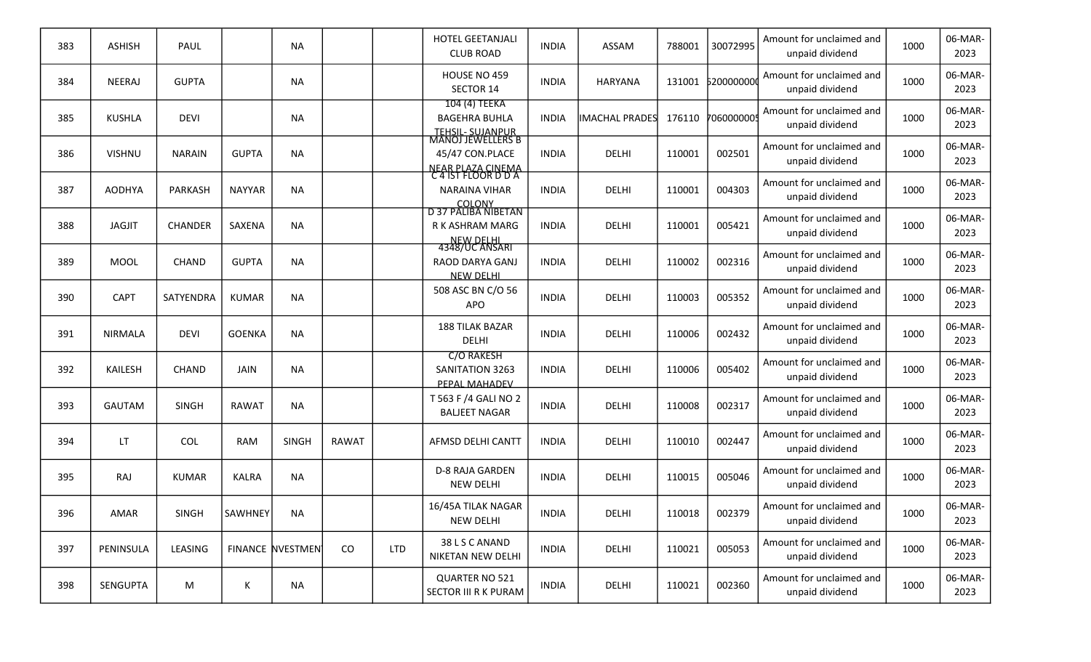| 383 | <b>ASHISH</b>  | PAUL           |                | <b>NA</b>        |              |            | <b>HOTEL GEETANJALI</b><br><b>CLUB ROAD</b>                                          | <b>INDIA</b> | ASSAM                 | 788001 | 30072995   | Amount for unclaimed and<br>unpaid dividend | 1000 | 06-MAR-<br>2023 |
|-----|----------------|----------------|----------------|------------------|--------------|------------|--------------------------------------------------------------------------------------|--------------|-----------------------|--------|------------|---------------------------------------------|------|-----------------|
| 384 | NEERAJ         | <b>GUPTA</b>   |                | <b>NA</b>        |              |            | HOUSE NO 459<br>SECTOR 14                                                            | <b>INDIA</b> | <b>HARYANA</b>        | 131001 | 620000000  | Amount for unclaimed and<br>unpaid dividend | 1000 | 06-MAR-<br>2023 |
| 385 | <b>KUSHLA</b>  | <b>DEVI</b>    |                | NA               |              |            | 104 (4) TEEKA<br><b>BAGEHRA BUHLA</b>                                                | <b>INDIA</b> | <b>IMACHAL PRADES</b> | 176110 | 7060000009 | Amount for unclaimed and<br>unpaid dividend | 1000 | 06-MAR-<br>2023 |
| 386 | <b>VISHNU</b>  | <b>NARAIN</b>  | <b>GUPTA</b>   | <b>NA</b>        |              |            | TEHSIL- SUJANPUR<br>MANOJ JEWELLERS B<br>45/47 CON.PLACE<br><b>NEAR PLAZA CINEMA</b> | <b>INDIA</b> | DELHI                 | 110001 | 002501     | Amount for unclaimed and<br>unpaid dividend | 1000 | 06-MAR-<br>2023 |
| 387 | <b>AODHYA</b>  | PARKASH        | <b>NAYYAR</b>  | <b>NA</b>        |              |            | C 4 IST FLOOR D D A<br>NARAINA VIHAR                                                 | <b>INDIA</b> | DELHI                 | 110001 | 004303     | Amount for unclaimed and<br>unpaid dividend | 1000 | 06-MAR-<br>2023 |
| 388 | <b>JAGJIT</b>  | <b>CHANDER</b> | SAXENA         | <b>NA</b>        |              |            | COLONY<br>D 37 PALIBA NIBETAN<br>R K ASHRAM MARG<br><b>NEW DELHI</b>                 | <b>INDIA</b> | DELHI                 | 110001 | 005421     | Amount for unclaimed and<br>unpaid dividend | 1000 | 06-MAR-<br>2023 |
| 389 | <b>MOOL</b>    | <b>CHAND</b>   | <b>GUPTA</b>   | <b>NA</b>        |              |            | 4348/UC ANSARI<br>RAOD DARYA GANJ<br><b>NEW DELHI</b>                                | <b>INDIA</b> | DELHI                 | 110002 | 002316     | Amount for unclaimed and<br>unpaid dividend | 1000 | 06-MAR-<br>2023 |
| 390 | <b>CAPT</b>    | SATYENDRA      | <b>KUMAR</b>   | NA               |              |            | 508 ASC BN C/O 56<br><b>APO</b>                                                      | <b>INDIA</b> | DELHI                 | 110003 | 005352     | Amount for unclaimed and<br>unpaid dividend | 1000 | 06-MAR-<br>2023 |
| 391 | <b>NIRMALA</b> | <b>DEVI</b>    | <b>GOENKA</b>  | <b>NA</b>        |              |            | <b>188 TILAK BAZAR</b><br>DELHI                                                      | <b>INDIA</b> | DELHI                 | 110006 | 002432     | Amount for unclaimed and<br>unpaid dividend | 1000 | 06-MAR-<br>2023 |
| 392 | KAILESH        | <b>CHAND</b>   | <b>JAIN</b>    | <b>NA</b>        |              |            | <b>C/O RAKESH</b><br>SANITATION 3263<br>PEPAL MAHADEV                                | <b>INDIA</b> | DELHI                 | 110006 | 005402     | Amount for unclaimed and<br>unpaid dividend | 1000 | 06-MAR-<br>2023 |
| 393 | <b>GAUTAM</b>  | <b>SINGH</b>   | <b>RAWAT</b>   | <b>NA</b>        |              |            | T 563 F /4 GALI NO 2<br><b>BALJEET NAGAR</b>                                         | <b>INDIA</b> | DELHI                 | 110008 | 002317     | Amount for unclaimed and<br>unpaid dividend | 1000 | 06-MAR-<br>2023 |
| 394 | LT             | COL            | <b>RAM</b>     | <b>SINGH</b>     | <b>RAWAT</b> |            | AFMSD DELHI CANTT                                                                    | <b>INDIA</b> | <b>DELHI</b>          | 110010 | 002447     | Amount for unclaimed and<br>unpaid dividend | 1000 | 06-MAR-<br>2023 |
| 395 | RAJ            | <b>KUMAR</b>   | <b>KALRA</b>   | <b>NA</b>        |              |            | <b>D-8 RAJA GARDEN</b><br>NEW DELHI                                                  | <b>INDIA</b> | DELHI                 | 110015 | 005046     | Amount for unclaimed and<br>unpaid dividend | 1000 | 06-MAR-<br>2023 |
| 396 | AMAR           | SINGH          | <b>SAWHNEY</b> | NA               |              |            | 16/45A TILAK NAGAR<br><b>NEW DELHI</b>                                               | <b>INDIA</b> | DELHI                 | 110018 | 002379     | Amount for unclaimed and<br>unpaid dividend | 1000 | 06-MAR-<br>2023 |
| 397 | PENINSULA      | LEASING        |                | FINANCE NVESTMEN | CO           | <b>LTD</b> | 38 L S C ANAND<br>NIKETAN NEW DELHI                                                  | <b>INDIA</b> | DELHI                 | 110021 | 005053     | Amount for unclaimed and<br>unpaid dividend | 1000 | 06-MAR-<br>2023 |
| 398 | SENGUPTA       | M              | K              | <b>NA</b>        |              |            | QUARTER NO 521<br>SECTOR III R K PURAM                                               | <b>INDIA</b> | DELHI                 | 110021 | 002360     | Amount for unclaimed and<br>unpaid dividend | 1000 | 06-MAR-<br>2023 |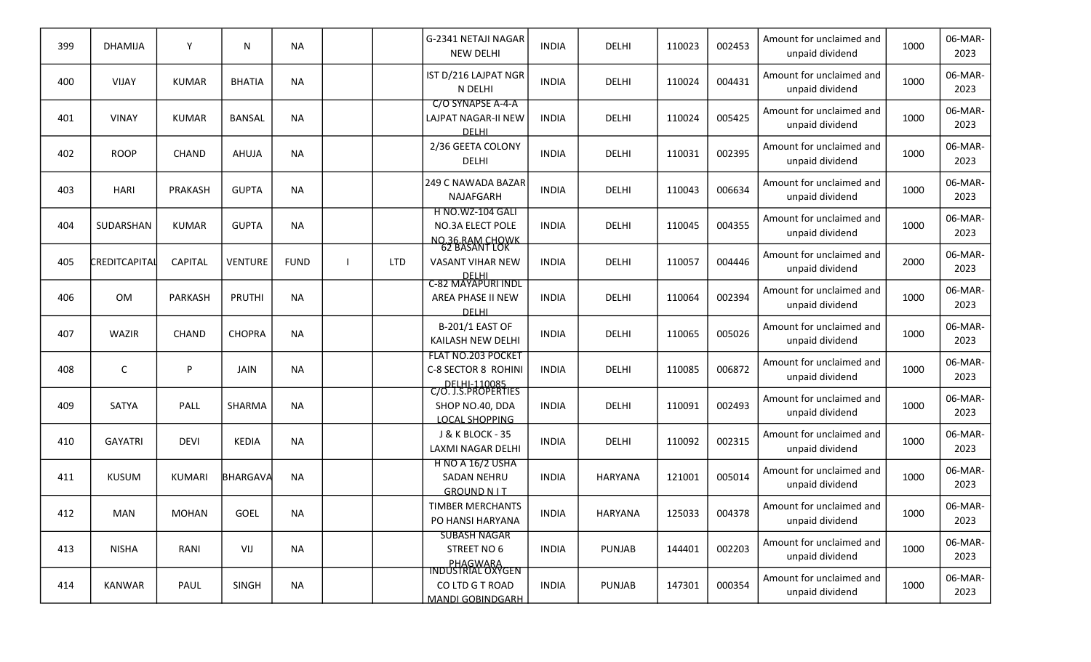| 399 | <b>DHAMIJA</b> | Y              | N              | <b>NA</b>   |            | G-2341 NETAJI NAGAR<br><b>NEW DELHI</b>                                         | <b>INDIA</b> | <b>DELHI</b>   | 110023 | 002453 | Amount for unclaimed and<br>unpaid dividend | 1000 | 06-MAR-<br>2023 |
|-----|----------------|----------------|----------------|-------------|------------|---------------------------------------------------------------------------------|--------------|----------------|--------|--------|---------------------------------------------|------|-----------------|
| 400 | <b>VIJAY</b>   | <b>KUMAR</b>   | <b>BHATIA</b>  | <b>NA</b>   |            | IST D/216 LAJPAT NGR<br>N DELHI                                                 | <b>INDIA</b> | DELHI          | 110024 | 004431 | Amount for unclaimed and<br>unpaid dividend | 1000 | 06-MAR-<br>2023 |
| 401 | <b>VINAY</b>   | <b>KUMAR</b>   | <b>BANSAL</b>  | <b>NA</b>   |            | C/O SYNAPSE A-4-A<br><b>LAJPAT NAGAR-II NEW</b><br><b>DELHI</b>                 | <b>INDIA</b> | <b>DELHI</b>   | 110024 | 005425 | Amount for unclaimed and<br>unpaid dividend | 1000 | 06-MAR-<br>2023 |
| 402 | <b>ROOP</b>    | <b>CHAND</b>   | AHUJA          | <b>NA</b>   |            | 2/36 GEETA COLONY<br>DELHI                                                      | <b>INDIA</b> | <b>DELHI</b>   | 110031 | 002395 | Amount for unclaimed and<br>unpaid dividend | 1000 | 06-MAR-<br>2023 |
| 403 | <b>HARI</b>    | PRAKASH        | <b>GUPTA</b>   | <b>NA</b>   |            | 249 C NAWADA BAZAR<br>NAJAFGARH                                                 | <b>INDIA</b> | DELHI          | 110043 | 006634 | Amount for unclaimed and<br>unpaid dividend | 1000 | 06-MAR-<br>2023 |
| 404 | SUDARSHAN      | <b>KUMAR</b>   | <b>GUPTA</b>   | NA          |            | <b>H NO.WZ-104 GALI</b><br>NO.3A ELECT POLE                                     | <b>INDIA</b> | <b>DELHI</b>   | 110045 | 004355 | Amount for unclaimed and<br>unpaid dividend | 1000 | 06-MAR-<br>2023 |
| 405 | CREDITCAPITAL  | <b>CAPITAL</b> | <b>VENTURE</b> | <b>FUND</b> | <b>LTD</b> | NO.36.RAM CHOWK<br>62 BASANT LOK<br><b>VASANT VIHAR NEW</b>                     | <b>INDIA</b> | DELHI          | 110057 | 004446 | Amount for unclaimed and<br>unpaid dividend | 2000 | 06-MAR-<br>2023 |
| 406 | OM             | PARKASH        | PRUTHI         | NA          |            | DELHI<br>C-82 MAYAPURI INDL<br>AREA PHASE II NEW<br><b>DELHI</b>                | <b>INDIA</b> | <b>DELHI</b>   | 110064 | 002394 | Amount for unclaimed and<br>unpaid dividend | 1000 | 06-MAR-<br>2023 |
| 407 | WAZIR          | <b>CHAND</b>   | <b>CHOPRA</b>  | <b>NA</b>   |            | <b>B-201/1 EAST OF</b><br>KAILASH NEW DELHI                                     | <b>INDIA</b> | <b>DELHI</b>   | 110065 | 005026 | Amount for unclaimed and<br>unpaid dividend | 1000 | 06-MAR-<br>2023 |
| 408 | C              | P              | <b>JAIN</b>    | NA          |            | FLAT NO.203 POCKET<br>C-8 SECTOR 8 ROHINI                                       | <b>INDIA</b> | DELHI          | 110085 | 006872 | Amount for unclaimed and<br>unpaid dividend | 1000 | 06-MAR-<br>2023 |
| 409 | SATYA          | PALL           | SHARMA         | <b>NA</b>   |            | DELHI-110085<br>C/O. J.S.PROPERTIES<br>SHOP NO.40, DDA<br><b>LOCAL SHOPPING</b> | <b>INDIA</b> | <b>DELHI</b>   | 110091 | 002493 | Amount for unclaimed and<br>unpaid dividend | 1000 | 06-MAR-<br>2023 |
| 410 | <b>GAYATRI</b> | <b>DEVI</b>    | <b>KEDIA</b>   | <b>NA</b>   |            | <b>J &amp; K BLOCK - 35</b><br>LAXMI NAGAR DELHI                                | <b>INDIA</b> | <b>DELHI</b>   | 110092 | 002315 | Amount for unclaimed and<br>unpaid dividend | 1000 | 06-MAR-<br>2023 |
| 411 | <b>KUSUM</b>   | <b>KUMARI</b>  | BHARGAVA       | <b>NA</b>   |            | <b>H NO A 16/2 USHA</b><br>SADAN NEHRU<br><b>GROUND NIT</b>                     | <b>INDIA</b> | <b>HARYANA</b> | 121001 | 005014 | Amount for unclaimed and<br>unpaid dividend | 1000 | 06-MAR-<br>2023 |
| 412 | <b>MAN</b>     | <b>MOHAN</b>   | GOEL           | <b>NA</b>   |            | <b>TIMBER MERCHANTS</b><br>PO HANSI HARYANA                                     | <b>INDIA</b> | HARYANA        | 125033 | 004378 | Amount for unclaimed and<br>unpaid dividend | 1000 | 06-MAR-<br>2023 |
| 413 | <b>NISHA</b>   | RANI           | VIJ            | <b>NA</b>   |            | <b>SUBASH NAGAR</b><br>STREET NO 6                                              | <b>INDIA</b> | PUNJAB         | 144401 | 002203 | Amount for unclaimed and<br>unpaid dividend | 1000 | 06-MAR-<br>2023 |
| 414 | KANWAR         | PAUL           | SINGH          | <b>NA</b>   |            | PHAGWARA<br>INDUSTRIAL OXYGEN<br>CO LTD G T ROAD<br><b>MANDI GOBINDGARH</b>     | <b>INDIA</b> | <b>PUNJAB</b>  | 147301 | 000354 | Amount for unclaimed and<br>unpaid dividend | 1000 | 06-MAR-<br>2023 |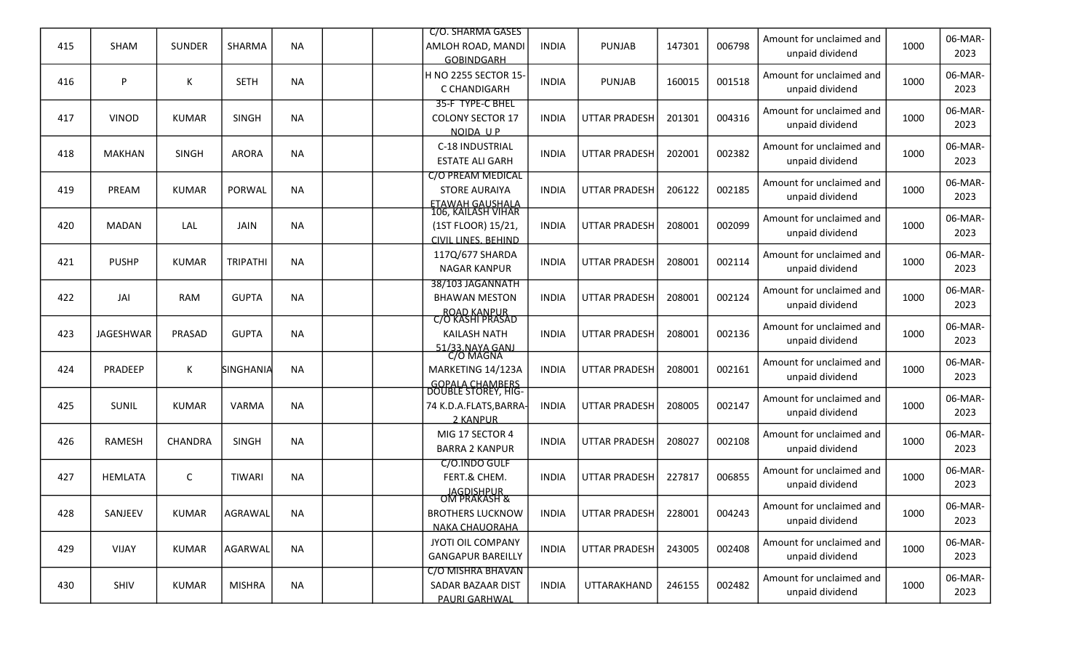|     |                  |                |                 |           | C/O. SHARMA GASES                                                                                |              |                      |        |        | Amount for unclaimed and                    |      | 06-MAR-         |
|-----|------------------|----------------|-----------------|-----------|--------------------------------------------------------------------------------------------------|--------------|----------------------|--------|--------|---------------------------------------------|------|-----------------|
| 415 | <b>SHAM</b>      | <b>SUNDER</b>  | SHARMA          | <b>NA</b> | AMLOH ROAD, MANDI<br><b>GOBINDGARH</b>                                                           | <b>INDIA</b> | <b>PUNJAB</b>        | 147301 | 006798 | unpaid dividend                             | 1000 | 2023            |
| 416 | P                | Κ              | <b>SETH</b>     | <b>NA</b> | H NO 2255 SECTOR 15-<br>C CHANDIGARH                                                             | <b>INDIA</b> | <b>PUNJAB</b>        | 160015 | 001518 | Amount for unclaimed and<br>unpaid dividend | 1000 | 06-MAR-<br>2023 |
| 417 | <b>VINOD</b>     | <b>KUMAR</b>   | <b>SINGH</b>    | <b>NA</b> | 35-F TYPE-C BHEL<br><b>COLONY SECTOR 17</b><br>NOIDA UP                                          | <b>INDIA</b> | <b>UTTAR PRADESH</b> | 201301 | 004316 | Amount for unclaimed and<br>unpaid dividend | 1000 | 06-MAR-<br>2023 |
| 418 | <b>MAKHAN</b>    | <b>SINGH</b>   | <b>ARORA</b>    | <b>NA</b> | C-18 INDUSTRIAL<br><b>ESTATE ALI GARH</b>                                                        | <b>INDIA</b> | <b>UTTAR PRADESH</b> | 202001 | 002382 | Amount for unclaimed and<br>unpaid dividend | 1000 | 06-MAR-<br>2023 |
| 419 | PREAM            | <b>KUMAR</b>   | PORWAL          | <b>NA</b> | C/O PREAM MEDICAL<br><b>STORE AURAIYA</b>                                                        | <b>INDIA</b> | <b>UTTAR PRADESH</b> | 206122 | 002185 | Amount for unclaimed and<br>unpaid dividend | 1000 | 06-MAR-<br>2023 |
| 420 | <b>MADAN</b>     | LAL            | <b>JAIN</b>     | <b>NA</b> | <b>ETAWAH GAUSHALA</b><br>106, KAILASH VIHAR<br>(1ST FLOOR) 15/21,<br><b>CIVIL LINES, BEHIND</b> | <b>INDIA</b> | <b>UTTAR PRADESH</b> | 208001 | 002099 | Amount for unclaimed and<br>unpaid dividend | 1000 | 06-MAR-<br>2023 |
| 421 | <b>PUSHP</b>     | <b>KUMAR</b>   | <b>TRIPATHI</b> | <b>NA</b> | 117Q/677 SHARDA<br><b>NAGAR KANPUR</b>                                                           | <b>INDIA</b> | <b>UTTAR PRADESH</b> | 208001 | 002114 | Amount for unclaimed and<br>unpaid dividend | 1000 | 06-MAR-<br>2023 |
| 422 | JAI              | <b>RAM</b>     | <b>GUPTA</b>    | <b>NA</b> | 38/103 JAGANNATH<br><b>BHAWAN MESTON</b>                                                         | <b>INDIA</b> | <b>UTTAR PRADESH</b> | 208001 | 002124 | Amount for unclaimed and<br>unpaid dividend | 1000 | 06-MAR-<br>2023 |
| 423 | <b>JAGESHWAR</b> | PRASAD         | <b>GUPTA</b>    | <b>NA</b> | ROAD KANPUR<br>C/O KASHI PRASAD<br><b>KAILASH NATH</b>                                           | <b>INDIA</b> | <b>UTTAR PRADESH</b> | 208001 | 002136 | Amount for unclaimed and<br>unpaid dividend | 1000 | 06-MAR-<br>2023 |
| 424 | PRADEEP          | Κ              | SINGHANIA       | <b>NA</b> | 51/33.NAYA GANJ<br>C/O MAGNA<br>MARKETING 14/123A                                                | <b>INDIA</b> | <b>UTTAR PRADESH</b> | 208001 | 002161 | Amount for unclaimed and<br>unpaid dividend | 1000 | 06-MAR-<br>2023 |
| 425 | SUNIL            | <b>KUMAR</b>   | <b>VARMA</b>    | <b>NA</b> | <b>GOPALA CHAMBERS</b><br>DOUBLE STOREY, HIG-<br>74 K.D.A.FLATS, BARRA-<br>2 KANPUR              | <b>INDIA</b> | <b>UTTAR PRADESH</b> | 208005 | 002147 | Amount for unclaimed and<br>unpaid dividend | 1000 | 06-MAR-<br>2023 |
| 426 | <b>RAMESH</b>    | <b>CHANDRA</b> | <b>SINGH</b>    | <b>NA</b> | MIG 17 SECTOR 4<br><b>BARRA 2 KANPUR</b>                                                         | <b>INDIA</b> | <b>UTTAR PRADESH</b> | 208027 | 002108 | Amount for unclaimed and<br>unpaid dividend | 1000 | 06-MAR-<br>2023 |
| 427 | <b>HEMLATA</b>   | С              | <b>TIWARI</b>   | <b>NA</b> | C/O.INDO GULF<br>FERT.& CHEM.                                                                    | <b>INDIA</b> | <b>UTTAR PRADESH</b> | 227817 | 006855 | Amount for unclaimed and<br>unpaid dividend | 1000 | 06-MAR-<br>2023 |
| 428 | SANJEEV          | <b>KUMAR</b>   | AGRAWAL         | <b>NA</b> | JAGDISHPUR<br>OM PRAKASH &<br><b>BROTHERS LUCKNOW</b><br><b>NAKA CHAUORAHA</b>                   | <b>INDIA</b> | UTTAR PRADESH        | 228001 | 004243 | Amount for unclaimed and<br>unpaid dividend | 1000 | 06-MAR-<br>2023 |
| 429 | <b>VIJAY</b>     | <b>KUMAR</b>   | AGARWAL         | <b>NA</b> | JYOTI OIL COMPANY<br><b>GANGAPUR BAREILLY</b>                                                    | <b>INDIA</b> | UTTAR PRADESH        | 243005 | 002408 | Amount for unclaimed and<br>unpaid dividend | 1000 | 06-MAR-<br>2023 |
| 430 | SHIV             | KUMAR          | <b>MISHRA</b>   | <b>NA</b> | C/O MISHRA BHAVAN<br>SADAR BAZAAR DIST<br><b>PAURI GARHWAL</b>                                   | <b>INDIA</b> | UTTARAKHAND          | 246155 | 002482 | Amount for unclaimed and<br>unpaid dividend | 1000 | 06-MAR-<br>2023 |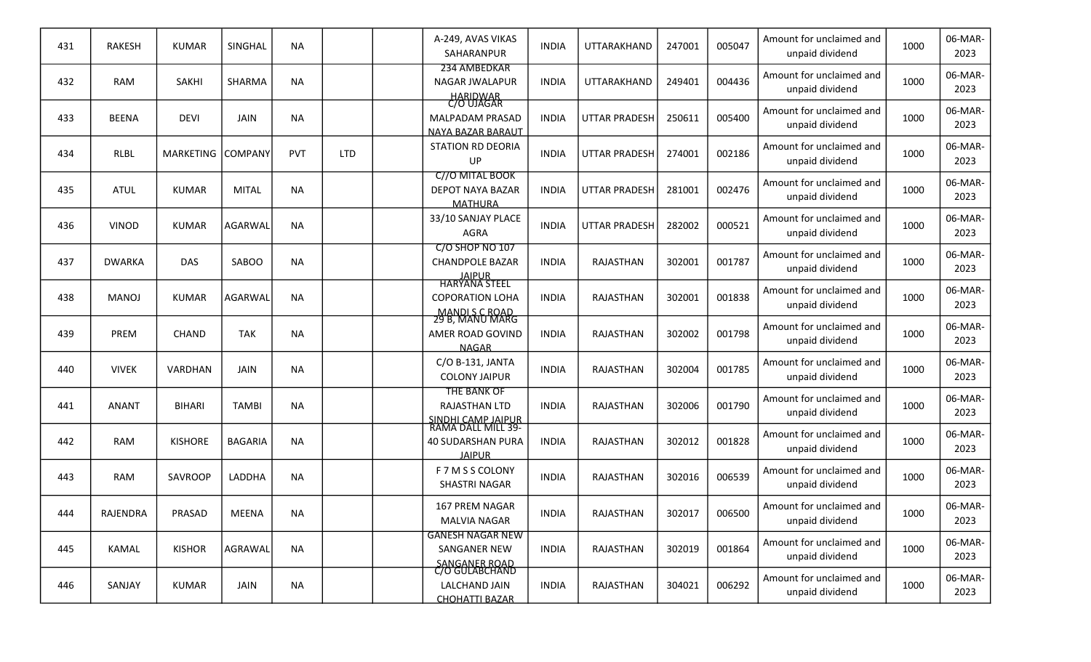| 431 | <b>RAKESH</b>   | <b>KUMAR</b>   | SINGHAL        | <b>NA</b> |            | A-249, AVAS VIKAS<br>SAHARANPUR                                                       | <b>INDIA</b> | UTTARAKHAND          | 247001 | 005047 | Amount for unclaimed and<br>unpaid dividend | 1000 | 06-MAR-<br>2023 |
|-----|-----------------|----------------|----------------|-----------|------------|---------------------------------------------------------------------------------------|--------------|----------------------|--------|--------|---------------------------------------------|------|-----------------|
| 432 | <b>RAM</b>      | SAKHI          | SHARMA         | <b>NA</b> |            | 234 AMBEDKAR<br><b>NAGAR JWALAPUR</b>                                                 | <b>INDIA</b> | UTTARAKHAND          | 249401 | 004436 | Amount for unclaimed and<br>unpaid dividend | 1000 | 06-MAR-<br>2023 |
| 433 | <b>BEENA</b>    | <b>DEVI</b>    | <b>JAIN</b>    | <b>NA</b> |            | HARIDWAR<br>C/O UJAGAR<br><b>MALPADAM PRASAD</b><br><b>NAYA BAZAR BARAUT</b>          | <b>INDIA</b> | <b>UTTAR PRADESH</b> | 250611 | 005400 | Amount for unclaimed and<br>unpaid dividend | 1000 | 06-MAR-<br>2023 |
| 434 | RLBL            | MARKETING      | COMPANY        | PVT       | <b>LTD</b> | <b>STATION RD DEORIA</b><br>UP                                                        | <b>INDIA</b> | <b>UTTAR PRADESH</b> | 274001 | 002186 | Amount for unclaimed and<br>unpaid dividend | 1000 | 06-MAR-<br>2023 |
| 435 | ATUL            | <b>KUMAR</b>   | <b>MITAL</b>   | <b>NA</b> |            | C//O MITAL BOOK<br>DEPOT NAYA BAZAR<br><b>MATHURA</b>                                 | <b>INDIA</b> | <b>UTTAR PRADESH</b> | 281001 | 002476 | Amount for unclaimed and<br>unpaid dividend | 1000 | 06-MAR-<br>2023 |
| 436 | <b>VINOD</b>    | <b>KUMAR</b>   | AGARWAL        | NA        |            | 33/10 SANJAY PLACE<br><b>AGRA</b>                                                     | <b>INDIA</b> | <b>UTTAR PRADESH</b> | 282002 | 000521 | Amount for unclaimed and<br>unpaid dividend | 1000 | 06-MAR-<br>2023 |
| 437 | <b>DWARKA</b>   | <b>DAS</b>     | SABOO          | <b>NA</b> |            | C/O SHOP NO 107<br><b>CHANDPOLE BAZAR</b>                                             | <b>INDIA</b> | RAJASTHAN            | 302001 | 001787 | Amount for unclaimed and<br>unpaid dividend | 1000 | 06-MAR-<br>2023 |
| 438 | <b>MANOJ</b>    | <b>KUMAR</b>   | AGARWAL        | <b>NA</b> |            | JAIPUR<br>HARYANA STEEL<br><b>COPORATION LOHA</b>                                     | <b>INDIA</b> | <b>RAJASTHAN</b>     | 302001 | 001838 | Amount for unclaimed and<br>unpaid dividend | 1000 | 06-MAR-<br>2023 |
| 439 | PREM            | <b>CHAND</b>   | <b>TAK</b>     | <b>NA</b> |            | MANDI S C ROAD<br>29 B, MANU MARG<br>AMER ROAD GOVIND<br><b>NAGAR</b>                 | <b>INDIA</b> | RAJASTHAN            | 302002 | 001798 | Amount for unclaimed and<br>unpaid dividend | 1000 | 06-MAR-<br>2023 |
| 440 | <b>VIVEK</b>    | VARDHAN        | <b>JAIN</b>    | NA        |            | C/O B-131, JANTA<br><b>COLONY JAIPUR</b>                                              | <b>INDIA</b> | <b>RAJASTHAN</b>     | 302004 | 001785 | Amount for unclaimed and<br>unpaid dividend | 1000 | 06-MAR-<br>2023 |
| 441 | <b>ANANT</b>    | <b>BIHARI</b>  | <b>TAMBI</b>   | <b>NA</b> |            | THE BANK OF<br>RAJASTHAN LTD                                                          | <b>INDIA</b> | RAJASTHAN            | 302006 | 001790 | Amount for unclaimed and<br>unpaid dividend | 1000 | 06-MAR-<br>2023 |
| 442 | RAM             | <b>KISHORE</b> | <b>BAGARIA</b> | <b>NA</b> |            | SINDHI CAMP JAIPUR<br>RAMA DALL MILL 39-<br><b>40 SUDARSHAN PURA</b><br><b>JAIPUR</b> | <b>INDIA</b> | RAJASTHAN            | 302012 | 001828 | Amount for unclaimed and<br>unpaid dividend | 1000 | 06-MAR-<br>2023 |
| 443 | RAM             | SAVROOP        | LADDHA         | <b>NA</b> |            | F 7 M S S COLONY<br>SHASTRI NAGAR                                                     | <b>INDIA</b> | RAJASTHAN            | 302016 | 006539 | Amount for unclaimed and<br>unpaid dividend | 1000 | 06-MAR-<br>2023 |
| 444 | <b>RAJENDRA</b> | PRASAD         | <b>MEENA</b>   | <b>NA</b> |            | <b>167 PREM NAGAR</b><br><b>MALVIA NAGAR</b>                                          | <b>INDIA</b> | RAJASTHAN            | 302017 | 006500 | Amount for unclaimed and<br>unpaid dividend | 1000 | 06-MAR-<br>2023 |
| 445 | <b>KAMAL</b>    | <b>KISHOR</b>  | AGRAWAL        | <b>NA</b> |            | <b>GANESH NAGAR NEW</b><br>SANGANER NEW                                               | <b>INDIA</b> | RAJASTHAN            | 302019 | 001864 | Amount for unclaimed and<br>unpaid dividend | 1000 | 06-MAR-<br>2023 |
| 446 | SANJAY          | <b>KUMAR</b>   | JAIN           | <b>NA</b> |            | SANGANER ROAD<br>C/O GULABCHAND<br>LALCHAND JAIN<br><b>CHOHATTI BAZAR</b>             | <b>INDIA</b> | RAJASTHAN            | 304021 | 006292 | Amount for unclaimed and<br>unpaid dividend | 1000 | 06-MAR-<br>2023 |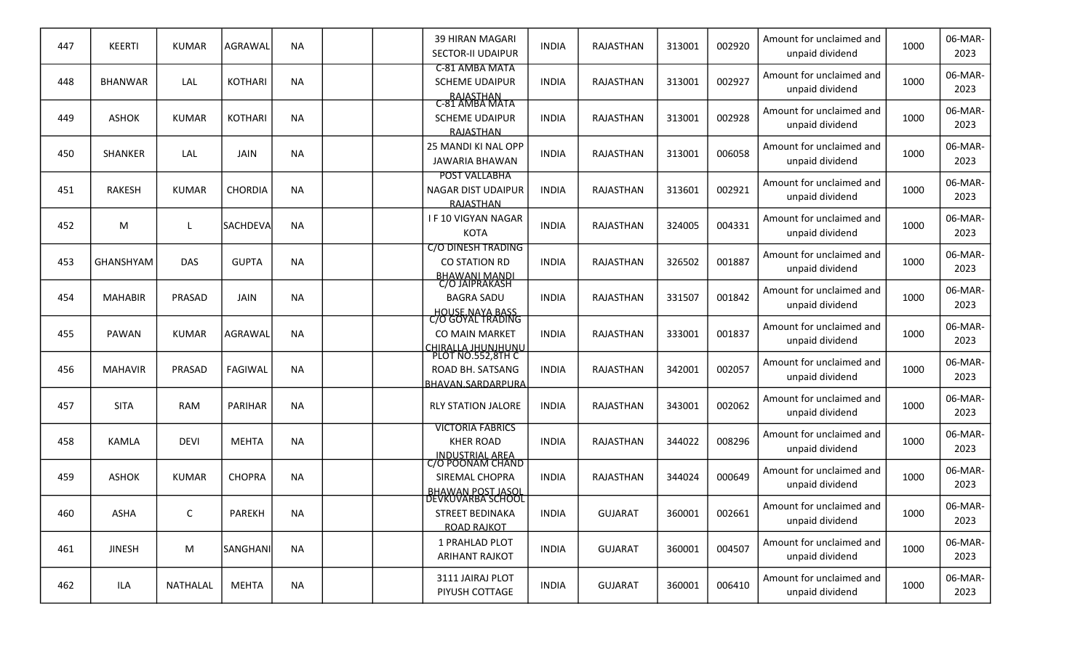| 447 | <b>KEERTI</b>  | <b>KUMAR</b> | AGRAWAL         | <b>NA</b> |  | <b>39 HIRAN MAGARI</b><br><b>SECTOR-II UDAIPUR</b>                                    | <b>INDIA</b> | <b>RAJASTHAN</b> | 313001 | 002920 | Amount for unclaimed and<br>unpaid dividend | 1000 | 06-MAR-<br>2023 |
|-----|----------------|--------------|-----------------|-----------|--|---------------------------------------------------------------------------------------|--------------|------------------|--------|--------|---------------------------------------------|------|-----------------|
| 448 | <b>BHANWAR</b> | LAL          | <b>KOTHARI</b>  | <b>NA</b> |  | C-81 AMBA MATA<br><b>SCHEME UDAIPUR</b><br>RAJASTHAN<br>C-81 AMBA MATA                | <b>INDIA</b> | <b>RAJASTHAN</b> | 313001 | 002927 | Amount for unclaimed and<br>unpaid dividend | 1000 | 06-MAR-<br>2023 |
| 449 | <b>ASHOK</b>   | <b>KUMAR</b> | <b>KOTHARI</b>  | <b>NA</b> |  | <b>SCHEME UDAIPUR</b><br>RAJASTHAN                                                    | <b>INDIA</b> | RAJASTHAN        | 313001 | 002928 | Amount for unclaimed and<br>unpaid dividend | 1000 | 06-MAR-<br>2023 |
| 450 | <b>SHANKER</b> | LAL          | JAIN            | <b>NA</b> |  | 25 MANDI KI NAL OPP<br><b>JAWARIA BHAWAN</b>                                          | <b>INDIA</b> | RAJASTHAN        | 313001 | 006058 | Amount for unclaimed and<br>unpaid dividend | 1000 | 06-MAR-<br>2023 |
| 451 | <b>RAKESH</b>  | <b>KUMAR</b> | <b>CHORDIA</b>  | <b>NA</b> |  | POST VALLABHA<br>NAGAR DIST UDAIPUR<br><b>RAJASTHAN</b>                               | <b>INDIA</b> | RAJASTHAN        | 313601 | 002921 | Amount for unclaimed and<br>unpaid dividend | 1000 | 06-MAR-<br>2023 |
| 452 | M              | L            | <b>SACHDEVA</b> | <b>NA</b> |  | <b>IF10 VIGYAN NAGAR</b><br><b>KOTA</b>                                               | <b>INDIA</b> | <b>RAJASTHAN</b> | 324005 | 004331 | Amount for unclaimed and<br>unpaid dividend | 1000 | 06-MAR-<br>2023 |
| 453 | GHANSHYAM      | <b>DAS</b>   | <b>GUPTA</b>    | <b>NA</b> |  | <b>C/O DINESH TRADING</b><br>CO STATION RD<br>BHAWANI MANDI<br>C/O JAIPRAKASH         | <b>INDIA</b> | RAJASTHAN        | 326502 | 001887 | Amount for unclaimed and<br>unpaid dividend | 1000 | 06-MAR-<br>2023 |
| 454 | <b>MAHABIR</b> | PRASAD       | <b>JAIN</b>     | NA        |  | <b>BAGRA SADU</b><br><b>HOUSE.NAYA BASS</b>                                           | <b>INDIA</b> | <b>RAJASTHAN</b> | 331507 | 001842 | Amount for unclaimed and<br>unpaid dividend | 1000 | 06-MAR-<br>2023 |
| 455 | PAWAN          | <b>KUMAR</b> | AGRAWAL         | <b>NA</b> |  | C/O GOYAL TRADING<br><b>CO MAIN MARKET</b><br>CHIRALLA JHUNJHUNU<br>PLOT NO.552,8TH C | <b>INDIA</b> | RAJASTHAN        | 333001 | 001837 | Amount for unclaimed and<br>unpaid dividend | 1000 | 06-MAR-<br>2023 |
| 456 | <b>MAHAVIR</b> | PRASAD       | <b>FAGIWAL</b>  | NA        |  | ROAD BH. SATSANG<br>BHAVAN.SARDARPURA                                                 | <b>INDIA</b> | RAJASTHAN        | 342001 | 002057 | Amount for unclaimed and<br>unpaid dividend | 1000 | 06-MAR-<br>2023 |
| 457 | <b>SITA</b>    | <b>RAM</b>   | PARIHAR         | <b>NA</b> |  | <b>RLY STATION JALORE</b>                                                             | <b>INDIA</b> | RAJASTHAN        | 343001 | 002062 | Amount for unclaimed and<br>unpaid dividend | 1000 | 06-MAR-<br>2023 |
| 458 | <b>KAMLA</b>   | <b>DEVI</b>  | <b>MEHTA</b>    | <b>NA</b> |  | <b>VICTORIA FABRICS</b><br><b>KHER ROAD</b><br><b>INDUSTRIAL AREA</b>                 | <b>INDIA</b> | RAJASTHAN        | 344022 | 008296 | Amount for unclaimed and<br>unpaid dividend | 1000 | 06-MAR-<br>2023 |
| 459 | <b>ASHOK</b>   | <b>KUMAR</b> | <b>CHOPRA</b>   | <b>NA</b> |  | <u>C/O POONAM CHAND</u><br>SIREMAL CHOPRA                                             | <b>INDIA</b> | RAJASTHAN        | 344024 | 000649 | Amount for unclaimed and<br>unpaid dividend | 1000 | 06-MAR-<br>2023 |
| 460 | <b>ASHA</b>    | C            | PAREKH          | NA        |  | BHAWAN POST JASOL<br>DEVKUVARBA SCHOOL<br>STREET BEDINAKA<br><b>ROAD RAJKOT</b>       | <b>INDIA</b> | GUJARAT          | 360001 | 002661 | Amount for unclaimed and<br>unpaid dividend | 1000 | 06-MAR-<br>2023 |
| 461 | <b>JINESH</b>  | M            | SANGHANI        | <b>NA</b> |  | 1 PRAHLAD PLOT<br><b>ARIHANT RAJKOT</b>                                               | <b>INDIA</b> | <b>GUJARAT</b>   | 360001 | 004507 | Amount for unclaimed and<br>unpaid dividend | 1000 | 06-MAR-<br>2023 |
| 462 | ILA            | NATHALAL     | MEHTA           | <b>NA</b> |  | 3111 JAIRAJ PLOT<br>PIYUSH COTTAGE                                                    | <b>INDIA</b> | <b>GUJARAT</b>   | 360001 | 006410 | Amount for unclaimed and<br>unpaid dividend | 1000 | 06-MAR-<br>2023 |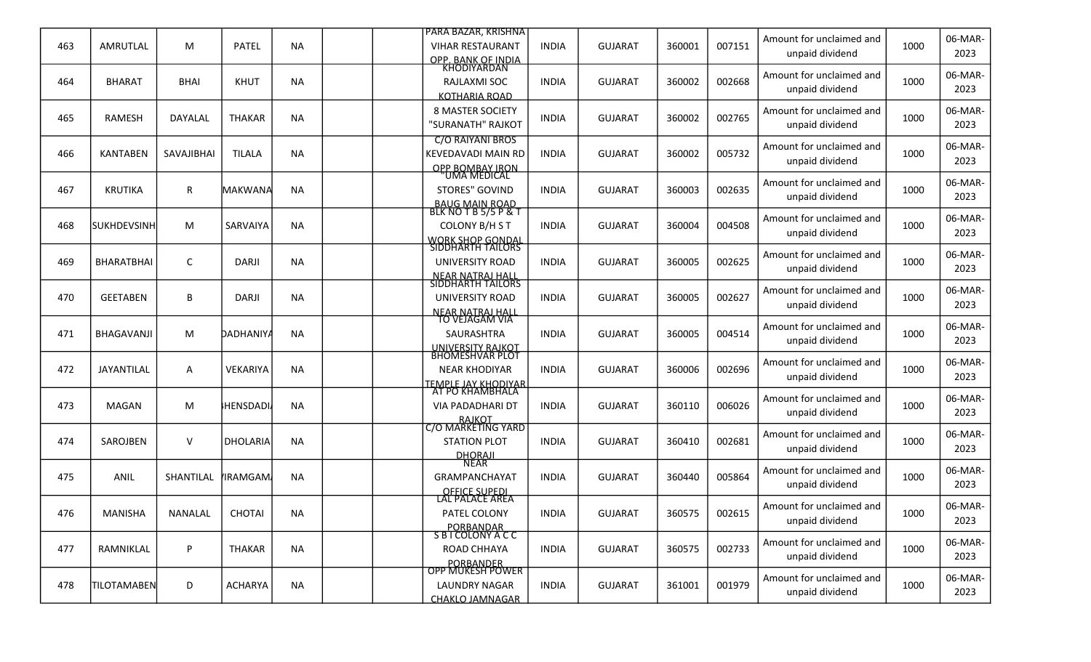|     |                     |             |                 |           | <u> IPARA BAZAR. KRISHNA</u>                        |              |                |        |        | Amount for unclaimed and                    |      | 06-MAR-         |
|-----|---------------------|-------------|-----------------|-----------|-----------------------------------------------------|--------------|----------------|--------|--------|---------------------------------------------|------|-----------------|
| 463 | AMRUTLAL            | M           | <b>PATEL</b>    | <b>NA</b> | <b>VIHAR RESTAURANT</b>                             | <b>INDIA</b> | <b>GUJARAT</b> | 360001 | 007151 | unpaid dividend                             | 1000 | 2023            |
| 464 | <b>BHARAT</b>       | <b>BHAI</b> | <b>KHUT</b>     | <b>NA</b> | OPP. BANK OF INDIA.<br>KHODIYARDAN<br>RAJLAXMI SOC  | <b>INDIA</b> | <b>GUJARAT</b> | 360002 | 002668 | Amount for unclaimed and                    | 1000 | 06-MAR-         |
|     |                     |             |                 |           | <b>KOTHARIA ROAD</b>                                |              |                |        |        | unpaid dividend                             |      | 2023            |
|     |                     |             |                 | <b>NA</b> | <b>8 MASTER SOCIETY</b>                             |              |                |        | 002765 | Amount for unclaimed and                    | 1000 | 06-MAR-         |
| 465 | <b>RAMESH</b>       | DAYALAL     | <b>THAKAR</b>   |           | "SURANATH" RAJKOT                                   | <b>INDIA</b> | <b>GUJARAT</b> | 360002 |        | unpaid dividend                             |      | 2023            |
|     |                     |             |                 |           | <b>C/O RAIYANI BROS</b>                             |              |                |        |        | Amount for unclaimed and                    |      | 06-MAR-         |
| 466 | <b>KANTABEN</b>     | SAVAJIBHAI  | <b>TILALA</b>   | <b>NA</b> | <b>KEVEDAVADI MAIN RD</b><br><b>OPP BOMBAY IRON</b> | <b>INDIA</b> | <b>GUJARAT</b> | 360002 | 005732 | unpaid dividend                             | 1000 | 2023            |
|     |                     |             |                 |           | UMA MEDICAL                                         |              |                |        |        | Amount for unclaimed and                    |      | 06-MAR-         |
| 467 | <b>KRUTIKA</b>      | R           | MAKWANA         | <b>NA</b> | <b>STORES" GOVIND</b>                               | <b>INDIA</b> | <b>GUJARAT</b> | 360003 | 002635 | unpaid dividend                             | 1000 | 2023            |
|     |                     |             |                 |           | BAUG MAIN ROAD<br>BLK NOT B 5/5 P & T               |              |                |        |        | Amount for unclaimed and                    |      | 06-MAR-         |
| 468 | <b>ISUKHDEVSINH</b> | M           | <b>SARVAIYA</b> | <b>NA</b> | COLONY B/H S T                                      | <b>INDIA</b> | <b>GUJARAT</b> | 360004 | 004508 | unpaid dividend                             | 1000 | 2023            |
|     |                     |             |                 |           | <b>WORK SHOP GONDAL</b><br><b>SIDDHARTH TAILORS</b> |              |                |        |        |                                             |      |                 |
| 469 | <b>BHARATBHAI</b>   | С           | <b>DARJI</b>    | <b>NA</b> | UNIVERSITY ROAD                                     | <b>INDIA</b> | <b>GUJARAT</b> | 360005 | 002625 | Amount for unclaimed and<br>unpaid dividend | 1000 | 06-MAR-<br>2023 |
|     |                     |             |                 |           | NEAR NATRAJ HALL<br>SIDDHARTH TAILORS               |              |                |        |        |                                             |      |                 |
| 470 | <b>GEETABEN</b>     | В           | DARJI           | <b>NA</b> | <b>UNIVERSITY ROAD</b>                              | <b>INDIA</b> | <b>GUJARAT</b> | 360005 | 002627 | Amount for unclaimed and<br>unpaid dividend | 1000 | 06-MAR-<br>2023 |
|     |                     |             |                 |           | <u>NEAR NATRAJ HALL</u><br>TO VEJAGAM VIA           |              |                |        |        |                                             |      |                 |
| 471 | <b>BHAGAVANJI</b>   | M           | DADHANIYA       | <b>NA</b> | SAURASHTRA                                          | <b>INDIA</b> | <b>GUJARAT</b> | 360005 | 004514 | Amount for unclaimed and                    | 1000 | 06-MAR-         |
|     |                     |             |                 |           | UNIVERSITY RAJKOT<br>BHOMESHVAR PLOT                |              |                |        |        | unpaid dividend                             |      | 2023            |
| 472 | <b>JAYANTILAL</b>   | Α           | <b>VEKARIYA</b> | <b>NA</b> | <b>NEAR KHODIYAR</b>                                | <b>INDIA</b> | <b>GUJARAT</b> | 360006 | 002696 | Amount for unclaimed and                    | 1000 | 06-MAR-         |
|     |                     |             |                 |           | TEMPLE JAY KHODIYAR                                 |              |                |        |        | unpaid dividend                             |      | 2023            |
| 473 | MAGAN               | M           | HENSDADI        | <b>NA</b> | AT PO KHAMBHALA<br><b>VIA PADADHARI DT</b>          | <b>INDIA</b> | <b>GUJARAT</b> | 360110 | 006026 | Amount for unclaimed and                    | 1000 | 06-MAR-         |
|     |                     |             |                 |           | RAJKOT<br>C/O MARKETING YARD                        |              |                |        |        | unpaid dividend                             |      | 2023            |
| 474 | SAROJBEN            | $\vee$      | <b>DHOLARIA</b> | <b>NA</b> | <b>STATION PLOT</b>                                 | <b>INDIA</b> | <b>GUJARAT</b> |        | 002681 | Amount for unclaimed and                    | 1000 | 06-MAR-         |
|     |                     |             |                 |           | <b>DHORAJI</b>                                      |              |                | 360410 |        | unpaid dividend                             |      | 2023            |
|     |                     |             |                 |           | <b>NEAR</b>                                         |              |                |        |        | Amount for unclaimed and                    |      | 06-MAR-         |
| 475 | <b>ANIL</b>         | SHANTILAL   | <b>IRAMGAM</b>  | <b>NA</b> | <b>GRAMPANCHAYAT</b>                                | <b>INDIA</b> | <b>GUJARAT</b> | 360440 | 005864 | unpaid dividend                             | 1000 | 2023            |
|     |                     |             |                 |           | OFFICE SUPEDI<br>LAL PALACE AREA                    |              |                |        |        | Amount for unclaimed and                    |      | 06-MAR-         |
| 476 | <b>MANISHA</b>      | NANALAL     | CHOTAI          | <b>NA</b> | PATEL COLONY                                        | <b>INDIA</b> | <b>GUJARAT</b> | 360575 | 002615 | unpaid dividend                             | 1000 | 2023            |
|     |                     |             |                 |           | PORBANDAR<br>S B I COLONY A C C                     |              |                |        |        | Amount for unclaimed and                    |      | 06-MAR-         |
| 477 | RAMNIKLAL           | P           | <b>THAKAR</b>   | <b>NA</b> | ROAD CHHAYA                                         | <b>INDIA</b> | <b>GUJARAT</b> | 360575 | 002733 | unpaid dividend                             | 1000 | 2023            |
|     |                     |             |                 |           | PORBANDER<br>OPP MUKESH POWER                       |              |                |        |        |                                             |      |                 |
| 478 | <b>TILOTAMABEN</b>  | D           | <b>ACHARYA</b>  | <b>NA</b> | <b>LAUNDRY NAGAR</b>                                | <b>INDIA</b> | <b>GUJARAT</b> | 361001 | 001979 | Amount for unclaimed and<br>unpaid dividend | 1000 | 06-MAR-<br>2023 |
|     |                     |             |                 |           | <u>CHAKLO JAMNAGAR</u>                              |              |                |        |        |                                             |      |                 |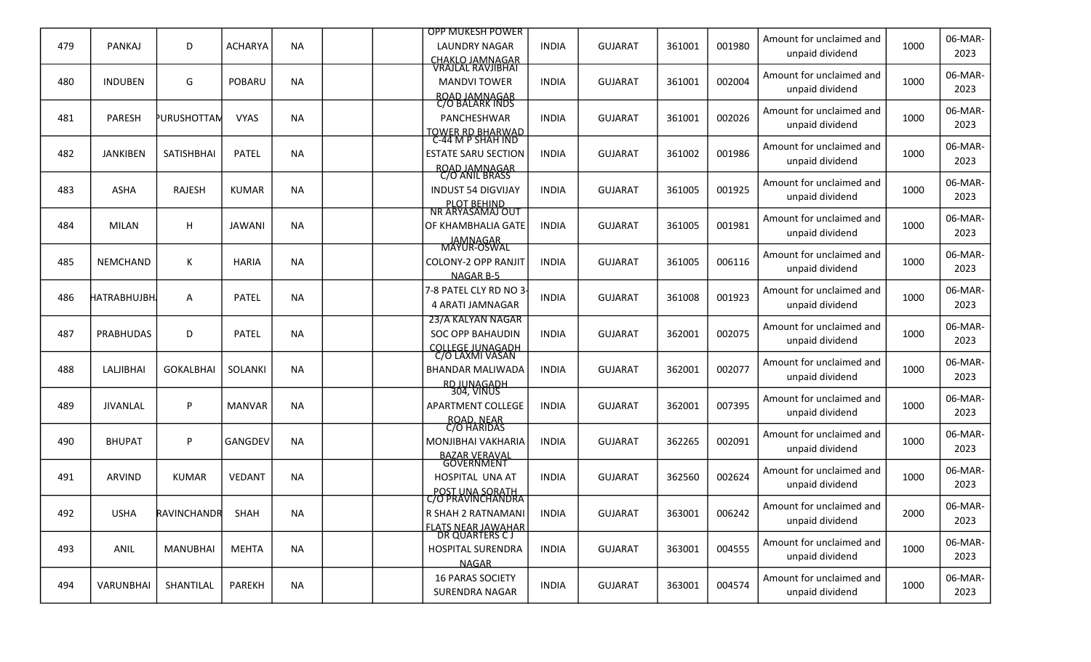|     |                  |                    |                |           |  | <b>OPP MUKESH POWER</b>                                     |              |                |        |        | Amount for unclaimed and                    |      | 06-MAR-         |
|-----|------------------|--------------------|----------------|-----------|--|-------------------------------------------------------------|--------------|----------------|--------|--------|---------------------------------------------|------|-----------------|
| 479 | <b>PANKAJ</b>    | D                  | <b>ACHARYA</b> | <b>NA</b> |  | <b>LAUNDRY NAGAR</b>                                        | <b>INDIA</b> | <b>GUJARAT</b> | 361001 | 001980 | unpaid dividend                             | 1000 | 2023            |
|     | <b>INDUBEN</b>   |                    |                |           |  | CHAKLO JAMNAGAR<br>VRAJLAL RAVJIBHAI<br><b>MANDVI TOWER</b> |              |                |        | 002004 | Amount for unclaimed and                    | 1000 | 06-MAR-         |
| 480 |                  | G                  | POBARU         | <b>NA</b> |  |                                                             | <b>INDIA</b> | <b>GUJARAT</b> | 361001 |        | unpaid dividend                             |      | 2023            |
|     |                  |                    |                |           |  | ROAD JAMNAGAR<br>C/O BALARK INDS                            |              |                |        |        | Amount for unclaimed and                    |      | 06-MAR-         |
| 481 | <b>PARESH</b>    | <b>PURUSHOTTAN</b> | <b>VYAS</b>    | <b>NA</b> |  | PANCHESHWAR                                                 | <b>INDIA</b> | <b>GUJARAT</b> | 361001 | 002026 | unpaid dividend                             | 1000 | 2023            |
|     |                  |                    |                |           |  | TOWER RD BHARWAD<br>C-44 M P SHAH IND                       |              |                |        |        | Amount for unclaimed and                    |      | 06-MAR-         |
| 482 | <b>JANKIBEN</b>  | SATISHBHAI         | <b>PATEL</b>   | <b>NA</b> |  | <b>ESTATE SARU SECTION</b>                                  | <b>INDIA</b> | <b>GUJARAT</b> | 361002 | 001986 | unpaid dividend                             | 1000 | 2023            |
|     |                  |                    |                |           |  | ROAD JAMNAGAR<br>C/O ANIL BRASS                             |              |                |        |        | Amount for unclaimed and                    |      | 06-MAR-         |
| 483 | ASHA             | RAJESH             | <b>KUMAR</b>   | <b>NA</b> |  | <b>INDUST 54 DIGVIJAY</b>                                   | <b>INDIA</b> | <b>GUJARAT</b> | 361005 | 001925 | unpaid dividend                             | 1000 | 2023            |
|     |                  |                    |                |           |  | PLOT BEHIND<br>NR ARYASAMAJ OUT                             |              |                |        |        | Amount for unclaimed and                    |      | 06-MAR-         |
| 484 | MILAN            | H                  | <b>JAWANI</b>  | <b>NA</b> |  | <b>OF KHAMBHALIA GATE</b>                                   | <b>INDIA</b> | <b>GUJARAT</b> | 361005 | 001981 | unpaid dividend                             | 1000 | 2023            |
|     |                  |                    |                |           |  | JAMNAGAR<br>MAYUR-OSWAL                                     |              |                |        |        |                                             |      | 06-MAR-         |
| 485 | NEMCHAND         | Κ                  | <b>HARIA</b>   | <b>NA</b> |  | <b>COLONY-2 OPP RANJIT</b>                                  | <b>INDIA</b> | <b>GUJARAT</b> | 361005 | 006116 | Amount for unclaimed and<br>unpaid dividend | 1000 | 2023            |
|     |                  |                    |                |           |  | <b>NAGAR B-5</b>                                            |              |                |        |        |                                             |      |                 |
| 486 | HATRABHUJBH.     | Α                  | PATEL          | <b>NA</b> |  | 7-8 PATEL CLY RD NO 3<br>4 ARATI JAMNAGAR                   | <b>INDIA</b> | <b>GUJARAT</b> | 361008 | 001923 | Amount for unclaimed and<br>unpaid dividend | 1000 | 06-MAR-<br>2023 |
|     |                  |                    |                |           |  | 23/A KALYAN NAGAR                                           |              |                |        |        |                                             |      |                 |
| 487 | <b>PRABHUDAS</b> | D                  | <b>PATEL</b>   | <b>NA</b> |  | <b>SOC OPP BAHAUDIN</b>                                     | <b>INDIA</b> | <b>GUJARAT</b> | 362001 | 002075 | Amount for unclaimed and                    | 1000 | 06-MAR-<br>2023 |
|     |                  |                    |                |           |  | <b>COLLEGE JUNAGADH</b><br>C/O LAXMI VASAN                  |              |                |        |        | unpaid dividend                             |      |                 |
| 488 | LALJIBHAI        | <b>GOKALBHAI</b>   | SOLANKI        | <b>NA</b> |  | <b>BHANDAR MALIWADA</b>                                     | <b>INDIA</b> | <b>GUJARAT</b> | 362001 | 002077 | Amount for unclaimed and                    | 1000 | 06-MAR-         |
|     |                  |                    |                |           |  | RD JUNAGADH<br>304, VINUS                                   |              |                |        |        | unpaid dividend                             |      | 2023            |
| 489 | <b>JIVANLAL</b>  | P                  | <b>MANVAR</b>  | <b>NA</b> |  | <b>APARTMENT COLLEGE</b>                                    | <b>INDIA</b> | <b>GUJARAT</b> | 362001 | 007395 | Amount for unclaimed and                    | 1000 | 06-MAR-         |
|     |                  |                    |                |           |  | ROAD, NEAR<br>C/O HARIDAS                                   |              |                |        |        | unpaid dividend                             |      | 2023            |
| 490 | <b>BHUPAT</b>    | P                  | GANGDEV        | <b>NA</b> |  | <b>MONJIBHAI VAKHARIA</b>                                   | <b>INDIA</b> | <b>GUJARAT</b> | 362265 | 002091 | Amount for unclaimed and                    | 1000 | 06-MAR-         |
|     |                  |                    |                |           |  | BAZAR VERAVAL<br>GOVERNMENT                                 |              |                |        |        | unpaid dividend                             |      | 2023            |
| 491 |                  | <b>KUMAR</b>       |                | <b>NA</b> |  |                                                             |              |                |        |        | Amount for unclaimed and                    | 1000 | 06-MAR-         |
|     | ARVIND           |                    | <b>VEDANT</b>  |           |  | HOSPITAL UNA AT<br>POST UNA SORATH                          | <b>INDIA</b> | <b>GUJARAT</b> | 362560 | 002624 | unpaid dividend                             |      | 2023            |
|     |                  |                    |                |           |  | <u>C/O PRAVINCHANDRA</u>                                    |              |                |        |        | Amount for unclaimed and                    |      | 06-MAR-         |
| 492 | <b>USHA</b>      | RAVINCHANDR        | SHAH           | <b>NA</b> |  | R SHAH 2 RATNAMANI                                          | <b>INDIA</b> | <b>GUJARAT</b> | 363001 | 006242 | unpaid dividend                             | 2000 | 2023            |
|     |                  |                    |                |           |  | FLATS NEAR JAWAHAR<br>DR QUARTERS C J                       |              |                |        |        | Amount for unclaimed and                    |      | 06-MAR-         |
| 493 | ANIL             | <b>MANUBHAI</b>    | <b>MEHTA</b>   | <b>NA</b> |  | <b>HOSPITAL SURENDRA</b>                                    | <b>INDIA</b> | <b>GUJARAT</b> | 363001 | 004555 | unpaid dividend                             | 1000 | 2023            |
|     |                  |                    |                |           |  | <b>NAGAR</b><br><b>16 PARAS SOCIETY</b>                     |              |                |        |        | Amount for unclaimed and                    |      | 06-MAR-         |
| 494 | VARUNBHAI        | SHANTILAL          | PAREKH         | <b>NA</b> |  | SURENDRA NAGAR                                              | <b>INDIA</b> | <b>GUJARAT</b> | 363001 | 004574 | unpaid dividend                             | 1000 | 2023            |
|     |                  |                    |                |           |  |                                                             |              |                |        |        |                                             |      |                 |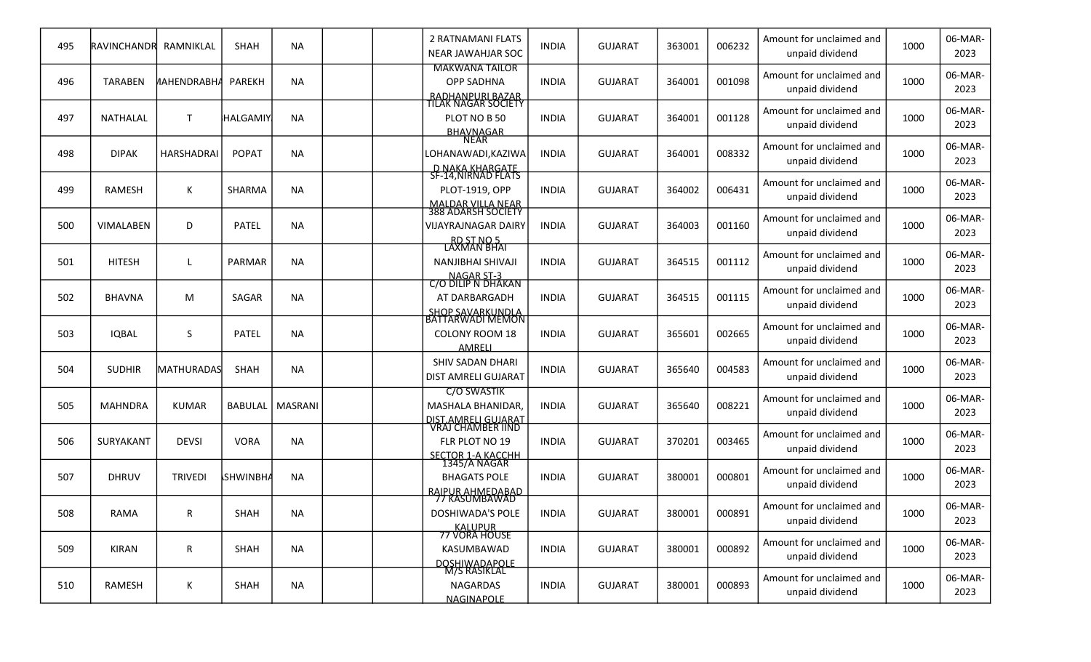| 495 | RAVINCHANDR      | RAMNIKLAL          | SHAH            | <b>NA</b> |  | 2 RATNAMANI FLATS<br>NEAR JAWAHJAR SOC                                                        | <b>INDIA</b> | <b>GUJARAT</b> | 363001 | 006232 | Amount for unclaimed and<br>unpaid dividend | 1000 | 06-MAR-<br>2023 |
|-----|------------------|--------------------|-----------------|-----------|--|-----------------------------------------------------------------------------------------------|--------------|----------------|--------|--------|---------------------------------------------|------|-----------------|
| 496 | <b>TARABEN</b>   | <b>NAHENDRABHA</b> | <b>PAREKH</b>   | <b>NA</b> |  | <b>MAKWANA TAILOR</b><br><b>OPP SADHNA</b><br>RADHANPURI BAZAR<br>TILAK NAGAR SOCIETY         | <b>INDIA</b> | <b>GUJARAT</b> | 364001 | 001098 | Amount for unclaimed and<br>unpaid dividend | 1000 | 06-MAR-<br>2023 |
| 497 | NATHALAL         | $\mathsf{T}$       | <b>HALGAMIY</b> | <b>NA</b> |  | PLOT NO B 50<br>BHAVNAGAR<br>NEAR                                                             | <b>INDIA</b> | <b>GUJARAT</b> | 364001 | 001128 | Amount for unclaimed and<br>unpaid dividend | 1000 | 06-MAR-<br>2023 |
| 498 | <b>DIPAK</b>     | <b>HARSHADRAI</b>  | <b>POPAT</b>    | <b>NA</b> |  | LOHANAWADI,KAZIWA<br>D NAKA KHARGATE                                                          | <b>INDIA</b> | <b>GUJARAT</b> | 364001 | 008332 | Amount for unclaimed and<br>unpaid dividend | 1000 | 06-MAR-<br>2023 |
| 499 | <b>RAMESH</b>    | Κ                  | SHARMA          | <b>NA</b> |  | SF-14, NIRNAD FLATS<br>PLOT-1919, OPP                                                         | <b>INDIA</b> | <b>GUJARAT</b> | 364002 | 006431 | Amount for unclaimed and<br>unpaid dividend | 1000 | 06-MAR-<br>2023 |
| 500 | <b>VIMALABEN</b> | D                  | <b>PATEL</b>    | <b>NA</b> |  | MALDAR VILLA NEAR<br>388 ADARSH SOCIETY<br><b>VIJAYRAJNAGAR DAIRY</b>                         | <b>INDIA</b> | <b>GUJARAT</b> | 364003 | 001160 | Amount for unclaimed and<br>unpaid dividend | 1000 | 06-MAR-<br>2023 |
| 501 | <b>HITESH</b>    |                    | PARMAR          | <b>NA</b> |  | RD ST NO 5<br>LAXMAN BHAI<br>NANJIBHAI SHIVAJI                                                | <b>INDIA</b> | <b>GUJARAT</b> | 364515 | 001112 | Amount for unclaimed and<br>unpaid dividend | 1000 | 06-MAR-<br>2023 |
| 502 | <b>BHAVNA</b>    | M                  | SAGAR           | <b>NA</b> |  | NAGAR ST-3<br>C/O DILIP N DHAKAN<br>AT DARBARGADH                                             | <b>INDIA</b> | <b>GUJARAT</b> | 364515 | 001115 | Amount for unclaimed and<br>unpaid dividend | 1000 | 06-MAR-<br>2023 |
| 503 | <b>IQBAL</b>     | S                  | <b>PATEL</b>    | <b>NA</b> |  | <u>SHOP SAVARKUNDLA</u><br>BATTARWADI MEMON<br><b>COLONY ROOM 18</b><br>AMRELI                | <b>INDIA</b> | <b>GUJARAT</b> | 365601 | 002665 | Amount for unclaimed and<br>unpaid dividend | 1000 | 06-MAR-<br>2023 |
| 504 | <b>SUDHIR</b>    | <b>MATHURADAS</b>  | SHAH            | <b>NA</b> |  | <b>SHIV SADAN DHARI</b><br>DIST AMRELI GUJARAT                                                | <b>INDIA</b> | <b>GUJARAT</b> | 365640 | 004583 | Amount for unclaimed and<br>unpaid dividend | 1000 | 06-MAR-<br>2023 |
| 505 | <b>MAHNDRA</b>   | <b>KUMAR</b>       | <b>BABULAL</b>  | MASRANI   |  | <b>C/O SWASTIK</b><br>MASHALA BHANIDAR,                                                       | <b>INDIA</b> | <b>GUJARAT</b> | 365640 | 008221 | Amount for unclaimed and<br>unpaid dividend | 1000 | 06-MAR-<br>2023 |
| 506 | <b>SURYAKANT</b> | <b>DEVSI</b>       | <b>VORA</b>     | <b>NA</b> |  | <u>DIST.AMRELI GUJARAT</u><br>VRAJ CHAMBER IIND<br>FLR PLOT NO 19<br><b>SECTOR 1-A KACCHH</b> | <b>INDIA</b> | <b>GUJARAT</b> | 370201 | 003465 | Amount for unclaimed and<br>unpaid dividend | 1000 | 06-MAR-<br>2023 |
| 507 | <b>DHRUV</b>     | <b>TRIVEDI</b>     | <b>SHWINBH</b>  | <b>NA</b> |  | 1345/A NAGAR<br><b>BHAGATS POLE</b>                                                           | <b>INDIA</b> | <b>GUJARAT</b> | 380001 | 000801 | Amount for unclaimed and<br>unpaid dividend | 1000 | 06-MAR-<br>2023 |
| 508 | <b>RAMA</b>      | R                  | SHAH            | <b>NA</b> |  | <u>RAIPUR AHMEDABAD</u><br>77 KASUMBAWAD<br>DOSHIWADA'S POLE                                  | <b>INDIA</b> | <b>GUJARAT</b> | 380001 | 000891 | Amount for unclaimed and<br>unpaid dividend | 1000 | 06-MAR-<br>2023 |
| 509 | KIRAN            | R                  | SHAH            | <b>NA</b> |  | KALUPUR<br>77 VORA HOUSE<br>KASUMBAWAD                                                        | <b>INDIA</b> | <b>GUJARAT</b> | 380001 | 000892 | Amount for unclaimed and<br>unpaid dividend | 1000 | 06-MAR-<br>2023 |
| 510 | RAMESH           | Κ                  | SHAH            | <b>NA</b> |  | DOSHIWADAPOLE<br>M/S RASIKLAL<br><b>NAGARDAS</b><br>NAGINAPOLE                                | <b>INDIA</b> | <b>GUJARAT</b> | 380001 | 000893 | Amount for unclaimed and<br>unpaid dividend | 1000 | 06-MAR-<br>2023 |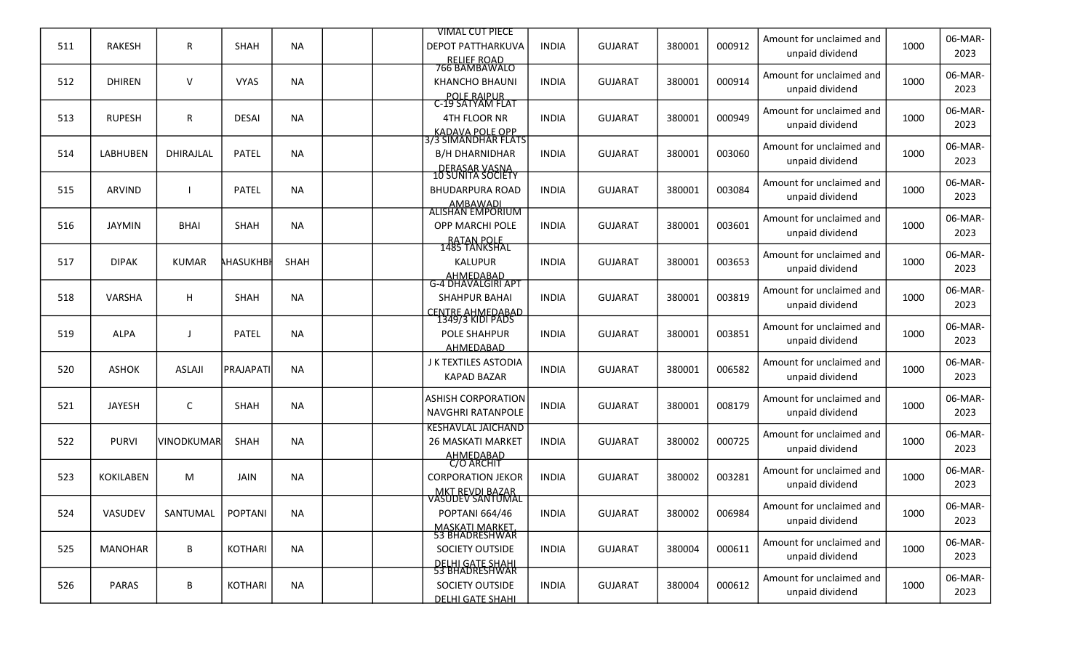|     |                  |                   |                  |           | <b>VIMAL CUT PIECE</b>                                                                  |              |                |        |        |                                             |      | 06-MAR-         |
|-----|------------------|-------------------|------------------|-----------|-----------------------------------------------------------------------------------------|--------------|----------------|--------|--------|---------------------------------------------|------|-----------------|
| 511 | RAKESH           | R                 | SHAH             | <b>NA</b> | <b>DEPOT PATTHARKUVA</b><br>RELIEF ROAD<br>766 BAMBAWALO                                | <b>INDIA</b> | <b>GUJARAT</b> | 380001 | 000912 | Amount for unclaimed and<br>unpaid dividend | 1000 | 2023            |
| 512 | <b>DHIREN</b>    | V                 | <b>VYAS</b>      | <b>NA</b> | <b>KHANCHO BHAUNI</b>                                                                   | <b>INDIA</b> | <b>GUJARAT</b> | 380001 | 000914 | Amount for unclaimed and<br>unpaid dividend | 1000 | 06-MAR-<br>2023 |
| 513 | <b>RUPESH</b>    | R                 | <b>DESAI</b>     | <b>NA</b> | POLE RAIPUR<br>C-19 SATYAM FLAT<br>4TH FLOOR NR                                         | <b>INDIA</b> | <b>GUJARAT</b> | 380001 | 000949 | Amount for unclaimed and<br>unpaid dividend | 1000 | 06-MAR-<br>2023 |
| 514 | <b>LABHUBEN</b>  | DHIRAJLAL         | <b>PATEL</b>     | <b>NA</b> | KADAVA POLE OPP<br>3/3 SIMANDHAR FLATS<br><b>B/H DHARNIDHAR</b>                         | <b>INDIA</b> | <b>GUJARAT</b> | 380001 | 003060 | Amount for unclaimed and<br>unpaid dividend | 1000 | 06-MAR-<br>2023 |
| 515 | <b>ARVIND</b>    |                   | <b>PATEL</b>     | <b>NA</b> | DERASAR VASNA<br>10 SUNITA SOCIETY<br><b>BHUDARPURA ROAD</b>                            | <b>INDIA</b> | <b>GUJARAT</b> | 380001 | 003084 | Amount for unclaimed and<br>unpaid dividend | 1000 | 06-MAR-<br>2023 |
| 516 | <b>JAYMIN</b>    | <b>BHAI</b>       | <b>SHAH</b>      | <b>NA</b> | AMBAWADI<br>ALISHAN EMPORIUM<br>OPP MARCHI POLE                                         | <b>INDIA</b> | <b>GUJARAT</b> | 380001 | 003601 | Amount for unclaimed and<br>unpaid dividend | 1000 | 06-MAR-<br>2023 |
| 517 | <b>DIPAK</b>     | <b>KUMAR</b>      | <b>AHASUKHBI</b> | SHAH      | RATAN POLE<br>1485 TANKSHAL<br><b>KALUPUR</b>                                           | <b>INDIA</b> | <b>GUJARAT</b> | 380001 | 003653 | Amount for unclaimed and<br>unpaid dividend | 1000 | 06-MAR-<br>2023 |
| 518 | VARSHA           | H                 | SHAH             | <b>NA</b> | AHMEDABAD<br>G-4 DHAVALGIRI APT<br><b>SHAHPUR BAHAI</b>                                 | <b>INDIA</b> | <b>GUJARAT</b> | 380001 | 003819 | Amount for unclaimed and<br>unpaid dividend | 1000 | 06-MAR-<br>2023 |
| 519 | <b>ALPA</b>      | $\mathbf{J}$      | <b>PATEL</b>     | <b>NA</b> | CENTRE AHMEDABAD<br>1349/3 KIDI PADS<br><b>POLE SHAHPUR</b><br>AHMEDABAD                | <b>INDIA</b> | <b>GUJARAT</b> | 380001 | 003851 | Amount for unclaimed and<br>unpaid dividend | 1000 | 06-MAR-<br>2023 |
| 520 | <b>ASHOK</b>     | <b>ASLAJI</b>     | <b>PRAJAPATI</b> | <b>NA</b> | J K TEXTILES ASTODIA<br><b>KAPAD BAZAR</b>                                              | <b>INDIA</b> | <b>GUJARAT</b> | 380001 | 006582 | Amount for unclaimed and<br>unpaid dividend | 1000 | 06-MAR-<br>2023 |
| 521 | <b>JAYESH</b>    | C                 | <b>SHAH</b>      | <b>NA</b> | <b>ASHISH CORPORATION</b><br><b>NAVGHRI RATANPOLE</b>                                   | <b>INDIA</b> | <b>GUJARAT</b> | 380001 | 008179 | Amount for unclaimed and<br>unpaid dividend | 1000 | 06-MAR-<br>2023 |
| 522 | <b>PURVI</b>     | <b>VINODKUMAR</b> | SHAH             | <b>NA</b> | <b>KESHAVLAL JAICHAND</b><br><b>26 MASKATI MARKET</b><br>AHMEDABAD                      | <b>INDIA</b> | <b>GUJARAT</b> | 380002 | 000725 | Amount for unclaimed and<br>unpaid dividend | 1000 | 06-MAR-<br>2023 |
| 523 | <b>KOKILABEN</b> | M                 | <b>JAIN</b>      | <b>NA</b> | C/O ARCHIT<br><b>CORPORATION JEKOR</b>                                                  | <b>INDIA</b> | <b>GUJARAT</b> | 380002 | 003281 | Amount for unclaimed and<br>unpaid dividend | 1000 | 06-MAR-<br>2023 |
| 524 | VASUDEV          | SANTUMAL          | POPTANI          | <b>NA</b> | MKT REVDI BAZAR<br>VASUDEV SANTUMAL<br><b>POPTANI 664/46</b>                            | <b>INDIA</b> | <b>GUJARAT</b> | 380002 | 006984 | Amount for unclaimed and<br>unpaid dividend | 1000 | 06-MAR-<br>2023 |
| 525 | <b>MANOHAR</b>   | В                 | <b>KOTHARI</b>   | <b>NA</b> | MASKATI MARKET.<br>53 BHADRESHWAR<br>SOCIETY OUTSIDE                                    | <b>INDIA</b> | <b>GUJARAT</b> | 380004 | 000611 | Amount for unclaimed and<br>unpaid dividend | 1000 | 06-MAR-<br>2023 |
| 526 | <b>PARAS</b>     | B                 | <b>KOTHARI</b>   | <b>NA</b> | <u>DELHI GATE SHAHL</u><br>53 BHADRESHWAR<br>SOCIETY OUTSIDE<br><b>DELHI GATE SHAHI</b> | <b>INDIA</b> | <b>GUJARAT</b> | 380004 | 000612 | Amount for unclaimed and<br>unpaid dividend | 1000 | 06-MAR-<br>2023 |
|     |                  |                   |                  |           |                                                                                         |              |                |        |        |                                             |      |                 |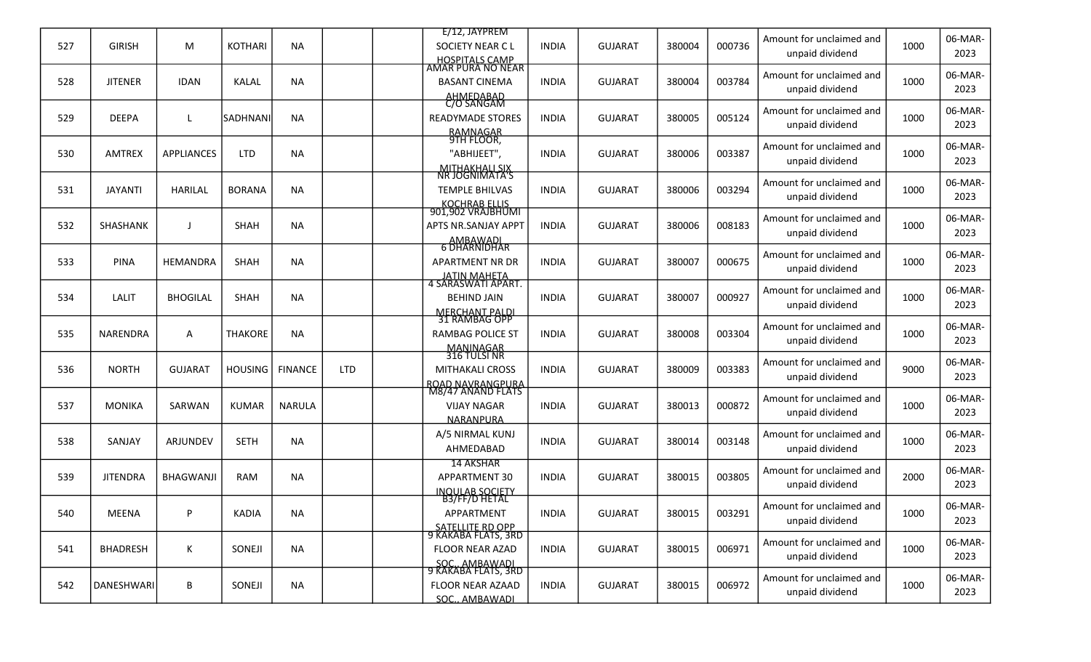|     |                 |                   |                |                |            | E/12, JAYPREM                           |              |                |        |        | Amount for unclaimed and                    |      | 06-MAR-         |
|-----|-----------------|-------------------|----------------|----------------|------------|-----------------------------------------|--------------|----------------|--------|--------|---------------------------------------------|------|-----------------|
| 527 | <b>GIRISH</b>   | M                 | <b>KOTHARI</b> | <b>NA</b>      |            | SOCIETY NEAR C L                        | <b>INDIA</b> | <b>GUJARAT</b> | 380004 | 000736 | unpaid dividend                             | 1000 | 2023            |
|     |                 |                   |                |                |            | HOSPITALS CAMP<br>AMAR PURA NO NEAR     |              |                |        |        | Amount for unclaimed and                    |      | 06-MAR-         |
| 528 | <b>JITENER</b>  | <b>IDAN</b>       | KALAL          | <b>NA</b>      |            | <b>BASANT CINEMA</b>                    | <b>INDIA</b> | <b>GUJARAT</b> | 380004 | 003784 | unpaid dividend                             | 1000 | 2023            |
|     |                 |                   |                |                |            | AHMEDABAD<br>C/O SANGAM                 |              |                |        |        |                                             |      |                 |
| 529 | <b>DEEPA</b>    |                   | SADHNANI       | <b>NA</b>      |            | <b>READYMADE STORES</b>                 | <b>INDIA</b> | <b>GUJARAT</b> | 380005 | 005124 | Amount for unclaimed and<br>unpaid dividend | 1000 | 06-MAR-<br>2023 |
|     |                 |                   |                |                |            | RAMNAGAR<br>9TH FLOOR,                  |              |                |        |        |                                             |      |                 |
| 530 | <b>AMTREX</b>   | <b>APPLIANCES</b> | <b>LTD</b>     | <b>NA</b>      |            | "ABHIJEET",                             | <b>INDIA</b> | <b>GUJARAT</b> | 380006 | 003387 | Amount for unclaimed and                    | 1000 | 06-MAR-         |
|     |                 |                   |                |                |            | <u>MITHAKHALLSIX</u><br>NR JOGNIMATA'S  |              |                |        |        | unpaid dividend                             |      | 2023            |
| 531 | <b>JAYANTI</b>  | <b>HARILAL</b>    | <b>BORANA</b>  | <b>NA</b>      |            | <b>TEMPLE BHILVAS</b>                   | <b>INDIA</b> | <b>GUJARAT</b> | 380006 | 003294 | Amount for unclaimed and                    | 1000 | 06-MAR-         |
|     |                 |                   |                |                |            |                                         |              |                |        |        | unpaid dividend                             |      | 2023            |
|     |                 |                   |                |                |            | KOCHRAB ELLIS<br>901,902 VRAJBHUMI      |              |                |        |        | Amount for unclaimed and                    |      | 06-MAR-         |
| 532 | <b>SHASHANK</b> | $\mathbf{I}$      | <b>SHAH</b>    | <b>NA</b>      |            | APTS NR.SANJAY APPT                     | <b>INDIA</b> | <b>GUJARAT</b> | 380006 | 008183 | unpaid dividend                             | 1000 | 2023            |
|     |                 |                   |                |                |            | AMBAWADI<br>6 DHARNIDHAR                |              |                |        |        | Amount for unclaimed and                    |      | 06-MAR-         |
| 533 | <b>PINA</b>     | HEMANDRA          | <b>SHAH</b>    | <b>NA</b>      |            | <b>APARTMENT NR DR</b>                  | <b>INDIA</b> | <b>GUJARAT</b> | 380007 | 000675 | unpaid dividend                             | 1000 | 2023            |
|     |                 |                   |                |                |            | JATIN MAHETA<br>4 SARASWATI APART.      |              |                |        |        |                                             |      |                 |
| 534 | LALIT           | <b>BHOGILAL</b>   | SHAH           | <b>NA</b>      |            | <b>BEHIND JAIN</b>                      | <b>INDIA</b> | <b>GUJARAT</b> | 380007 | 000927 | Amount for unclaimed and                    | 1000 | 06-MAR-         |
|     |                 |                   |                |                |            | MERCHANT PALDI<br>31 RAMBAG OPP         |              |                |        |        | unpaid dividend                             |      | 2023            |
| 535 | NARENDRA        | A                 | <b>THAKORE</b> | <b>NA</b>      |            | <b>RAMBAG POLICE ST</b>                 | <b>INDIA</b> | <b>GUJARAT</b> | 380008 | 003304 | Amount for unclaimed and                    | 1000 | 06-MAR-         |
|     |                 |                   |                |                |            | MANINAGAR<br>316 TULSI NR               |              |                |        |        | unpaid dividend                             |      | 2023            |
| 536 | <b>NORTH</b>    |                   |                |                | <b>LTD</b> | <b>MITHAKALI CROSS</b>                  |              |                |        | 003383 | Amount for unclaimed and                    | 9000 | 06-MAR-         |
|     |                 | <b>GUJARAT</b>    | <b>HOUSING</b> | <b>FINANCE</b> |            | ROAD NAVRANGPURA                        | <b>INDIA</b> | <b>GUJARAT</b> | 380009 |        | unpaid dividend                             |      | 2023            |
|     |                 |                   |                |                |            | M8/47 ANAND FLATS                       |              |                |        |        | Amount for unclaimed and                    |      | 06-MAR-         |
| 537 | <b>MONIKA</b>   | SARWAN            | <b>KUMAR</b>   | <b>NARULA</b>  |            | <b>VIJAY NAGAR</b>                      | <b>INDIA</b> | <b>GUJARAT</b> | 380013 | 000872 | unpaid dividend                             | 1000 | 2023            |
|     |                 |                   |                |                |            | NARANPURA                               |              |                |        |        |                                             |      |                 |
| 538 | SANJAY          | ARJUNDEV          | <b>SETH</b>    | <b>NA</b>      |            | A/5 NIRMAL KUNJ<br>AHMEDABAD            | <b>INDIA</b> | <b>GUJARAT</b> | 380014 | 003148 | Amount for unclaimed and<br>unpaid dividend | 1000 | 06-MAR-<br>2023 |
|     |                 |                   |                |                |            | <b>14 AKSHAR</b>                        |              |                |        |        |                                             |      |                 |
| 539 | <b>JITENDRA</b> | <b>BHAGWANJI</b>  | <b>RAM</b>     | <b>NA</b>      |            | <b>APPARTMENT 30</b>                    | <b>INDIA</b> | <b>GUJARAT</b> | 380015 | 003805 | Amount for unclaimed and                    | 2000 | 06-MAR-         |
|     |                 |                   |                |                |            | <b>NOULAB SOCIETY</b>                   |              |                |        |        | unpaid dividend                             |      | 2023            |
| 540 | MEENA           | P                 | <b>KADIA</b>   | <b>NA</b>      |            | <b>B3/FF/D HETAL</b><br>APPARTMENT      | <b>INDIA</b> | <b>GUJARAT</b> | 380015 | 003291 | Amount for unclaimed and                    | 1000 | 06-MAR-         |
|     |                 |                   |                |                |            |                                         |              |                |        |        | unpaid dividend                             |      | 2023            |
|     |                 |                   |                |                |            | SATELLITE RD OPP<br>9 KAKABA FLATS, 3RD |              |                |        |        | Amount for unclaimed and                    |      | 06-MAR-         |
| 541 | <b>BHADRESH</b> | Κ                 | SONEJI         | <b>NA</b>      |            | <b>FLOOR NEAR AZAD</b>                  | <b>INDIA</b> | <b>GUJARAT</b> | 380015 | 006971 | unpaid dividend                             | 1000 | 2023            |
|     |                 |                   |                |                |            | SOC., AMBAWADI<br>9 KAKABA FLATS, 3RD   |              |                |        |        | Amount for unclaimed and                    |      | 06-MAR-         |
| 542 | DANESHWARI      | B                 | SONEJI         | <b>NA</b>      |            | FLOOR NEAR AZAAD                        | <b>INDIA</b> | <b>GUJARAT</b> | 380015 | 006972 | unpaid dividend                             | 1000 | 2023            |
|     |                 |                   |                |                |            | SOC., AMBAWADI                          |              |                |        |        |                                             |      |                 |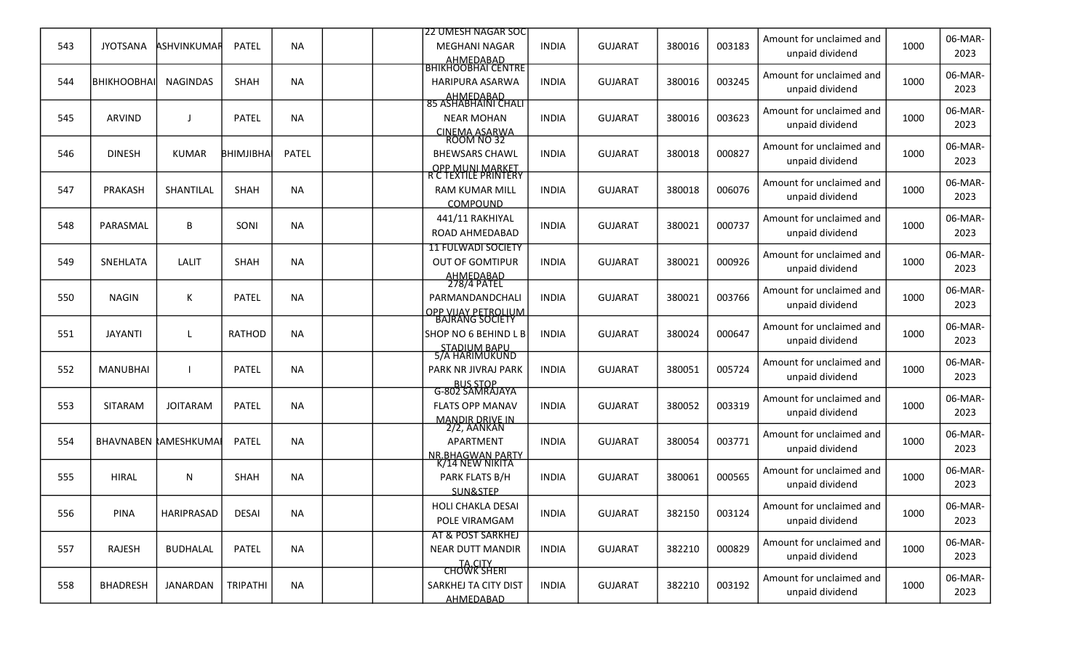|     |                   |                             |              |              | <b>22 UMESH NAGAR SOC</b>                               |              |                |        |        | Amount for unclaimed and |      | 06-MAR- |
|-----|-------------------|-----------------------------|--------------|--------------|---------------------------------------------------------|--------------|----------------|--------|--------|--------------------------|------|---------|
| 543 | <b>JYOTSANA</b>   | <b>ASHVINKUMAR</b>          | <b>PATEL</b> | <b>NA</b>    | <b>MEGHANI NAGAR</b><br>AHMEDABAD<br>BHIKHOOBHAI CENTRE | <b>INDIA</b> | <b>GUJARAT</b> | 380016 | 003183 | unpaid dividend          | 1000 | 2023    |
| 544 | <b>ВНІКНООВНА</b> | <b>NAGINDAS</b>             | SHAH         | <b>NA</b>    | HARIPURA ASARWA                                         | <b>INDIA</b> | <b>GUJARAT</b> | 380016 | 003245 | Amount for unclaimed and | 1000 | 06-MAR- |
|     |                   |                             |              |              | AHMEDABAD<br>85 ASHABHAINI CHALI                        |              |                |        |        | unpaid dividend          |      | 2023    |
| 545 | ARVIND            |                             | <b>PATEL</b> | <b>NA</b>    | <b>NEAR MOHAN</b>                                       | <b>INDIA</b> | <b>GUJARAT</b> | 380016 | 003623 | Amount for unclaimed and | 1000 | 06-MAR- |
|     |                   |                             |              |              | CINEMA ASARWA<br>ROOM NO 32                             |              |                |        |        | unpaid dividend          |      | 2023    |
| 546 | <b>DINESH</b>     | <b>KUMAR</b>                | BHIMJIBHA    | <b>PATEL</b> | <b>BHEWSARS CHAWL</b>                                   | <b>INDIA</b> | <b>GUJARAT</b> | 380018 | 000827 | Amount for unclaimed and | 1000 | 06-MAR- |
|     |                   |                             |              |              | <b>OPP MUNI MARKET</b>                                  |              |                |        |        | unpaid dividend          |      | 2023    |
| 547 | PRAKASH           | SHANTILAL                   | SHAH         | <b>NA</b>    | R C TEXTILE PRINTERY<br><b>RAM KUMAR MILL</b>           | <b>INDIA</b> | <b>GUJARAT</b> | 380018 | 006076 | Amount for unclaimed and | 1000 | 06-MAR- |
|     |                   |                             |              |              | COMPOUND                                                |              |                |        |        | unpaid dividend          |      | 2023    |
| 548 | PARASMAL          | В                           | SONI         | <b>NA</b>    | 441/11 RAKHIYAL                                         | <b>INDIA</b> | <b>GUJARAT</b> | 380021 | 000737 | Amount for unclaimed and | 1000 | 06-MAR- |
|     |                   |                             |              |              | ROAD AHMEDABAD                                          |              |                |        |        | unpaid dividend          |      | 2023    |
| 549 | SNEHLATA          | LALIT                       | <b>SHAH</b>  | <b>NA</b>    | <b>11 FULWADI SOCIETY</b><br><b>OUT OF GOMTIPUR</b>     | <b>INDIA</b> | <b>GUJARAT</b> | 380021 | 000926 | Amount for unclaimed and | 1000 | 06-MAR- |
|     |                   |                             |              |              | AHMEDABAD<br>278/4 PATEL                                |              |                |        |        | unpaid dividend          |      | 2023    |
| 550 | <b>NAGIN</b>      | Κ                           | PATEL        | <b>NA</b>    | PARMANDANDCHALI                                         | <b>INDIA</b> | <b>GUJARAT</b> | 380021 | 003766 | Amount for unclaimed and | 1000 | 06-MAR- |
|     |                   |                             |              |              | OPP VIJAY PETROLIUM<br>BAJRANG SOCIETY                  |              |                |        |        | unpaid dividend          |      | 2023    |
| 551 | <b>JAYANTI</b>    |                             | RATHOD       | <b>NA</b>    | SHOP NO 6 BEHIND L B                                    | <b>INDIA</b> | <b>GUJARAT</b> | 380024 | 000647 | Amount for unclaimed and | 1000 | 06-MAR- |
|     |                   |                             |              |              | STADIUM BAPU<br>5/A HARIMUKUND                          |              |                |        |        | unpaid dividend          |      | 2023    |
| 552 | <b>MANUBHAI</b>   |                             | <b>PATEL</b> | <b>NA</b>    | PARK NR JIVRAJ PARK                                     | <b>INDIA</b> | <b>GUJARAT</b> | 380051 | 005724 | Amount for unclaimed and | 1000 | 06-MAR- |
|     |                   |                             |              |              | BUS STOP<br>G-802 SAMRAJAYA                             |              |                |        |        | unpaid dividend          |      | 2023    |
| 553 | <b>SITARAM</b>    | <b>JOITARAM</b>             | <b>PATEL</b> | <b>NA</b>    | <b>FLATS OPP MANAV</b>                                  | <b>INDIA</b> | <b>GUJARAT</b> | 380052 | 003319 | Amount for unclaimed and | 1000 | 06-MAR- |
|     |                   |                             |              |              | <b>MANDIR DRIVE IN</b>                                  |              |                |        |        | unpaid dividend          |      | 2023    |
| 554 |                   | <b>BHAVNABEN RAMESHKUMA</b> | <b>PATEL</b> | <b>NA</b>    | 2/2, AANKAN<br>APARTMENT                                | <b>INDIA</b> | <b>GUJARAT</b> | 380054 | 003771 | Amount for unclaimed and | 1000 | 06-MAR- |
|     |                   |                             |              |              | <b>NR.BHAGWAN PARTY</b>                                 |              |                |        |        | unpaid dividend          |      | 2023    |
| 555 | <b>HIRAL</b>      | N                           | SHAH         | <b>NA</b>    | <u>K/14 NEW NIKITA </u><br>PARK FLATS B/H               | <b>INDIA</b> | <b>GUJARAT</b> | 380061 | 000565 | Amount for unclaimed and | 1000 | 06-MAR- |
|     |                   |                             |              |              | SUN&STEP                                                |              |                |        |        | unpaid dividend          |      | 2023    |
| 556 | <b>PINA</b>       | HARIPRASAD                  | <b>DESAI</b> | <b>NA</b>    | HOLI CHAKLA DESAI                                       | <b>INDIA</b> | <b>GUJARAT</b> | 382150 | 003124 | Amount for unclaimed and | 1000 | 06-MAR- |
|     |                   |                             |              |              | POLE VIRAMGAM                                           |              |                |        |        | unpaid dividend          |      | 2023    |
| 557 | <b>RAJESH</b>     | <b>BUDHALAL</b>             | <b>PATEL</b> | <b>NA</b>    | AT & POST SARKHEJ<br><b>NEAR DUTT MANDIR</b>            | <b>INDIA</b> | <b>GUJARAT</b> | 382210 | 000829 | Amount for unclaimed and | 1000 | 06-MAR- |
|     |                   |                             |              |              | TA.CITY<br>CHOWK SHERI                                  |              |                |        |        | unpaid dividend          |      | 2023    |
| 558 | <b>BHADRESH</b>   | JANARDAN                    | TRIPATHI     | <b>NA</b>    | SARKHEJ TA CITY DIST                                    | <b>INDIA</b> | <b>GUJARAT</b> | 382210 | 003192 | Amount for unclaimed and | 1000 | 06-MAR- |
|     |                   |                             |              |              | AHMEDABAD                                               |              |                |        |        | unpaid dividend          |      | 2023    |
|     |                   |                             |              |              |                                                         |              |                |        |        |                          |      |         |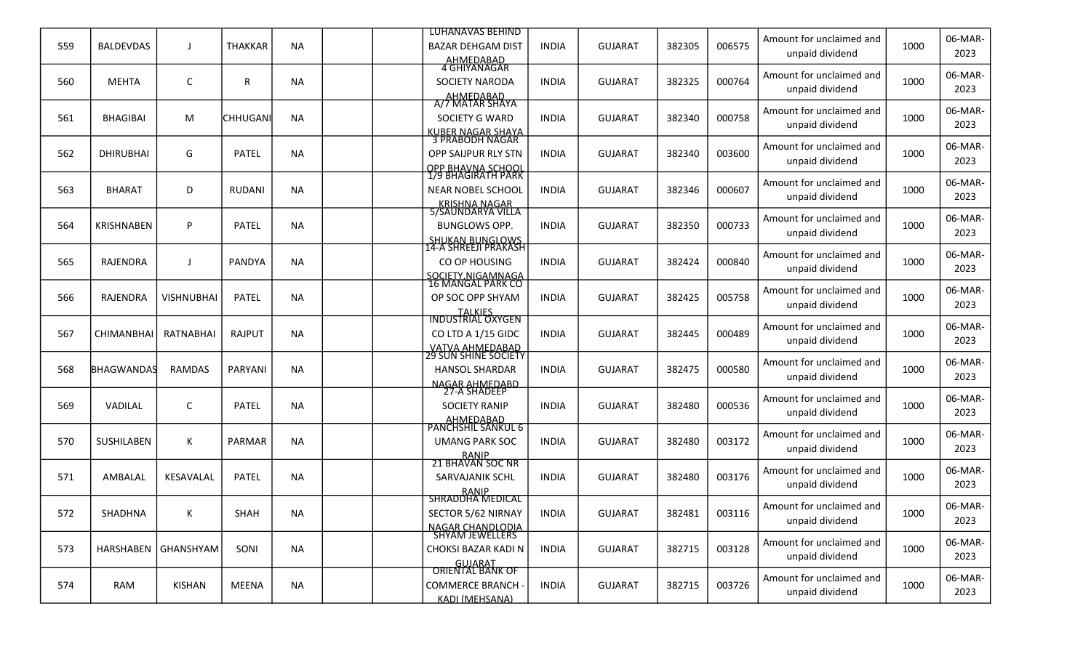|     |                   |                     |                 |           | <b>LUHANAVAS BEHIND</b>                               |              |                |        |        | Amount for unclaimed and                    |      | 06-MAR-         |
|-----|-------------------|---------------------|-----------------|-----------|-------------------------------------------------------|--------------|----------------|--------|--------|---------------------------------------------|------|-----------------|
| 559 | <b>BALDEVDAS</b>  |                     | <b>THAKKAR</b>  | <b>NA</b> | <b>BAZAR DEHGAM DIST</b><br>AHMEDABAD<br>4 GHIYANAGAR | <b>INDIA</b> | <b>GUJARAT</b> | 382305 | 006575 | unpaid dividend                             | 1000 | 2023            |
| 560 | <b>MEHTA</b>      | C                   | R               | <b>NA</b> | <b>SOCIETY NARODA</b>                                 | <b>INDIA</b> | <b>GUJARAT</b> | 382325 | 000764 | Amount for unclaimed and                    | 1000 | 06-MAR-         |
|     |                   |                     |                 |           | AHMEDABAD<br>A/7 MATAR SHAYA                          |              |                |        |        | unpaid dividend                             |      | 2023            |
| 561 | <b>BHAGIBAI</b>   | M                   | <b>CHHUGANI</b> | <b>NA</b> | SOCIETY G WARD                                        | <b>INDIA</b> | <b>GUJARAT</b> | 382340 | 000758 | Amount for unclaimed and<br>unpaid dividend | 1000 | 06-MAR-<br>2023 |
|     |                   |                     |                 |           | <u>KUBER NAGAR SHAYA</u><br>3 PRABODH NAGAR           |              |                |        |        |                                             |      |                 |
| 562 | <b>DHIRUBHAI</b>  | G                   | <b>PATEL</b>    | <b>NA</b> | OPP SAIJPUR RLY STN                                   | <b>INDIA</b> | <b>GUJARAT</b> | 382340 | 003600 | Amount for unclaimed and<br>unpaid dividend | 1000 | 06-MAR-<br>2023 |
|     |                   |                     |                 |           | OPP BHAVNA SCHOOL<br>1/9 BHAGIRATH PARK               |              |                |        |        |                                             |      |                 |
| 563 | <b>BHARAT</b>     | D                   | <b>RUDANI</b>   | <b>NA</b> | NEAR NOBEL SCHOOL                                     | <b>INDIA</b> | <b>GUJARAT</b> | 382346 | 000607 | Amount for unclaimed and<br>unpaid dividend | 1000 | 06-MAR-<br>2023 |
|     |                   |                     |                 |           | KRISHNA NAGAR<br>5/SAUNDARYA VILLA                    |              |                |        |        |                                             |      |                 |
| 564 | <b>KRISHNABEN</b> | P                   | PATEL           | <b>NA</b> | <b>BUNGLOWS OPP.</b>                                  | <b>INDIA</b> | <b>GUJARAT</b> | 382350 | 000733 | Amount for unclaimed and<br>unpaid dividend | 1000 | 06-MAR-<br>2023 |
|     |                   |                     |                 |           | <b>SHUKAN BUNGLOWS</b><br>14-A SHREEJI PRAKASH        |              |                |        |        |                                             |      |                 |
| 565 | RAJENDRA          |                     | <b>PANDYA</b>   | <b>NA</b> | CO OP HOUSING                                         | <b>INDIA</b> | <b>GUJARAT</b> | 382424 | 000840 | Amount for unclaimed and<br>unpaid dividend | 1000 | 06-MAR-<br>2023 |
|     |                   |                     |                 |           | SOCIETY.NIGAMNAGA<br>16 MANGAL PARK CO                |              |                |        |        | Amount for unclaimed and                    |      |                 |
| 566 | RAJENDRA          | <b>VISHNUBHAI</b>   | <b>PATEL</b>    | <b>NA</b> | OP SOC OPP SHYAM                                      | <b>INDIA</b> | <b>GUJARAT</b> | 382425 | 005758 | unpaid dividend                             | 1000 | 06-MAR-<br>2023 |
|     |                   |                     |                 |           | <b>TALKIES</b><br><b>INDUSTRIAL OXYGEN</b>            |              |                |        |        | Amount for unclaimed and                    |      | 06-MAR-         |
| 567 | CHIMANBHAI        | RATNABHAI           | RAJPUT          | <b>NA</b> | CO LTD A 1/15 GIDC                                    | <b>INDIA</b> | <b>GUJARAT</b> | 382445 | 000489 | unpaid dividend                             | 1000 | 2023            |
|     |                   |                     |                 |           | <u>VATVA AHMEDABAD</u><br>29 SUN SHINE SOCIETY        |              |                |        |        | Amount for unclaimed and                    |      | 06-MAR-         |
| 568 | BHAGWANDAS        | <b>RAMDAS</b>       | PARYANI         | <b>NA</b> | <b>HANSOL SHARDAR</b>                                 | <b>INDIA</b> | <b>GUJARAT</b> | 382475 | 000580 | unpaid dividend                             | 1000 | 2023            |
|     |                   |                     |                 |           | <u>NAGAR AHMEDABD</u><br>27-A SHADEEP                 |              |                |        |        |                                             |      |                 |
| 569 | VADILAL           | C                   | PATEL           | <b>NA</b> | <b>SOCIETY RANIP</b>                                  | <b>INDIA</b> | <b>GUJARAT</b> | 382480 | 000536 | Amount for unclaimed and<br>unpaid dividend | 1000 | 06-MAR-<br>2023 |
|     |                   |                     |                 |           | AHMEDABAD<br>PANCHSHIL SANKUL 6                       |              |                |        |        |                                             |      |                 |
| 570 | SUSHILABEN        | Κ                   | <b>PARMAR</b>   | <b>NA</b> | <b>UMANG PARK SOC</b>                                 | <b>INDIA</b> | <b>GUJARAT</b> | 382480 | 003172 | Amount for unclaimed and                    | 1000 | 06-MAR-         |
|     |                   |                     |                 |           | RANIP<br>21 BHAVAN SOC NR                             |              |                |        |        | unpaid dividend                             |      | 2023            |
| 571 | AMBALAL           | KESAVALAL           | PATEL           | <b>NA</b> | SARVAJANIK SCHL                                       | <b>INDIA</b> | <b>GUJARAT</b> | 382480 | 003176 | Amount for unclaimed and                    | 1000 | 06-MAR-         |
|     |                   |                     |                 |           | RANIP<br>SHRADDHA MEDICAL                             |              |                |        |        | unpaid dividend                             |      | 2023            |
|     |                   |                     |                 |           |                                                       |              |                |        |        | Amount for unclaimed and                    |      | 06-MAR-         |
| 572 | SHADHNA           | К                   | SHAH            | <b>NA</b> | SECTOR 5/62 NIRNAY                                    | <b>INDIA</b> | <b>GUJARAT</b> | 382481 | 003116 | unpaid dividend                             | 1000 | 2023            |
|     |                   |                     |                 |           | <u>NAGAR CHANDLODIA</u><br>SHYAM JEWELLERS            |              |                |        |        | Amount for unclaimed and                    |      | 06-MAR-         |
| 573 |                   | HARSHABEN GHANSHYAM | SONI            | <b>NA</b> | CHOKSI BAZAR KADI N                                   | <b>INDIA</b> | <b>GUJARAT</b> | 382715 | 003128 | unpaid dividend                             | 1000 | 2023            |
|     |                   |                     |                 |           | GUJARAT<br>ORIENTAL BANK OF                           |              |                |        |        | Amount for unclaimed and                    |      | 06-MAR-         |
| 574 | RAM               | KISHAN              | MEENA           | <b>NA</b> | <b>COMMERCE BRANCH -</b>                              | <b>INDIA</b> | <b>GUJARAT</b> | 382715 | 003726 | unpaid dividend                             | 1000 | 2023            |
|     |                   |                     |                 |           | <b>KADI (MEHSANA)</b>                                 |              |                |        |        |                                             |      |                 |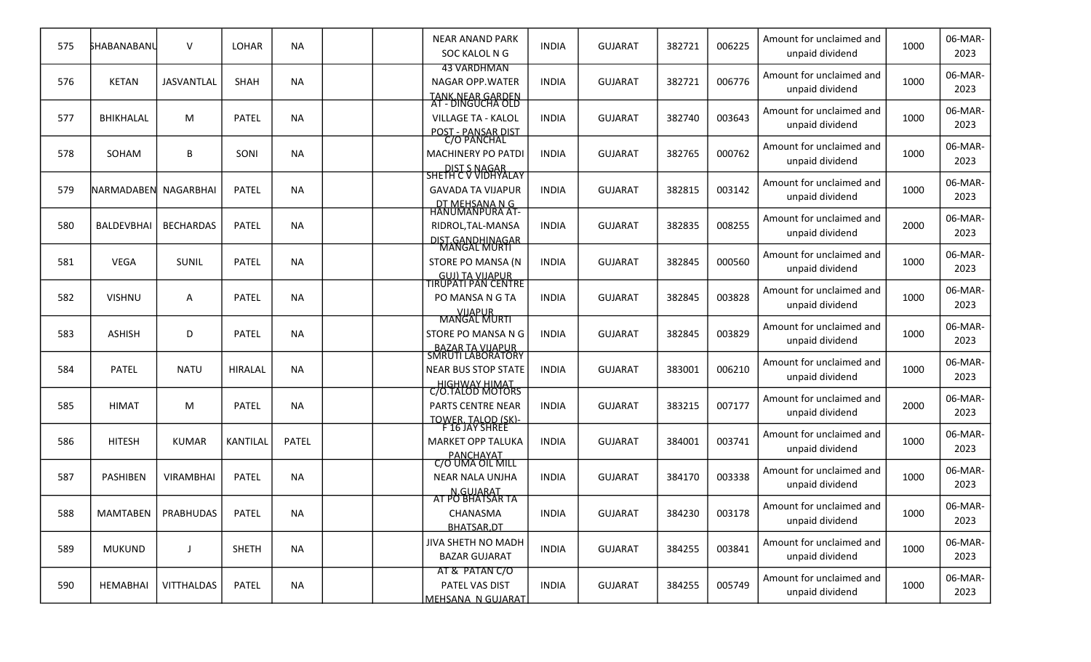| 575 | SHABANABANL          | $\vee$               | LOHAR           | <b>NA</b>    | <b>NEAR ANAND PARK</b><br>SOC KALOL N G                                               | <b>INDIA</b> | <b>GUJARAT</b> | 382721 | 006225 | Amount for unclaimed and<br>unpaid dividend | 1000 | 06-MAR-<br>2023 |
|-----|----------------------|----------------------|-----------------|--------------|---------------------------------------------------------------------------------------|--------------|----------------|--------|--------|---------------------------------------------|------|-----------------|
| 576 | <b>KETAN</b>         | <b>JASVANTLAL</b>    | SHAH            | <b>NA</b>    | <b>43 VARDHMAN</b><br><b>NAGAR OPP.WATER</b><br>TANK NEAR GARDEN<br>AT - DINGUCHA OLD | <b>INDIA</b> | <b>GUJARAT</b> | 382721 | 006776 | Amount for unclaimed and<br>unpaid dividend | 1000 | 06-MAR-<br>2023 |
| 577 | BHIKHALAL            | M                    | <b>PATEL</b>    | <b>NA</b>    | <b>VILLAGE TA - KALOL</b><br>POST - PANSAR DIST                                       | <b>INDIA</b> | <b>GUJARAT</b> | 382740 | 003643 | Amount for unclaimed and<br>unpaid dividend | 1000 | 06-MAR-<br>2023 |
| 578 | SOHAM                | B                    | SONI            | <b>NA</b>    | C/O PANCHAL<br><b>MACHINERY PO PATDI</b><br>DIST S NAGAR                              | <b>INDIA</b> | <b>GUJARAT</b> | 382765 | 000762 | Amount for unclaimed and<br>unpaid dividend | 1000 | 06-MAR-<br>2023 |
| 579 | NARMADABEN NAGARBHAI |                      | <b>PATEL</b>    | <b>NA</b>    | SHETH C V VIDHYALAY<br><b>GAVADA TA VIJAPUR</b>                                       | <b>INDIA</b> | <b>GUJARAT</b> | 382815 | 003142 | Amount for unclaimed and<br>unpaid dividend | 1000 | 06-MAR-<br>2023 |
| 580 | BALDEVBHAI           | <b>BECHARDAS</b>     | <b>PATEL</b>    | <b>NA</b>    | <u>DT MEHSANA N G</u><br>HANUMANPURA AT-<br>RIDROL, TAL-MANSA<br>DIST.GANDHINAGAR     | <b>INDIA</b> | <b>GUJARAT</b> | 382835 | 008255 | Amount for unclaimed and<br>unpaid dividend | 2000 | 06-MAR-<br>2023 |
| 581 | <b>VEGA</b>          | SUNIL                | <b>PATEL</b>    | <b>NA</b>    | <b>MANGAL MURTI</b><br>STORE PO MANSA (N                                              | <b>INDIA</b> | <b>GUJARAT</b> | 382845 | 000560 | Amount for unclaimed and<br>unpaid dividend | 1000 | 06-MAR-<br>2023 |
| 582 | <b>VISHNU</b>        | А                    | <b>PATEL</b>    | <b>NA</b>    | GUJ) TA VIJAPUR<br>TIRUPATI PAN CENTRE<br>PO MANSA N G TA<br><b>VIJAPUR</b>           | <b>INDIA</b> | <b>GUJARAT</b> | 382845 | 003828 | Amount for unclaimed and<br>unpaid dividend | 1000 | 06-MAR-<br>2023 |
| 583 | <b>ASHISH</b>        | D                    | <b>PATEL</b>    | <b>NA</b>    | <b>MANGAL MURTI</b><br>STORE PO MANSA N G                                             | <b>INDIA</b> | <b>GUJARAT</b> | 382845 | 003829 | Amount for unclaimed and<br>unpaid dividend | 1000 | 06-MAR-<br>2023 |
| 584 | <b>PATEL</b>         | <b>NATU</b>          | <b>HIRALAL</b>  | <b>NA</b>    | BAZAR TA VIJAPUR<br>SMRUTI LABORATORY<br><b>NEAR BUS STOP STATE</b>                   | <b>INDIA</b> | <b>GUJARAT</b> | 383001 | 006210 | Amount for unclaimed and<br>unpaid dividend | 1000 | 06-MAR-<br>2023 |
| 585 | <b>HIMAT</b>         | M                    | <b>PATEL</b>    | <b>NA</b>    | HIGHWAY HIMAT<br>C/O.TALOD MOTORS<br>PARTS CENTRE NEAR<br><b>TOWER. TALOD (SK)-</b>   | <b>INDIA</b> | <b>GUJARAT</b> | 383215 | 007177 | Amount for unclaimed and<br>unpaid dividend | 2000 | 06-MAR-<br>2023 |
| 586 | <b>HITESH</b>        | <b>KUMAR</b>         | <b>KANTILAL</b> | <b>PATEL</b> | F 16 JAY SHREE<br><b>MARKET OPP TALUKA</b><br>PANCHAYAT                               | <b>INDIA</b> | <b>GUJARAT</b> | 384001 | 003741 | Amount for unclaimed and<br>unpaid dividend | 1000 | 06-MAR-<br>2023 |
| 587 | PASHIBEN             | <b>VIRAMBHAI</b>     | <b>PATEL</b>    | <b>NA</b>    | <u>C/O UMA OIL MILL</u><br><b>NEAR NALA UNJHA</b>                                     | <b>INDIA</b> | <b>GUJARAT</b> | 384170 | 003338 | Amount for unclaimed and<br>unpaid dividend | 1000 | 06-MAR-<br>2023 |
| 588 |                      | MAMTABEN   PRABHUDAS | <b>PATEL</b>    | <b>NA</b>    | N.GUJARAT<br>AT PO BHATSAR TA<br>CHANASMA<br>BHATSAR.DT                               | <b>INDIA</b> | <b>GUJARAT</b> | 384230 | 003178 | Amount for unclaimed and<br>unpaid dividend | 1000 | 06-MAR-<br>2023 |
| 589 | <b>MUKUND</b>        | $\mathbf{I}$         | <b>SHETH</b>    | <b>NA</b>    | JIVA SHETH NO MADH<br><b>BAZAR GUJARAT</b>                                            | <b>INDIA</b> | <b>GUJARAT</b> | 384255 | 003841 | Amount for unclaimed and<br>unpaid dividend | 1000 | 06-MAR-<br>2023 |
| 590 | HEMABHAI             | <b>VITTHALDAS</b>    | PATEL           | <b>NA</b>    | AT & PATAN C/O<br>PATEL VAS DIST<br>MEHSANA N GUJARAT                                 | <b>INDIA</b> | <b>GUJARAT</b> | 384255 | 005749 | Amount for unclaimed and<br>unpaid dividend | 1000 | 06-MAR-<br>2023 |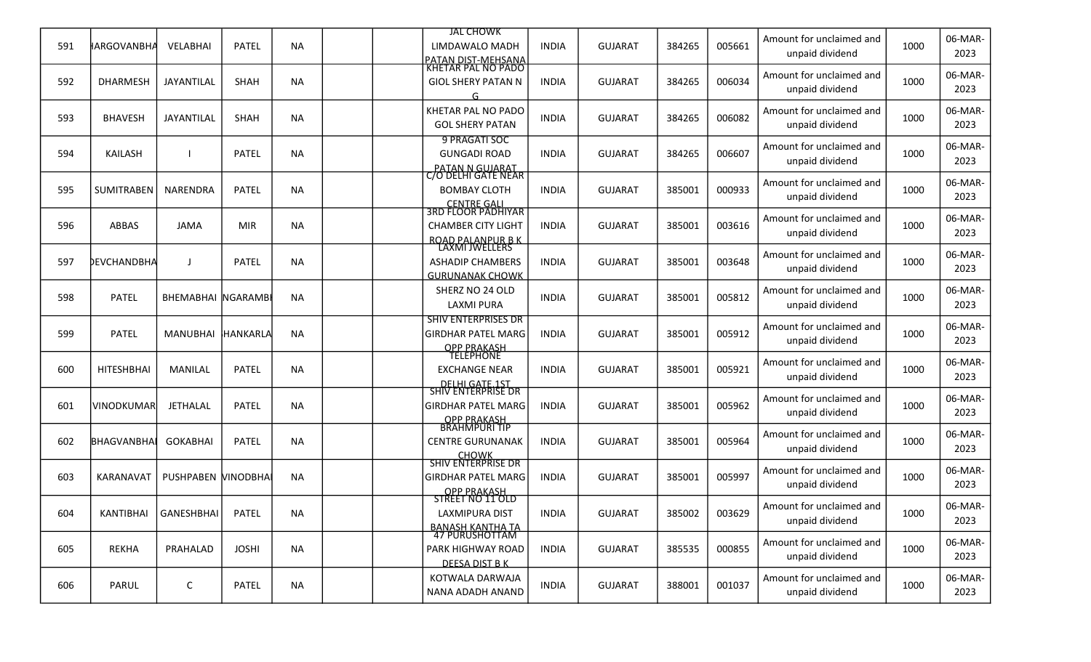|     |                   |                           |              |           |  | <b>JAL CHOWK</b>                                                                          |              |                |        |        |                                             |      | 06-MAR-         |
|-----|-------------------|---------------------------|--------------|-----------|--|-------------------------------------------------------------------------------------------|--------------|----------------|--------|--------|---------------------------------------------|------|-----------------|
| 591 | ∦ARGOVANBHA       | VELABHAI                  | PATEL        | <b>NA</b> |  | LIMDAWALO MADH<br>PATAN DIST-MEHSANA                                                      | <b>INDIA</b> | <b>GUJARAT</b> | 384265 | 005661 | Amount for unclaimed and<br>unpaid dividend | 1000 | 2023            |
| 592 | <b>DHARMESH</b>   | JAYANTILAL                | SHAH         | <b>NA</b> |  | <u>KHETAR PAL NO PADO</u><br><b>GIOL SHERY PATAN N</b><br>G                               | <b>INDIA</b> | <b>GUJARAT</b> | 384265 | 006034 | Amount for unclaimed and<br>unpaid dividend | 1000 | 06-MAR-<br>2023 |
| 593 | <b>BHAVESH</b>    | JAYANTILAL                | SHAH         | <b>NA</b> |  | KHETAR PAL NO PADO<br><b>GOL SHERY PATAN</b>                                              | <b>INDIA</b> | <b>GUJARAT</b> | 384265 | 006082 | Amount for unclaimed and<br>unpaid dividend | 1000 | 06-MAR-<br>2023 |
| 594 | KAILASH           |                           | <b>PATEL</b> | <b>NA</b> |  | 9 PRAGATI SOC<br><b>GUNGADI ROAD</b>                                                      | <b>INDIA</b> | <b>GUJARAT</b> | 384265 | 006607 | Amount for unclaimed and<br>unpaid dividend | 1000 | 06-MAR-<br>2023 |
| 595 | <b>SUMITRABEN</b> | NARENDRA                  | <b>PATEL</b> | <b>NA</b> |  | PATAN N GUJARAT<br>C/O DELHI GATE NEAR<br><b>BOMBAY CLOTH</b>                             | <b>INDIA</b> | <b>GUJARAT</b> | 385001 | 000933 | Amount for unclaimed and<br>unpaid dividend | 1000 | 06-MAR-<br>2023 |
| 596 | ABBAS             | <b>JAMA</b>               | <b>MIR</b>   | <b>NA</b> |  | CENTRE GALI<br>3RD FLOOR PADHIYAR<br><b>CHAMBER CITY LIGHT</b><br><b>ROAD PALANPUR BK</b> | <b>INDIA</b> | <b>GUJARAT</b> | 385001 | 003616 | Amount for unclaimed and<br>unpaid dividend | 1000 | 06-MAR-<br>2023 |
| 597 | DEVCHANDBHA       |                           | <b>PATEL</b> | <b>NA</b> |  | <b>LAXMI JWELLERS</b><br><b>ASHADIP CHAMBERS</b><br><b>GURUNANAK CHOWK</b>                | <b>INDIA</b> | <b>GUJARAT</b> | 385001 | 003648 | Amount for unclaimed and<br>unpaid dividend | 1000 | 06-MAR-<br>2023 |
| 598 | <b>PATEL</b>      | <b>BHEMABHAI NGARAMBI</b> |              | <b>NA</b> |  | SHERZ NO 24 OLD<br><b>LAXMI PURA</b>                                                      | <b>INDIA</b> | <b>GUJARAT</b> | 385001 | 005812 | Amount for unclaimed and<br>unpaid dividend | 1000 | 06-MAR-<br>2023 |
| 599 | <b>PATEL</b>      | MANUBHAI                  | HANKARLA     | <b>NA</b> |  | <b>SHIV ENTERPRISES DR</b><br><b>GIRDHAR PATEL MARG</b>                                   | <b>INDIA</b> | <b>GUJARAT</b> | 385001 | 005912 | Amount for unclaimed and<br>unpaid dividend | 1000 | 06-MAR-<br>2023 |
| 600 | <b>HITESHBHAI</b> | <b>MANILAL</b>            | <b>PATEL</b> | <b>NA</b> |  | OPP PRAKASH<br><b>EXCHANGE NEAR</b><br>DELHI GATE.1ST                                     | <b>INDIA</b> | <b>GUJARAT</b> | 385001 | 005921 | Amount for unclaimed and<br>unpaid dividend | 1000 | 06-MAR-<br>2023 |
| 601 | <b>VINODKUMAR</b> | <b>JETHALAL</b>           | <b>PATEL</b> | <b>NA</b> |  | <u>SHIV ENTERPRISE DR</u><br><b>GIRDHAR PATEL MARG</b>                                    | <b>INDIA</b> | <b>GUJARAT</b> | 385001 | 005962 | Amount for unclaimed and<br>unpaid dividend | 1000 | 06-MAR-<br>2023 |
| 602 | BHAGVANBHAI       | <b>GOKABHAI</b>           | <b>PATEL</b> | <b>NA</b> |  | OPP PRAKASH<br>BRAHMPURI TIP<br><b>CENTRE GURUNANAK</b><br><b>CHOWK</b>                   | <b>INDIA</b> | <b>GUJARAT</b> | 385001 | 005964 | Amount for unclaimed and<br>unpaid dividend | 1000 | 06-MAR-<br>2023 |
| 603 | KARANAVAT         | PUSHPABEN MINODBHAI       |              | <b>NA</b> |  | <b>SHIV ENTERPRISE DR</b><br><b>GIRDHAR PATEL MARG</b>                                    | <b>INDIA</b> | <b>GUJARAT</b> | 385001 | 005997 | Amount for unclaimed and<br>unpaid dividend | 1000 | 06-MAR-<br>2023 |
| 604 |                   | KANTIBHAI GANESHBHAI      | <b>PATEL</b> | <b>NA</b> |  | OPP PRAKASH<br>STREET NO 11 OLD<br>LAXMIPURA DIST                                         | <b>INDIA</b> | <b>GUJARAT</b> | 385002 | 003629 | Amount for unclaimed and<br>unpaid dividend | 1000 | 06-MAR-<br>2023 |
| 605 | <b>REKHA</b>      | PRAHALAD                  | <b>JOSHI</b> | <b>NA</b> |  | <u>BANASH KANTHA TA</u><br>47 PURUSHOTTAM<br>PARK HIGHWAY ROAD<br>DEESA DIST B K          | <b>INDIA</b> | <b>GUJARAT</b> | 385535 | 000855 | Amount for unclaimed and<br>unpaid dividend | 1000 | 06-MAR-<br>2023 |
| 606 | <b>PARUL</b>      | C                         | <b>PATEL</b> | <b>NA</b> |  | KOTWALA DARWAJA<br>NANA ADADH ANAND                                                       | <b>INDIA</b> | <b>GUJARAT</b> | 388001 | 001037 | Amount for unclaimed and<br>unpaid dividend | 1000 | 06-MAR-<br>2023 |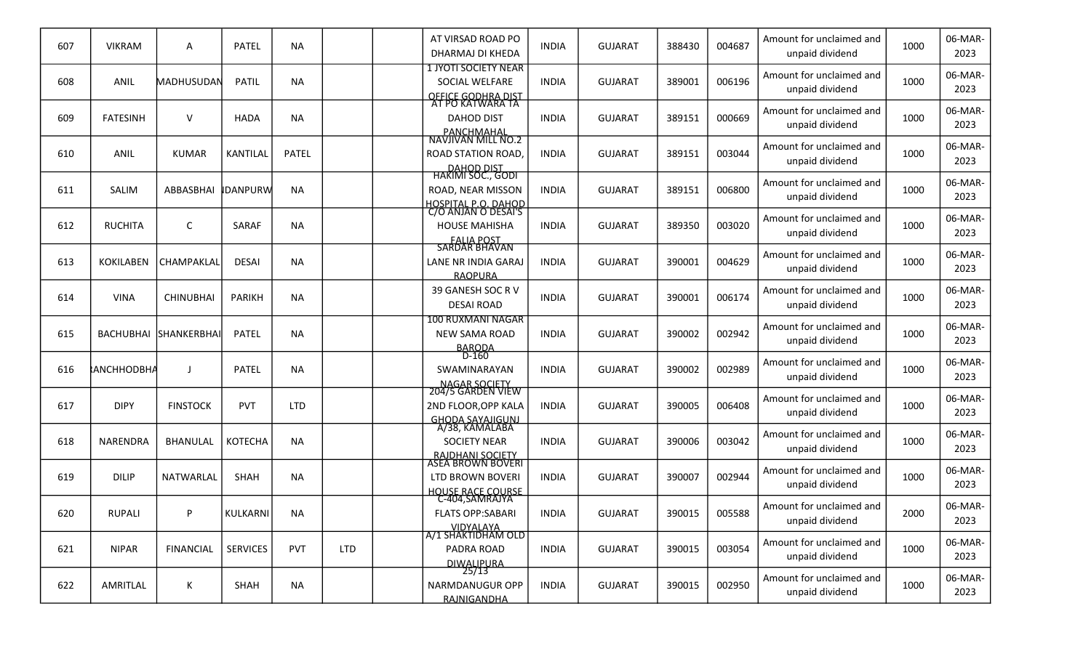| 607 | <b>VIKRAM</b>     | Α                     | PATEL           | <b>NA</b>    |            | AT VIRSAD ROAD PO<br>DHARMAJ DI KHEDA                                                          | <b>INDIA</b> | <b>GUJARAT</b> | 388430 | 004687 | Amount for unclaimed and<br>unpaid dividend | 1000 | 06-MAR-<br>2023 |
|-----|-------------------|-----------------------|-----------------|--------------|------------|------------------------------------------------------------------------------------------------|--------------|----------------|--------|--------|---------------------------------------------|------|-----------------|
| 608 | ANIL              | MADHUSUDAN            | <b>PATIL</b>    | <b>NA</b>    |            | <b>1 JYOTI SOCIETY NEAR</b><br>SOCIAL WELFARE<br><u>OFFICE GODHRA DIST</u><br>AT PO KATWARA TA | <b>INDIA</b> | <b>GUJARAT</b> | 389001 | 006196 | Amount for unclaimed and<br>unpaid dividend | 1000 | 06-MAR-<br>2023 |
| 609 | <b>FATESINH</b>   | V                     | <b>HADA</b>     | <b>NA</b>    |            | <b>DAHOD DIST</b>                                                                              | <b>INDIA</b> | <b>GUJARAT</b> | 389151 | 000669 | Amount for unclaimed and<br>unpaid dividend | 1000 | 06-MAR-<br>2023 |
| 610 | <b>ANIL</b>       | <b>KUMAR</b>          | <b>KANTILAL</b> | <b>PATEL</b> |            | PANCHMAHAL<br>NAVJIVAN MILL NO.2<br><b>ROAD STATION ROAD,</b><br><b>DAHOD DIST</b>             | <b>INDIA</b> | <b>GUJARAT</b> | 389151 | 003044 | Amount for unclaimed and<br>unpaid dividend | 1000 | 06-MAR-<br>2023 |
| 611 | <b>SALIM</b>      | ABBASBHAI             | <b>IDANPURW</b> | <b>NA</b>    |            | HAKIMI SOC., GODI<br>ROAD, NEAR MISSON                                                         | <b>INDIA</b> | <b>GUJARAT</b> | 389151 | 006800 | Amount for unclaimed and<br>unpaid dividend | 1000 | 06-MAR-<br>2023 |
| 612 | <b>RUCHITA</b>    | C                     | SARAF           | <b>NA</b>    |            | <u>HOSPITAL P.O. DAHOD</u><br>C/O ANJAN O DESAI'S<br><b>HOUSE MAHISHA</b><br><b>FALIA POST</b> | <b>INDIA</b> | <b>GUJARAT</b> | 389350 | 003020 | Amount for unclaimed and<br>unpaid dividend | 1000 | 06-MAR-<br>2023 |
| 613 | <b>KOKILABEN</b>  | CHAMPAKLAL            | <b>DESAI</b>    | <b>NA</b>    |            | <b>SARDAR BHAVAN</b><br>LANE NR INDIA GARAJ<br><b>RAOPURA</b>                                  | <b>INDIA</b> | <b>GUJARAT</b> | 390001 | 004629 | Amount for unclaimed and<br>unpaid dividend | 1000 | 06-MAR-<br>2023 |
| 614 | <b>VINA</b>       | <b>CHINUBHAI</b>      | <b>PARIKH</b>   | <b>NA</b>    |            | 39 GANESH SOC R V<br><b>DESAI ROAD</b>                                                         | <b>INDIA</b> | <b>GUJARAT</b> | 390001 | 006174 | Amount for unclaimed and<br>unpaid dividend | 1000 | 06-MAR-<br>2023 |
| 615 |                   | BACHUBHAI SHANKERBHAI | PATEL           | <b>NA</b>    |            | <b>100 RUXMANI NAGAR</b><br><b>NEW SAMA ROAD</b>                                               | <b>INDIA</b> | <b>GUJARAT</b> | 390002 | 002942 | Amount for unclaimed and<br>unpaid dividend | 1000 | 06-MAR-<br>2023 |
| 616 | <b>ANCHHODBHA</b> | J                     | <b>PATEL</b>    | <b>NA</b>    |            | BARODA<br>D-160<br>SWAMINARAYAN                                                                | <b>INDIA</b> | <b>GUJARAT</b> | 390002 | 002989 | Amount for unclaimed and<br>unpaid dividend | 1000 | 06-MAR-<br>2023 |
| 617 | <b>DIPY</b>       | <b>FINSTOCK</b>       | <b>PVT</b>      | <b>LTD</b>   |            | NAGAR SOCIETY<br>204/5 GARDEN VIEW<br>2ND FLOOR, OPP KALA                                      | <b>INDIA</b> | <b>GUJARAT</b> | 390005 | 006408 | Amount for unclaimed and<br>unpaid dividend | 1000 | 06-MAR-<br>2023 |
| 618 | <b>NARENDRA</b>   | <b>BHANULAL</b>       | <b>KOTECHA</b>  | <b>NA</b>    |            | GHODA SAYAJIGUNJ<br>A/38, KAMALABA<br><b>SOCIETY NEAR</b><br><b>RAJDHANI SOCIETY</b>           | <b>INDIA</b> | <b>GUJARAT</b> | 390006 | 003042 | Amount for unclaimed and<br>unpaid dividend | 1000 | 06-MAR-<br>2023 |
| 619 | <b>DILIP</b>      | NATWARLAL             | <b>SHAH</b>     | <b>NA</b>    |            | ASEA BROWN BOVERI<br>LTD BROWN BOVERI<br><b>HOUSE RACE COURSE</b>                              | <b>INDIA</b> | <b>GUJARAT</b> | 390007 | 002944 | Amount for unclaimed and<br>unpaid dividend | 1000 | 06-MAR-<br>2023 |
| 620 | <b>RUPALI</b>     | P                     | KULKARNI        | <b>NA</b>    |            | C-404, SAMRAJYA<br><b>FLATS OPP:SABARI</b>                                                     | <b>INDIA</b> | <b>GUJARAT</b> | 390015 | 005588 | Amount for unclaimed and<br>unpaid dividend | 2000 | 06-MAR-<br>2023 |
| 621 | <b>NIPAR</b>      | <b>FINANCIAL</b>      | <b>SERVICES</b> | PVT          | <b>LTD</b> | VIDYALAYA<br> A/1 SHAKTIDHAM OLD  <br>PADRA ROAD<br><b>DIWALIPURA</b>                          | <b>INDIA</b> | <b>GUJARAT</b> | 390015 | 003054 | Amount for unclaimed and<br>unpaid dividend | 1000 | 06-MAR-<br>2023 |
| 622 | AMRITLAL          | Κ                     | SHAH            | <b>NA</b>    |            | 25/13<br>NARMDANUGUR OPP<br>RAJNIGANDHA                                                        | <b>INDIA</b> | <b>GUJARAT</b> | 390015 | 002950 | Amount for unclaimed and<br>unpaid dividend | 1000 | 06-MAR-<br>2023 |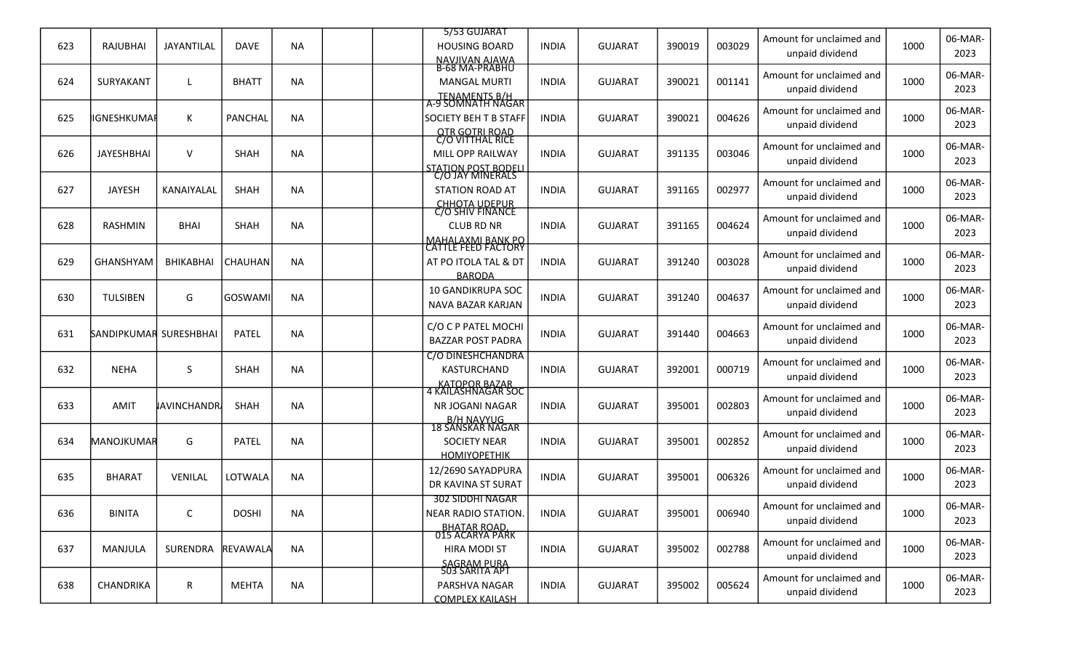|     |                        |                    |                 |           | 5/53 GUJARAT                                             |              |                |        |        | Amount for unclaimed and                    |      | 06-MAR-         |
|-----|------------------------|--------------------|-----------------|-----------|----------------------------------------------------------|--------------|----------------|--------|--------|---------------------------------------------|------|-----------------|
| 623 | RAJUBHAI               | JAYANTILAL         | DAVE            | <b>NA</b> | <b>HOUSING BOARD</b><br>NAVIIVAN AJAWA<br>B-68 MA-PRABHU | <b>INDIA</b> | <b>GUJARAT</b> | 390019 | 003029 | unpaid dividend                             | 1000 | 2023            |
| 624 | SURYAKANT              |                    | <b>BHATT</b>    | <b>NA</b> | <b>MANGAL MURTI</b>                                      | <b>INDIA</b> | <b>GUJARAT</b> | 390021 | 001141 | Amount for unclaimed and                    | 1000 | 06-MAR-         |
|     |                        |                    |                 |           | TENAMENTS B/H<br>A-9 SOMNATH NAGAR                       |              |                |        |        | unpaid dividend                             |      | 2023            |
| 625 | IGNESHKUMAI            | K                  | <b>PANCHAL</b>  | <b>NA</b> | <b>SOCIETY BEH T B STAFF</b>                             | <b>INDIA</b> | <b>GUJARAT</b> | 390021 | 004626 | Amount for unclaimed and                    | 1000 | 06-MAR-<br>2023 |
|     |                        |                    |                 |           | <b>OTR GOTRI ROAD</b><br>C/O VITTHAL RICE                |              |                |        |        | unpaid dividend                             |      |                 |
| 626 | <b>JAYESHBHAI</b>      | $\vee$             | SHAH            | <b>NA</b> | MILL OPP RAILWAY                                         | <b>INDIA</b> | <b>GUJARAT</b> | 391135 | 003046 | Amount for unclaimed and<br>unpaid dividend | 1000 | 06-MAR-<br>2023 |
|     |                        |                    |                 |           | <b>STATION POST BODELI</b><br>C/O JAY MINERALS           |              |                |        |        |                                             |      |                 |
| 627 | <b>JAYESH</b>          | KANAIYALAL         | SHAH            | <b>NA</b> | <b>STATION ROAD AT</b>                                   | INDIA        | GUJARAT        | 391165 | 002977 | Amount for unclaimed and<br>unpaid dividend | 1000 | 06-MAR-<br>2023 |
|     |                        |                    |                 |           | <b>CHHOTA UDEPUR</b><br>C/O SHIV FINANCE                 |              |                |        |        |                                             |      |                 |
| 628 | <b>RASHMIN</b>         | <b>BHAI</b>        | <b>SHAH</b>     | <b>NA</b> | <b>CLUB RD NR</b>                                        | <b>INDIA</b> | <b>GUJARAT</b> | 391165 | 004624 | Amount for unclaimed and<br>unpaid dividend | 1000 | 06-MAR-<br>2023 |
|     |                        |                    |                 |           | <b>MAHALAXMI BANK PO</b><br><b>CATTLE FEED FACTORY</b>   |              |                |        |        |                                             |      | 06-MAR-         |
| 629 | GHANSHYAM              | <b>BHIKABHAI</b>   | CHAUHAN         | <b>NA</b> | AT PO ITOLA TAL & DT<br><b>BARODA</b>                    | <b>INDIA</b> | <b>GUJARAT</b> | 391240 | 003028 | Amount for unclaimed and<br>unpaid dividend | 1000 | 2023            |
|     |                        |                    |                 |           | <b>10 GANDIKRUPA SOC</b>                                 |              |                |        |        | Amount for unclaimed and                    |      | 06-MAR-         |
| 630 | <b>TULSIBEN</b>        | G                  | GOSWAMI         | NA        | NAVA BAZAR KARJAN                                        | <b>INDIA</b> | <b>GUJARAT</b> | 391240 | 004637 | unpaid dividend                             | 1000 | 2023            |
| 631 | SANDIPKUMAR SURESHBHAI |                    | <b>PATEL</b>    | <b>NA</b> | C/O C P PATEL MOCHI                                      | <b>INDIA</b> | <b>GUJARAT</b> | 391440 | 004663 | Amount for unclaimed and                    | 1000 | 06-MAR-         |
|     |                        |                    |                 |           | <b>BAZZAR POST PADRA</b>                                 |              |                |        |        | unpaid dividend                             |      | 2023            |
|     |                        |                    |                 |           | C/O DINESHCHANDRA                                        |              |                |        |        | Amount for unclaimed and                    |      | 06-MAR-         |
| 632 | <b>NEHA</b>            | S.                 | <b>SHAH</b>     | NA        | KASTURCHAND                                              | <b>INDIA</b> | <b>GUJARAT</b> | 392001 | 000719 | unpaid dividend                             | 1000 | 2023            |
|     |                        |                    |                 |           | KATOPOR BAZAR<br>4 KAILASHNAGAR SOC                      |              |                |        |        | Amount for unclaimed and                    |      | 06-MAR-         |
| 633 | AMIT                   | <b>JAVINCHANDR</b> | <b>SHAH</b>     | <b>NA</b> | NR JOGANI NAGAR                                          | <b>INDIA</b> | <b>GUJARAT</b> | 395001 | 002803 | unpaid dividend                             | 1000 | 2023            |
|     |                        |                    |                 |           | B/H NAVYUG<br>18 SANSKAR NAGAR                           |              |                |        |        |                                             |      |                 |
| 634 | <b>MANOJKUMAR</b>      | G                  | <b>PATEL</b>    | <b>NA</b> | <b>SOCIETY NEAR</b>                                      | <b>INDIA</b> | <b>GUJARAT</b> | 395001 | 002852 | Amount for unclaimed and<br>unpaid dividend | 1000 | 06-MAR-<br>2023 |
|     |                        |                    |                 |           | <b>HOMIYOPETHIK</b>                                      |              |                |        |        |                                             |      |                 |
| 635 | <b>BHARAT</b>          | <b>VENILAL</b>     | LOTWALA         | <b>NA</b> | 12/2690 SAYADPURA                                        | <b>INDIA</b> | <b>GUJARAT</b> | 395001 | 006326 | Amount for unclaimed and                    | 1000 | 06-MAR-         |
|     |                        |                    |                 |           | DR KAVINA ST SURAT<br>302 SIDDHI NAGAR                   |              |                |        |        | unpaid dividend                             |      | 2023            |
| 636 | <b>BINITA</b>          | C                  | <b>DOSHI</b>    | <b>NA</b> | <b>NEAR RADIO STATION.</b>                               | <b>INDIA</b> | <b>GUJARAT</b> | 395001 | 006940 | Amount for unclaimed and                    | 1000 | 06-MAR-         |
|     |                        |                    |                 |           | <u>BHATAR ROAD.</u><br>015 ACARYA PARK                   |              |                |        |        | unpaid dividend                             |      | 2023            |
| 637 | MANJULA                | SURENDRA           | <b>REVAWALA</b> | <b>NA</b> | <b>HIRA MODI ST</b>                                      | <b>INDIA</b> | <b>GUJARAT</b> | 395002 | 002788 | Amount for unclaimed and                    | 1000 | 06-MAR-         |
|     |                        |                    |                 |           | SAGRAM PURA<br>503 SARITA APT                            |              |                |        |        | unpaid dividend                             |      | 2023            |
| 638 |                        |                    |                 | <b>NA</b> |                                                          |              | <b>GUJARAT</b> | 395002 | 005624 | Amount for unclaimed and                    | 1000 | 06-MAR-         |
|     | CHANDRIKA              | $\mathsf{R}$       | MEHTA           |           | PARSHVA NAGAR<br><b>COMPLEX KAILASH</b>                  | <b>INDIA</b> |                |        |        | unpaid dividend                             |      | 2023            |
|     |                        |                    |                 |           |                                                          |              |                |        |        |                                             |      |                 |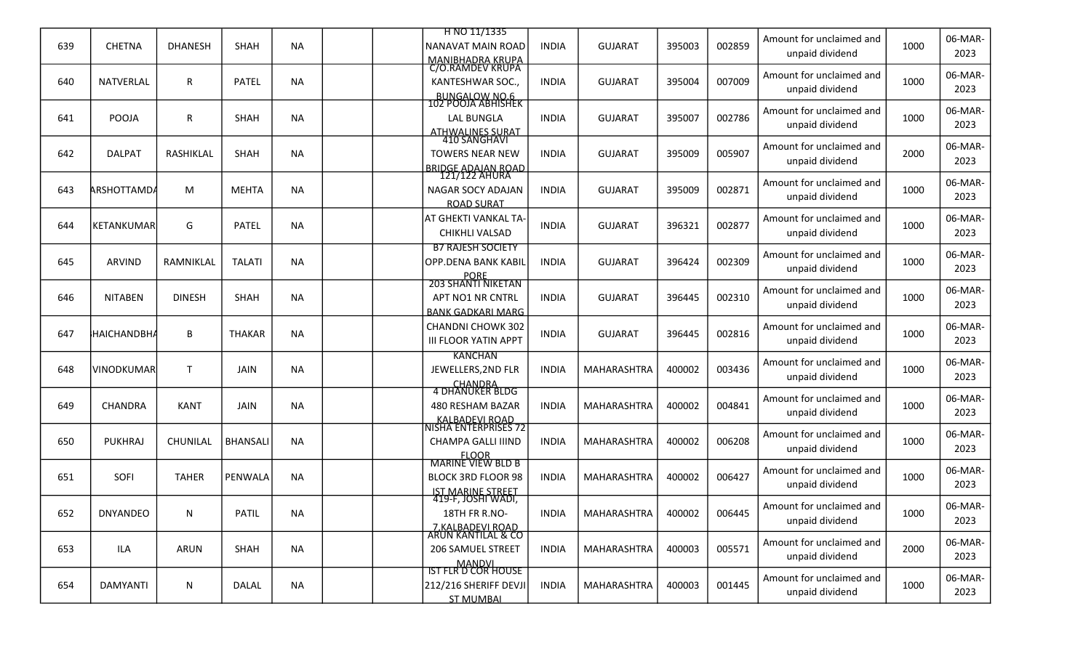|     |                    |                 |                 |           | H NO 11/1335                                |              |                |        |        |                                             |      | 06-MAR-         |
|-----|--------------------|-----------------|-----------------|-----------|---------------------------------------------|--------------|----------------|--------|--------|---------------------------------------------|------|-----------------|
| 639 | <b>CHETNA</b>      | <b>DHANESH</b>  | SHAH            | <b>NA</b> | <b>NANAVAT MAIN ROAD</b>                    | <b>INDIA</b> | <b>GUJARAT</b> | 395003 | 002859 | Amount for unclaimed and<br>unpaid dividend | 1000 | 2023            |
|     |                    |                 |                 |           | <u>MANIBHADRA KRUPA</u><br>C/O.RAMDEV KRUPA |              |                |        |        | Amount for unclaimed and                    |      | 06-MAR-         |
| 640 | <b>NATVERLAL</b>   | R               | <b>PATEL</b>    | <b>NA</b> | KANTESHWAR SOC.,                            | <b>INDIA</b> | <b>GUJARAT</b> | 395004 | 007009 | unpaid dividend                             | 1000 | 2023            |
|     |                    |                 |                 |           | BUNGALOW NO.6<br>102 POOJA ABHISHEK         |              |                |        |        | Amount for unclaimed and                    |      | 06-MAR-         |
| 641 | POOJA              | R               | SHAH            | <b>NA</b> | <b>LAL BUNGLA</b>                           | <b>INDIA</b> | <b>GUJARAT</b> | 395007 | 002786 | unpaid dividend                             | 1000 | 2023            |
|     |                    |                 |                 |           | ATHWALINES SURAT<br>410 SANGHAVI            |              |                |        |        |                                             |      |                 |
| 642 | <b>DALPAT</b>      | RASHIKLAL       | SHAH            | <b>NA</b> | <b>TOWERS NEAR NEW</b>                      | <b>INDIA</b> | <b>GUJARAT</b> | 395009 | 005907 | Amount for unclaimed and                    | 2000 | 06-MAR-         |
|     |                    |                 |                 |           | <b>BRIDGE ADAIAN ROAD</b><br>121/122 AHURA  |              |                |        |        | unpaid dividend                             |      | 2023            |
| 643 | <b>ARSHOTTAMDA</b> | M               | <b>MEHTA</b>    | <b>NA</b> | NAGAR SOCY ADAJAN                           | <b>INDIA</b> | <b>GUJARAT</b> | 395009 | 002871 | Amount for unclaimed and                    | 1000 | 06-MAR-         |
|     |                    |                 |                 |           | <b>ROAD SURAT</b>                           |              |                |        |        | unpaid dividend                             |      | 2023            |
|     |                    |                 |                 |           | AT GHEKTI VANKAL TA-                        |              |                |        |        | Amount for unclaimed and                    |      | 06-MAR-         |
| 644 | <b>KETANKUMAR</b>  | G               | <b>PATEL</b>    | <b>NA</b> | CHIKHLI VALSAD                              | <b>INDIA</b> | <b>GUJARAT</b> | 396321 | 002877 | unpaid dividend                             | 1000 | 2023            |
|     |                    |                 |                 |           | <b>B7 RAJESH SOCIETY</b>                    |              |                |        |        | Amount for unclaimed and                    |      | 06-MAR-         |
| 645 | <b>ARVIND</b>      | RAMNIKLAL       | <b>TALATI</b>   | <b>NA</b> | <b>OPP.DENA BANK KABIL</b>                  | <b>INDIA</b> | <b>GUJARAT</b> | 396424 | 002309 | unpaid dividend                             | 1000 | 2023            |
|     |                    |                 |                 |           | PORE<br>203 SHANTI NIKETAN                  |              |                |        |        |                                             |      |                 |
| 646 | <b>NITABEN</b>     | <b>DINESH</b>   | <b>SHAH</b>     | <b>NA</b> | APT NO1 NR CNTRL                            | <b>INDIA</b> | <b>GUJARAT</b> | 396445 | 002310 | Amount for unclaimed and<br>unpaid dividend | 1000 | 06-MAR-<br>2023 |
|     |                    |                 |                 |           | <b>BANK GADKARI MARG</b>                    |              |                |        |        |                                             |      |                 |
| 647 | <b>HAICHANDBH</b>  | B               | <b>THAKAR</b>   | <b>NA</b> | <b>CHANDNI CHOWK 302</b>                    | <b>INDIA</b> | <b>GUJARAT</b> | 396445 | 002816 | Amount for unclaimed and                    | 1000 | 06-MAR-         |
|     |                    |                 |                 |           | <b>III FLOOR YATIN APPT</b>                 |              |                |        |        | unpaid dividend                             |      | 2023            |
| 648 | VINODKUMAR         | $\mathsf{T}$    | <b>JAIN</b>     | <b>NA</b> | <b>KANCHAN</b><br>JEWELLERS, 2ND FLR        | <b>INDIA</b> | MAHARASHTRA    | 400002 | 003436 | Amount for unclaimed and                    | 1000 | 06-MAR-         |
|     |                    |                 |                 |           |                                             |              |                |        |        | unpaid dividend                             |      | 2023            |
|     |                    |                 |                 |           | CHANDRA<br>4 DHANUKER BLDG                  |              |                |        |        | Amount for unclaimed and                    |      | 06-MAR-         |
| 649 | <b>CHANDRA</b>     | <b>KANT</b>     | <b>JAIN</b>     | <b>NA</b> | 480 RESHAM BAZAR                            | <b>INDIA</b> | MAHARASHTRA    | 400002 | 004841 | unpaid dividend                             | 1000 | 2023            |
|     |                    |                 |                 |           | KALBADEVI ROAD<br>NISHA ENTERPRISES 72      |              |                |        |        | Amount for unclaimed and                    |      | 06-MAR-         |
| 650 | <b>PUKHRAJ</b>     | <b>CHUNILAL</b> | <b>BHANSALI</b> | <b>NA</b> | CHAMPA GALLI IIIND                          | <b>INDIA</b> | MAHARASHTRA    | 400002 | 006208 | unpaid dividend                             | 1000 | 2023            |
|     |                    |                 |                 |           | <b>FLOOR</b><br><b>MARINE VIEW BLD B</b>    |              |                |        |        |                                             |      |                 |
| 651 | SOFI               | <b>TAHER</b>    | PENWALA         | <b>NA</b> | <b>BLOCK 3RD FLOOR 98</b>                   | <b>INDIA</b> | MAHARASHTRA    | 400002 | 006427 | Amount for unclaimed and                    | 1000 | 06-MAR-         |
|     |                    |                 |                 |           | IST MARINE STREET<br>419-F, JOSHI WADI,     |              |                |        |        | unpaid dividend                             |      | 2023            |
| 652 | <b>DNYANDEO</b>    | N               | PATIL           | <b>NA</b> | 18TH FR R.NO-                               | <b>INDIA</b> | MAHARASHTRA    | 400002 | 006445 | Amount for unclaimed and                    | 1000 | 06-MAR-         |
|     |                    |                 |                 |           | 7.KALBADEVI ROAD<br>ARUN KANTILAL & CO      |              |                |        |        | unpaid dividend                             |      | 2023            |
|     |                    |                 |                 |           |                                             |              |                |        |        | Amount for unclaimed and                    |      | 06-MAR-         |
| 653 | ILA                | <b>ARUN</b>     | SHAH            | NA        | 206 SAMUEL STREET                           | <b>INDIA</b> | MAHARASHTRA    | 400003 | 005571 | unpaid dividend                             | 2000 | 2023            |
|     |                    |                 |                 |           | MANDVI<br>IST FLR D COR HOUSE               |              |                |        |        | Amount for unclaimed and                    |      | 06-MAR-         |
| 654 | DAMYANTI           | N               | DALAL           | <b>NA</b> | 212/216 SHERIFF DEVJI                       | <b>INDIA</b> | MAHARASHTRA    | 400003 | 001445 | unpaid dividend                             | 1000 | 2023            |
|     |                    |                 |                 |           | <b>ST MUMBAL</b>                            |              |                |        |        |                                             |      |                 |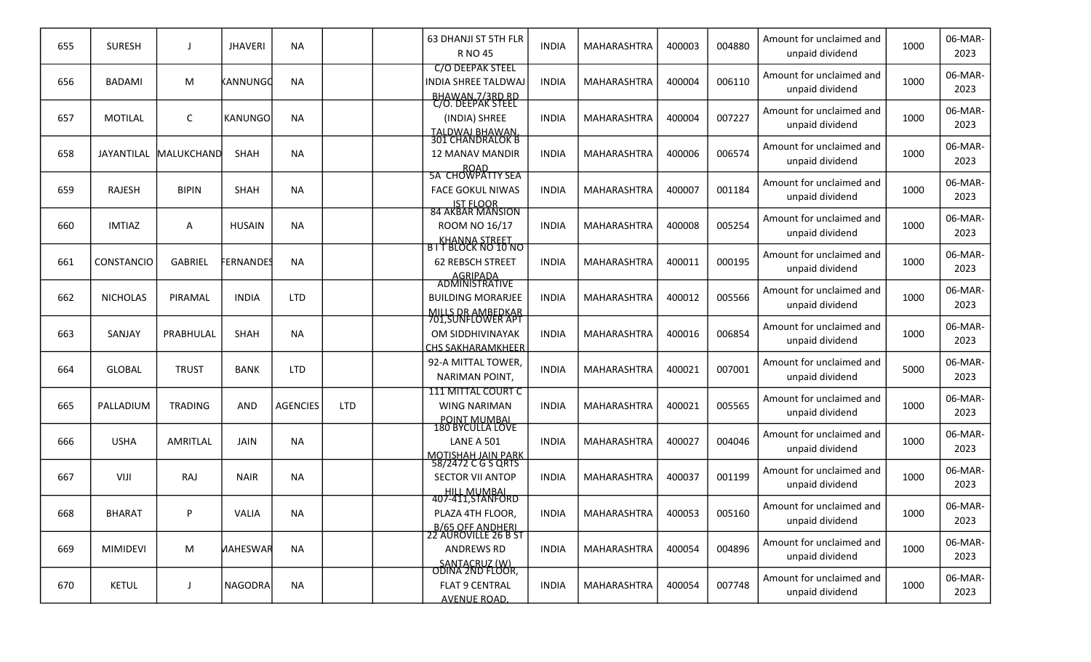| 655 | <b>SURESH</b>     |                | <b>JHAVERI</b>  | <b>NA</b>       |            | 63 DHANJI ST 5TH FLR<br><b>RNO 45</b>                                                                | <b>INDIA</b> | MAHARASHTRA        | 400003 | 004880 | Amount for unclaimed and<br>unpaid dividend | 1000 | 06-MAR-<br>2023 |
|-----|-------------------|----------------|-----------------|-----------------|------------|------------------------------------------------------------------------------------------------------|--------------|--------------------|--------|--------|---------------------------------------------|------|-----------------|
| 656 | <b>BADAMI</b>     | M              | KANNUNGC        | <b>NA</b>       |            | <b>C/O DEEPAK STEEL</b><br><b>INDIA SHREE TALDWAJ</b><br><u>BHAWAN.7/3RD RD</u><br>C/O. DEEPAK STEEL | <b>INDIA</b> | <b>MAHARASHTRA</b> | 400004 | 006110 | Amount for unclaimed and<br>unpaid dividend | 1000 | 06-MAR-<br>2023 |
| 657 | <b>MOTILAL</b>    | C              | <b>KANUNGO</b>  | <b>NA</b>       |            | (INDIA) SHREE<br><b>TALDWAJ BHAWAN</b>                                                               | <b>INDIA</b> | MAHARASHTRA        | 400004 | 007227 | Amount for unclaimed and<br>unpaid dividend | 1000 | 06-MAR-<br>2023 |
| 658 | JAYANTILAL        | MALUKCHAND     | <b>SHAH</b>     | <b>NA</b>       |            | <b>301 CHANDRALOK B</b><br><b>12 MANAV MANDIR</b><br>ROAD<br>5A CHOWPATTY SEA                        | <b>INDIA</b> | MAHARASHTRA        | 400006 | 006574 | Amount for unclaimed and<br>unpaid dividend | 1000 | 06-MAR-<br>2023 |
| 659 | <b>RAJESH</b>     | <b>BIPIN</b>   | <b>SHAH</b>     | <b>NA</b>       |            | <b>FACE GOKUL NIWAS</b><br>IST FLOOR<br>84 AKBAR MANSION                                             | <b>INDIA</b> | MAHARASHTRA        | 400007 | 001184 | Amount for unclaimed and<br>unpaid dividend | 1000 | 06-MAR-<br>2023 |
| 660 | <b>IMTIAZ</b>     | A              | <b>HUSAIN</b>   | <b>NA</b>       |            | ROOM NO 16/17                                                                                        | <b>INDIA</b> | MAHARASHTRA        | 400008 | 005254 | Amount for unclaimed and<br>unpaid dividend | 1000 | 06-MAR-<br>2023 |
| 661 | <b>CONSTANCIO</b> | <b>GABRIEL</b> | <b>ERNANDES</b> | <b>NA</b>       |            | KHANNA STREET<br>BIT BLOCK NO 10 NO<br><b>62 REBSCH STREET</b><br>AGRIPADA<br>ADMINISTRATIVE         | <b>INDIA</b> | MAHARASHTRA        | 400011 | 000195 | Amount for unclaimed and<br>unpaid dividend | 1000 | 06-MAR-<br>2023 |
| 662 | <b>NICHOLAS</b>   | PIRAMAL        | <b>INDIA</b>    | <b>LTD</b>      |            | <b>BUILDING MORARJEE</b>                                                                             | <b>INDIA</b> | MAHARASHTRA        | 400012 | 005566 | Amount for unclaimed and<br>unpaid dividend | 1000 | 06-MAR-<br>2023 |
| 663 | SANJAY            | PRABHULAL      | <b>SHAH</b>     | <b>NA</b>       |            | MILLS DR AMBEDKAR<br>701,SUNFLOWER APT<br>OM SIDDHIVINAYAK<br>CHS SAKHARAMKHEER                      | <b>INDIA</b> | MAHARASHTRA        | 400016 | 006854 | Amount for unclaimed and<br>unpaid dividend | 1000 | 06-MAR-<br>2023 |
| 664 | <b>GLOBAL</b>     | <b>TRUST</b>   | <b>BANK</b>     | <b>LTD</b>      |            | 92-A MITTAL TOWER,<br>NARIMAN POINT,                                                                 | <b>INDIA</b> | MAHARASHTRA        | 400021 | 007001 | Amount for unclaimed and<br>unpaid dividend | 5000 | 06-MAR-<br>2023 |
| 665 | PALLADIUM         | <b>TRADING</b> | <b>AND</b>      | <b>AGENCIES</b> | <b>LTD</b> | <b>111 MITTAL COURT C</b><br><b>WING NARIMAN</b>                                                     | <b>INDIA</b> | MAHARASHTRA        | 400021 | 005565 | Amount for unclaimed and<br>unpaid dividend | 1000 | 06-MAR-<br>2023 |
| 666 | <b>USHA</b>       | AMRITLAL       | <b>JAIN</b>     | <b>NA</b>       |            | POINT MUMBAL<br>180 BYCULLA LOVE<br><b>LANE A 501</b><br>MOTISHAH JAIN PARK                          | <b>INDIA</b> | MAHARASHTRA        | 400027 | 004046 | Amount for unclaimed and<br>unpaid dividend | 1000 | 06-MAR-<br>2023 |
| 667 | VIJI              | RAJ            | <b>NAIR</b>     | <b>NA</b>       |            | 58/2472 C G S QRTS<br><b>SECTOR VII ANTOP</b>                                                        | <b>INDIA</b> | MAHARASHTRA        | 400037 | 001199 | Amount for unclaimed and<br>unpaid dividend | 1000 | 06-MAR-<br>2023 |
| 668 | <b>BHARAT</b>     | P              | <b>VALIA</b>    | <b>NA</b>       |            | HILL MUMBAL<br>407-411,STANFORD<br>PLAZA 4TH FLOOR,                                                  | <b>INDIA</b> | MAHARASHTRA        | 400053 | 005160 | Amount for unclaimed and<br>unpaid dividend | 1000 | 06-MAR-<br>2023 |
| 669 | <b>MIMIDEVI</b>   | M              | <b>MAHESWAR</b> | <b>NA</b>       |            | B/65 OFF ANDHERI<br>22 AUROVILLE 26 B ST<br><b>ANDREWS RD</b><br>SANTACRUZ (W)                       | <b>INDIA</b> | MAHARASHTRA        | 400054 | 004896 | Amount for unclaimed and<br>unpaid dividend | 1000 | 06-MAR-<br>2023 |
| 670 | <b>KETUL</b>      | J              | <b>NAGODRA</b>  | <b>NA</b>       |            | <u>OĎINA 2ND FLOOR,</u><br><b>FLAT 9 CENTRAL</b><br><b>AVENUE ROAD.</b>                              | <b>INDIA</b> | MAHARASHTRA        | 400054 | 007748 | Amount for unclaimed and<br>unpaid dividend | 1000 | 06-MAR-<br>2023 |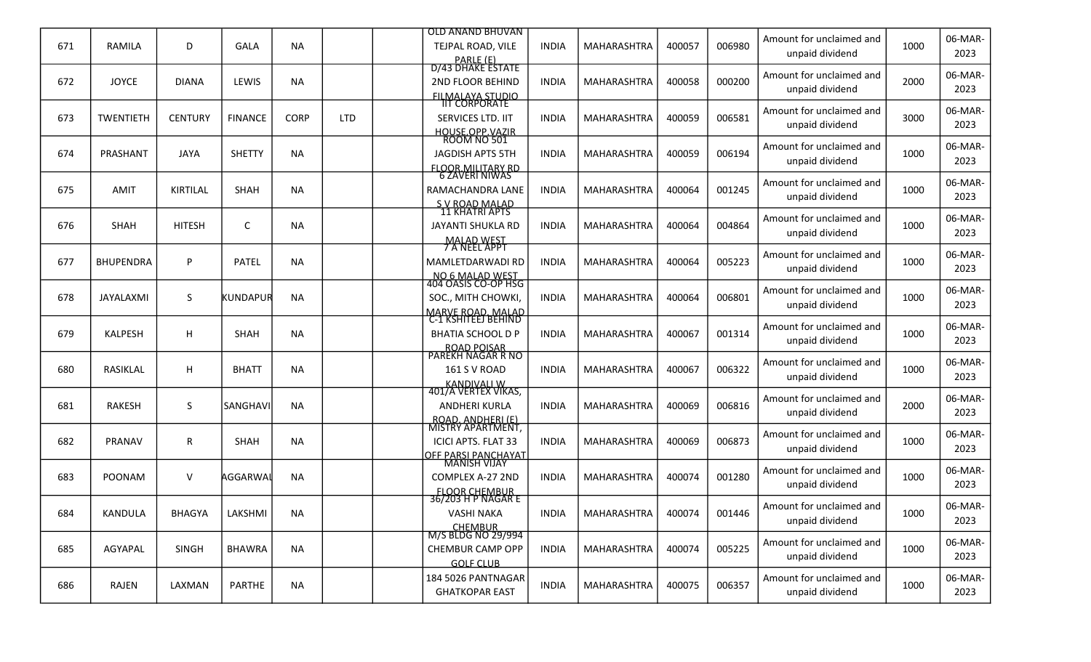|     |                  |                |                |             |            | OLD ANAND BHUVAN                                  |              |                    |        |        | Amount for unclaimed and                    |      | 06-MAR-         |
|-----|------------------|----------------|----------------|-------------|------------|---------------------------------------------------|--------------|--------------------|--------|--------|---------------------------------------------|------|-----------------|
| 671 | RAMILA           | D              | <b>GALA</b>    | <b>NA</b>   |            | TEJPAL ROAD, VILE<br>PARLE (E)                    | <b>INDIA</b> | MAHARASHTRA        | 400057 | 006980 | unpaid dividend                             | 1000 | 2023            |
|     |                  |                |                |             |            | D/43 DHAKE ESTATE                                 |              |                    |        |        | Amount for unclaimed and                    |      | 06-MAR-         |
| 672 | <b>JOYCE</b>     | <b>DIANA</b>   | LEWIS          | <b>NA</b>   |            | <b>2ND FLOOR BEHIND</b>                           | <b>INDIA</b> | MAHARASHTRA        | 400058 | 000200 | unpaid dividend                             | 2000 | 2023            |
|     |                  |                |                |             |            | FILMALAYA STUDIO<br>IIT CORPORATE                 |              |                    |        |        | Amount for unclaimed and                    |      | 06-MAR-         |
| 673 | <b>TWENTIETH</b> | <b>CENTURY</b> | <b>FINANCE</b> | <b>CORP</b> | <b>LTD</b> | SERVICES LTD. IIT                                 | <b>INDIA</b> | MAHARASHTRA        | 400059 | 006581 | unpaid dividend                             | 3000 | 2023            |
|     |                  |                |                |             |            | HOUSE OPP VAZIR<br>ROOM NO 501                    |              |                    |        |        | Amount for unclaimed and                    |      | 06-MAR-         |
| 674 | PRASHANT         | <b>JAYA</b>    | <b>SHETTY</b>  | <b>NA</b>   |            | <b>JAGDISH APTS 5TH</b>                           | <b>INDIA</b> | MAHARASHTRA        | 400059 | 006194 | unpaid dividend                             | 1000 | 2023            |
|     |                  |                |                |             |            | <b>FLOOR.MILITARY RD</b><br>6 ZAVERI NIWAS        |              |                    |        |        |                                             |      |                 |
| 675 | <b>AMIT</b>      | KIRTILAL       | <b>SHAH</b>    | <b>NA</b>   |            | RAMACHANDRA LANE                                  | <b>INDIA</b> | MAHARASHTRA        | 400064 | 001245 | Amount for unclaimed and<br>unpaid dividend | 1000 | 06-MAR-<br>2023 |
|     |                  |                |                |             |            | S V ROAD MALAD<br>11 KHATRI APTS                  |              |                    |        |        |                                             |      |                 |
| 676 | <b>SHAH</b>      | <b>HITESH</b>  | C              | <b>NA</b>   |            | JAYANTI SHUKLA RD                                 | <b>INDIA</b> | MAHARASHTRA        | 400064 | 004864 | Amount for unclaimed and                    | 1000 | 06-MAR-<br>2023 |
|     |                  |                |                |             |            | <b>MALAD WEST</b><br><b>7 A NEEL APPT</b>         |              |                    |        |        | unpaid dividend                             |      |                 |
| 677 | <b>BHUPENDRA</b> | P              | <b>PATEL</b>   | <b>NA</b>   |            | MAMLETDARWADI RD                                  | <b>INDIA</b> | MAHARASHTRA        | 400064 | 005223 | Amount for unclaimed and                    | 1000 | 06-MAR-         |
|     |                  |                |                |             |            | NO 6 MALAD WEST<br>404 OASIS CO-OP HSG            |              |                    |        |        | unpaid dividend                             |      | 2023            |
| 678 | JAYALAXMI        | S              | KUNDAPUR       | <b>NA</b>   |            | SOC., MITH CHOWKI,                                | <b>INDIA</b> | MAHARASHTRA        | 400064 | 006801 | Amount for unclaimed and                    | 1000 | 06-MAR-         |
|     |                  |                |                |             |            | MARVE ROAD, MALAD<br>C-1 KSHITEEJ BEHIND          |              |                    |        |        | unpaid dividend                             |      | 2023            |
| 679 | <b>KALPESH</b>   | н              | <b>SHAH</b>    | <b>NA</b>   |            | <b>BHATIA SCHOOL D P</b>                          | <b>INDIA</b> | MAHARASHTRA        | 400067 | 001314 | Amount for unclaimed and                    | 1000 | 06-MAR-         |
|     |                  |                |                |             |            | ROAD POISAR<br>PAREKH NAGAR R NO                  |              |                    |        |        | unpaid dividend                             |      | 2023            |
| 680 | RASIKLAL         | н              | <b>BHATT</b>   | <b>NA</b>   |            | 161 S V ROAD                                      | <b>INDIA</b> | MAHARASHTRA        | 400067 | 006322 | Amount for unclaimed and                    | 1000 | 06-MAR-         |
|     |                  |                |                |             |            | <b>KANDIVALI W</b>                                |              |                    |        |        | unpaid dividend                             |      | 2023            |
|     |                  |                |                |             |            | 401/A VERTEX VIKAS,                               |              |                    |        |        | Amount for unclaimed and                    |      | 06-MAR-         |
| 681 | <b>RAKESH</b>    | S              | lsanghavi      | <b>NA</b>   |            | <b>ANDHERI KURLA</b><br>ROAD. ANDHERI (E)         | <b>INDIA</b> | MAHARASHTRA        | 400069 | 006816 | unpaid dividend                             | 2000 | 2023            |
|     |                  |                |                |             |            | MISTRY APARTMENT,                                 |              |                    |        |        | Amount for unclaimed and                    |      | 06-MAR-         |
| 682 | <b>PRANAV</b>    | R              | <b>SHAH</b>    | <b>NA</b>   |            | <b>ICICI APTS. FLAT 33</b><br>OFF PARSI PANCHAYAT | <b>INDIA</b> | MAHARASHTRA        | 400069 | 006873 | unpaid dividend                             | 1000 | 2023            |
|     |                  |                |                |             |            | <b>MANISH VIJAY</b>                               |              |                    |        |        | Amount for unclaimed and                    |      | 06-MAR-         |
| 683 | <b>POONAM</b>    | V              | AGGARWAI       | <b>NA</b>   |            | COMPLEX A-27 2ND                                  | <b>INDIA</b> | MAHARASHTRA        | 400074 | 001280 | unpaid dividend                             | 1000 | 2023            |
|     |                  |                |                |             |            | <b>FLOOR CHEMBUR</b><br>36/203 H P NAGAR E        |              |                    |        |        |                                             |      | 06-MAR-         |
| 684 | KANDULA          | <b>BHAGYA</b>  | LAKSHMI        | <b>NA</b>   |            | <b>VASHI NAKA</b>                                 | <b>INDIA</b> | MAHARASHTRA        | 400074 | 001446 | Amount for unclaimed and<br>unpaid dividend | 1000 | 2023            |
|     |                  |                |                |             |            | <b>CHEMBUR</b><br>M/S BLDG NO 29/994              |              |                    |        |        |                                             |      |                 |
| 685 | AGYAPAL          | <b>SINGH</b>   | <b>BHAWRA</b>  | <b>NA</b>   |            | CHEMBUR CAMP OPP                                  | <b>INDIA</b> | <b>MAHARASHTRA</b> | 400074 | 005225 | Amount for unclaimed and<br>unpaid dividend | 1000 | 06-MAR-<br>2023 |
|     |                  |                |                |             |            | <b>GOLF CLUB</b>                                  |              |                    |        |        |                                             |      |                 |
| 686 | <b>RAJEN</b>     | LAXMAN         | PARTHE         | <b>NA</b>   |            | 184 5026 PANTNAGAR                                | <b>INDIA</b> | MAHARASHTRA        | 400075 | 006357 | Amount for unclaimed and                    | 1000 | 06-MAR-         |
|     |                  |                |                |             |            | <b>GHATKOPAR EAST</b>                             |              |                    |        |        | unpaid dividend                             |      | 2023            |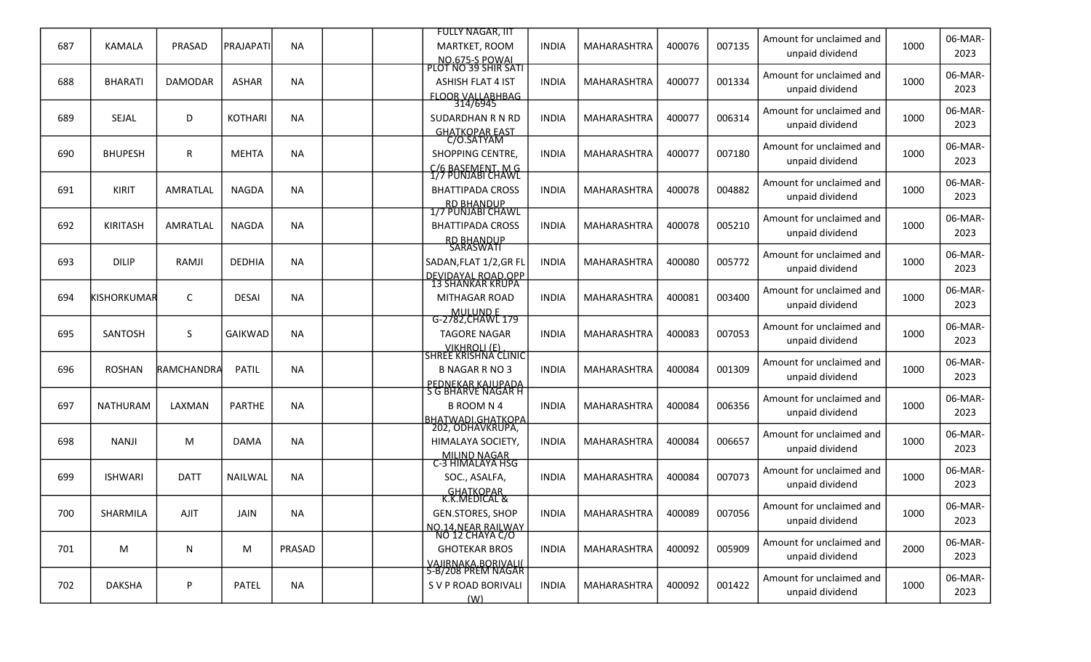|     |                 |                |                  |           | <b>FULLY NAGAR, IIT</b>                                 |              |                    |        |        | Amount for unclaimed and |      | 06-MAR-         |
|-----|-----------------|----------------|------------------|-----------|---------------------------------------------------------|--------------|--------------------|--------|--------|--------------------------|------|-----------------|
| 687 | <b>KAMALA</b>   | PRASAD         | <b>PRAJAPATI</b> | <b>NA</b> | MARTKET, ROOM<br>NO.675-S POWAL<br>PLOT NO 39 SHIR SATI | <b>INDIA</b> | MAHARASHTRA        | 400076 | 007135 | unpaid dividend          | 1000 | 2023            |
|     |                 |                |                  |           |                                                         |              |                    |        |        | Amount for unclaimed and |      | 06-MAR-         |
| 688 | <b>BHARATI</b>  | <b>DAMODAR</b> | <b>ASHAR</b>     | <b>NA</b> | <b>ASHISH FLAT 4 IST</b><br><b>FLOOR VALLABHBAG</b>     | <b>INDIA</b> | MAHARASHTRA        | 400077 | 001334 | unpaid dividend          | 1000 | 2023            |
|     |                 |                |                  |           | 314/6945                                                |              |                    |        |        | Amount for unclaimed and |      | 06-MAR-         |
| 689 | SEJAL           | D              | <b>KOTHARI</b>   | <b>NA</b> | SUDARDHAN R N RD                                        | <b>INDIA</b> | MAHARASHTRA        | 400077 | 006314 | unpaid dividend          | 1000 | 2023            |
|     |                 |                |                  |           | GHATKOPAR EAST<br>C/O.SATYAM                            |              |                    |        |        |                          |      |                 |
| 690 | <b>BHUPESH</b>  | R              | <b>MEHTA</b>     | <b>NA</b> | SHOPPING CENTRE,                                        | <b>INDIA</b> | MAHARASHTRA        | 400077 | 007180 | Amount for unclaimed and | 1000 | 06-MAR-<br>2023 |
|     |                 |                |                  |           | C/6 BASEMENT, M G<br>1/7 PUNJABI CHAWL                  |              |                    |        |        | unpaid dividend          |      |                 |
| 691 | <b>KIRIT</b>    | AMRATLAL       | <b>NAGDA</b>     | <b>NA</b> | <b>BHATTIPADA CROSS</b>                                 | <b>INDIA</b> | MAHARASHTRA        | 400078 | 004882 | Amount for unclaimed and | 1000 | 06-MAR-         |
|     |                 |                |                  |           | RD BHANDUP<br>1/7 PUNJABI CHAWL                         |              |                    |        |        | unpaid dividend          |      | 2023            |
| 692 | <b>KIRITASH</b> | AMRATLAL       | <b>NAGDA</b>     | <b>NA</b> | <b>BHATTIPADA CROSS</b>                                 | <b>INDIA</b> | MAHARASHTRA        | 400078 | 005210 | Amount for unclaimed and | 1000 | 06-MAR-         |
|     |                 |                |                  |           |                                                         |              |                    |        |        | unpaid dividend          |      | 2023            |
|     |                 |                |                  |           | RD BHANDUP<br>SARASWATI                                 |              |                    |        |        | Amount for unclaimed and |      | 06-MAR-         |
| 693 | <b>DILIP</b>    | RAMJI          | DEDHIA           | <b>NA</b> | SADAN, FLAT 1/2, GR FL                                  | <b>INDIA</b> | MAHARASHTRA        | 400080 | 005772 | unpaid dividend          | 1000 | 2023            |
|     |                 |                |                  |           | DEVIDAYAL ROAD.OPP<br>13 SHANKAR KRUPA                  |              |                    |        |        | Amount for unclaimed and |      | 06-MAR-         |
| 694 | KISHORKUMAR     | C              | DESAI            | <b>NA</b> | MITHAGAR ROAD                                           | <b>INDIA</b> | <b>MAHARASHTRA</b> | 400081 | 003400 | unpaid dividend          | 1000 | 2023            |
|     |                 |                |                  |           | MULUND E<br>G-2782,CHAWL 179                            |              |                    |        |        |                          |      |                 |
| 695 | SANTOSH         | S              | <b>GAIKWAD</b>   | <b>NA</b> | <b>TAGORE NAGAR</b>                                     | <b>INDIA</b> | MAHARASHTRA        | 400083 | 007053 | Amount for unclaimed and | 1000 | 06-MAR-<br>2023 |
|     |                 |                |                  |           | VIKHROLL (E)<br>SHREE KRISHNA CLINIC                    |              |                    |        |        | unpaid dividend          |      |                 |
| 696 | <b>ROSHAN</b>   | RAMCHANDRA     | <b>PATIL</b>     | <b>NA</b> | <b>B NAGAR R NO 3</b>                                   | <b>INDIA</b> | MAHARASHTRA        | 400084 | 001309 | Amount for unclaimed and | 1000 | 06-MAR-         |
|     |                 |                |                  |           | PEDNEKAR KAJUPADA<br>S G BHARVE NAGAR H                 |              |                    |        |        | unpaid dividend          |      | 2023            |
| 697 | <b>NATHURAM</b> | LAXMAN         | <b>PARTHE</b>    | <b>NA</b> | <b>B ROOM N 4</b>                                       | <b>INDIA</b> | <b>MAHARASHTRA</b> | 400084 | 006356 | Amount for unclaimed and | 1000 | 06-MAR-         |
|     |                 |                |                  |           | <b>BHATWADI.GHATKOPA</b>                                |              |                    |        |        | unpaid dividend          |      | 2023            |
|     |                 |                |                  |           | 202, ODHAVKRUPA,                                        |              |                    |        |        | Amount for unclaimed and |      | 06-MAR-         |
| 698 | <b>NANJI</b>    | M              | <b>DAMA</b>      | <b>NA</b> | HIMALAYA SOCIETY,                                       | <b>INDIA</b> | MAHARASHTRA        | 400084 | 006657 | unpaid dividend          | 1000 | 2023            |
|     |                 |                |                  |           | MILIND NAGAR<br>C-3 HIMALAYA HSG                        |              |                    |        |        | Amount for unclaimed and |      | 06-MAR-         |
| 699 | <b>ISHWARI</b>  | <b>DATT</b>    | NAILWAL          | <b>NA</b> | SOC., ASALFA,                                           | <b>INDIA</b> | MAHARASHTRA        | 400084 | 007073 | unpaid dividend          | 1000 | 2023            |
|     |                 |                |                  |           | GHATKOPAR<br>K.K.MEDICAL &                              |              |                    |        |        |                          |      |                 |
| 700 | SHARMILA        | AJIT           | <b>JAIN</b>      | <b>NA</b> | GEN.STORES, SHOP                                        | <b>INDIA</b> | MAHARASHTRA        | 400089 | 007056 | Amount for unclaimed and | 1000 | 06-MAR-         |
|     |                 |                |                  |           | NO.14.NEAR RAILWAY<br>NO 12 CHAYA C/O                   |              |                    |        |        | unpaid dividend          |      | 2023            |
| 701 | M               | N              | M                | PRASAD    | <b>GHOTEKAR BROS</b>                                    | <b>INDIA</b> | MAHARASHTRA        | 400092 | 005909 | Amount for unclaimed and | 2000 | 06-MAR-         |
|     |                 |                |                  |           | VAJIRNAKA.BORIVALI(<br>5-B/208 PREM NAGAR               |              |                    |        |        | unpaid dividend          |      | 2023            |
| 702 | <b>DAKSHA</b>   |                | <b>PATEL</b>     | <b>NA</b> |                                                         |              | MAHARASHTRA        | 400092 | 001422 | Amount for unclaimed and | 1000 | 06-MAR-         |
|     |                 | P              |                  |           | S V P ROAD BORIVALI<br>(W)                              | <b>INDIA</b> |                    |        |        | unpaid dividend          |      | 2023            |
|     |                 |                |                  |           |                                                         |              |                    |        |        |                          |      |                 |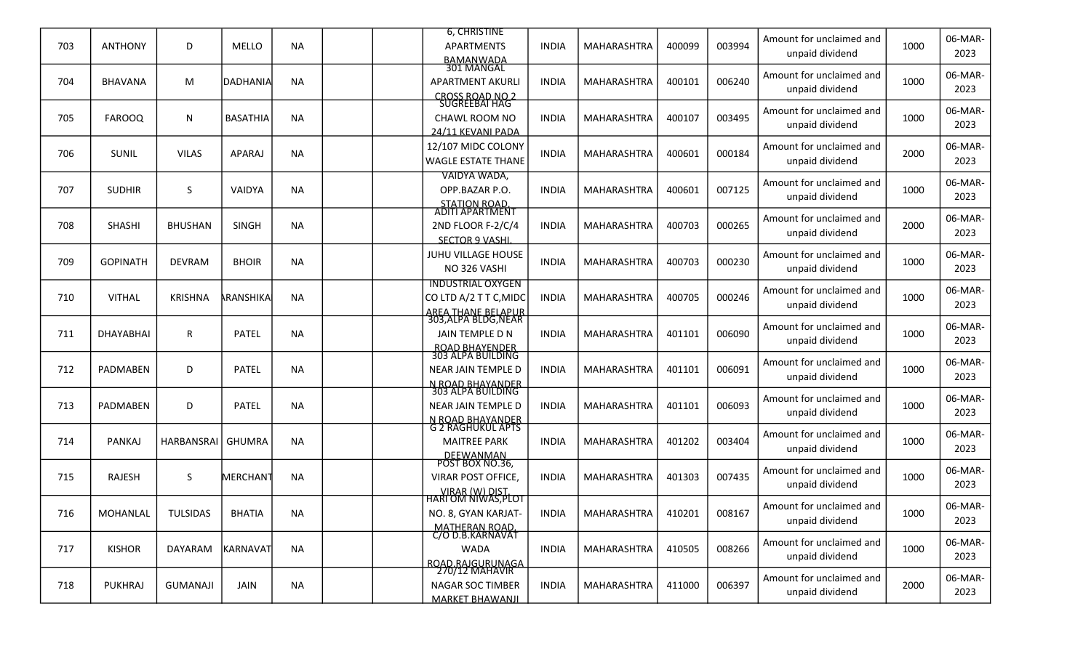|     |                 |                 |                 |           | <b>6. CHRISTINE</b>                             |              |             |        |        | Amount for unclaimed and                    |      | 06-MAR-         |
|-----|-----------------|-----------------|-----------------|-----------|-------------------------------------------------|--------------|-------------|--------|--------|---------------------------------------------|------|-----------------|
| 703 | <b>ANTHONY</b>  | D               | MELLO           | <b>NA</b> | APARTMENTS                                      | <b>INDIA</b> | MAHARASHTRA | 400099 | 003994 | unpaid dividend                             | 1000 | 2023            |
|     |                 |                 |                 |           | BAMANWADA<br>301 MANGAL                         |              |             |        |        |                                             |      |                 |
| 704 | <b>BHAVANA</b>  | M               | IDADHANIA       | <b>NA</b> | <b>APARTMENT AKURLI</b>                         | <b>INDIA</b> | MAHARASHTRA | 400101 | 006240 | Amount for unclaimed and                    | 1000 | 06-MAR-         |
|     |                 |                 |                 |           | CROSS ROAD NO 2<br>SUGREEBAI HAG                |              |             |        |        | unpaid dividend                             |      | 2023            |
|     |                 |                 |                 |           |                                                 |              |             |        |        | Amount for unclaimed and                    |      | 06-MAR-         |
| 705 | <b>FAROOQ</b>   | N               | <b>BASATHIA</b> | <b>NA</b> | CHAWL ROOM NO<br>24/11 KEVANI PADA              | <b>INDIA</b> | MAHARASHTRA | 400107 | 003495 | unpaid dividend                             | 1000 | 2023            |
|     |                 |                 |                 |           | 12/107 MIDC COLONY                              |              |             |        |        | Amount for unclaimed and                    |      | 06-MAR-         |
| 706 | SUNIL           | <b>VILAS</b>    | APARAJ          | NA        | <b>WAGLE ESTATE THANE</b>                       | <b>INDIA</b> | MAHARASHTRA | 400601 | 000184 | unpaid dividend                             | 2000 | 2023            |
|     |                 |                 |                 |           | VAIDYA WADA,                                    |              |             |        |        |                                             |      |                 |
| 707 | <b>SUDHIR</b>   | S.              | VAIDYA          | <b>NA</b> | OPP.BAZAR P.O.                                  | <b>INDIA</b> | MAHARASHTRA | 400601 | 007125 | Amount for unclaimed and                    | 1000 | 06-MAR-         |
|     |                 |                 |                 |           | STATION ROAD.<br>ADITI APARTMENT                |              |             |        |        | unpaid dividend                             |      | 2023            |
|     |                 |                 | <b>SINGH</b>    |           |                                                 |              |             | 400703 |        | Amount for unclaimed and                    | 2000 | 06-MAR-         |
| 708 | <b>SHASHI</b>   | <b>BHUSHAN</b>  |                 | <b>NA</b> | 2ND FLOOR F-2/C/4<br><b>SECTOR 9 VASHI</b>      | <b>INDIA</b> | MAHARASHTRA |        | 000265 | unpaid dividend                             |      | 2023            |
|     |                 |                 |                 |           | JUHU VILLAGE HOUSE                              |              |             |        |        | Amount for unclaimed and                    |      | 06-MAR-         |
| 709 | <b>GOPINATH</b> | <b>DEVRAM</b>   | <b>BHOIR</b>    | <b>NA</b> | NO 326 VASHI                                    | <b>INDIA</b> | MAHARASHTRA | 400703 | 000230 | unpaid dividend                             | 1000 | 2023            |
|     |                 |                 |                 |           | <b>INDUSTRIAL OXYGEN</b>                        |              |             |        |        |                                             |      |                 |
| 710 | <b>VITHAL</b>   | <b>KRISHNA</b>  | ARANSHIKA       | <b>NA</b> | CO LTD A/2 T T C, MIDC                          | <b>INDIA</b> | MAHARASHTRA | 400705 | 000246 | Amount for unclaimed and                    | 1000 | 06-MAR-         |
|     |                 |                 |                 |           | <u>AREA THANE BELAPUR</u><br>303,ALPA BLDG,NEAR |              |             |        |        | unpaid dividend                             |      | 2023            |
| 711 | DHAYABHAI       | R               | <b>PATEL</b>    | <b>NA</b> | JAIN TEMPLE D N                                 | <b>INDIA</b> | MAHARASHTRA | 401101 | 006090 | Amount for unclaimed and                    | 1000 | 06-MAR-         |
|     |                 |                 |                 |           |                                                 |              |             |        |        | unpaid dividend                             |      | 2023            |
|     |                 |                 |                 |           | ROAD BHAYENDER<br>303 ALPA BUILDING             |              |             |        |        | Amount for unclaimed and                    |      | 06-MAR-         |
| 712 | PADMABEN        | D               | <b>PATEL</b>    | <b>NA</b> | NEAR JAIN TEMPLE D                              | <b>INDIA</b> | MAHARASHTRA | 401101 | 006091 | unpaid dividend                             | 1000 | 2023            |
|     |                 |                 |                 |           | N ROAD BHAYANDER<br>303 ALPA BUILDING           |              |             |        |        |                                             |      |                 |
| 713 | <b>PADMABEN</b> | D               | <b>PATEL</b>    | <b>NA</b> | <b>NEAR JAIN TEMPLE D</b>                       | <b>INDIA</b> | MAHARASHTRA | 401101 | 006093 | Amount for unclaimed and<br>unpaid dividend | 1000 | 06-MAR-<br>2023 |
|     |                 |                 |                 |           | <u>N ROAD BHAYANDER</u><br>G 2 RAGHUKUL APTS    |              |             |        |        |                                             |      |                 |
| 714 | PANKAJ          | HARBANSRAI      | GHUMRA          | <b>NA</b> | <b>MAITREE PARK</b>                             | <b>INDIA</b> | MAHARASHTRA | 401202 | 003404 | Amount for unclaimed and                    | 1000 | 06-MAR-         |
|     |                 |                 |                 |           | DEEWANMAN<br>POST BOX NO.36,                    |              |             |        |        | unpaid dividend                             |      | 2023            |
|     |                 |                 |                 |           |                                                 |              |             |        |        | Amount for unclaimed and                    |      | 06-MAR-         |
| 715 | <b>RAJESH</b>   | S.              | MERCHAN1        | <b>NA</b> | <b>VIRAR POST OFFICE,</b>                       | <b>INDIA</b> | MAHARASHTRA | 401303 | 007435 | unpaid dividend                             | 1000 | 2023            |
|     |                 |                 |                 |           | VIRAR (W) DIST<br>HARI OM NIWAS, PLOT           |              |             |        |        | Amount for unclaimed and                    |      | 06-MAR-         |
| 716 | MOHANLAL        | <b>TULSIDAS</b> | <b>BHATIA</b>   | <b>NA</b> | NO. 8, GYAN KARJAT-                             | <b>INDIA</b> | MAHARASHTRA | 410201 | 008167 | unpaid dividend                             | 1000 | 2023            |
|     |                 |                 |                 |           | MATHERAN ROAD.<br>C/O D.B.KARNAVAT              |              |             |        |        |                                             |      |                 |
| 717 | <b>KISHOR</b>   | DAYARAM         | KARNAVAT        | <b>NA</b> | WADA                                            | <b>INDIA</b> | MAHARASHTRA | 410505 | 008266 | Amount for unclaimed and                    | 1000 | 06-MAR-         |
|     |                 |                 |                 |           | ROAD RAIGURUNAGA                                |              |             |        |        | unpaid dividend                             |      | 2023            |
|     |                 |                 |                 |           | 270/12 MAHAVIR                                  |              |             |        |        | Amount for unclaimed and                    |      | 06-MAR-         |
| 718 | PUKHRAJ         | <b>GUMANAJI</b> | JAIN            | <b>NA</b> | NAGAR SOC TIMBER<br><b>MARKET BHAWANJI</b>      | <b>INDIA</b> | MAHARASHTRA | 411000 | 006397 | unpaid dividend                             | 2000 | 2023            |
|     |                 |                 |                 |           |                                                 |              |             |        |        |                                             |      |                 |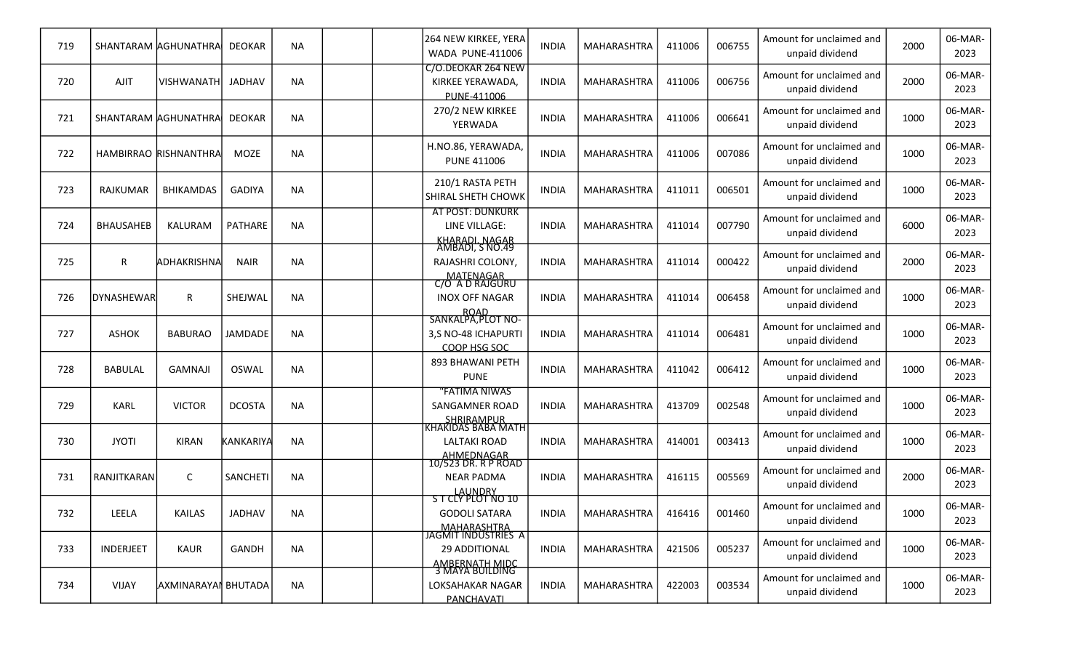| 719 |                  | SHANTARAM AGHUNATHRA  | <b>DEOKAR</b>    | <b>NA</b> |  | 264 NEW KIRKEE, YERA<br><b>WADA PUNE-411006</b>                      | <b>INDIA</b> | <b>MAHARASHTRA</b> | 411006 | 006755 | Amount for unclaimed and<br>unpaid dividend | 2000 | 06-MAR-<br>2023 |
|-----|------------------|-----------------------|------------------|-----------|--|----------------------------------------------------------------------|--------------|--------------------|--------|--------|---------------------------------------------|------|-----------------|
| 720 | <b>AJIT</b>      | <b>VISHWANATH</b>     | <b>JADHAV</b>    | <b>NA</b> |  | C/O.DEOKAR 264 NEW<br>KIRKEE YERAWADA,<br>PUNE-411006                | <b>INDIA</b> | <b>MAHARASHTRA</b> | 411006 | 006756 | Amount for unclaimed and<br>unpaid dividend | 2000 | 06-MAR-<br>2023 |
| 721 |                  | SHANTARAM AGHUNATHRA  | <b>DEOKAR</b>    | <b>NA</b> |  | 270/2 NEW KIRKEE<br>YERWADA                                          | <b>INDIA</b> | MAHARASHTRA        | 411006 | 006641 | Amount for unclaimed and<br>unpaid dividend | 1000 | 06-MAR-<br>2023 |
| 722 |                  | HAMBIRRAO RISHNANTHRA | MOZE             | <b>NA</b> |  | H.NO.86, YERAWADA,<br><b>PUNE 411006</b>                             | <b>INDIA</b> | MAHARASHTRA        | 411006 | 007086 | Amount for unclaimed and<br>unpaid dividend | 1000 | 06-MAR-<br>2023 |
| 723 | RAJKUMAR         | <b>BHIKAMDAS</b>      | <b>GADIYA</b>    | <b>NA</b> |  | 210/1 RASTA PETH<br>SHIRAL SHETH CHOWK                               | <b>INDIA</b> | MAHARASHTRA        | 411011 | 006501 | Amount for unclaimed and<br>unpaid dividend | 1000 | 06-MAR-<br>2023 |
| 724 | <b>BHAUSAHEB</b> | KALURAM               | <b>PATHARE</b>   | <b>NA</b> |  | <b>AT POST: DUNKURK</b><br>LINE VILLAGE:<br>KHARADI. NAGAR           | <b>INDIA</b> | <b>MAHARASHTRA</b> | 411014 | 007790 | Amount for unclaimed and<br>unpaid dividend | 6000 | 06-MAR-<br>2023 |
| 725 | $\mathsf{R}$     | ADHAKRISHNA           | <b>NAIR</b>      | <b>NA</b> |  | AMBADI, S NO.49<br>RAJASHRI COLONY,                                  | <b>INDIA</b> | MAHARASHTRA        | 411014 | 000422 | Amount for unclaimed and<br>unpaid dividend | 2000 | 06-MAR-<br>2023 |
| 726 | DYNASHEWAR       | R                     | SHEJWAL          | <b>NA</b> |  | MATENAGAR<br>C/O A D RAJGURU<br><b>INOX OFF NAGAR</b><br><b>ROAD</b> | <b>INDIA</b> | MAHARASHTRA        | 411014 | 006458 | Amount for unclaimed and<br>unpaid dividend | 1000 | 06-MAR-<br>2023 |
| 727 | <b>ASHOK</b>     | <b>BABURAO</b>        | <b>JAMDADE</b>   | <b>NA</b> |  | SANKALPA, PLOT NO-<br>3,S NO-48 ICHAPURTI<br>COOP HSG SOC            | <b>INDIA</b> | MAHARASHTRA        | 411014 | 006481 | Amount for unclaimed and<br>unpaid dividend | 1000 | 06-MAR-<br>2023 |
| 728 | <b>BABULAL</b>   | <b>GAMNAJI</b>        | <b>OSWAL</b>     | <b>NA</b> |  | 893 BHAWANI PETH<br><b>PUNE</b>                                      | <b>INDIA</b> | MAHARASHTRA        | 411042 | 006412 | Amount for unclaimed and<br>unpaid dividend | 1000 | 06-MAR-<br>2023 |
| 729 | KARL             | <b>VICTOR</b>         | <b>DCOSTA</b>    | <b>NA</b> |  | 'FATIMA NIWAS<br>SANGAMNER ROAD                                      | <b>INDIA</b> | MAHARASHTRA        | 413709 | 002548 | Amount for unclaimed and<br>unpaid dividend | 1000 | 06-MAR-<br>2023 |
| 730 | <b>JYOTI</b>     | <b>KIRAN</b>          | <b>KANKARIYA</b> | <b>NA</b> |  | <b>LALTAKI ROAD</b>                                                  | <b>INDIA</b> | MAHARASHTRA        | 414001 | 003413 | Amount for unclaimed and<br>unpaid dividend | 1000 | 06-MAR-<br>2023 |
| 731 | RANJITKARAN      | $\mathsf{C}$          | <b>SANCHETI</b>  | <b>NA</b> |  | AHMEDNAGAR<br>10/523 DR. R P ROAD<br><b>NEAR PADMA</b>               | <b>INDIA</b> | <b>MAHARASHTRA</b> | 416115 | 005569 | Amount for unclaimed and<br>unpaid dividend | 2000 | 06-MAR-<br>2023 |
| 732 | LEELA            | <b>KAILAS</b>         | JADHAV           | NA        |  | LAUNDRY<br>ST CLY PLOT NO 10<br><b>GODOLI SATARA</b>                 | <b>INDIA</b> | MAHARASHTRA        | 416416 | 001460 | Amount for unclaimed and<br>unpaid dividend | 1000 | 06-MAR-<br>2023 |
| 733 | INDERJEET        | KAUR                  | GANDH            | <b>NA</b> |  | MAHARASHTRA<br>JAGMIT INDUSTRIES A<br>29 ADDITIONAL                  | <b>INDIA</b> | MAHARASHTRA        | 421506 | 005237 | Amount for unclaimed and<br>unpaid dividend | 1000 | 06-MAR-<br>2023 |
| 734 | <b>VIJAY</b>     | AXMINARAYAI BHUTADA   |                  | <b>NA</b> |  | AMBERNATH MIDC<br>3 MAYA BUILDING<br>LOKSAHAKAR NAGAR<br>PANCHAVATI  | <b>INDIA</b> | MAHARASHTRA        | 422003 | 003534 | Amount for unclaimed and<br>unpaid dividend | 1000 | 06-MAR-<br>2023 |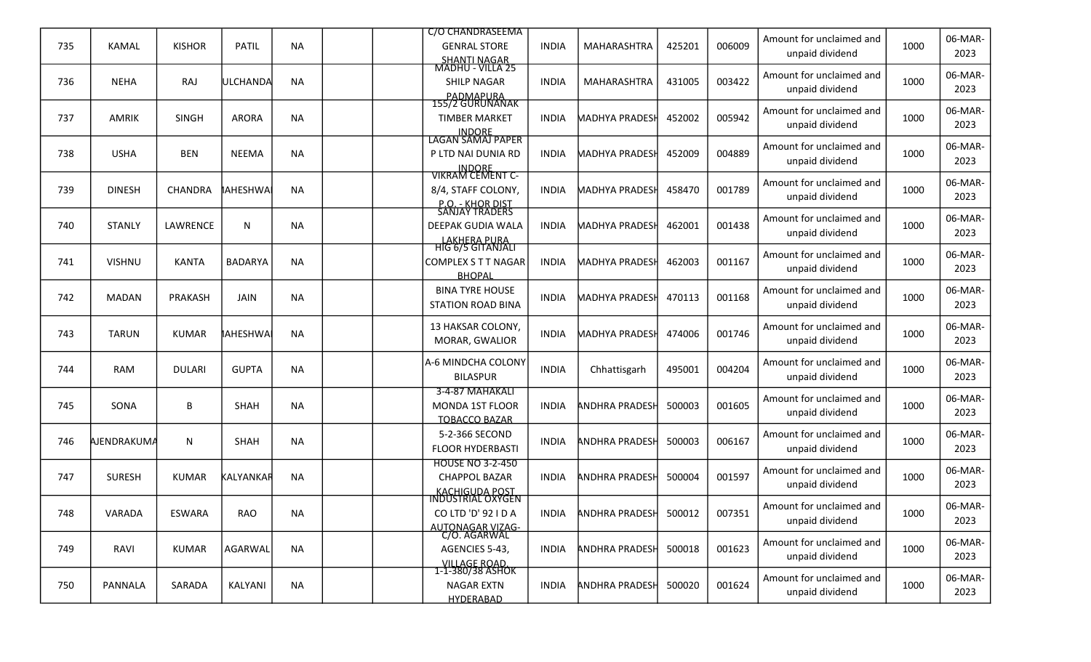|     |               |                 |                   |           | C/O CHANDRASEEMA                                        |              |                       |        |        | Amount for unclaimed and                    |      | 06-MAR-         |
|-----|---------------|-----------------|-------------------|-----------|---------------------------------------------------------|--------------|-----------------------|--------|--------|---------------------------------------------|------|-----------------|
| 735 | <b>KAMAL</b>  | <b>KISHOR</b>   | <b>PATIL</b>      | <b>NA</b> | <b>GENRAL STORE</b><br>SHANTI NAGAR<br>MADHU - VILLA 25 | <b>INDIA</b> | MAHARASHTRA           | 425201 | 006009 | unpaid dividend                             | 1000 | 2023            |
|     |               |                 |                   |           |                                                         |              |                       |        |        | Amount for unclaimed and                    |      | 06-MAR-         |
| 736 | <b>NEHA</b>   | RAJ             | lULCHANDA         | NA        | <b>SHILP NAGAR</b>                                      | <b>INDIA</b> | MAHARASHTRA           | 431005 | 003422 | unpaid dividend                             | 1000 | 2023            |
|     |               |                 |                   |           | PADMAPURA<br>155/2 GURUNANAK                            |              |                       |        |        | Amount for unclaimed and                    |      | 06-MAR-         |
| 737 | <b>AMRIK</b>  | <b>SINGH</b>    | <b>ARORA</b>      | <b>NA</b> | <b>TIMBER MARKET</b>                                    | <b>INDIA</b> | <b>MADHYA PRADESH</b> | 452002 | 005942 | unpaid dividend                             | 1000 | 2023            |
|     |               |                 |                   |           | <b>INDORE</b><br>LAGAN SAMAJ PAPER                      |              |                       |        |        |                                             |      |                 |
| 738 | <b>USHA</b>   | <b>BEN</b>      | <b>NEEMA</b>      | NA        | P LTD NAI DUNIA RD                                      | <b>INDIA</b> | <b>MADHYA PRADESH</b> | 452009 | 004889 | Amount for unclaimed and<br>unpaid dividend | 1000 | 06-MAR-<br>2023 |
|     |               |                 |                   |           | INDORE<br>VIKRAM CEMENT C-                              |              |                       |        |        |                                             |      |                 |
| 739 | <b>DINESH</b> | <b>CHANDRA</b>  | <b>AHESHWA</b>    | <b>NA</b> | 8/4, STAFF COLONY,                                      | <b>INDIA</b> | <b>MADHYA PRADESH</b> | 458470 | 001789 | Amount for unclaimed and                    | 1000 | 06-MAR-         |
|     |               |                 |                   |           | <u>P.O. - KHOR DIST</u><br>SANJAY TRADERS               |              |                       |        |        | unpaid dividend                             |      | 2023            |
| 740 | <b>STANLY</b> | <b>LAWRENCE</b> | $\mathsf{N}$      | NA        | DEEPAK GUDIA WALA                                       | <b>INDIA</b> | <b>MADHYA PRADESH</b> | 462001 | 001438 | Amount for unclaimed and                    | 1000 | 06-MAR-         |
|     |               |                 |                   |           | LAKHERA PURA                                            |              |                       |        |        | unpaid dividend                             |      | 2023            |
| 741 | <b>VISHNU</b> | <b>KANTA</b>    | <b>BADARYA</b>    | <b>NA</b> | HIG 6/5 GITANJALI<br>COMPLEX S T T NAGAR                | <b>INDIA</b> | <b>MADHYA PRADESH</b> | 462003 | 001167 | Amount for unclaimed and                    | 1000 | 06-MAR-         |
|     |               |                 |                   |           | <b>BHOPAL</b>                                           |              |                       |        |        | unpaid dividend                             |      | 2023            |
| 742 |               | PRAKASH         |                   |           | <b>BINA TYRE HOUSE</b>                                  |              | <b>MADHYA PRADESH</b> |        | 001168 | Amount for unclaimed and                    | 1000 | 06-MAR-         |
|     | <b>MADAN</b>  |                 | JAIN              | NA        | <b>STATION ROAD BINA</b>                                | <b>INDIA</b> |                       | 470113 |        | unpaid dividend                             |      | 2023            |
|     |               |                 |                   |           | 13 HAKSAR COLONY,                                       |              |                       |        |        | Amount for unclaimed and                    |      | 06-MAR-         |
| 743 | <b>TARUN</b>  | <b>KUMAR</b>    | <b>IAHESHWA</b> I | <b>NA</b> | <b>MORAR, GWALIOR</b>                                   | <b>INDIA</b> | <b>MADHYA PRADESH</b> | 474006 | 001746 | unpaid dividend                             | 1000 | 2023            |
|     |               |                 |                   |           | A-6 MINDCHA COLONY                                      |              |                       |        |        | Amount for unclaimed and                    |      | 06-MAR-         |
| 744 | RAM           | <b>DULARI</b>   | <b>GUPTA</b>      | NA        | <b>BILASPUR</b>                                         | <b>INDIA</b> | Chhattisgarh          | 495001 | 004204 | unpaid dividend                             | 1000 | 2023            |
|     |               |                 |                   |           | 3-4-87 MAHAKALI                                         |              |                       |        |        | Amount for unclaimed and                    |      | 06-MAR-         |
| 745 | SONA          | В               | <b>SHAH</b>       | <b>NA</b> | <b>MONDA 1ST FLOOR</b>                                  | <b>INDIA</b> | <b>ANDHRA PRADESI</b> | 500003 | 001605 | unpaid dividend                             | 1000 | 2023            |
|     |               |                 |                   |           | <b>TOBACCO BAZAR</b>                                    |              |                       |        |        |                                             |      |                 |
| 746 | AJENDRAKUMA   | N               | SHAH              | <b>NA</b> | 5-2-366 SECOND<br><b>FLOOR HYDERBASTI</b>               | <b>INDIA</b> | <b>ANDHRA PRADESH</b> | 500003 | 006167 | Amount for unclaimed and<br>unpaid dividend | 1000 | 06-MAR-<br>2023 |
|     |               |                 |                   |           | <b>HOUSE NO 3-2-450</b>                                 |              |                       |        |        |                                             |      |                 |
| 747 | <b>SURESH</b> | <b>KUMAR</b>    | KALYANKAR         | <b>NA</b> | <b>CHAPPOL BAZAR</b>                                    | <b>INDIA</b> | <b>ANDHRA PRADESI</b> | 500004 | 001597 | Amount for unclaimed and                    | 1000 | 06-MAR-         |
|     |               |                 |                   |           | <u>KACHIGUDA POST</u><br>INDUSTRIAL OXYGEN              |              |                       |        |        | unpaid dividend                             |      | 2023            |
| 748 | VARADA        | <b>ESWARA</b>   | RAO               | <b>NA</b> | CO LTD 'D' 92 I D A                                     | <b>INDIA</b> | <b>ANDHRA PRADESH</b> | 500012 | 007351 | Amount for unclaimed and                    | 1000 | 06-MAR-         |
|     |               |                 |                   |           | AUTONAGAR VIZAG-<br>C/O. AGARWAL                        |              |                       |        |        | unpaid dividend                             |      | 2023            |
| 749 | RAVI          | <b>KUMAR</b>    | AGARWAL           | <b>NA</b> | AGENCIES 5-43,                                          | <b>INDIA</b> | <b>ANDHRA PRADESH</b> | 500018 | 001623 | Amount for unclaimed and                    | 1000 | 06-MAR-         |
|     |               |                 |                   |           | VILLAGE ROAD.<br>1-1-380/38 ASHOK                       |              |                       |        |        | unpaid dividend                             |      | 2023            |
| 750 | PANNALA       | SARADA          | KALYANI           | <b>NA</b> | <b>NAGAR EXTN</b>                                       | INDIA        | <b>ANDHRA PRADESH</b> | 500020 | 001624 | Amount for unclaimed and                    | 1000 | 06-MAR-         |
|     |               |                 |                   |           | <b>HYDERABAD</b>                                        |              |                       |        |        | unpaid dividend                             |      | 2023            |
|     |               |                 |                   |           |                                                         |              |                       |        |        |                                             |      |                 |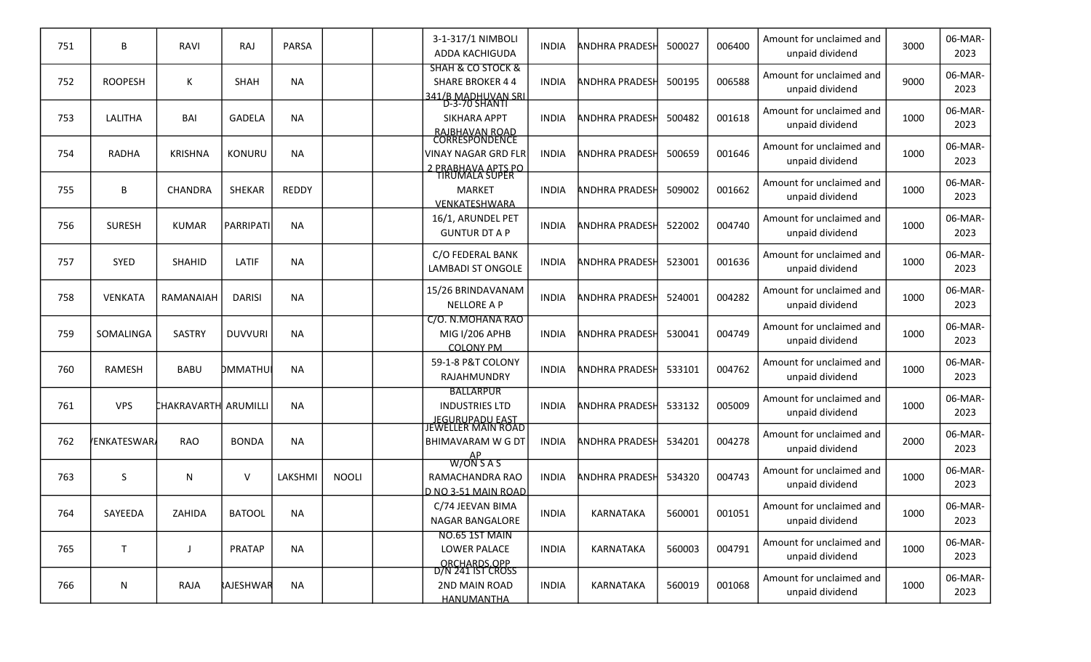| 751 | B                  | RAVI                 | <b>RAJ</b>      | <b>PARSA</b> |              | 3-1-317/1 NIMBOLI<br>ADDA KACHIGUDA                                                       | <b>INDIA</b> | <b>ANDHRA PRADESH</b> | 500027 | 006400 | Amount for unclaimed and<br>unpaid dividend | 3000 | 06-MAR-<br>2023 |
|-----|--------------------|----------------------|-----------------|--------------|--------------|-------------------------------------------------------------------------------------------|--------------|-----------------------|--------|--------|---------------------------------------------|------|-----------------|
| 752 | <b>ROOPESH</b>     | К                    | <b>SHAH</b>     | <b>NA</b>    |              | <b>SHAH &amp; CO STOCK &amp;</b><br><b>SHARE BROKER 44</b><br>341/B MADHUVAN SRL          | <b>INDIA</b> | <b>ANDHRA PRADESH</b> | 500195 | 006588 | Amount for unclaimed and<br>unpaid dividend | 9000 | 06-MAR-<br>2023 |
| 753 | LALITHA            | <b>BAI</b>           | <b>GADELA</b>   | <b>NA</b>    |              | D-3-70 SHANTI<br><b>SIKHARA APPT</b><br>RAJBHAVAN ROAD<br>CORRESPONDENCE                  | <b>INDIA</b> | <b>ANDHRA PRADESH</b> | 500482 | 001618 | Amount for unclaimed and<br>unpaid dividend | 1000 | 06-MAR-<br>2023 |
| 754 | <b>RADHA</b>       | <b>KRISHNA</b>       | KONURU          | <b>NA</b>    |              | <b>VINAY NAGAR GRD FLR</b><br>2 PRABHAVA APTS PO                                          | <b>INDIA</b> | ANDHRA PRADESH        | 500659 | 001646 | Amount for unclaimed and<br>unpaid dividend | 1000 | 06-MAR-<br>2023 |
| 755 | B                  | <b>CHANDRA</b>       | <b>SHEKAR</b>   | <b>REDDY</b> |              | TIRUMALA SUPER<br><b>MARKET</b><br>VENKATESHWARA                                          | <b>INDIA</b> | <b>ANDHRA PRADESH</b> | 509002 | 001662 | Amount for unclaimed and<br>unpaid dividend | 1000 | 06-MAR-<br>2023 |
| 756 | <b>SURESH</b>      | <b>KUMAR</b>         | PARRIPATI       | <b>NA</b>    |              | 16/1, ARUNDEL PET<br><b>GUNTUR DT A P</b>                                                 | <b>INDIA</b> | <b>ANDHRA PRADESH</b> | 522002 | 004740 | Amount for unclaimed and<br>unpaid dividend | 1000 | 06-MAR-<br>2023 |
| 757 | <b>SYED</b>        | <b>SHAHID</b>        | LATIF           | <b>NA</b>    |              | C/O FEDERAL BANK<br><b>LAMBADI ST ONGOLE</b>                                              | <b>INDIA</b> | <b>ANDHRA PRADESH</b> | 523001 | 001636 | Amount for unclaimed and<br>unpaid dividend | 1000 | 06-MAR-<br>2023 |
| 758 | <b>VENKATA</b>     | RAMANAIAH            | <b>DARISI</b>   | <b>NA</b>    |              | 15/26 BRINDAVANAM<br><b>NELLORE A P</b>                                                   | <b>INDIA</b> | <b>ANDHRA PRADESH</b> | 524001 | 004282 | Amount for unclaimed and<br>unpaid dividend | 1000 | 06-MAR-<br>2023 |
| 759 | SOMALINGA          | <b>SASTRY</b>        | <b>DUVVURI</b>  | <b>NA</b>    |              | C/O. N.MOHANA RAO<br>MIG I/206 APHB<br><b>COLONY PM</b>                                   | <b>INDIA</b> | ANDHRA PRADESH        | 530041 | 004749 | Amount for unclaimed and<br>unpaid dividend | 1000 | 06-MAR-<br>2023 |
| 760 | <b>RAMESH</b>      | <b>BABU</b>          | DMMATHU         | <b>NA</b>    |              | 59-1-8 P&T COLONY<br>RAJAHMUNDRY                                                          | <b>INDIA</b> | <b>ANDHRA PRADESH</b> | 533101 | 004762 | Amount for unclaimed and<br>unpaid dividend | 1000 | 06-MAR-<br>2023 |
| 761 | <b>VPS</b>         | CHAKRAVARTH ARUMILLI |                 | <b>NA</b>    |              | <b>BALLARPUR</b><br><b>INDUSTRIES LTD</b><br><u>IEGURUPADU EAST</u><br>JEWELLER MAIN ROAD | <b>INDIA</b> | <b>ANDHRA PRADESH</b> | 533132 | 005009 | Amount for unclaimed and<br>unpaid dividend | 1000 | 06-MAR-<br>2023 |
| 762 | <b>FENKATESWAR</b> | <b>RAO</b>           | <b>BONDA</b>    | <b>NA</b>    |              | <b>BHIMAVARAM W G DT</b>                                                                  | <b>INDIA</b> | <b>ANDHRA PRADESH</b> | 534201 | 004278 | Amount for unclaimed and<br>unpaid dividend | 2000 | 06-MAR-<br>2023 |
| 763 | S.                 | N                    | V               | LAKSHMI      | <b>NOOLI</b> | W/ON SAS<br>RAMACHANDRA RAO<br>D NO 3-51 MAIN ROAD                                        | <b>INDIA</b> | ANDHRA PRADESH        | 534320 | 004743 | Amount for unclaimed and<br>unpaid dividend | 1000 | 06-MAR-<br>2023 |
| 764 | SAYEEDA            | ZAHIDA               | <b>BATOOL</b>   | <b>NA</b>    |              | C/74 JEEVAN BIMA<br><b>NAGAR BANGALORE</b>                                                | <b>INDIA</b> | KARNATAKA             | 560001 | 001051 | Amount for unclaimed and<br>unpaid dividend | 1000 | 06-MAR-<br>2023 |
| 765 | T.                 |                      | PRATAP          | <b>NA</b>    |              | NO.65 1ST MAIN<br>LOWER PALACE<br>ORCHARDS.OPP                                            | <b>INDIA</b> | KARNATAKA             | 560003 | 004791 | Amount for unclaimed and<br>unpaid dividend | 1000 | 06-MAR-<br>2023 |
| 766 | N                  | RAJA                 | <b>AJESHWAR</b> | <b>NA</b>    |              | D/N 241 IST CROSS<br>2ND MAIN ROAD<br>HANUMANTHA                                          | <b>INDIA</b> | KARNATAKA             | 560019 | 001068 | Amount for unclaimed and<br>unpaid dividend | 1000 | 06-MAR-<br>2023 |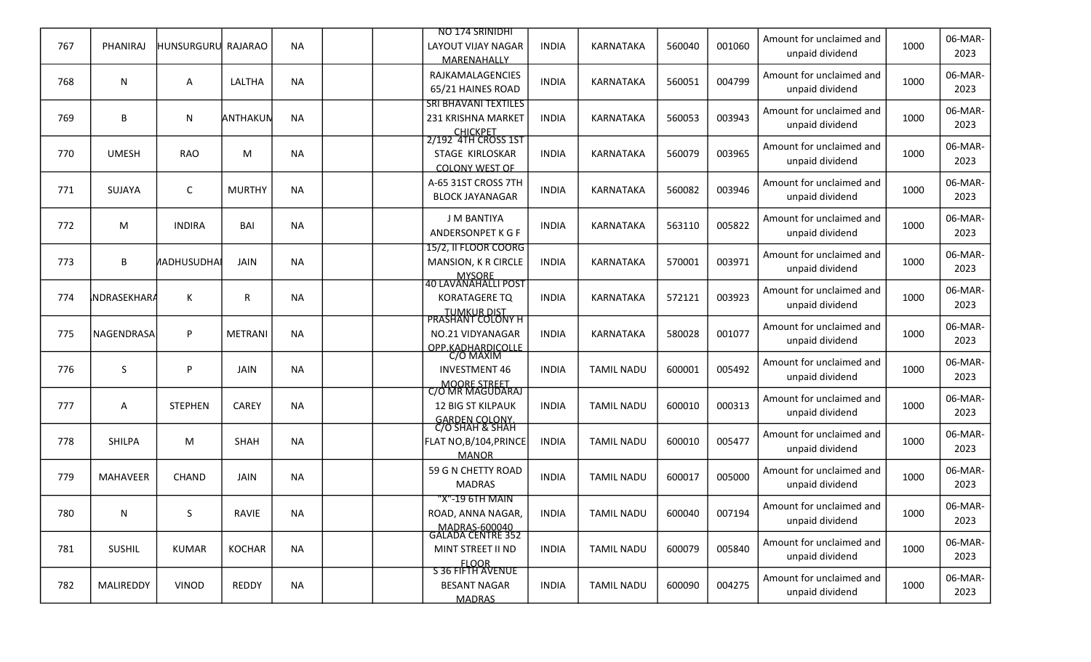|     |                 |                    |               |           | NO 174 SRINIDHI                               |              |                   |        |        | Amount for unclaimed and                    |      | 06-MAR-         |
|-----|-----------------|--------------------|---------------|-----------|-----------------------------------------------|--------------|-------------------|--------|--------|---------------------------------------------|------|-----------------|
| 767 | PHANIRAJ        | HUNSURGURU RAJARAO |               | <b>NA</b> | LAYOUT VIJAY NAGAR<br>MARENAHALLY             | <b>INDIA</b> | KARNATAKA         | 560040 | 001060 | unpaid dividend                             | 1000 | 2023            |
| 768 | N               |                    | LALTHA        | <b>NA</b> | RAJKAMALAGENCIES                              | <b>INDIA</b> | <b>KARNATAKA</b>  | 560051 | 004799 | Amount for unclaimed and                    | 1000 | 06-MAR-         |
|     |                 | Α                  |               |           | 65/21 HAINES ROAD                             |              |                   |        |        | unpaid dividend                             |      | 2023            |
|     |                 |                    |               |           | <b>SRI BHAVANI TEXTILES</b>                   |              |                   |        |        | Amount for unclaimed and                    |      | 06-MAR-         |
| 769 | B               | N                  | ANTHAKUN      | <b>NA</b> | 231 KRISHNA MARKET                            | <b>INDIA</b> | KARNATAKA         | 560053 | 003943 | unpaid dividend                             | 1000 | 2023            |
|     |                 |                    |               |           | CHICKPET<br>2/192 4TH CROSS 1ST               |              |                   |        |        | Amount for unclaimed and                    |      | 06-MAR-         |
| 770 | <b>UMESH</b>    | <b>RAO</b>         | M             | NA        | STAGE KIRLOSKAR                               | <b>INDIA</b> | <b>KARNATAKA</b>  | 560079 | 003965 | unpaid dividend                             | 1000 | 2023            |
|     |                 |                    |               |           | <b>COLONY WEST OF</b>                         |              |                   |        |        |                                             |      |                 |
| 771 | <b>SUJAYA</b>   | C                  | <b>MURTHY</b> | <b>NA</b> | A-65 31ST CROSS 7TH<br><b>BLOCK JAYANAGAR</b> | <b>INDIA</b> | KARNATAKA         | 560082 | 003946 | Amount for unclaimed and<br>unpaid dividend | 1000 | 06-MAR-<br>2023 |
|     |                 |                    |               |           |                                               |              |                   |        |        |                                             |      |                 |
| 772 | M               | <b>INDIRA</b>      | BAI           | NA        | <b>J M BANTIYA</b>                            | <b>INDIA</b> | <b>KARNATAKA</b>  | 563110 | 005822 | Amount for unclaimed and                    | 1000 | 06-MAR-         |
|     |                 |                    |               |           | ANDERSONPET K G F<br>15/2, Il FLOOR COORG     |              |                   |        |        | unpaid dividend                             |      | 2023            |
| 773 | B               | <b>AADHUSUDHA</b>  | <b>JAIN</b>   | <b>NA</b> | MANSION, K R CIRCLE                           | <b>INDIA</b> | KARNATAKA         | 570001 | 003971 | Amount for unclaimed and                    | 1000 | 06-MAR-         |
|     |                 |                    |               |           |                                               |              |                   |        |        | unpaid dividend                             |      | 2023            |
| 774 | NDRASEKHARA     | K                  | R             | NA        | <b>KORATAGERE TQ</b>                          | <b>INDIA</b> | <b>KARNATAKA</b>  | 572121 | 003923 | Amount for unclaimed and                    | 1000 | 06-MAR-         |
|     |                 |                    |               |           |                                               |              |                   |        |        | unpaid dividend                             |      | 2023            |
|     |                 |                    |               |           | TUMKUR DIST<br>PRASHANT COLONY H              |              |                   |        |        | Amount for unclaimed and                    |      | 06-MAR-         |
| 775 | NAGENDRASA      | P                  | METRANI       | <b>NA</b> | NO.21 VIDYANAGAR                              | <b>INDIA</b> | <b>KARNATAKA</b>  | 580028 | 001077 | unpaid dividend                             | 1000 | 2023            |
|     |                 |                    |               |           | OPP KADHARDICOLLE                             |              |                   |        |        | Amount for unclaimed and                    |      | 06-MAR-         |
| 776 | S               | P                  | JAIN          | NA        | <b>INVESTMENT 46</b>                          | <b>INDIA</b> | <b>TAMIL NADU</b> | 600001 | 005492 | unpaid dividend                             | 1000 | 2023            |
|     |                 |                    |               |           | MOORE STREET<br>C/O MR MAGUDARAJ              |              |                   |        |        |                                             |      |                 |
| 777 | A               | <b>STEPHEN</b>     | CAREY         | <b>NA</b> | <b>12 BIG ST KILPAUK</b>                      | <b>INDIA</b> | <b>TAMIL NADU</b> | 600010 | 000313 | Amount for unclaimed and<br>unpaid dividend | 1000 | 06-MAR-<br>2023 |
|     |                 |                    |               |           | GARDEN COLONY.<br>C/O SHAH & SHAH             |              |                   |        |        |                                             |      |                 |
| 778 | <b>SHILPA</b>   | M                  | <b>SHAH</b>   | <b>NA</b> | FLAT NO, B/104, PRINCE                        | <b>INDIA</b> | <b>TAMIL NADU</b> | 600010 | 005477 | Amount for unclaimed and                    | 1000 | 06-MAR-         |
|     |                 |                    |               |           | <b>MANOR</b>                                  |              |                   |        |        | unpaid dividend                             |      | 2023            |
| 779 | <b>MAHAVEER</b> | <b>CHAND</b>       | JAIN          | <b>NA</b> | 59 G N CHETTY ROAD                            | <b>INDIA</b> | <b>TAMIL NADU</b> | 600017 | 005000 | Amount for unclaimed and                    | 1000 | 06-MAR-         |
|     |                 |                    |               |           | <b>MADRAS</b>                                 |              |                   |        |        | unpaid dividend                             |      | 2023            |
|     |                 |                    |               |           | "X"-19 6TH MAIN                               |              |                   |        |        | Amount for unclaimed and                    |      | 06-MAR-         |
| 780 | N               | S.                 | RAVIE         | <b>NA</b> | ROAD, ANNA NAGAR,                             | <b>INDIA</b> | <b>TAMIL NADU</b> | 600040 | 007194 | unpaid dividend                             | 1000 | 2023            |
|     |                 |                    |               |           | MADRAS-600040<br>GALADA CENTRE 352            |              |                   |        |        | Amount for unclaimed and                    |      | 06-MAR-         |
| 781 | <b>SUSHIL</b>   | <b>KUMAR</b>       | <b>KOCHAR</b> | NA        | MINT STREET II ND                             | INDIA        | <b>TAMIL NADU</b> | 600079 | 005840 | unpaid dividend                             | 1000 | 2023            |
|     |                 |                    |               |           | FLOOR<br>S 36 FIFTH AVENUE                    |              |                   |        |        | Amount for unclaimed and                    |      | 06-MAR-         |
| 782 | MALIREDDY       | VINOD              | REDDY         | <b>NA</b> | <b>BESANT NAGAR</b>                           | <b>INDIA</b> | <b>TAMIL NADU</b> | 600090 | 004275 | unpaid dividend                             | 1000 | 2023            |
|     |                 |                    |               |           | <b>MADRAS</b>                                 |              |                   |        |        |                                             |      |                 |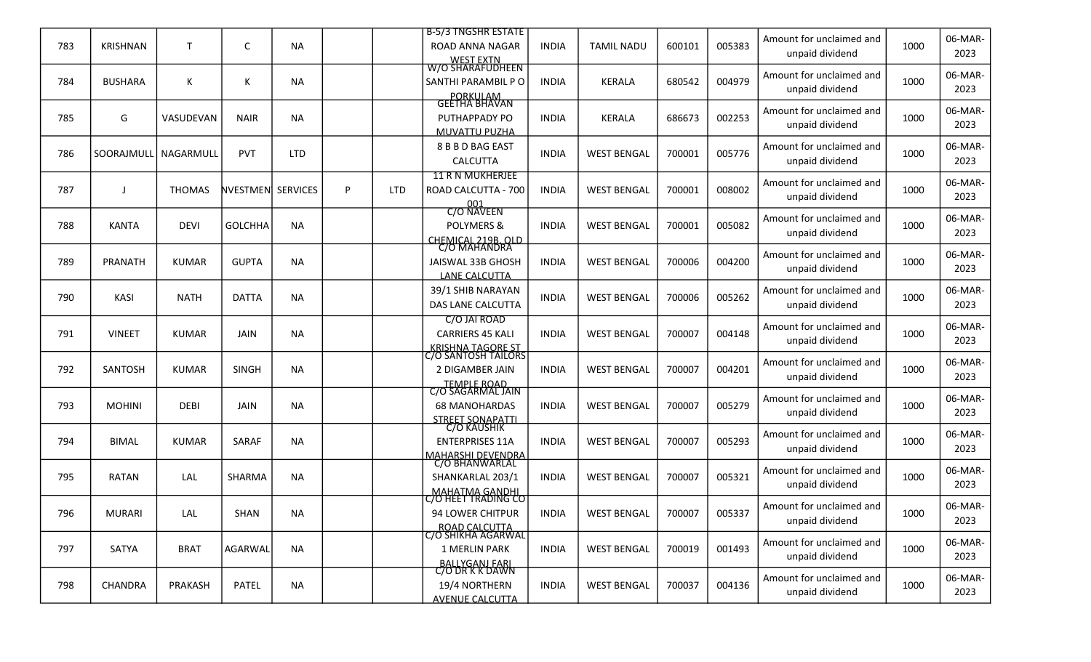|     |                 |               |                   |            |   |            | <b>B-5/3 TNGSHR ESTATE</b>                         |              |                    |        |        | Amount for unclaimed and                    |      | 06-MAR-         |
|-----|-----------------|---------------|-------------------|------------|---|------------|----------------------------------------------------|--------------|--------------------|--------|--------|---------------------------------------------|------|-----------------|
| 783 | <b>KRISHNAN</b> | T             | С                 | <b>NA</b>  |   |            | ROAD ANNA NAGAR<br><b>WEST EXTN</b>                | <b>INDIA</b> | <b>TAMIL NADU</b>  | 600101 | 005383 | unpaid dividend                             | 1000 | 2023            |
|     |                 |               |                   |            |   |            | W/O ŠHĂRAFUDHEEN                                   |              |                    |        |        | Amount for unclaimed and                    |      | 06-MAR-         |
| 784 | <b>BUSHARA</b>  | K             | Κ                 | <b>NA</b>  |   |            | SANTHI PARAMBIL PO                                 | <b>INDIA</b> | <b>KERALA</b>      | 680542 | 004979 | unpaid dividend                             | 1000 | 2023            |
|     |                 |               |                   |            |   |            | PORKULAM<br>GEETHA BHAVAN                          |              |                    |        |        | Amount for unclaimed and                    |      | 06-MAR-         |
| 785 | G               | VASUDEVAN     | <b>NAIR</b>       | <b>NA</b>  |   |            | PUTHAPPADY PO                                      | <b>INDIA</b> | <b>KERALA</b>      | 686673 | 002253 | unpaid dividend                             | 1000 | 2023            |
|     |                 |               |                   |            |   |            | <b>MUVATTU PUZHA</b>                               |              |                    |        |        |                                             |      |                 |
| 786 | SOORAJMULL      | NAGARMULL     | PVT               | <b>LTD</b> |   |            | 8 B B D BAG EAST<br><b>CALCUTTA</b>                | <b>INDIA</b> | <b>WEST BENGAL</b> | 700001 | 005776 | Amount for unclaimed and<br>unpaid dividend | 1000 | 06-MAR-<br>2023 |
|     |                 |               |                   |            |   |            | <b>11 R N MUKHERJEE</b>                            |              |                    |        |        |                                             |      |                 |
| 787 |                 | <b>THOMAS</b> | NVESTMEN SERVICES |            | P | <b>LTD</b> | ROAD CALCUTTA - 700                                | <b>INDIA</b> | <b>WEST BENGAL</b> | 700001 | 008002 | Amount for unclaimed and                    | 1000 | 06-MAR-         |
|     |                 |               |                   |            |   |            | 001<br>C/O NAVEEN                                  |              |                    |        |        | unpaid dividend                             |      | 2023            |
| 788 | <b>KANTA</b>    | <b>DEVI</b>   | <b>GOLCHHA</b>    | <b>NA</b>  |   |            | <b>POLYMERS &amp;</b>                              | <b>INDIA</b> | <b>WEST BENGAL</b> | 700001 | 005082 | Amount for unclaimed and                    | 1000 | 06-MAR-         |
|     |                 |               |                   |            |   |            | CHEMICAL 219B. OLD                                 |              |                    |        |        | unpaid dividend                             |      | 2023            |
|     |                 |               |                   |            |   |            | C/O MAHANDRA                                       |              |                    |        |        | Amount for unclaimed and                    |      | 06-MAR-         |
| 789 | PRANATH         | <b>KUMAR</b>  | <b>GUPTA</b>      | <b>NA</b>  |   |            | JAISWAL 33B GHOSH<br>LANE CALCUTTA                 | <b>INDIA</b> | <b>WEST BENGAL</b> | 700006 | 004200 | unpaid dividend                             | 1000 | 2023            |
|     |                 |               |                   |            |   |            | 39/1 SHIB NARAYAN                                  |              |                    |        |        | Amount for unclaimed and                    |      | 06-MAR-         |
| 790 | <b>KASI</b>     | <b>NATH</b>   | <b>DATTA</b>      | <b>NA</b>  |   |            | DAS LANE CALCUTTA                                  | <b>INDIA</b> | <b>WEST BENGAL</b> | 700006 | 005262 | unpaid dividend                             | 1000 | 2023            |
|     |                 |               |                   |            |   |            | C/O JAI ROAD                                       |              |                    |        |        | Amount for unclaimed and                    |      | 06-MAR-         |
| 791 | <b>VINEET</b>   | <b>KUMAR</b>  | JAIN              | <b>NA</b>  |   |            | <b>CARRIERS 45 KALI</b>                            | <b>INDIA</b> | <b>WEST BENGAL</b> | 700007 | 004148 | unpaid dividend                             | 1000 | 2023            |
|     |                 |               |                   |            |   |            | <u>_KRISHNA TAGORE ST_ </u><br>C/O SANTOSH TAILORS |              |                    |        |        |                                             |      |                 |
| 792 | SANTOSH         | <b>KUMAR</b>  | <b>SINGH</b>      | <b>NA</b>  |   |            | 2 DIGAMBER JAIN                                    | <b>INDIA</b> | <b>WEST BENGAL</b> | 700007 | 004201 | Amount for unclaimed and                    | 1000 | 06-MAR-         |
|     |                 |               |                   |            |   |            | <b>TEMPLE ROAD</b><br>C/O SAGARMAL JAIN            |              |                    |        |        | unpaid dividend                             |      | 2023            |
| 793 | <b>MOHINI</b>   | <b>DEBI</b>   | <b>JAIN</b>       | <b>NA</b>  |   |            | <b>68 MANOHARDAS</b>                               | <b>INDIA</b> | <b>WEST BENGAL</b> | 700007 | 005279 | Amount for unclaimed and                    | 1000 | 06-MAR-         |
|     |                 |               |                   |            |   |            | STREET SONAPATTI                                   |              |                    |        |        | unpaid dividend                             |      | 2023            |
|     |                 |               |                   |            |   |            | C/O KAUSHIK                                        |              |                    |        |        | Amount for unclaimed and                    |      | 06-MAR-         |
| 794 | <b>BIMAL</b>    | <b>KUMAR</b>  | SARAF             | <b>NA</b>  |   |            | <b>ENTERPRISES 11A</b><br><b>MAHARSHI DEVENDRA</b> | <b>INDIA</b> | <b>WEST BENGAL</b> | 700007 | 005293 | unpaid dividend                             | 1000 | 2023            |
|     |                 |               |                   |            |   |            | C/O BHANWARLAL                                     |              |                    |        |        | Amount for unclaimed and                    |      | 06-MAR-         |
| 795 | <b>RATAN</b>    | LAL           | SHARMA            | <b>NA</b>  |   |            | SHANKARLAL 203/1                                   | <b>INDIA</b> | <b>WEST BENGAL</b> | 700007 | 005321 | unpaid dividend                             | 1000 | 2023            |
|     |                 |               |                   |            |   |            | MAHATMA GANDHI<br>C/O HEET TRADING CO              |              |                    |        |        | Amount for unclaimed and                    |      | 06-MAR-         |
| 796 | <b>MURARI</b>   | LAL           | SHAN              | <b>NA</b>  |   |            | 94 LOWER CHITPUR                                   | <b>INDIA</b> | <b>WEST BENGAL</b> | 700007 | 005337 | unpaid dividend                             | 1000 | 2023            |
|     |                 |               |                   |            |   |            | ROAD CALCUTTA<br>  C/O SHIKHA AGARWAL              |              |                    |        |        |                                             |      |                 |
| 797 | SATYA           | <b>BRAT</b>   | <b>AGARWAL</b>    | <b>NA</b>  |   |            | <b>1 MERLIN PARK</b>                               | <b>INDIA</b> | <b>WEST BENGAL</b> | 700019 | 001493 | Amount for unclaimed and                    | 1000 | 06-MAR-         |
|     |                 |               |                   |            |   |            | BALLYGANJ FARL<br>C/O DR K K DAWN                  |              |                    |        |        | unpaid dividend                             |      | 2023            |
| 798 | CHANDRA         | PRAKASH       | PATEL             | <b>NA</b>  |   |            | 19/4 NORTHERN                                      | <b>INDIA</b> | <b>WEST BENGAL</b> | 700037 | 004136 | Amount for unclaimed and                    | 1000 | 06-MAR-         |
|     |                 |               |                   |            |   |            | <b>AVENUE CALCUTTA</b>                             |              |                    |        |        | unpaid dividend                             |      | 2023            |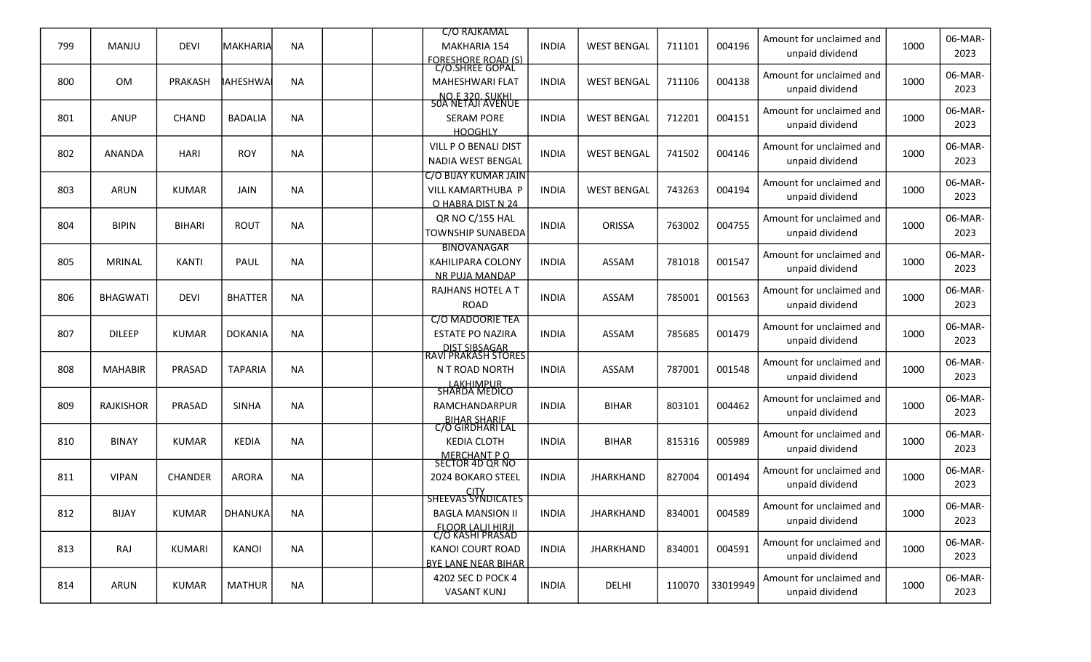|     |                  |                |                  |           |  | <b>C/O RAJKAMAL</b>                          |              |                    |        |          | Amount for unclaimed and |      | 06-MAR- |
|-----|------------------|----------------|------------------|-----------|--|----------------------------------------------|--------------|--------------------|--------|----------|--------------------------|------|---------|
| 799 | MANJU            | <b>DEVI</b>    | IMAKHARIAl       | <b>NA</b> |  | MAKHARIA 154                                 | <b>INDIA</b> | <b>WEST BENGAL</b> | 711101 | 004196   | unpaid dividend          | 1000 | 2023    |
|     |                  |                |                  |           |  | <b>FORESHORE ROAD (S)</b><br>C/O.SHREE GOPAL |              |                    |        |          |                          |      |         |
| 800 | OM               | <b>PRAKASH</b> | <b>I</b> AHESHWA | <b>NA</b> |  | <b>MAHESHWARI FLAT</b>                       | <b>INDIA</b> | <b>WEST BENGAL</b> | 711106 | 004138   | Amount for unclaimed and | 1000 | 06-MAR- |
|     |                  |                |                  |           |  | NO.E 320. SUKHI<br>50A NETAJI AVENUE         |              |                    |        |          | unpaid dividend          |      | 2023    |
|     |                  |                |                  |           |  |                                              |              |                    |        |          | Amount for unclaimed and |      | 06-MAR- |
| 801 | <b>ANUP</b>      | <b>CHAND</b>   | <b>BADALIA</b>   | <b>NA</b> |  | <b>SERAM PORE</b>                            | <b>INDIA</b> | <b>WEST BENGAL</b> | 712201 | 004151   | unpaid dividend          | 1000 | 2023    |
|     |                  |                |                  |           |  | <b>HOOGHLY</b>                               |              |                    |        |          |                          |      |         |
| 802 | <b>ANANDA</b>    | <b>HARI</b>    | <b>ROY</b>       | NA        |  | VILL P O BENALI DIST                         | <b>INDIA</b> | <b>WEST BENGAL</b> | 741502 | 004146   | Amount for unclaimed and | 1000 | 06-MAR- |
|     |                  |                |                  |           |  | <b>NADIA WEST BENGAL</b>                     |              |                    |        |          | unpaid dividend          |      | 2023    |
|     |                  |                |                  |           |  | <b>C/O BIJAY KUMAR JAIN</b>                  |              |                    |        |          | Amount for unclaimed and |      | 06-MAR- |
| 803 | <b>ARUN</b>      | <b>KUMAR</b>   | <b>JAIN</b>      | <b>NA</b> |  | VILL KAMARTHUBA P<br>O HABRA DIST N 24       | <b>INDIA</b> | <b>WEST BENGAL</b> | 743263 | 004194   | unpaid dividend          | 1000 | 2023    |
|     |                  |                |                  |           |  | QR NO C/155 HAL                              |              |                    |        |          | Amount for unclaimed and |      | 06-MAR- |
| 804 | <b>BIPIN</b>     | <b>BIHARI</b>  | <b>ROUT</b>      | <b>NA</b> |  | <b>TOWNSHIP SUNABEDA</b>                     | <b>INDIA</b> | ORISSA             | 763002 | 004755   | unpaid dividend          | 1000 | 2023    |
|     |                  |                |                  |           |  | <b>BINOVANAGAR</b>                           |              |                    |        |          |                          |      |         |
| 805 | <b>MRINAL</b>    | <b>KANTI</b>   | PAUL             | <b>NA</b> |  | KAHILIPARA COLONY                            | <b>INDIA</b> | ASSAM              | 781018 | 001547   | Amount for unclaimed and | 1000 | 06-MAR- |
|     |                  |                |                  |           |  | NR PUJA MANDAP                               |              |                    |        |          | unpaid dividend          |      | 2023    |
|     |                  |                |                  |           |  | <b>RAJHANS HOTEL A T</b>                     |              |                    |        |          | Amount for unclaimed and |      | 06-MAR- |
| 806 | <b>BHAGWATI</b>  | <b>DEVI</b>    | <b>BHATTER</b>   | NA        |  | <b>ROAD</b>                                  | <b>INDIA</b> | ASSAM              | 785001 | 001563   | unpaid dividend          | 1000 | 2023    |
|     |                  |                |                  |           |  | <b>C/O MADOORIE TEA</b>                      |              |                    |        |          |                          |      |         |
| 807 | <b>DILEEP</b>    | <b>KUMAR</b>   | <b>DOKANIA</b>   | <b>NA</b> |  | <b>ESTATE PO NAZIRA</b>                      | <b>INDIA</b> | ASSAM              | 785685 | 001479   | Amount for unclaimed and | 1000 | 06-MAR- |
|     |                  |                |                  |           |  | DIST SIBSAGAR<br>RAVI PRAKASH STORES         |              |                    |        |          | unpaid dividend          |      | 2023    |
| 808 | <b>MAHABIR</b>   | PRASAD         | <b>TAPARIA</b>   | NA        |  | N T ROAD NORTH                               | <b>INDIA</b> | ASSAM              | 787001 | 001548   | Amount for unclaimed and | 1000 | 06-MAR- |
|     |                  |                |                  |           |  |                                              |              |                    |        |          | unpaid dividend          |      | 2023    |
|     |                  |                |                  |           |  | LAKHIMPUR<br>SHARDA MEDICO                   |              |                    |        |          | Amount for unclaimed and |      | 06-MAR- |
| 809 | <b>RAJKISHOR</b> | PRASAD         | <b>SINHA</b>     | <b>NA</b> |  | RAMCHANDARPUR                                | <b>INDIA</b> | <b>BIHAR</b>       | 803101 | 004462   | unpaid dividend          | 1000 | 2023    |
|     |                  |                |                  |           |  | BIHAR SHARIF<br>C/O GIRDHARI LAL             |              |                    |        |          |                          |      |         |
| 810 | <b>BINAY</b>     | <b>KUMAR</b>   | <b>KEDIA</b>     | <b>NA</b> |  | <b>KEDIA CLOTH</b>                           | <b>INDIA</b> | <b>BIHAR</b>       | 815316 | 005989   | Amount for unclaimed and | 1000 | 06-MAR- |
|     |                  |                |                  |           |  | MERCHANT P O<br>SECTOR 4D QR NO              |              |                    |        |          | unpaid dividend          |      | 2023    |
|     |                  |                |                  |           |  |                                              |              |                    |        |          | Amount for unclaimed and |      | 06-MAR- |
| 811 | <b>VIPAN</b>     | <b>CHANDER</b> | <b>ARORA</b>     | <b>NA</b> |  | 2024 BOKARO STEEL                            | <b>INDIA</b> | <b>JHARKHAND</b>   | 827004 | 001494   | unpaid dividend          | 1000 | 2023    |
|     |                  |                |                  |           |  | CITY<br>SHEEVAS SYNDICATES                   |              |                    |        |          |                          |      |         |
| 812 | <b>BIJAY</b>     | <b>KUMAR</b>   | DHANUKA          | NA        |  | <b>BAGLA MANSION II</b>                      | <b>INDIA</b> | <b>JHARKHAND</b>   | 834001 | 004589   | Amount for unclaimed and | 1000 | 06-MAR- |
|     |                  |                |                  |           |  | FLOOR LALJI HIRJI<br>C/O KASHI PRASAD        |              |                    |        |          | unpaid dividend          |      | 2023    |
| 813 | RAJ              | <b>KUMARI</b>  | <b>KANOI</b>     | NA        |  | <b>KANOI COURT ROAD</b>                      | <b>INDIA</b> | <b>JHARKHAND</b>   | 834001 | 004591   | Amount for unclaimed and | 1000 | 06-MAR- |
|     |                  |                |                  |           |  | <b>BYE LANE NEAR BIHAR</b>                   |              |                    |        |          | unpaid dividend          |      | 2023    |
|     |                  |                |                  |           |  | 4202 SEC D POCK 4                            |              |                    |        |          | Amount for unclaimed and |      | 06-MAR- |
| 814 | <b>ARUN</b>      | <b>KUMAR</b>   | <b>MATHUR</b>    | <b>NA</b> |  | <b>VASANT KUNJ</b>                           | <b>INDIA</b> | DELHI              | 110070 | 33019949 | unpaid dividend          | 1000 | 2023    |
|     |                  |                |                  |           |  |                                              |              |                    |        |          |                          |      |         |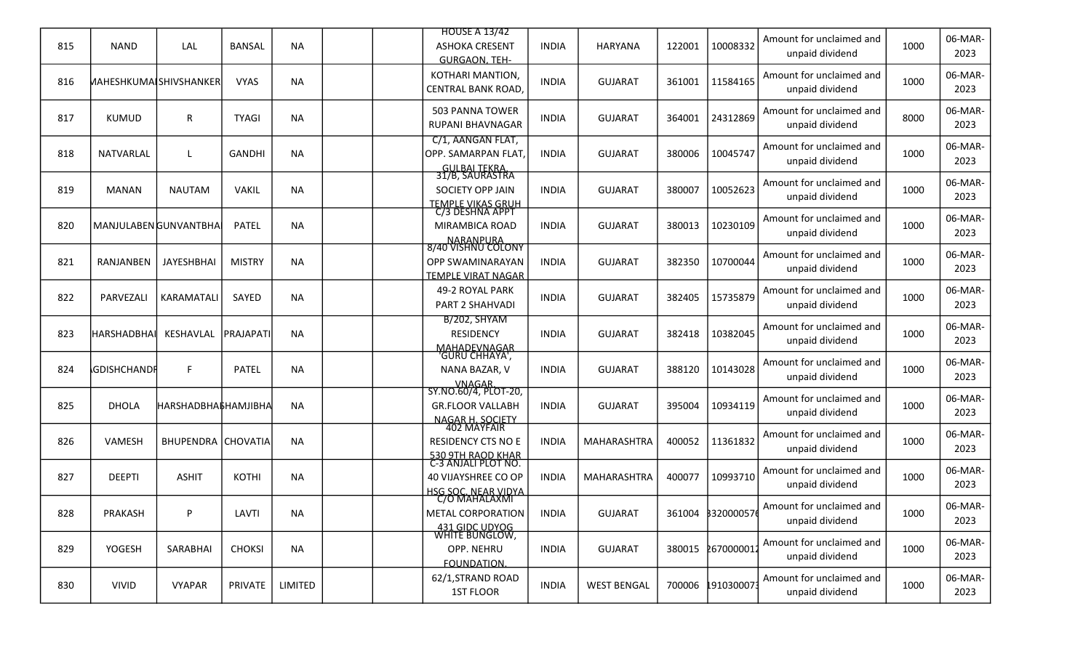| 815 | <b>NAND</b>                    | LAL                            | <b>BANSAL</b> | <b>NA</b> |  | <b>HOUSE A 13/42</b><br><b>ASHOKA CRESENT</b>                                    | <b>INDIA</b> | <b>HARYANA</b>     | 122001 | 10008332          | Amount for unclaimed and<br>unpaid dividend | 1000 | 06-MAR-<br>2023 |
|-----|--------------------------------|--------------------------------|---------------|-----------|--|----------------------------------------------------------------------------------|--------------|--------------------|--------|-------------------|---------------------------------------------|------|-----------------|
| 816 | <b>MAHESHKUMAI SHIVSHANKER</b> |                                | <b>VYAS</b>   | <b>NA</b> |  | <b>GURGAON, TEH-</b><br>KOTHARI MANTION,<br><b>CENTRAL BANK ROAD,</b>            | <b>INDIA</b> | <b>GUJARAT</b>     | 361001 | 11584165          | Amount for unclaimed and<br>unpaid dividend | 1000 | 06-MAR-<br>2023 |
| 817 | <b>KUMUD</b>                   | R                              | <b>TYAGI</b>  | <b>NA</b> |  | <b>503 PANNA TOWER</b><br><b>RUPANI BHAVNAGAR</b>                                | <b>INDIA</b> | <b>GUJARAT</b>     | 364001 | 24312869          | Amount for unclaimed and<br>unpaid dividend | 8000 | 06-MAR-<br>2023 |
| 818 | NATVARLAL                      | L                              | <b>GANDHI</b> | <b>NA</b> |  | C/1, AANGAN FLAT,<br>OPP. SAMARPAN FLAT,                                         | <b>INDIA</b> | <b>GUJARAT</b>     | 380006 | 10045747          | Amount for unclaimed and<br>unpaid dividend | 1000 | 06-MAR-<br>2023 |
| 819 | <b>MANAN</b>                   | <b>NAUTAM</b>                  | <b>VAKIL</b>  | <b>NA</b> |  | GULBAI TEKRA.<br>31/B, SAURASTRA<br>SOCIETY OPP JAIN<br><b>TEMPLE VIKAS GRUH</b> | <b>INDIA</b> | <b>GUJARAT</b>     | 380007 | 10052623          | Amount for unclaimed and<br>unpaid dividend | 1000 | 06-MAR-<br>2023 |
| 820 | MANJULABEN GUNVANTBHA          |                                | PATEL         | <b>NA</b> |  | C/3 DESHNA APPT<br>MIRAMBICA ROAD<br>NARANPURA                                   | <b>INDIA</b> | <b>GUJARAT</b>     | 380013 | 10230109          | Amount for unclaimed and<br>unpaid dividend | 1000 | 06-MAR-<br>2023 |
| 821 | RANJANBEN                      | JAYESHBHAI                     | <b>MISTRY</b> | <b>NA</b> |  | 8/40 VISHNU COLONY<br>OPP SWAMINARAYAN<br><b>TEMPLE VIRAT NAGAR</b>              | <b>INDIA</b> | <b>GUJARAT</b>     | 382350 | 10700044          | Amount for unclaimed and<br>unpaid dividend | 1000 | 06-MAR-<br>2023 |
| 822 | PARVEZALI                      | KARAMATALI                     | SAYED         | <b>NA</b> |  | <b>49-2 ROYAL PARK</b><br>PART 2 SHAHVADI                                        | <b>INDIA</b> | <b>GUJARAT</b>     | 382405 | 15735879          | Amount for unclaimed and<br>unpaid dividend | 1000 | 06-MAR-<br>2023 |
| 823 | <b>HARSHADBHA</b>              | KESHAVLAL                      | PRAJAPATI     | <b>NA</b> |  | <b>B/202, SHYAM</b><br><b>RESIDENCY</b>                                          | <b>INDIA</b> | <b>GUJARAT</b>     | 382418 | 10382045          | Amount for unclaimed and<br>unpaid dividend | 1000 | 06-MAR-<br>2023 |
| 824 | <b><i>SDISHCHANDR</i></b>      | F.                             | PATEL         | <b>NA</b> |  | MAHADEVNAGAR<br>"GURU CHHAYA",<br>NANA BAZAR, V<br><b>VNAGAR</b>                 | <b>INDIA</b> | <b>GUJARAT</b>     | 388120 | 10143028          | Amount for unclaimed and<br>unpaid dividend | 1000 | 06-MAR-<br>2023 |
| 825 | <b>DHOLA</b>                   | НАRSHADBHA <b> </b> \$НАМЈІВНА |               | <b>NA</b> |  | SY.NO.60/4, PLOT-20,<br><b>GR.FLOOR VALLABH</b>                                  | <b>INDIA</b> | <b>GUJARAT</b>     | 395004 | 10934119          | Amount for unclaimed and<br>unpaid dividend | 1000 | 06-MAR-<br>2023 |
| 826 | <b>VAMESH</b>                  | <b>BHUPENDRA CHOVATIA</b>      |               | <b>NA</b> |  | NAGAR H. SOCIETY<br>402 MAYFAIR<br><b>RESIDENCY CTS NO E</b>                     | <b>INDIA</b> | MAHARASHTRA        | 400052 | 11361832          | Amount for unclaimed and<br>unpaid dividend | 1000 | 06-MAR-<br>2023 |
| 827 | <b>DEEPTI</b>                  | <b>ASHIT</b>                   | KOTHI         | <b>NA</b> |  | 530 9TH RAOD KHAR<br><u>C-3 ANJALI PLOT NO.</u><br>40 VIJAYSHREE CO OP           | <b>INDIA</b> | MAHARASHTRA        | 400077 | 10993710          | Amount for unclaimed and<br>unpaid dividend | 1000 | 06-MAR-<br>2023 |
| 828 | PRAKASH                        | P                              | LAVTI         | <b>NA</b> |  | <b>HSG SOC. NEAR VIDYA</b><br>C/O MAHALAXMI<br>METAL CORPORATION                 | <b>INDIA</b> | <b>GUJARAT</b>     |        | 361004 3320000576 | Amount for unclaimed and<br>unpaid dividend | 1000 | 06-MAR-<br>2023 |
| 829 | YOGESH                         | SARABHAI                       | <b>CHOKSI</b> | <b>NA</b> |  | 431 GIDC UDYOG<br>WHITE BUNGLOW,<br>OPP. NEHRU                                   | <b>INDIA</b> | <b>GUJARAT</b>     | 380015 | 267000001         | Amount for unclaimed and<br>unpaid dividend | 1000 | 06-MAR-<br>2023 |
| 830 | <b>VIVID</b>                   | <b>VYAPAR</b>                  | PRIVATE       | LIMITED   |  | FOUNDATION.<br>62/1, STRAND ROAD<br><b>1ST FLOOR</b>                             | <b>INDIA</b> | <b>WEST BENGAL</b> | 700006 | 1910300073        | Amount for unclaimed and<br>unpaid dividend | 1000 | 06-MAR-<br>2023 |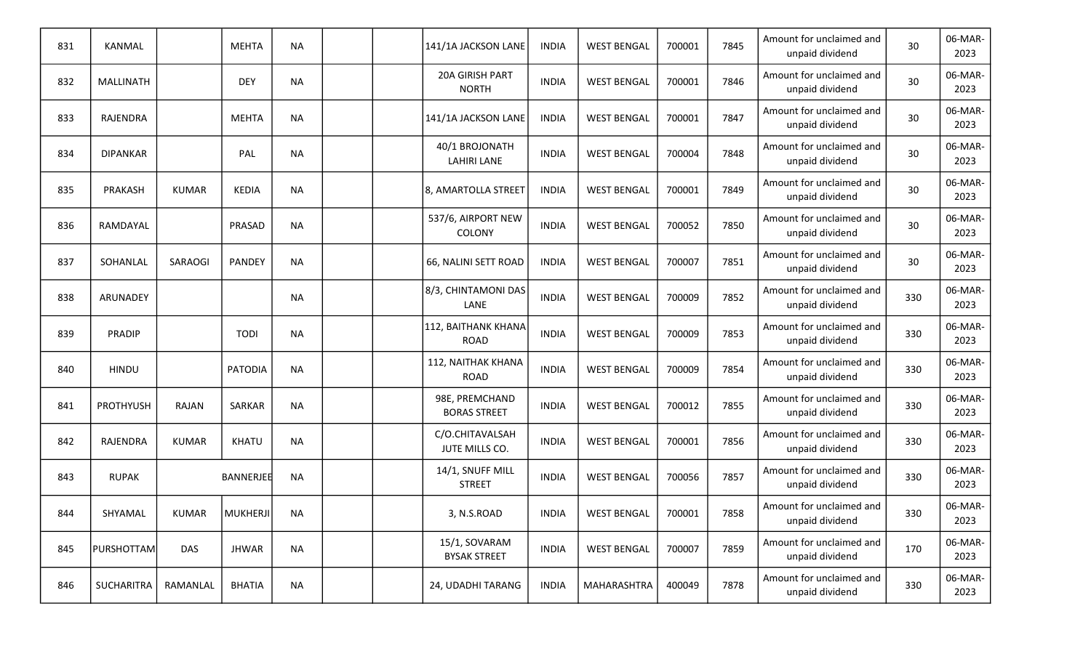| 831 | KANMAL            |              | <b>MEHTA</b>  | <b>NA</b> |  | 141/1A JACKSON LANE                   | <b>INDIA</b> | <b>WEST BENGAL</b> | 700001 | 7845 | Amount for unclaimed and<br>unpaid dividend | 30  | 06-MAR-<br>2023 |
|-----|-------------------|--------------|---------------|-----------|--|---------------------------------------|--------------|--------------------|--------|------|---------------------------------------------|-----|-----------------|
| 832 | <b>MALLINATH</b>  |              | <b>DEY</b>    | <b>NA</b> |  | 20A GIRISH PART<br><b>NORTH</b>       | <b>INDIA</b> | <b>WEST BENGAL</b> | 700001 | 7846 | Amount for unclaimed and<br>unpaid dividend | 30  | 06-MAR-<br>2023 |
| 833 | RAJENDRA          |              | <b>MEHTA</b>  | <b>NA</b> |  | 141/1A JACKSON LANE                   | <b>INDIA</b> | <b>WEST BENGAL</b> | 700001 | 7847 | Amount for unclaimed and<br>unpaid dividend | 30  | 06-MAR-<br>2023 |
| 834 | <b>DIPANKAR</b>   |              | PAL           | <b>NA</b> |  | 40/1 BROJONATH<br><b>LAHIRI LANE</b>  | <b>INDIA</b> | <b>WEST BENGAL</b> | 700004 | 7848 | Amount for unclaimed and<br>unpaid dividend | 30  | 06-MAR-<br>2023 |
| 835 | PRAKASH           | <b>KUMAR</b> | <b>KEDIA</b>  | <b>NA</b> |  | 8, AMARTOLLA STREET                   | <b>INDIA</b> | <b>WEST BENGAL</b> | 700001 | 7849 | Amount for unclaimed and<br>unpaid dividend | 30  | 06-MAR-<br>2023 |
| 836 | RAMDAYAL          |              | PRASAD        | <b>NA</b> |  | 537/6, AIRPORT NEW<br>COLONY          | <b>INDIA</b> | <b>WEST BENGAL</b> | 700052 | 7850 | Amount for unclaimed and<br>unpaid dividend | 30  | 06-MAR-<br>2023 |
| 837 | SOHANLAL          | SARAOGI      | PANDEY        | <b>NA</b> |  | 66, NALINI SETT ROAD                  | <b>INDIA</b> | <b>WEST BENGAL</b> | 700007 | 7851 | Amount for unclaimed and<br>unpaid dividend | 30  | 06-MAR-<br>2023 |
| 838 | ARUNADEY          |              |               | <b>NA</b> |  | 8/3, CHINTAMONI DAS<br>LANE           | <b>INDIA</b> | <b>WEST BENGAL</b> | 700009 | 7852 | Amount for unclaimed and<br>unpaid dividend | 330 | 06-MAR-<br>2023 |
| 839 | PRADIP            |              | <b>TODI</b>   | <b>NA</b> |  | 112, BAITHANK KHANA<br><b>ROAD</b>    | <b>INDIA</b> | <b>WEST BENGAL</b> | 700009 | 7853 | Amount for unclaimed and<br>unpaid dividend | 330 | 06-MAR-<br>2023 |
| 840 | <b>HINDU</b>      |              | PATODIA       | <b>NA</b> |  | 112, NAITHAK KHANA<br><b>ROAD</b>     | <b>INDIA</b> | <b>WEST BENGAL</b> | 700009 | 7854 | Amount for unclaimed and<br>unpaid dividend | 330 | 06-MAR-<br>2023 |
| 841 | <b>PROTHYUSH</b>  | <b>RAJAN</b> | SARKAR        | <b>NA</b> |  | 98E, PREMCHAND<br><b>BORAS STREET</b> | <b>INDIA</b> | <b>WEST BENGAL</b> | 700012 | 7855 | Amount for unclaimed and<br>unpaid dividend | 330 | 06-MAR-<br>2023 |
| 842 | <b>RAJENDRA</b>   | <b>KUMAR</b> | KHATU         | <b>NA</b> |  | C/O.CHITAVALSAH<br>JUTE MILLS CO.     | <b>INDIA</b> | <b>WEST BENGAL</b> | 700001 | 7856 | Amount for unclaimed and<br>unpaid dividend | 330 | 06-MAR-<br>2023 |
| 843 | <b>RUPAK</b>      |              | BANNERJEE     | <b>NA</b> |  | 14/1, SNUFF MILL<br><b>STREET</b>     | <b>INDIA</b> | <b>WEST BENGAL</b> | 700056 | 7857 | Amount for unclaimed and<br>unpaid dividend | 330 | 06-MAR-<br>2023 |
| 844 | SHYAMAL           | <b>KUMAR</b> | MUKHERJI      | NA        |  | 3, N.S.ROAD                           | <b>INDIA</b> | <b>WEST BENGAL</b> | 700001 | 7858 | Amount for unclaimed and<br>unpaid dividend | 330 | 06-MAR-<br>2023 |
| 845 | PURSHOTTAM        | <b>DAS</b>   | <b>JHWAR</b>  | <b>NA</b> |  | 15/1, SOVARAM<br><b>BYSAK STREET</b>  | <b>INDIA</b> | <b>WEST BENGAL</b> | 700007 | 7859 | Amount for unclaimed and<br>unpaid dividend | 170 | 06-MAR-<br>2023 |
| 846 | <b>SUCHARITRA</b> | RAMANLAL     | <b>BHATIA</b> | <b>NA</b> |  | 24, UDADHI TARANG                     | <b>INDIA</b> | MAHARASHTRA        | 400049 | 7878 | Amount for unclaimed and<br>unpaid dividend | 330 | 06-MAR-<br>2023 |